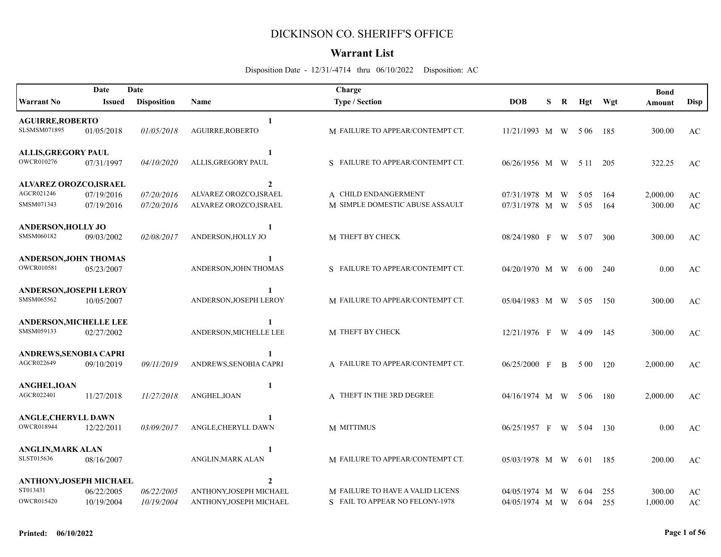## DICKINSON CO. SHERIFF'S OFFICE

## **Warrant List**

Disposition Date - 12/31/-4714 thru 06/10/2022 Disposition: AC

|                               | Date          | Date               |                         | Charge                           |                       |   |    |         |       | <b>Bond</b> |                        |
|-------------------------------|---------------|--------------------|-------------------------|----------------------------------|-----------------------|---|----|---------|-------|-------------|------------------------|
| <b>Warrant No</b>             | <b>Issued</b> | <b>Disposition</b> | Name                    | <b>Type / Section</b>            | <b>DOB</b>            | S | R  | Hgt     | Wgt   | Amount      | <b>Disp</b>            |
| <b>AGUIRRE, ROBERTO</b>       |               |                    | 1                       |                                  |                       |   |    |         |       |             |                        |
| SLSMSM071895                  | 01/05/2018    | 01/05/2018         | <b>AGUIRRE, ROBERTO</b> | M FAILURE TO APPEAR/CONTEMPT CT. | $11/21/1993$ M W      |   |    | - 5 0 6 | 185   | 300.00      | AC                     |
| <b>ALLIS, GREGORY PAUL</b>    |               |                    |                         |                                  |                       |   |    |         |       |             |                        |
| <b>OWCR010276</b>             | 07/31/1997    | 04/10/2020         | ALLIS, GREGORY PAUL     | S FAILURE TO APPEAR/CONTEMPT CT. | $06/26/1956$ M W 5 11 |   |    |         | 205   | 322.25      | AC                     |
| ALVAREZ OROZCO, ISRAEL        |               |                    | $\mathbf{2}$            |                                  |                       |   |    |         |       |             |                        |
| AGCR021246                    | 07/19/2016    | 07/20/2016         | ALVAREZ OROZCO, ISRAEL  | A CHILD ENDANGERMENT             | 07/31/1978 M W        |   |    | 5 0 5   | 164   | 2,000.00    | $\mathbf{AC}$          |
| SMSM071343                    | 07/19/2016    | 07/20/2016         | ALVAREZ OROZCO, ISRAEL  | M SIMPLE DOMESTIC ABUSE ASSAULT  | 07/31/1978 M W        |   |    | 5 0 5   | 164   | 300.00      | $\mathbf{A}\mathbf{C}$ |
| <b>ANDERSON, HOLLY JO</b>     |               |                    |                         |                                  |                       |   |    |         |       |             |                        |
| SMSM060182                    | 09/03/2002    | 02/08/2017         | ANDERSON, HOLLY JO      | M THEFT BY CHECK                 | 08/24/1980 F W 507    |   |    |         | 300   | 300.00      | AC                     |
| <b>ANDERSON, JOHN THOMAS</b>  |               |                    | $\mathbf{1}$            |                                  |                       |   |    |         |       |             |                        |
| <b>OWCR010581</b>             | 05/23/2007    |                    | ANDERSON, JOHN THOMAS   | S FAILURE TO APPEAR/CONTEMPT CT. | $04/20/1970$ M W      |   |    | 6 00    | 240   | 0.00        | AC                     |
| <b>ANDERSON, JOSEPH LEROY</b> |               |                    | -1                      |                                  |                       |   |    |         |       |             |                        |
| SMSM065562                    | 10/05/2007    |                    | ANDERSON, JOSEPH LEROY  | M FAILURE TO APPEAR/CONTEMPT CT. | 05/04/1983 M W 505    |   |    |         | 150   | 300.00      | AC                     |
| <b>ANDERSON, MICHELLE LEE</b> |               |                    | -1                      |                                  |                       |   |    |         |       |             |                        |
| SMSM059133                    | 02/27/2002    |                    | ANDERSON, MICHELLE LEE  | M THEFT BY CHECK                 | $12/21/1976$ F W      |   |    | - 4 0 9 | 145   | 300.00      | AC                     |
| <b>ANDREWS, SENOBIA CAPRI</b> |               |                    | -1                      |                                  |                       |   |    |         |       |             |                        |
| AGCR022649                    | 09/10/2019    | 09/11/2019         | ANDREWS, SENOBIA CAPRI  | A FAILURE TO APPEAR/CONTEMPT CT. | 06/25/2000 F          |   | B  | 5 00    | 120   | 2,000.00    | AC                     |
| <b>ANGHEL, IOAN</b>           |               |                    | 1                       |                                  |                       |   |    |         |       |             |                        |
| AGCR022401                    | 11/27/2018    | 11/27/2018         | ANGHEL, IOAN            | A THEFT IN THE 3RD DEGREE        | 04/16/1974 M W        |   |    | 5 0 6   | 180   | 2,000.00    | AC                     |
| <b>ANGLE, CHERYLL DAWN</b>    |               |                    | 1                       |                                  |                       |   |    |         |       |             |                        |
| <b>OWCR018944</b>             | 12/22/2011    | 03/09/2017         | ANGLE, CHERYLL DAWN     | M MITTIMUS                       | $06/25/1957$ F        |   | W. | 5 04    | 130   | 0.00        | AC                     |
| <b>ANGLIN, MARK ALAN</b>      |               |                    | $\mathbf{1}$            |                                  |                       |   |    |         |       |             |                        |
| SLST015636                    | 08/16/2007    |                    | ANGLIN, MARK ALAN       | M FAILURE TO APPEAR/CONTEMPT CT. | $05/03/1978$ M W 601  |   |    |         | - 185 | 200.00      | AC                     |
| ANTHONY, JOSEPH MICHAEL       |               |                    | $\overline{2}$          |                                  |                       |   |    |         |       |             |                        |
| ST013431                      | 06/22/2005    | 06/22/2005         | ANTHONY, JOSEPH MICHAEL | M FAILURE TO HAVE A VALID LICENS | 04/05/1974 M          |   | W  | 6 04    | 255   | 300.00      | AC                     |
| <b>OWCR015420</b>             | 10/19/2004    | 10/19/2004         | ANTHONY, JOSEPH MICHAEL | S FAIL TO APPEAR NO FELONY-1978  | 04/05/1974 M W        |   |    | 6 04    | 255   | 1,000.00    | AC                     |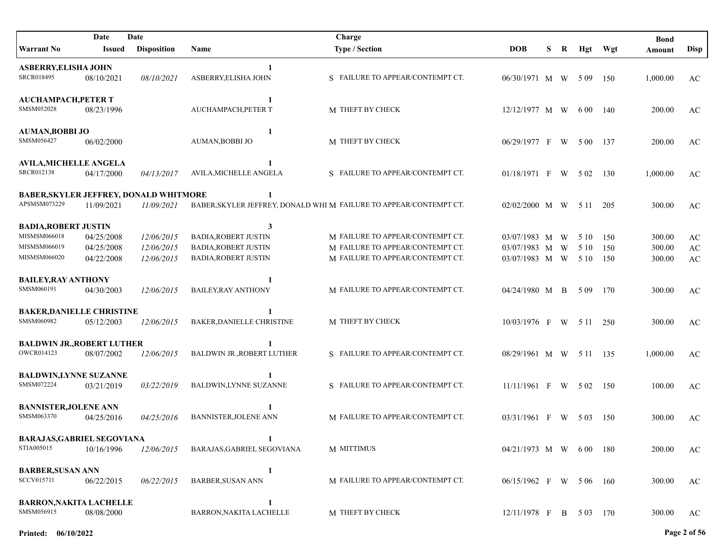|                                                                             | Date                                   | Date                                   |                                                                                                | Charge                                                                                                   |                                                        |    |   |              |                   | <b>Bond</b>                |                                                        |
|-----------------------------------------------------------------------------|----------------------------------------|----------------------------------------|------------------------------------------------------------------------------------------------|----------------------------------------------------------------------------------------------------------|--------------------------------------------------------|----|---|--------------|-------------------|----------------------------|--------------------------------------------------------|
| <b>Warrant No</b>                                                           | Issued                                 | <b>Disposition</b>                     | Name                                                                                           | <b>Type / Section</b>                                                                                    | <b>DOB</b>                                             | S. | R | Hgt          | Wgt               | Amount                     | <b>Disp</b>                                            |
| <b>ASBERRY, ELISHA JOHN</b><br>SRCR018495                                   | 08/10/2021                             | 08/10/2021                             | ASBERRY, ELISHA JOHN                                                                           | S FAILURE TO APPEAR/CONTEMPT CT.                                                                         | 06/30/1971 M W 509                                     |    |   |              | 150               | 1,000.00                   | AC                                                     |
| <b>AUCHAMPACH, PETER T</b><br>SMSM052028                                    | 08/23/1996                             |                                        | 1<br>AUCHAMPACH, PETER T                                                                       | M THEFT BY CHECK                                                                                         | 12/12/1977 M W                                         |    |   | 6 0 0        | 140               | 200.00                     | AC                                                     |
| <b>AUMAN, BOBBI JO</b><br>SMSM056427                                        | 06/02/2000                             |                                        | 1<br><b>AUMAN, BOBBI JO</b>                                                                    | M THEFT BY CHECK                                                                                         | 06/29/1977 F                                           |    | W | 5 0 0        | 137               | 200.00                     | AC                                                     |
| <b>AVILA, MICHELLE ANGELA</b><br>SRCR012138                                 | 04/17/2000                             | 04/13/2017                             | 1<br>AVILA, MICHELLE ANGELA                                                                    | S FAILURE TO APPEAR/CONTEMPT CT.                                                                         | $01/18/1971$ F                                         |    |   | W 502        | 130               | 1,000.00                   | AC                                                     |
| BABER, SKYLER JEFFREY, DONALD WHITMORE<br>APSMSM073229                      | 11/09/2021                             | 11/09/2021                             | 1                                                                                              | BABER, SKYLER JEFFREY, DONALD WHI M FAILURE TO APPEAR/CONTEMPT CT.                                       | 02/02/2000 M W 511                                     |    |   |              | 205               | 300.00                     | AC                                                     |
| <b>BADIA, ROBERT JUSTIN</b><br>MISMSM066018<br>MISMSM066019<br>MISMSM066020 | 04/25/2008<br>04/25/2008<br>04/22/2008 | 12/06/2015<br>12/06/2015<br>12/06/2015 | 3<br><b>BADIA, ROBERT JUSTIN</b><br><b>BADIA, ROBERT JUSTIN</b><br><b>BADIA, ROBERT JUSTIN</b> | M FAILURE TO APPEAR/CONTEMPT CT.<br>M FAILURE TO APPEAR/CONTEMPT CT.<br>M FAILURE TO APPEAR/CONTEMPT CT. | 03/07/1983 M W<br>03/07/1983 M W<br>03/07/1983 M W 510 |    |   | 5 10<br>5 10 | 150<br>150<br>150 | 300.00<br>300.00<br>300.00 | AC<br>$\mathbf{A}\mathbf{C}$<br>$\mathbf{A}\mathbf{C}$ |
| <b>BAILEY, RAY ANTHONY</b><br>SMSM060191                                    | 04/30/2003                             | 12/06/2015                             | <b>BAILEY, RAY ANTHONY</b>                                                                     | M FAILURE TO APPEAR/CONTEMPT CT.                                                                         | 04/24/1980 M B                                         |    |   | 5 0 9        | 170               | 300.00                     | AC                                                     |
| <b>BAKER, DANIELLE CHRISTINE</b><br>SMSM060982                              | 05/12/2003                             | 12/06/2015                             | BAKER, DANIELLE CHRISTINE                                                                      | M THEFT BY CHECK                                                                                         | 10/03/1976 F W 511                                     |    |   |              | 250               | 300.00                     | AC                                                     |
| <b>BALDWIN JR., ROBERT LUTHER</b><br>OWCR014123                             | 08/07/2002                             | 12/06/2015                             | <b>BALDWIN JR., ROBERT LUTHER</b>                                                              | S FAILURE TO APPEAR/CONTEMPT CT.                                                                         | 08/29/1961 M W 511 135                                 |    |   |              |                   | 1,000.00                   | AC                                                     |
| <b>BALDWIN,LYNNE SUZANNE</b><br>SMSM072224                                  | 03/21/2019                             | 03/22/2019                             | <b>BALDWIN,LYNNE SUZANNE</b>                                                                   | S FAILURE TO APPEAR/CONTEMPT CT.                                                                         | $11/11/1961$ F W 502                                   |    |   |              | 150               | 100.00                     | AC                                                     |
| <b>BANNISTER, JOLENE ANN</b><br>SMSM063370                                  | 04/25/2016                             | 04/25/2016                             | -1<br><b>BANNISTER, JOLENE ANN</b>                                                             | M FAILURE TO APPEAR/CONTEMPT CT.                                                                         | $03/31/1961$ F W 503                                   |    |   |              | 150               | 300.00                     | AC                                                     |
| <b>BARAJAS, GABRIEL SEGOVIANA</b><br>STIA005015                             | 10/16/1996                             | 12/06/2015                             | BARAJAS, GABRIEL SEGOVIANA                                                                     | M MITTIMUS                                                                                               | 04/21/1973 M W 600 180                                 |    |   |              |                   | 200.00                     | AC                                                     |
| <b>BARBER, SUSAN ANN</b><br>SCCV015711                                      | 06/22/2015                             | 06/22/2015                             | 1<br><b>BARBER, SUSAN ANN</b>                                                                  | M FAILURE TO APPEAR/CONTEMPT CT.                                                                         | 06/15/1962 F W 5 06 160                                |    |   |              |                   | 300.00                     | AC                                                     |
| <b>BARRON, NAKITA LACHELLE</b><br>SMSM056915                                | 08/08/2000                             |                                        | 1<br>BARRON, NAKITA LACHELLE                                                                   | M THEFT BY CHECK                                                                                         | 12/11/1978 F B 503 170                                 |    |   |              |                   | 300.00                     | AC                                                     |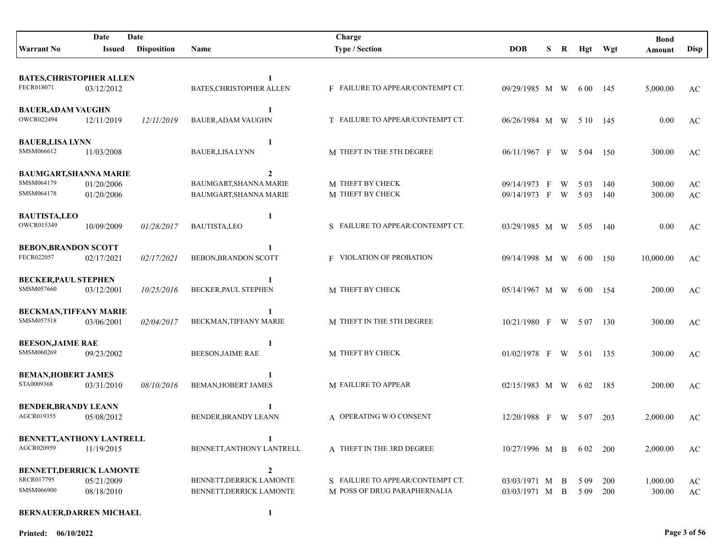|                                                | Date       | Date               |                             | Charge                           |                        |   |   |          |            | <b>Bond</b> |                        |
|------------------------------------------------|------------|--------------------|-----------------------------|----------------------------------|------------------------|---|---|----------|------------|-------------|------------------------|
| <b>Warrant No</b>                              | Issued     | <b>Disposition</b> | Name                        | <b>Type / Section</b>            | <b>DOB</b>             | S | R |          | Hgt Wgt    | Amount      | <b>Disp</b>            |
|                                                |            |                    |                             |                                  |                        |   |   |          |            |             |                        |
| <b>BATES, CHRISTOPHER ALLEN</b>                |            |                    | 1                           |                                  |                        |   |   |          |            |             |                        |
| FECR018071                                     | 03/12/2012 |                    | BATES, CHRISTOPHER ALLEN    | F FAILURE TO APPEAR/CONTEMPT CT. | 09/29/1985 M W         |   |   | 6 00 145 |            | 5,000.00    | AC                     |
|                                                |            |                    | 1                           |                                  |                        |   |   |          |            |             |                        |
| <b>BAUER, ADAM VAUGHN</b><br>OWCR022494        | 12/11/2019 | 12/11/2019         | <b>BAUER, ADAM VAUGHN</b>   | T FAILURE TO APPEAR/CONTEMPT CT. | 06/26/1984 M W 510 145 |   |   |          |            | 0.00        | AC                     |
|                                                |            |                    |                             |                                  |                        |   |   |          |            |             |                        |
| <b>BAUER,LISA LYNN</b>                         |            |                    | 1                           |                                  |                        |   |   |          |            |             |                        |
| SMSM066612                                     | 11/03/2008 |                    | <b>BAUER,LISA LYNN</b>      | M THEFT IN THE 5TH DEGREE        | 06/11/1967 F           |   |   | W 504    | -150       | 300.00      | AC                     |
| <b>BAUMGART, SHANNA MARIE</b>                  |            |                    | $\mathbf{2}$                |                                  |                        |   |   |          |            |             |                        |
| SMSM064179                                     | 01/20/2006 |                    | BAUMGART, SHANNA MARIE      | M THEFT BY CHECK                 | 09/14/1973 F           |   | W | 5 0 3    | 140        | 300.00      | AC                     |
| SMSM064178                                     | 01/20/2006 |                    | BAUMGART, SHANNA MARIE      | M THEFT BY CHECK                 | 09/14/1973 F           |   | W | 5 0 3    | 140        | 300.00      | AC                     |
| <b>BAUTISTA,LEO</b>                            |            |                    | 1                           |                                  |                        |   |   |          |            |             |                        |
| OWCR015349                                     | 10/09/2009 | 01/28/2017         | <b>BAUTISTA,LEO</b>         | S FAILURE TO APPEAR/CONTEMPT CT. | 03/29/1985 M W 505     |   |   |          | - 140      | 0.00        | AC                     |
|                                                |            |                    |                             |                                  |                        |   |   |          |            |             |                        |
| <b>BEBON, BRANDON SCOTT</b><br>FECR022057      | 02/17/2021 |                    | 1<br>BEBON, BRANDON SCOTT   | <b>F</b> VIOLATION OF PROBATION  | 09/14/1998 M W 600     |   |   |          |            |             |                        |
|                                                |            | 02/17/2021         |                             |                                  |                        |   |   |          | 150        | 10,000.00   | AC                     |
| <b>BECKER, PAUL STEPHEN</b>                    |            |                    |                             |                                  |                        |   |   |          |            |             |                        |
| SMSM057660                                     | 03/12/2001 | 10/25/2016         | <b>BECKER, PAUL STEPHEN</b> | M THEFT BY CHECK                 | 05/14/1967 M W         |   |   | 6 00 154 |            | 200.00      | AC                     |
| <b>BECKMAN,TIFFANY MARIE</b>                   |            |                    |                             |                                  |                        |   |   |          |            |             |                        |
| SMSM057518                                     | 03/06/2001 | 02/04/2017         | BECKMAN, TIFFANY MARIE      | M THEFT IN THE 5TH DEGREE        | $10/21/1980$ F W 507   |   |   |          | 130        | 300.00      | AC                     |
|                                                |            |                    |                             |                                  |                        |   |   |          |            |             |                        |
| <b>BEESON, JAIME RAE</b><br>SMSM060269         |            |                    | 1                           | M THEFT BY CHECK                 |                        |   |   |          |            |             |                        |
|                                                | 09/23/2002 |                    | <b>BEESON, JAIME RAE</b>    |                                  | 01/02/1978 F W 501 135 |   |   |          |            | 300.00      | AC                     |
| <b>BEMAN, HOBERT JAMES</b>                     |            |                    |                             |                                  |                        |   |   |          |            |             |                        |
| STA0009368                                     | 03/31/2010 | 08/10/2016         | BEMAN, HOBERT JAMES         | M FAILURE TO APPEAR              | 02/15/1983 M W 602 185 |   |   |          |            | 200.00      | AC                     |
| <b>BENDER, BRANDY LEANN</b>                    |            |                    |                             |                                  |                        |   |   |          |            |             |                        |
| AGCR019355                                     | 05/08/2012 |                    | BENDER, BRANDY LEANN        | A OPERATING W/O CONSENT          | 12/20/1988 F W 507     |   |   |          | 203        | 2,000.00    | AC                     |
|                                                |            |                    |                             |                                  |                        |   |   |          |            |             |                        |
| <b>BENNETT, ANTHONY LANTRELL</b><br>AGCR020959 |            |                    | BENNETT, ANTHONY LANTRELL   | A THEFT IN THE 3RD DEGREE        |                        |   |   |          |            |             |                        |
|                                                | 11/19/2015 |                    |                             |                                  | $10/27/1996$ M B 602   |   |   |          | <b>200</b> | 2,000.00    | AC                     |
| <b>BENNETT, DERRICK LAMONTE</b>                |            |                    | $\boldsymbol{2}$            |                                  |                        |   |   |          |            |             |                        |
| SRCR017795                                     | 05/21/2009 |                    | BENNETT, DERRICK LAMONTE    | S FAILURE TO APPEAR/CONTEMPT CT. | 03/03/1971 M B         |   |   | 5 0 9    | 200        | 1,000.00    | AC                     |
| SMSM066900                                     | 08/18/2010 |                    | BENNETT, DERRICK LAMONTE    | M POSS OF DRUG PARAPHERNALIA     | 03/03/1971 M B         |   |   | 5 09 200 |            | 300.00      | $\mathbf{A}\mathbf{C}$ |
| <b>BERNAUER, DARREN MICHAEL</b>                |            |                    | $\mathbf{1}$                |                                  |                        |   |   |          |            |             |                        |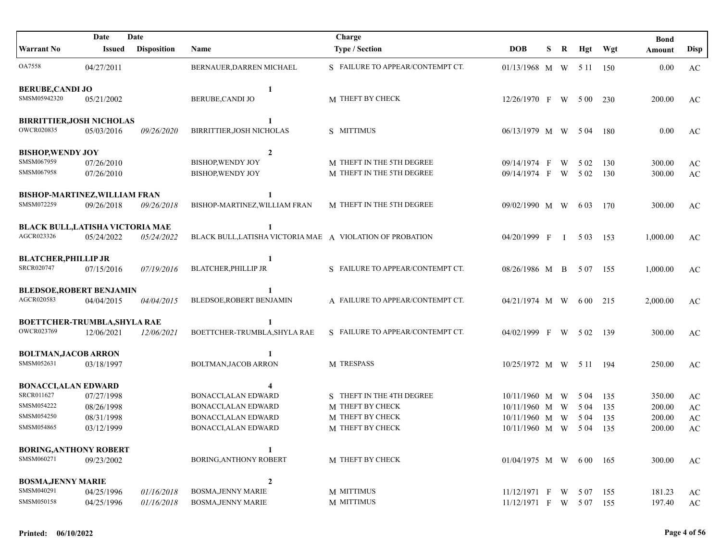|                                  | Date          | Date               |                                                           | Charge                           |                          |   |   |        |       | <b>Bond</b> |                        |
|----------------------------------|---------------|--------------------|-----------------------------------------------------------|----------------------------------|--------------------------|---|---|--------|-------|-------------|------------------------|
| <b>Warrant No</b>                | <b>Issued</b> | <b>Disposition</b> | Name                                                      | <b>Type / Section</b>            | <b>DOB</b>               | S | R | Hgt    | Wgt   | Amount      | <b>Disp</b>            |
| <b>OA7558</b>                    | 04/27/2011    |                    | BERNAUER, DARREN MICHAEL                                  | S FAILURE TO APPEAR/CONTEMPT CT. | 01/13/1968 M W 5 11 150  |   |   |        |       | 0.00        | AC                     |
| <b>BERUBE, CANDI JO</b>          |               |                    | 1                                                         |                                  |                          |   |   |        |       |             |                        |
| SMSM05942320                     | 05/21/2002    |                    | BERUBE, CANDI JO                                          | M THEFT BY CHECK                 | 12/26/1970 F W           |   |   | 5 0 0  | 230   | 200.00      | AC                     |
| <b>BIRRITTIER, JOSH NICHOLAS</b> |               |                    | 1                                                         |                                  |                          |   |   |        |       |             |                        |
| OWCR020835                       | 05/03/2016    | 09/26/2020         | BIRRITTIER, JOSH NICHOLAS                                 | S MITTIMUS                       | 06/13/1979 M W           |   |   | - 5 04 | - 180 | 0.00        | AC                     |
| <b>BISHOP, WENDY JOY</b>         |               |                    | $\overline{2}$                                            |                                  |                          |   |   |        |       |             |                        |
| SMSM067959                       | 07/26/2010    |                    | <b>BISHOP, WENDY JOY</b>                                  | M THEFT IN THE 5TH DEGREE        | 09/14/1974 F             |   | W | 5 0 2  | 130   | 300.00      | AC                     |
| SMSM067958                       | 07/26/2010    |                    | <b>BISHOP, WENDY JOY</b>                                  | M THEFT IN THE 5TH DEGREE        | 09/14/1974 F             |   | W | 5 0 2  | 130   | 300.00      | AC                     |
| BISHOP-MARTINEZ, WILLIAM FRAN    |               |                    | 1                                                         |                                  |                          |   |   |        |       |             |                        |
| SMSM072259                       | 09/26/2018    | 09/26/2018         | BISHOP-MARTINEZ, WILLIAM FRAN                             | M THEFT IN THE 5TH DEGREE        | 09/02/1990 M W           |   |   | 6 0 3  | 170   | 300.00      | AC                     |
| BLACK BULL, LATISHA VICTORIA MAE |               |                    | 1                                                         |                                  |                          |   |   |        |       |             |                        |
| AGCR023326                       | 05/24/2022    | 05/24/2022         | BLACK BULL, LATISHA VICTORIA MAE A VIOLATION OF PROBATION |                                  | $04/20/1999$ F I 503     |   |   |        | 153   | 1,000.00    | AC                     |
| <b>BLATCHER, PHILLIP JR</b>      |               |                    | 1                                                         |                                  |                          |   |   |        |       |             |                        |
| SRCR020747                       | 07/15/2016    | 07/19/2016         | <b>BLATCHER, PHILLIP JR</b>                               | S FAILURE TO APPEAR/CONTEMPT CT. | 08/26/1986 M B           |   |   | 5 0 7  | 155   | 1,000.00    | AC                     |
| <b>BLEDSOE, ROBERT BENJAMIN</b>  |               |                    | 1                                                         |                                  |                          |   |   |        |       |             |                        |
| AGCR020583                       | 04/04/2015    | 04/04/2015         | BLEDSOE, ROBERT BENJAMIN                                  | A FAILURE TO APPEAR/CONTEMPT CT. | 04/21/1974 M W           |   |   | 6 00   | 215   | 2,000.00    | AC                     |
| BOETTCHER-TRUMBLA, SHYLA RAE     |               |                    | 1                                                         |                                  |                          |   |   |        |       |             |                        |
| OWCR023769                       | 12/06/2021    | 12/06/2021         | BOETTCHER-TRUMBLA, SHYLA RAE                              | S FAILURE TO APPEAR/CONTEMPT CT. | 04/02/1999 F W 502       |   |   |        | -139  | 300.00      | AC                     |
| <b>BOLTMAN, JACOB ARRON</b>      |               |                    | 1                                                         |                                  |                          |   |   |        |       |             |                        |
| SMSM052631                       | 03/18/1997    |                    | BOLTMAN, JACOB ARRON                                      | M TRESPASS                       | 10/25/1972 M W 5 11 194  |   |   |        |       | 250.00      | AC                     |
| <b>BONACCI, ALAN EDWARD</b>      |               |                    |                                                           |                                  |                          |   |   |        |       |             |                        |
| SRCR011627                       | 07/27/1998    |                    | <b>BONACCI, ALAN EDWARD</b>                               | S THEFT IN THE 4TH DEGREE        | $10/11/1960$ M W         |   |   | 5 04   | 135   | 350.00      | AC                     |
| SMSM054222                       | 08/26/1998    |                    | BONACCI, ALAN EDWARD                                      | M THEFT BY CHECK                 | $10/11/1960$ M W         |   |   | 5 04   | 135   | 200.00      | $\mathbf{A}\mathbf{C}$ |
| SMSM054250                       | 08/31/1998    |                    | BONACCI, ALAN EDWARD                                      | M THEFT BY CHECK                 | $10/11/1960$ M W         |   |   | 5 04   | 135   | 200.00      | $\mathbf{A}\mathbf{C}$ |
| SMSM054865                       | 03/12/1999    |                    | BONACCI, ALAN EDWARD                                      | M THEFT BY CHECK                 | 10/11/1960 M W           |   |   | 5 04   | 135   | 200.00      | $\mathbf{A}\mathbf{C}$ |
| <b>BORING, ANTHONY ROBERT</b>    |               |                    | 1                                                         |                                  |                          |   |   |        |       |             |                        |
| SMSM060271                       | 09/23/2002    |                    | <b>BORING, ANTHONY ROBERT</b>                             | M THEFT BY CHECK                 | $01/04/1975$ M W 600 165 |   |   |        |       | 300.00      | AC                     |
| <b>BOSMA, JENNY MARIE</b>        |               |                    | $\overline{2}$                                            |                                  |                          |   |   |        |       |             |                        |
| SMSM040291                       | 04/25/1996    | 01/16/2018         | <b>BOSMA, JENNY MARIE</b>                                 | M MITTIMUS                       | $11/12/1971$ F W 507     |   |   |        | 155   | 181.23      | AC                     |
| SMSM050158                       | 04/25/1996    | 01/16/2018         | <b>BOSMA, JENNY MARIE</b>                                 | M MITTIMUS                       | 11/12/1971 F W 507       |   |   |        | 155   | 197.40      | $\mathbf{A}\mathbf{C}$ |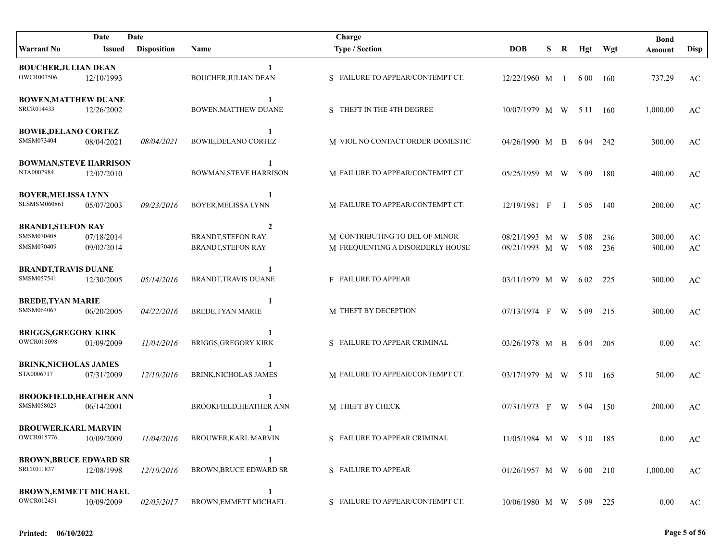|                                | Date       | Date               |                                | Charge                           |                          |    |                |          |       | <b>Bond</b> |                        |
|--------------------------------|------------|--------------------|--------------------------------|----------------------------------|--------------------------|----|----------------|----------|-------|-------------|------------------------|
| Warrant No                     | Issued     | <b>Disposition</b> | Name                           | <b>Type / Section</b>            | <b>DOB</b>               | S. | R              | Hgt Wgt  |       | Amount      | <b>Disp</b>            |
| <b>BOUCHER, JULIAN DEAN</b>    |            |                    | -1                             |                                  |                          |    |                |          |       |             |                        |
| OWCR007506                     | 12/10/1993 |                    | BOUCHER, JULIAN DEAN           | S FAILURE TO APPEAR/CONTEMPT CT. | 12/22/1960 M I           |    |                | 6 00     | 160   | 737.29      | AC                     |
| <b>BOWEN, MATTHEW DUANE</b>    |            |                    |                                |                                  |                          |    |                |          |       |             |                        |
| SRCR014433                     | 12/26/2002 |                    | <b>BOWEN, MATTHEW DUANE</b>    | S THEFT IN THE 4TH DEGREE        | 10/07/1979 M W           |    |                | 5 11 160 |       | 1,000.00    | AC                     |
| <b>BOWIE, DELANO CORTEZ</b>    |            |                    | $\mathbf{1}$                   |                                  |                          |    |                |          |       |             |                        |
| SMSM073404                     | 08/04/2021 | 08/04/2021         | <b>BOWIE, DELANO CORTEZ</b>    | M VIOL NO CONTACT ORDER-DOMESTIC | 04/26/1990 M B           |    |                | 6 04     | - 242 | 300.00      | AC                     |
| <b>BOWMAN, STEVE HARRISON</b>  |            |                    | -1                             |                                  |                          |    |                |          |       |             |                        |
| NTA0002984                     | 12/07/2010 |                    | <b>BOWMAN, STEVE HARRISON</b>  | M FAILURE TO APPEAR/CONTEMPT CT. | 05/25/1959 M W           |    |                | 5 0 9    | 180   | 400.00      | AC                     |
| <b>BOYER, MELISSA LYNN</b>     |            |                    |                                |                                  |                          |    |                |          |       |             |                        |
| <b>SLSMSM060861</b>            | 05/07/2003 | 09/23/2016         | BOYER, MELISSA LYNN            | M FAILURE TO APPEAR/CONTEMPT CT. | 12/19/1981 F             |    | $\blacksquare$ | 5 0 5    | 140   | 200.00      | AC                     |
| <b>BRANDT, STEFON RAY</b>      |            |                    | $\overline{2}$                 |                                  |                          |    |                |          |       |             |                        |
| SMSM070408                     | 07/18/2014 |                    | <b>BRANDT, STEFON RAY</b>      | M CONTRIBUTING TO DEL OF MINOR   | 08/21/1993 M W           |    |                | 5 0 8    | 236   | 300.00      | $\mathbf{A}\mathbf{C}$ |
| SMSM070409                     | 09/02/2014 |                    | <b>BRANDT, STEFON RAY</b>      | M FREQUENTING A DISORDERLY HOUSE | 08/21/1993 M W 508       |    |                |          | 236   | 300.00      | $\mathbf{A}\mathbf{C}$ |
| <b>BRANDT, TRAVIS DUANE</b>    |            |                    |                                |                                  |                          |    |                |          |       |             |                        |
| SMSM057541                     | 12/30/2005 | 05/14/2016         | <b>BRANDT,TRAVIS DUANE</b>     | F FAILURE TO APPEAR              | 03/11/1979 M W           |    |                | 6 0 2    | 225   | 300.00      | AC                     |
| <b>BREDE, TYAN MARIE</b>       |            |                    | 1                              |                                  |                          |    |                |          |       |             |                        |
| SMSM064067                     | 06/20/2005 | 04/22/2016         | <b>BREDE, TYAN MARIE</b>       | M THEFT BY DECEPTION             | 07/13/1974 F W 509       |    |                |          | 215   | 300.00      | AC                     |
| <b>BRIGGS, GREGORY KIRK</b>    |            |                    |                                |                                  |                          |    |                |          |       |             |                        |
| <b>OWCR015098</b>              | 01/09/2009 | 11/04/2016         | <b>BRIGGS, GREGORY KIRK</b>    | S FAILURE TO APPEAR CRIMINAL     | 03/26/1978 M B           |    |                | 6 04     | 205   | 0.00        | AC                     |
| <b>BRINK, NICHOLAS JAMES</b>   |            |                    |                                |                                  |                          |    |                |          |       |             |                        |
| STA0006717                     | 07/31/2009 | 12/10/2016         | BRINK, NICHOLAS JAMES          | M FAILURE TO APPEAR/CONTEMPT CT. | 03/17/1979 M W 5 10 165  |    |                |          |       | 50.00       | AC                     |
| <b>BROOKFIELD, HEATHER ANN</b> |            |                    |                                |                                  |                          |    |                |          |       |             |                        |
| SMSM058029                     | 06/14/2001 |                    | <b>BROOKFIELD, HEATHER ANN</b> | M THEFT BY CHECK                 | 07/31/1973 F W 504 150   |    |                |          |       | 200.00      | AC                     |
| <b>BROUWER, KARL MARVIN</b>    |            |                    | 1                              |                                  |                          |    |                |          |       |             |                        |
| <b>OWCR015776</b>              | 10/09/2009 | 11/04/2016         | BROUWER, KARL MARVIN           | S FAILURE TO APPEAR CRIMINAL     | 11/05/1984 M W 5 10 185  |    |                |          |       | $0.00\,$    | AC                     |
| <b>BROWN, BRUCE EDWARD SR</b>  |            |                    | 1                              |                                  |                          |    |                |          |       |             |                        |
| SRCR011837                     | 12/08/1998 | 12/10/2016         | <b>BROWN, BRUCE EDWARD SR</b>  | S FAILURE TO APPEAR              | $01/26/1957$ M W 600 210 |    |                |          |       | 1,000.00    | AC                     |
| <b>BROWN, EMMETT MICHAEL</b>   |            |                    | 1                              |                                  |                          |    |                |          |       |             |                        |
| OWCR012451                     | 10/09/2009 | 02/05/2017         | BROWN, EMMETT MICHAEL          | S FAILURE TO APPEAR/CONTEMPT CT. | 10/06/1980 M W 5 09 225  |    |                |          |       | 0.00        | AC                     |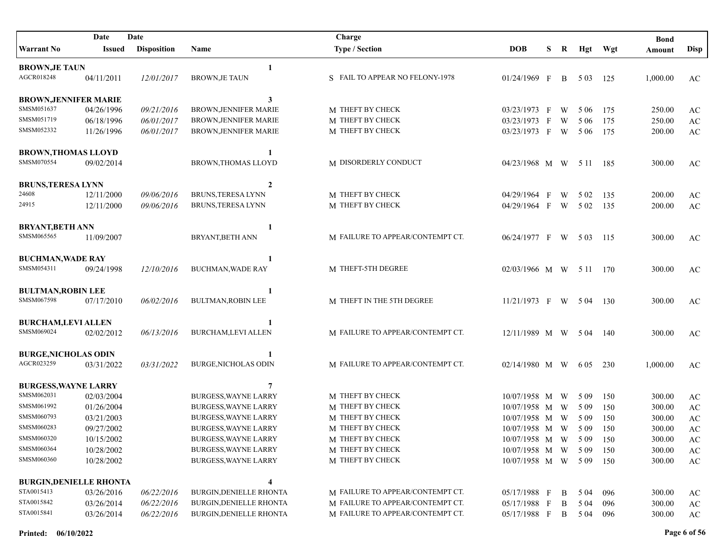|                                | Date          | Date               |                                | Charge                           |                         |              |              |       |         | <b>Bond</b> |                        |
|--------------------------------|---------------|--------------------|--------------------------------|----------------------------------|-------------------------|--------------|--------------|-------|---------|-------------|------------------------|
| Warrant No                     | <b>Issued</b> | <b>Disposition</b> | Name                           | <b>Type / Section</b>            | <b>DOB</b>              | S            | R            |       | Hgt Wgt | Amount      | <b>Disp</b>            |
| <b>BROWN, JE TAUN</b>          |               |                    | 1                              |                                  |                         |              |              |       |         |             |                        |
| AGCR018248                     | 04/11/2011    | 12/01/2017         | <b>BROWN, JE TAUN</b>          | S FAIL TO APPEAR NO FELONY-1978  | 01/24/1969 F            |              | $\mathbf{B}$ | 5 0 3 | 125     | 1,000.00    | AC                     |
| <b>BROWN, JENNIFER MARIE</b>   |               |                    | 3                              |                                  |                         |              |              |       |         |             |                        |
| SMSM051637                     | 04/26/1996    | 09/21/2016         | <b>BROWN, JENNIFER MARIE</b>   | M THEFT BY CHECK                 | 03/23/1973 F            |              | W            | 5 0 6 | 175     | 250.00      | $\mathbf{A}\mathbf{C}$ |
| SMSM051719                     | 06/18/1996    | 06/01/2017         | BROWN, JENNIFER MARIE          | M THEFT BY CHECK                 | 03/23/1973              | $\mathbf{F}$ | W            | 5 0 6 | 175     | 250.00      | $\mathbf{A}\mathbf{C}$ |
| SMSM052332                     | 11/26/1996    | 06/01/2017         | BROWN, JENNIFER MARIE          | M THEFT BY CHECK                 | 03/23/1973 F W          |              |              | 5 0 6 | 175     | 200.00      | $\mathbf{A}\mathbf{C}$ |
| <b>BROWN, THOMAS LLOYD</b>     |               |                    | 1                              |                                  |                         |              |              |       |         |             |                        |
| SMSM070554                     | 09/02/2014    |                    | BROWN, THOMAS LLOYD            | M DISORDERLY CONDUCT             | 04/23/1968 M W 5 11 185 |              |              |       |         | 300.00      | AC                     |
| <b>BRUNS, TERESA LYNN</b>      |               |                    | 2                              |                                  |                         |              |              |       |         |             |                        |
| 24608                          | 12/11/2000    | 09/06/2016         | <b>BRUNS, TERESA LYNN</b>      | M THEFT BY CHECK                 | 04/29/1964 F            |              | W            | 5 0 2 | 135     | 200.00      | AC                     |
| 24915                          | 12/11/2000    | 09/06/2016         | BRUNS, TERESA LYNN             | M THEFT BY CHECK                 | 04/29/1964 F            |              | W            | 5 0 2 | 135     | 200.00      | AC                     |
| <b>BRYANT, BETH ANN</b>        |               |                    | 1                              |                                  |                         |              |              |       |         |             |                        |
| SMSM065565                     | 11/09/2007    |                    | BRYANT, BETH ANN               | M FAILURE TO APPEAR/CONTEMPT CT. | 06/24/1977 F W 503      |              |              |       | - 115   | 300.00      | AC                     |
| <b>BUCHMAN, WADE RAY</b>       |               |                    |                                |                                  |                         |              |              |       |         |             |                        |
| SMSM054311                     | 09/24/1998    | 12/10/2016         | <b>BUCHMAN, WADE RAY</b>       | M THEFT-5TH DEGREE               | 02/03/1966 M W 5 11 170 |              |              |       |         | 300.00      | AC                     |
| <b>BULTMAN, ROBIN LEE</b>      |               |                    |                                |                                  |                         |              |              |       |         |             |                        |
| SMSM067598                     | 07/17/2010    | 06/02/2016         | <b>BULTMAN, ROBIN LEE</b>      | M THEFT IN THE 5TH DEGREE        | 11/21/1973 F W 504      |              |              |       | 130     | 300.00      | AC                     |
| <b>BURCHAM,LEVI ALLEN</b>      |               |                    |                                |                                  |                         |              |              |       |         |             |                        |
| SMSM069024                     | 02/02/2012    | 06/13/2016         | <b>BURCHAM,LEVI ALLEN</b>      | M FAILURE TO APPEAR/CONTEMPT CT. | 12/11/1989 M W 504      |              |              |       | -140    | 300.00      | AC                     |
| <b>BURGE, NICHOLAS ODIN</b>    |               |                    |                                |                                  |                         |              |              |       |         |             |                        |
| AGCR023259                     | 03/31/2022    | 03/31/2022         | <b>BURGE, NICHOLAS ODIN</b>    | M FAILURE TO APPEAR/CONTEMPT CT. | 02/14/1980 M W          |              |              | 6 0 5 | 230     | 1,000.00    | AC                     |
| <b>BURGESS, WAYNE LARRY</b>    |               |                    | 7                              |                                  |                         |              |              |       |         |             |                        |
| SMSM062031                     | 02/03/2004    |                    | <b>BURGESS, WAYNE LARRY</b>    | M THEFT BY CHECK                 | 10/07/1958 M W          |              |              | 5 0 9 | 150     | 300.00      | AC                     |
| SMSM061992                     | 01/26/2004    |                    | <b>BURGESS, WAYNE LARRY</b>    | M THEFT BY CHECK                 | 10/07/1958 M W          |              |              | 5 0 9 | 150     | 300.00      | $\rm AC$               |
| SMSM060793                     | 03/21/2003    |                    | <b>BURGESS, WAYNE LARRY</b>    | M THEFT BY CHECK                 | 10/07/1958 M W          |              |              | 5 0 9 | 150     | 300.00      | $\mathbf{A}\mathbf{C}$ |
| SMSM060283                     | 09/27/2002    |                    | <b>BURGESS, WAYNE LARRY</b>    | M THEFT BY CHECK                 | 10/07/1958 M W          |              |              | 5 0 9 | 150     | 300.00      | $\mathbf{A}\mathbf{C}$ |
| SMSM060320                     | 10/15/2002    |                    | <b>BURGESS, WAYNE LARRY</b>    | M THEFT BY CHECK                 | 10/07/1958 M W          |              |              | 5 0 9 | 150     | 300.00      | AC                     |
| SMSM060364                     | 10/28/2002    |                    | <b>BURGESS, WAYNE LARRY</b>    | M THEFT BY CHECK                 | 10/07/1958 M W          |              |              | 5 0 9 | 150     | 300.00      | $\mathbf{A}\mathbf{C}$ |
| SMSM060360                     | 10/28/2002    |                    | <b>BURGESS, WAYNE LARRY</b>    | M THEFT BY CHECK                 | 10/07/1958 M W 5 09 150 |              |              |       |         | 300.00      | $\mathbf{A}\mathbf{C}$ |
|                                |               |                    |                                |                                  |                         |              |              |       |         |             |                        |
| <b>BURGIN, DENIELLE RHONTA</b> |               |                    | 4                              |                                  |                         |              |              |       |         |             |                        |
| STA0015413                     | 03/26/2016    | 06/22/2016         | <b>BURGIN, DENIELLE RHONTA</b> | M FAILURE TO APPEAR/CONTEMPT CT. | 05/17/1988 F            |              | B            | 5 0 4 | 096     | 300.00      | AC                     |
| STA0015842                     | 03/26/2014    | 06/22/2016         | <b>BURGIN, DENIELLE RHONTA</b> | M FAILURE TO APPEAR/CONTEMPT CT. | 05/17/1988 F            |              | B            | 5 0 4 | 096     | 300.00      | $\mathbf{A}\mathbf{C}$ |
| STA0015841                     | 03/26/2014    | 06/22/2016         | <b>BURGIN, DENIELLE RHONTA</b> | M FAILURE TO APPEAR/CONTEMPT CT. | 05/17/1988 F B          |              |              | 5 0 4 | 096     | 300.00      | AC                     |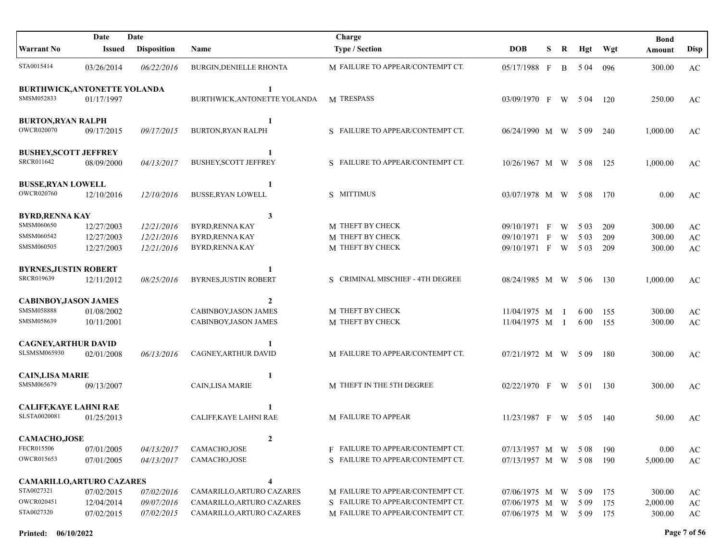|                                                                            | Date                                   | Date                                   |                                                                                            | Charge                                                                                                   |                                                            |   |                              |                         |                   | <b>Bond</b>                  |                                                        |
|----------------------------------------------------------------------------|----------------------------------------|----------------------------------------|--------------------------------------------------------------------------------------------|----------------------------------------------------------------------------------------------------------|------------------------------------------------------------|---|------------------------------|-------------------------|-------------------|------------------------------|--------------------------------------------------------|
| <b>Warrant No</b>                                                          | Issued                                 | <b>Disposition</b>                     | <b>Name</b>                                                                                | <b>Type / Section</b>                                                                                    | <b>DOB</b>                                                 | S | R                            | Hgt                     | Wgt               | Amount                       | Disp                                                   |
| STA0015414                                                                 | 03/26/2014                             | 06/22/2016                             | <b>BURGIN, DENIELLE RHONTA</b>                                                             | M FAILURE TO APPEAR/CONTEMPT CT.                                                                         | 05/17/1988 F                                               |   | B.                           | 5 04                    | 096               | 300.00                       | AC                                                     |
| <b>BURTHWICK, ANTONETTE YOLANDA</b><br>SMSM052833                          | 01/17/1997                             |                                        | 1<br>BURTHWICK, ANTONETTE YOLANDA                                                          | M TRESPASS                                                                                               | 03/09/1970 F                                               |   | W                            | 5 04                    | 120               | 250.00                       | AC                                                     |
| <b>BURTON, RYAN RALPH</b><br><b>OWCR020070</b>                             | 09/17/2015                             | 09/17/2015                             | 1<br><b>BURTON, RYAN RALPH</b>                                                             | S FAILURE TO APPEAR/CONTEMPT CT.                                                                         | 06/24/1990 M W                                             |   |                              | 509                     | 240               | 1,000.00                     | AC                                                     |
| <b>BUSHEY, SCOTT JEFFREY</b><br>SRCR011642                                 | 08/09/2000                             | 04/13/2017                             | $\mathbf{1}$<br><b>BUSHEY, SCOTT JEFFREY</b>                                               | S FAILURE TO APPEAR/CONTEMPT CT.                                                                         | 10/26/1967 M W                                             |   |                              | 5 0 8                   | 125               | 1,000.00                     | AC                                                     |
| <b>BUSSE, RYAN LOWELL</b><br>OWCR020760                                    | 12/10/2016                             | 12/10/2016                             | 1<br><b>BUSSE, RYAN LOWELL</b>                                                             | S MITTIMUS                                                                                               | 03/07/1978 M W                                             |   |                              | 5 0 8                   | 170               | 0.00                         | AC                                                     |
| <b>BYRD, RENNA KAY</b><br>SMSM060650<br>SMSM060542<br>SMSM060505           | 12/27/2003<br>12/27/2003<br>12/27/2003 | 12/21/2016<br>12/21/2016<br>12/21/2016 | $\mathbf{3}$<br><b>BYRD, RENNA KAY</b><br><b>BYRD, RENNA KAY</b><br><b>BYRD, RENNA KAY</b> | M THEFT BY CHECK<br>M THEFT BY CHECK<br>M THEFT BY CHECK                                                 | 09/10/1971 F<br>09/10/1971 F<br>09/10/1971 F W             |   | W<br>W                       | 5 0 3<br>5 0 3<br>5 0 3 | 209<br>209<br>209 | 300.00<br>300.00<br>300.00   | $\mathbf{A}\mathbf{C}$<br>$\mathbf{A}\mathbf{C}$<br>AC |
| <b>BYRNES, JUSTIN ROBERT</b><br><b>SRCR019639</b>                          | 12/11/2012                             | 08/25/2016                             | 1<br><b>BYRNES, JUSTIN ROBERT</b>                                                          | S CRIMINAL MISCHIEF - 4TH DEGREE                                                                         | 08/24/1985 M W                                             |   |                              | 5 0 6                   | 130               | 1,000.00                     | AC                                                     |
| <b>CABINBOY, JASON JAMES</b><br>SMSM058888<br>SMSM058639                   | 01/08/2002<br>10/11/2001               |                                        | $\mathbf{2}$<br>CABINBOY, JASON JAMES<br>CABINBOY, JASON JAMES                             | M THEFT BY CHECK<br>M THEFT BY CHECK                                                                     | 11/04/1975 M<br>11/04/1975 M                               |   | $\mathbf{I}$<br>$\mathbf{I}$ | 6 0 0<br>6 0 0          | 155<br>155        | 300.00<br>300.00             | AC<br>AC                                               |
| <b>CAGNEY, ARTHUR DAVID</b><br><b>SLSMSM065930</b>                         | 02/01/2008                             | 06/13/2016                             | $\mathbf{1}$<br>CAGNEY, ARTHUR DAVID                                                       | M FAILURE TO APPEAR/CONTEMPT CT.                                                                         | 07/21/1972 M W 509                                         |   |                              |                         | -180              | 300.00                       | AC                                                     |
| <b>CAIN, LISA MARIE</b><br>SMSM065679                                      | 09/13/2007                             |                                        | 1<br><b>CAIN,LISA MARIE</b>                                                                | M THEFT IN THE 5TH DEGREE                                                                                | $02/22/1970$ F W 501                                       |   |                              |                         | - 130             | 300.00                       | AC                                                     |
| <b>CALIFF, KAYE LAHNI RAE</b><br>SLSTA0020081                              | 01/25/2013                             |                                        | CALIFF, KAYE LAHNI RAE                                                                     | M FAILURE TO APPEAR                                                                                      | $11/23/1987$ F W 505                                       |   |                              |                         | -140              | 50.00                        | AC                                                     |
| <b>CAMACHO,JOSE</b><br>FECR015506<br>OWCR015653                            | 07/01/2005<br>07/01/2005               | 04/13/2017<br>04/13/2017               | $\overline{2}$<br>CAMACHO, JOSE<br>CAMACHO, JOSE                                           | F FAILURE TO APPEAR/CONTEMPT CT.<br>S FAILURE TO APPEAR/CONTEMPT CT.                                     | 07/13/1957 M W 508<br>$07/13/1957$ M W 508                 |   |                              |                         | 190<br>190        | 0.00<br>5,000.00             | AC<br>$\mathbf{A}\mathbf{C}$                           |
| <b>CAMARILLO, ARTURO CAZARES</b><br>STA0027321<br>OWCR020451<br>STA0027320 | 07/02/2015<br>12/04/2014<br>07/02/2015 | 07/02/2016<br>09/07/2016<br>07/02/2015 | CAMARILLO, ARTURO CAZARES<br>CAMARILLO, ARTURO CAZARES<br>CAMARILLO, ARTURO CAZARES        | M FAILURE TO APPEAR/CONTEMPT CT.<br>S FAILURE TO APPEAR/CONTEMPT CT.<br>M FAILURE TO APPEAR/CONTEMPT CT. | 07/06/1975 M W<br>07/06/1975 M W<br>07/06/1975 M W 509 175 |   |                              | 5 0 9<br>5 0 9          | 175<br>175        | 300.00<br>2,000.00<br>300.00 | AC<br>$\mathbf{A}\mathbf{C}$<br>AC                     |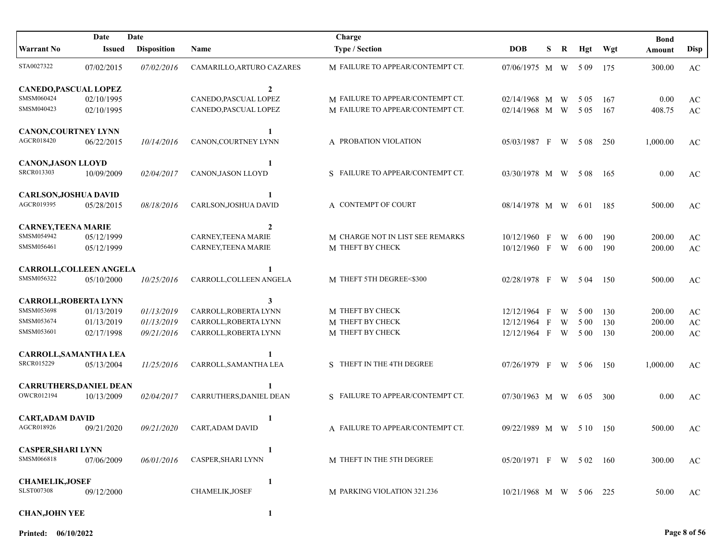|                                | Date          | Date               |                           | Charge                           |                         |              |   |       |      | <b>Bond</b> |                        |
|--------------------------------|---------------|--------------------|---------------------------|----------------------------------|-------------------------|--------------|---|-------|------|-------------|------------------------|
| <b>Warrant No</b>              | <b>Issued</b> | <b>Disposition</b> | Name                      | <b>Type / Section</b>            | <b>DOB</b>              | S            | R | Hgt   | Wgt  | Amount      | <b>Disp</b>            |
| STA0027322                     | 07/02/2015    | 07/02/2016         | CAMARILLO, ARTURO CAZARES | M FAILURE TO APPEAR/CONTEMPT CT. | 07/06/1975 M W 509 175  |              |   |       |      | 300.00      | AC                     |
| CANEDO, PASCUAL LOPEZ          |               |                    | $\overline{2}$            |                                  |                         |              |   |       |      |             |                        |
| SMSM060424                     | 02/10/1995    |                    | CANEDO, PASCUAL LOPEZ     | M FAILURE TO APPEAR/CONTEMPT CT. | 02/14/1968 M W          |              |   | 5 0 5 | 167  | 0.00        | AC                     |
| SMSM040423                     | 02/10/1995    |                    | CANEDO, PASCUAL LOPEZ     | M FAILURE TO APPEAR/CONTEMPT CT. | 02/14/1968 M W          |              |   | 5 0 5 | 167  | 408.75      | AC                     |
| <b>CANON, COURTNEY LYNN</b>    |               |                    | 1                         |                                  |                         |              |   |       |      |             |                        |
| AGCR018420                     | 06/22/2015    | 10/14/2016         | CANON, COURTNEY LYNN      | A PROBATION VIOLATION            | 05/03/1987 F            |              | W | 5 0 8 | 250  | 1,000.00    | AC                     |
| <b>CANON, JASON LLOYD</b>      |               |                    | 1                         |                                  |                         |              |   |       |      |             |                        |
| <b>SRCR013303</b>              | 10/09/2009    | 02/04/2017         | CANON, JASON LLOYD        | S FAILURE TO APPEAR/CONTEMPT CT. | 03/30/1978 M W          |              |   | 5 0 8 | -165 | 0.00        | AC                     |
| <b>CARLSON, JOSHUA DAVID</b>   |               |                    | 1                         |                                  |                         |              |   |       |      |             |                        |
| AGCR019395                     | 05/28/2015    | 08/18/2016         | CARLSON, JOSHUA DAVID     | A CONTEMPT OF COURT              | 08/14/1978 M W          |              |   | 6 0 1 | 185  | 500.00      | AC                     |
| <b>CARNEY,TEENA MARIE</b>      |               |                    | $\overline{2}$            |                                  |                         |              |   |       |      |             |                        |
| SMSM054942                     | 05/12/1999    |                    | CARNEY, TEENA MARIE       | M CHARGE NOT IN LIST SEE REMARKS | $10/12/1960$ F          |              | W | 6 0 0 | 190  | 200.00      | AC                     |
| SMSM056461                     | 05/12/1999    |                    | CARNEY, TEENA MARIE       | M THEFT BY CHECK                 | 10/12/1960 F            |              | W | 6 0 0 | 190  | 200.00      | $\mathbf{A}\mathbf{C}$ |
| CARROLL, COLLEEN ANGELA        |               |                    | 1                         |                                  |                         |              |   |       |      |             |                        |
| SMSM056322                     | 05/10/2000    | 10/25/2016         | CARROLL, COLLEEN ANGELA   | M THEFT 5TH DEGREE<\$300         | 02/28/1978 F            |              | W | 5 04  | 150  | 500.00      | AC                     |
| <b>CARROLL, ROBERTA LYNN</b>   |               |                    | 3                         |                                  |                         |              |   |       |      |             |                        |
| SMSM053698                     | 01/13/2019    | 01/13/2019         | CARROLL, ROBERTA LYNN     | M THEFT BY CHECK                 | 12/12/1964              | $\mathbf{F}$ | W | 5 0 0 | 130  | 200.00      | AC                     |
| SMSM053674                     | 01/13/2019    | 01/13/2019         | CARROLL, ROBERTA LYNN     | M THEFT BY CHECK                 | 12/12/1964 F            |              | W | 5 0 0 | 130  | 200.00      | $\mathbf{A}\mathbf{C}$ |
| SMSM053601                     | 02/17/1998    | 09/21/2016         | CARROLL, ROBERTA LYNN     | M THEFT BY CHECK                 | 12/12/1964 F            |              | W | 5 0 0 | 130  | 200.00      | $\mathbf{A}\mathbf{C}$ |
| CARROLL, SAMANTHA LEA          |               |                    | 1                         |                                  |                         |              |   |       |      |             |                        |
| <b>SRCR015229</b>              | 05/13/2004    | 11/25/2016         | CARROLL, SAMANTHA LEA     | S THEFT IN THE 4TH DEGREE        | 07/26/1979 F            |              | W | 5 0 6 | 150  | 1,000.00    | AC                     |
| <b>CARRUTHERS, DANIEL DEAN</b> |               |                    | 1                         |                                  |                         |              |   |       |      |             |                        |
| OWCR012194                     | 10/13/2009    | 02/04/2017         | CARRUTHERS, DANIEL DEAN   | S FAILURE TO APPEAR/CONTEMPT CT. | 07/30/1963 M W          |              |   | 6 0 5 | 300  | 0.00        | AC                     |
| <b>CART, ADAM DAVID</b>        |               |                    | 1                         |                                  |                         |              |   |       |      |             |                        |
| AGCR018926                     | 09/21/2020    | 09/21/2020         | CART, ADAM DAVID          | A FAILURE TO APPEAR/CONTEMPT CT. | 09/22/1989 M W 5 10 150 |              |   |       |      | 500.00      | AC                     |
| <b>CASPER, SHARI LYNN</b>      |               |                    |                           |                                  |                         |              |   |       |      |             |                        |
| SMSM066818                     | 07/06/2009    | 06/01/2016         | CASPER, SHARI LYNN        | M THEFT IN THE 5TH DEGREE        | 05/20/1971 F W 502 160  |              |   |       |      | 300.00      | AC                     |
| <b>CHAMELIK, JOSEF</b>         |               |                    | $\mathbf{1}$              |                                  |                         |              |   |       |      |             |                        |
| <b>SLST007308</b>              | 09/12/2000    |                    | <b>CHAMELIK, JOSEF</b>    | M PARKING VIOLATION 321.236      | 10/21/1968 M W 5 06 225 |              |   |       |      | 50.00       | AC                     |
| <b>CHAN, JOHN YEE</b>          |               |                    |                           |                                  |                         |              |   |       |      |             |                        |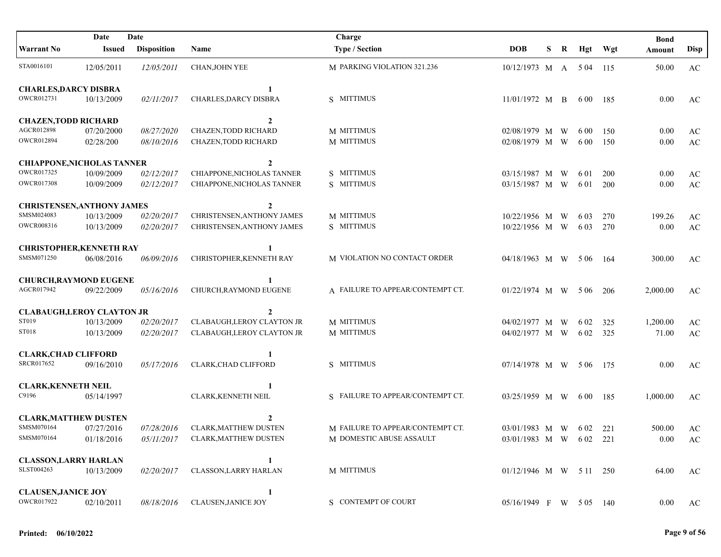| Date<br>Date                      |               |                    | Charge                            |                                  |                         |    |       | <b>Bond</b> |          |                        |
|-----------------------------------|---------------|--------------------|-----------------------------------|----------------------------------|-------------------------|----|-------|-------------|----------|------------------------|
| <b>Warrant No</b>                 | <b>Issued</b> | <b>Disposition</b> | Name                              | <b>Type / Section</b>            | <b>DOB</b>              | S. | R Hgt | Wgt         | Amount   | <b>Disp</b>            |
| STA0016101                        | 12/05/2011    | 12/05/2011         | CHAN, JOHN YEE                    | M PARKING VIOLATION 321.236      | 10/12/1973 M A 5 04 115 |    |       |             | 50.00    | AC                     |
| <b>CHARLES, DARCY DISBRA</b>      |               |                    |                                   |                                  |                         |    |       |             |          |                        |
| OWCR012731                        | 10/13/2009    | 02/11/2017         | CHARLES, DARCY DISBRA             | S MITTIMUS                       | $11/01/1972$ M B        |    | 6 0 0 | -185        | 0.00     | AC                     |
| <b>CHAZEN, TODD RICHARD</b>       |               |                    | $\overline{2}$                    |                                  |                         |    |       |             |          |                        |
| AGCR012898                        | 07/20/2000    | 08/27/2020         | CHAZEN, TODD RICHARD              | M MITTIMUS                       | 02/08/1979 M W          |    | 6 0 0 | 150         | 0.00     | $\mathbf{A}\mathbf{C}$ |
| OWCR012894                        | 02/28/200     | 08/10/2016         | CHAZEN, TODD RICHARD              | M MITTIMUS                       | 02/08/1979 M W          |    | 6 0 0 | 150         | 0.00     | $\mathbf{A}\mathbf{C}$ |
| <b>CHIAPPONE, NICHOLAS TANNER</b> |               |                    | $\mathbf{2}$                      |                                  |                         |    |       |             |          |                        |
| OWCR017325                        | 10/09/2009    | 02/12/2017         | CHIAPPONE, NICHOLAS TANNER        | S MITTIMUS                       | 03/15/1987 M W          |    | 6 0 1 | 200         | 0.00     | $\mathbf{A}\mathbf{C}$ |
| <b>OWCR017308</b>                 | 10/09/2009    | 02/12/2017         | CHIAPPONE, NICHOLAS TANNER        | S MITTIMUS                       | 03/15/1987 M W          |    | 6 0 1 | 200         | 0.00     | $\mathbf{A}\mathbf{C}$ |
| <b>CHRISTENSEN, ANTHONY JAMES</b> |               |                    | $\mathbf{2}$                      |                                  |                         |    |       |             |          |                        |
| SMSM024083                        | 10/13/2009    | 02/20/2017         | <b>CHRISTENSEN, ANTHONY JAMES</b> | M MITTIMUS                       | 10/22/1956 M W          |    | 6 0 3 | 270         | 199.26   | AC                     |
| OWCR008316                        | 10/13/2009    | 02/20/2017         | CHRISTENSEN, ANTHONY JAMES        | S MITTIMUS                       | 10/22/1956 M W          |    | 6 0 3 | 270         | 0.00     | $\mathbf{A}\mathbf{C}$ |
| <b>CHRISTOPHER, KENNETH RAY</b>   |               |                    |                                   |                                  |                         |    |       |             |          |                        |
| SMSM071250                        | 06/08/2016    | 06/09/2016         | CHRISTOPHER, KENNETH RAY          | M VIOLATION NO CONTACT ORDER     | 04/18/1963 M W 506      |    |       | - 164       | 300.00   | AC                     |
| <b>CHURCH, RAYMOND EUGENE</b>     |               |                    |                                   |                                  |                         |    |       |             |          |                        |
| AGCR017942                        | 09/22/2009    | 05/16/2016         | CHURCH, RAYMOND EUGENE            | A FAILURE TO APPEAR/CONTEMPT CT. | 01/22/1974 M W 506      |    |       | 206         | 2,000.00 | AC                     |
| <b>CLABAUGH,LEROY CLAYTON JR</b>  |               |                    | $\mathbf{2}$                      |                                  |                         |    |       |             |          |                        |
| ST019                             | 10/13/2009    | 02/20/2017         | <b>CLABAUGH, LEROY CLAYTON JR</b> | M MITTIMUS                       | 04/02/1977 M W          |    | 6 02  | 325         | 1,200.00 | $\mathbf{A}\mathbf{C}$ |
| <b>ST018</b>                      | 10/13/2009    | 02/20/2017         | <b>CLABAUGH, LEROY CLAYTON JR</b> | M MITTIMUS                       | 04/02/1977 M W          |    | 6 0 2 | 325         | 71.00    | $\mathbf{A}\mathbf{C}$ |
| <b>CLARK, CHAD CLIFFORD</b>       |               |                    |                                   |                                  |                         |    |       |             |          |                        |
| SRCR017652                        | 09/16/2010    | 05/17/2016         | <b>CLARK, CHAD CLIFFORD</b>       | S MITTIMUS                       | 07/14/1978 M W 506      |    |       | 175         | 0.00     | AC                     |
| <b>CLARK, KENNETH NEIL</b>        |               |                    | 1                                 |                                  |                         |    |       |             |          |                        |
| C9196                             | 05/14/1997    |                    | CLARK, KENNETH NEIL               | S FAILURE TO APPEAR/CONTEMPT CT. | 03/25/1959 M W          |    | 6 0 0 | 185         | 1,000.00 | AC                     |
| <b>CLARK, MATTHEW DUSTEN</b>      |               |                    | $\mathbf{2}$                      |                                  |                         |    |       |             |          |                        |
| SMSM070164                        | 07/27/2016    | 07/28/2016         | <b>CLARK, MATTHEW DUSTEN</b>      | M FAILURE TO APPEAR/CONTEMPT CT. | 03/01/1983 M W 602 221  |    |       |             | 500.00   | AC                     |
| SMSM070164                        | 01/18/2016    |                    | 05/11/2017 CLARK, MATTHEW DUSTEN  | M DOMESTIC ABUSE ASSAULT         | 03/01/1983 M W 602 221  |    |       |             | 0.00     | AC                     |
| <b>CLASSON, LARRY HARLAN</b>      |               |                    | $\mathbf{1}$                      |                                  |                         |    |       |             |          |                        |
| SLST004263                        | 10/13/2009    | <i>02/20/2017</i>  | <b>CLASSON, LARRY HARLAN</b>      | M MITTIMUS                       | 01/12/1946 M W 5 11 250 |    |       |             | 64.00    | AC                     |
| <b>CLAUSEN, JANICE JOY</b>        |               |                    | 1                                 |                                  |                         |    |       |             |          |                        |
| OWCR017922                        | 02/10/2011    | 08/18/2016         | <b>CLAUSEN, JANICE JOY</b>        | S CONTEMPT OF COURT              | 05/16/1949 F W 505 140  |    |       |             | 0.00     | AC                     |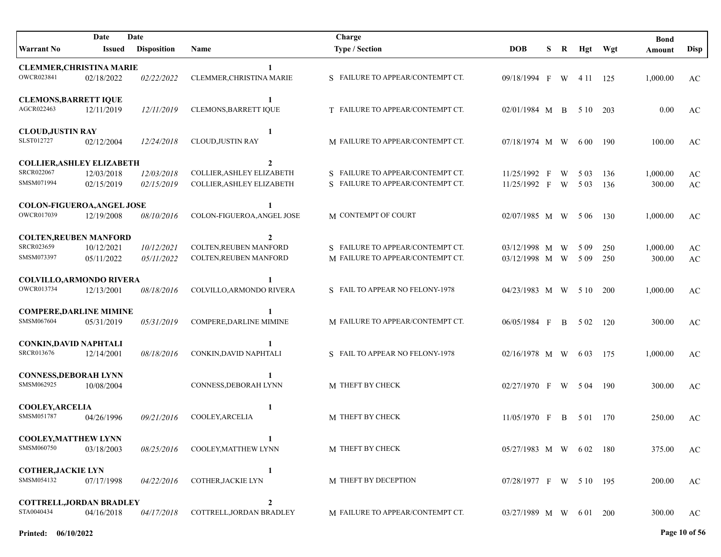| Date<br>Date                                                 |                          |                          |                                                                        | Charge                                                               |                                  |   |   |                |            | <b>Bond</b>        |                              |
|--------------------------------------------------------------|--------------------------|--------------------------|------------------------------------------------------------------------|----------------------------------------------------------------------|----------------------------------|---|---|----------------|------------|--------------------|------------------------------|
| <b>Warrant No</b>                                            | Issued                   | <b>Disposition</b>       | Name                                                                   | <b>Type / Section</b>                                                | <b>DOB</b>                       | S | R | Hgt Wgt        |            | Amount             | <b>Disp</b>                  |
| <b>CLEMMER, CHRISTINA MARIE</b><br>OWCR023841                | 02/18/2022               | 02/22/2022               | $\mathbf{1}$<br>CLEMMER, CHRISTINA MARIE                               | S FAILURE TO APPEAR/CONTEMPT CT.                                     | 09/18/1994 F                     |   | W | 4 1 1          | 125        | 1,000.00           | AC                           |
| <b>CLEMONS, BARRETT IQUE</b><br>AGCR022463                   | 12/11/2019               | 12/11/2019               | $\mathbf{1}$<br><b>CLEMONS, BARRETT IQUE</b>                           | T FAILURE TO APPEAR/CONTEMPT CT.                                     | 02/01/1984 M B                   |   |   | 5 10           | 203        | 0.00               | AC                           |
| <b>CLOUD, JUSTIN RAY</b><br>SLST012727                       | 02/12/2004               | 12/24/2018               | 1<br>CLOUD, JUSTIN RAY                                                 | M FAILURE TO APPEAR/CONTEMPT CT.                                     | 07/18/1974 M W                   |   |   | 6 0 0          | 190        | 100.00             | AC                           |
| <b>COLLIER, ASHLEY ELIZABETH</b><br>SRCR022067<br>SMSM071994 | 12/03/2018<br>02/15/2019 | 12/03/2018<br>02/15/2019 | $\mathbf{2}$<br>COLLIER, ASHLEY ELIZABETH<br>COLLIER, ASHLEY ELIZABETH | S FAILURE TO APPEAR/CONTEMPT CT.<br>S FAILURE TO APPEAR/CONTEMPT CT. | 11/25/1992 F<br>11/25/1992 F W   |   | W | 5 0 3<br>5 0 3 | 136<br>136 | 1,000.00<br>300.00 | AC<br>$\mathbf{A}\mathbf{C}$ |
| COLON-FIGUEROA, ANGEL JOSE<br>OWCR017039                     | 12/19/2008               | 08/10/2016               | -1<br>COLON-FIGUEROA, ANGEL JOSE                                       | M CONTEMPT OF COURT                                                  | $02/07/1985$ M W 506             |   |   |                | 130        | 1,000.00           | AC                           |
| <b>COLTEN, REUBEN MANFORD</b><br>SRCR023659<br>SMSM073397    | 10/12/2021<br>05/11/2022 | 10/12/2021<br>05/11/2022 | $\boldsymbol{2}$<br>COLTEN, REUBEN MANFORD<br>COLTEN, REUBEN MANFORD   | S FAILURE TO APPEAR/CONTEMPT CT.<br>M FAILURE TO APPEAR/CONTEMPT CT. | 03/12/1998 M W<br>03/12/1998 M W |   |   | 5 0 9<br>5 0 9 | 250<br>250 | 1,000.00<br>300.00 | AC<br>AC                     |
| COLVILLO, ARMONDO RIVERA<br>OWCR013734                       | 12/13/2001               | 08/18/2016               | COLVILLO, ARMONDO RIVERA                                               | S FAIL TO APPEAR NO FELONY-1978                                      | 04/23/1983 M W 510               |   |   |                | <b>200</b> | 1,000.00           | AC                           |
| <b>COMPERE, DARLINE MIMINE</b><br>SMSM067604                 | 05/31/2019               | 05/31/2019               | COMPERE, DARLINE MIMINE                                                | M FAILURE TO APPEAR/CONTEMPT CT.                                     | $06/05/1984$ F B                 |   |   | 5 0 2          | - 120      | 300.00             | AC                           |
| <b>CONKIN, DAVID NAPHTALI</b><br><b>SRCR013676</b>           | 12/14/2001               | 08/18/2016               | CONKIN, DAVID NAPHTALI                                                 | S FAIL TO APPEAR NO FELONY-1978                                      | 02/16/1978 M W                   |   |   | 6 0 3          | -175       | 1,000.00           | AC                           |
| <b>CONNESS, DEBORAH LYNN</b><br>SMSM062925                   | 10/08/2004               |                          | CONNESS, DEBORAH LYNN                                                  | M THEFT BY CHECK                                                     | 02/27/1970 F W 504               |   |   |                | - 190      | 300.00             | AC                           |
| <b>COOLEY, ARCELIA</b><br>SMSM051787                         | 04/26/1996               | 09/21/2016               | $\mathbf{1}$<br>COOLEY, ARCELIA                                        | M THEFT BY CHECK                                                     | $11/05/1970$ F B                 |   |   | 5 01 170       |            | 250.00             | AC                           |
| <b>COOLEY, MATTHEW LYNN</b><br>SMSM060750                    | 03/18/2003               | 08/25/2016               | COOLEY, MATTHEW LYNN                                                   | M THEFT BY CHECK                                                     | 05/27/1983 M W 602 180           |   |   |                |            | 375.00             | AC                           |
| <b>COTHER, JACKIE LYN</b><br>SMSM054132                      | 07/17/1998               | 04/22/2016               | 1<br>COTHER, JACKIE LYN                                                | M THEFT BY DECEPTION                                                 | 07/28/1977 F W 510 195           |   |   |                |            | 200.00             | AC                           |
| <b>COTTRELL, JORDAN BRADLEY</b><br>STA0040434                | 04/16/2018               | 04/17/2018               | $\mathbf{2}$<br>COTTRELL, JORDAN BRADLEY                               | M FAILURE TO APPEAR/CONTEMPT CT.                                     | 03/27/1989 M W 601 200           |   |   |                |            | 300.00             | AC                           |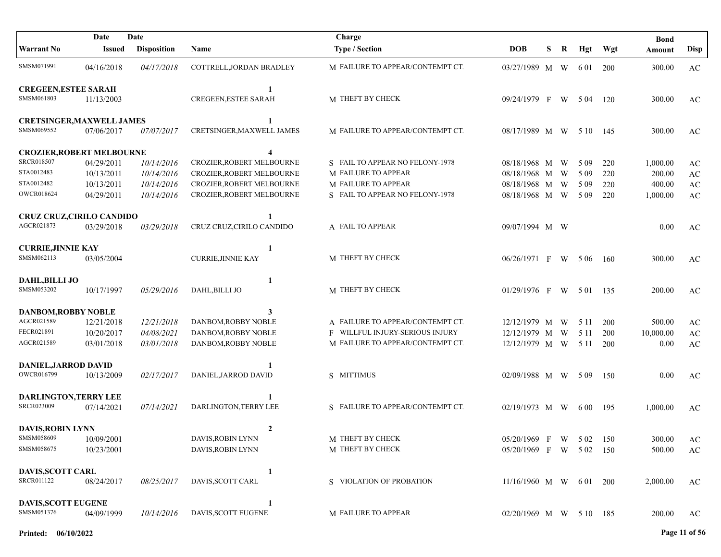|                                  | Date          | Date               |                                  | Charge                           |                        |   |   |       |            | <b>Bond</b> |                        |
|----------------------------------|---------------|--------------------|----------------------------------|----------------------------------|------------------------|---|---|-------|------------|-------------|------------------------|
| <b>Warrant No</b>                | <b>Issued</b> | <b>Disposition</b> | <b>Name</b>                      | <b>Type / Section</b>            | <b>DOB</b>             | S | R | Hgt   | Wgt        | Amount      | Disp                   |
| SMSM071991                       | 04/16/2018    | 04/17/2018         | COTTRELL, JORDAN BRADLEY         | M FAILURE TO APPEAR/CONTEMPT CT. | 03/27/1989 M W         |   |   | 6 0 1 | <b>200</b> | 300.00      | AC                     |
| <b>CREGEEN, ESTEE SARAH</b>      |               |                    | 1                                |                                  |                        |   |   |       |            |             |                        |
| SMSM061803                       | 11/13/2003    |                    | <b>CREGEEN, ESTEE SARAH</b>      | M THEFT BY CHECK                 | 09/24/1979 F           |   | W | 5 04  | 120        | 300.00      | AC                     |
| <b>CRETSINGER, MAXWELL JAMES</b> |               |                    | 1                                |                                  |                        |   |   |       |            |             |                        |
| SMSM069552                       | 07/06/2017    | 07/07/2017         | CRETSINGER, MAXWELL JAMES        | M FAILURE TO APPEAR/CONTEMPT CT. | 08/17/1989 M W         |   |   | 5 10  | - 145      | 300.00      | AC                     |
| <b>CROZIER, ROBERT MELBOURNE</b> |               |                    | 4                                |                                  |                        |   |   |       |            |             |                        |
| <b>SRCR018507</b>                | 04/29/2011    | 10/14/2016         | CROZIER, ROBERT MELBOURNE        | S FAIL TO APPEAR NO FELONY-1978  | 08/18/1968 M           |   | W | 5 0 9 | 220        | 1,000.00    | AC                     |
| STA0012483                       | 10/13/2011    | 10/14/2016         | <b>CROZIER, ROBERT MELBOURNE</b> | M FAILURE TO APPEAR              | 08/18/1968 M           |   | W | 5 0 9 | 220        | 200.00      | $\mathbf{A}\mathbf{C}$ |
| STA0012482                       | 10/13/2011    | 10/14/2016         | CROZIER, ROBERT MELBOURNE        | M FAILURE TO APPEAR              | 08/18/1968 M W         |   |   | 5 0 9 | 220        | 400.00      | $\mathbf{A}\mathbf{C}$ |
| <b>OWCR018624</b>                | 04/29/2011    | 10/14/2016         | CROZIER, ROBERT MELBOURNE        | S FAIL TO APPEAR NO FELONY-1978  | 08/18/1968 M W         |   |   | 5 0 9 | 220        | 1,000.00    | AC                     |
| <b>CRUZ CRUZ, CIRILO CANDIDO</b> |               |                    | 1                                |                                  |                        |   |   |       |            |             |                        |
| AGCR021873                       | 03/29/2018    | 03/29/2018         | CRUZ CRUZ, CIRILO CANDIDO        | A FAIL TO APPEAR                 | 09/07/1994 M W         |   |   |       |            | 0.00        | AC                     |
| <b>CURRIE, JINNIE KAY</b>        |               |                    | 1                                |                                  |                        |   |   |       |            |             |                        |
| SMSM062113                       | 03/05/2004    |                    | <b>CURRIE, JINNIE KAY</b>        | M THEFT BY CHECK                 | 06/26/1971 F           |   | W | 5 0 6 | -160       | 300.00      | AC                     |
| <b>DAHL, BILLI JO</b>            |               |                    | 1                                |                                  |                        |   |   |       |            |             |                        |
| SMSM053202                       | 10/17/1997    | 05/29/2016         | DAHL, BILLI JO                   | M THEFT BY CHECK                 | 01/29/1976 F           |   |   | W 501 | 135        | 200.00      | AC                     |
| <b>DANBOM, ROBBY NOBLE</b>       |               |                    | 3                                |                                  |                        |   |   |       |            |             |                        |
| AGCR021589                       | 12/21/2018    | 12/21/2018         | DANBOM, ROBBY NOBLE              | A FAILURE TO APPEAR/CONTEMPT CT. | 12/12/1979 M W         |   |   | 5 1 1 | 200        | 500.00      | $\mathbf{A}\mathbf{C}$ |
| FECR021891                       | 10/20/2017    | 04/08/2021         | DANBOM, ROBBY NOBLE              | F WILLFUL INJURY-SERIOUS INJURY  | 12/12/1979 M W         |   |   | 5 1 1 | 200        | 10,000.00   | $\mathbf{A}\mathbf{C}$ |
| AGCR021589                       | 03/01/2018    | 03/01/2018         | DANBOM, ROBBY NOBLE              | M FAILURE TO APPEAR/CONTEMPT CT. | 12/12/1979 M W         |   |   | 5 1 1 | 200        | 0.00        | $\mathbf{A}\mathbf{C}$ |
| <b>DANIEL, JARROD DAVID</b>      |               |                    | 1                                |                                  |                        |   |   |       |            |             |                        |
| OWCR016799                       | 10/13/2009    | 02/17/2017         | DANIEL, JARROD DAVID             | S MITTIMUS                       | 02/09/1988 M W         |   |   | 5 0 9 | 150        | 0.00        | AC                     |
| <b>DARLINGTON,TERRY LEE</b>      |               |                    | 1                                |                                  |                        |   |   |       |            |             |                        |
| <b>SRCR023009</b>                | 07/14/2021    | 07/14/2021         | DARLINGTON, TERRY LEE            | S FAILURE TO APPEAR/CONTEMPT CT. | 02/19/1973 M W         |   |   | 6 0 0 | 195        | 1,000.00    | AC                     |
| <b>DAVIS, ROBIN LYNN</b>         |               |                    | $\boldsymbol{2}$                 |                                  |                        |   |   |       |            |             |                        |
| SMSM058609                       | 10/09/2001    |                    | DAVIS, ROBIN LYNN                | M THEFT BY CHECK                 | 05/20/1969 F W 502 150 |   |   |       |            | 300.00      | $\mathbf{A}\mathbf{C}$ |
| SMSM058675                       | 10/23/2001    |                    | DAVIS, ROBIN LYNN                | M THEFT BY CHECK                 | 05/20/1969 F W 502 150 |   |   |       |            | 500.00      | $\mathbf{A}\mathbf{C}$ |
| <b>DAVIS, SCOTT CARL</b>         |               |                    | $\mathbf{1}$                     |                                  |                        |   |   |       |            |             |                        |
| SRCR011122                       | 08/24/2017    | 08/25/2017         | DAVIS, SCOTT CARL                | S VIOLATION OF PROBATION         | $11/16/1960$ M W 601   |   |   |       | -200       | 2,000.00    | AC                     |
| <b>DAVIS, SCOTT EUGENE</b>       |               |                    | 1                                |                                  |                        |   |   |       |            |             |                        |
| SMSM051376                       | 04/09/1999    | 10/14/2016         | DAVIS, SCOTT EUGENE              | M FAILURE TO APPEAR              | 02/20/1969 M W 510 185 |   |   |       |            | 200.00      | AC                     |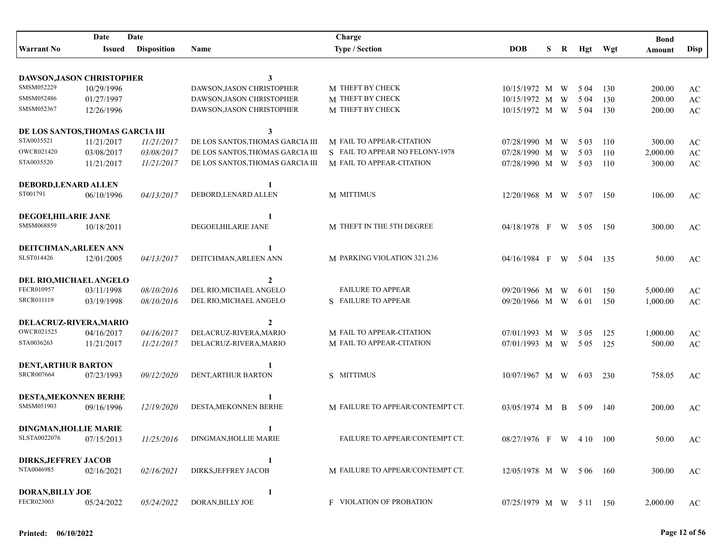| Date<br>Date                         |                          |                          |                                                  | Charge                           |                                    |    |   |       |         | <b>Bond</b> |                        |
|--------------------------------------|--------------------------|--------------------------|--------------------------------------------------|----------------------------------|------------------------------------|----|---|-------|---------|-------------|------------------------|
| <b>Warrant No</b>                    | <b>Issued</b>            | <b>Disposition</b>       | Name                                             | <b>Type / Section</b>            | <b>DOB</b>                         | S. | R |       | Hgt Wgt | Amount      | Disp                   |
|                                      |                          |                          |                                                  |                                  |                                    |    |   |       |         |             |                        |
| DAWSON, JASON CHRISTOPHER            |                          |                          | 3                                                |                                  |                                    |    |   |       |         |             |                        |
| SMSM052229                           | 10/29/1996               |                          | DAWSON, JASON CHRISTOPHER                        | M THEFT BY CHECK                 | 10/15/1972 M                       |    | W | 5 0 4 | 130     | 200.00      | AC                     |
| SMSM052486                           | 01/27/1997               |                          | DAWSON, JASON CHRISTOPHER                        | M THEFT BY CHECK                 | 10/15/1972 M                       |    | W | 5 0 4 | 130     | 200.00      | $\mathbf{A}\mathbf{C}$ |
| SMSM052367                           | 12/26/1996               |                          | DAWSON, JASON CHRISTOPHER                        | M THEFT BY CHECK                 | 10/15/1972 M W                     |    |   | 5 0 4 | 130     | 200.00      | $\mathbf{A}\mathbf{C}$ |
| DE LOS SANTOS, THOMAS GARCIA III     |                          |                          | 3                                                |                                  |                                    |    |   |       |         |             |                        |
| STA0035521                           | 11/21/2017               | 11/21/2017               | DE LOS SANTOS, THOMAS GARCIA III                 | M FAIL TO APPEAR-CITATION        | 07/28/1990 M                       |    | W | 5 0 3 | 110     | 300.00      | AC                     |
| OWCR021420                           | 03/08/2017               | 03/08/2017               | DE LOS SANTOS, THOMAS GARCIA III                 | S FAIL TO APPEAR NO FELONY-1978  | 07/28/1990 M W                     |    |   | 5 0 3 | 110     | 2,000.00    | $\mathbf{A}\mathbf{C}$ |
| STA0035520                           | 11/21/2017               | 11/21/2017               | DE LOS SANTOS, THOMAS GARCIA III                 | M FAIL TO APPEAR-CITATION        | 07/28/1990 M W                     |    |   | 5 0 3 | 110     | 300.00      | $\mathbf{A}\mathbf{C}$ |
|                                      |                          |                          |                                                  |                                  |                                    |    |   |       |         |             |                        |
| DEBORD, LENARD ALLEN<br>ST001791     |                          |                          | 1                                                |                                  |                                    |    |   |       |         |             |                        |
|                                      | 06/10/1996               | 04/13/2017               | DEBORD, LENARD ALLEN                             | M MITTIMUS                       | 12/20/1968 M W 507                 |    |   |       | 150     | 106.00      | AC                     |
| DEGOEI, HILARIE JANE                 |                          |                          | 1                                                |                                  |                                    |    |   |       |         |             |                        |
| SMSM068859                           | 10/18/2011               |                          | DEGOEI, HILARIE JANE                             | M THEFT IN THE 5TH DEGREE        | 04/18/1978 F W 505                 |    |   |       | 150     | 300.00      | AC                     |
|                                      |                          |                          |                                                  |                                  |                                    |    |   |       |         |             |                        |
| DEITCHMAN, ARLEEN ANN                |                          |                          |                                                  |                                  |                                    |    |   |       |         |             |                        |
| SLST014426                           | 12/01/2005               | 04/13/2017               | DEITCHMAN, ARLEEN ANN                            | M PARKING VIOLATION 321.236      | 04/16/1984 F W 504                 |    |   |       | 135     | 50.00       | AC                     |
| DEL RIO, MICHAEL ANGELO              |                          |                          | 2                                                |                                  |                                    |    |   |       |         |             |                        |
| FECR010957                           | 03/11/1998               | 08/10/2016               | DEL RIO, MICHAEL ANGELO                          | <b>FAILURE TO APPEAR</b>         | 09/20/1966 M W                     |    |   | 6 0 1 | 150     | 5,000.00    | AC                     |
| SRCR011119                           | 03/19/1998               | 08/10/2016               | DEL RIO, MICHAEL ANGELO                          | S FAILURE TO APPEAR              | 09/20/1966 M W                     |    |   | 6 0 1 | 150     | 1,000.00    | $\mathbf{A}\mathbf{C}$ |
|                                      |                          |                          |                                                  |                                  |                                    |    |   |       |         |             |                        |
| DELACRUZ-RIVERA, MARIO<br>OWCR021525 |                          |                          | $\mathbf{2}$                                     | M FAIL TO APPEAR-CITATION        |                                    |    |   |       |         |             |                        |
| STA0036263                           | 04/16/2017<br>11/21/2017 | 04/16/2017<br>11/21/2017 | DELACRUZ-RIVERA, MARIO<br>DELACRUZ-RIVERA, MARIO | M FAIL TO APPEAR-CITATION        | $07/01/1993$ M W<br>07/01/1993 M W |    |   | 5 0 5 | 125     | 1,000.00    | AC                     |
|                                      |                          |                          |                                                  |                                  |                                    |    |   | 5 0 5 | 125     | 500.00      | $\mathbf{A}\mathbf{C}$ |
| <b>DENT, ARTHUR BARTON</b>           |                          |                          |                                                  |                                  |                                    |    |   |       |         |             |                        |
| SRCR007664                           | 07/23/1993               | 09/12/2020               | DENT, ARTHUR BARTON                              | S MITTIMUS                       | $10/07/1967$ M W                   |    |   | 6 0 3 | 230     | 758.05      | AC                     |
|                                      |                          |                          |                                                  |                                  |                                    |    |   |       |         |             |                        |
| DESTA, MEKONNEN BERHE<br>SMSM051903  | 09/16/1996               | 12/19/2020               | DESTA, MEKONNEN BERHE                            | M FAILURE TO APPEAR/CONTEMPT CT. | 03/05/1974 M B                     |    |   | 5 0 9 | 140     | 200.00      | AC                     |
|                                      |                          |                          |                                                  |                                  |                                    |    |   |       |         |             |                        |
| <b>DINGMAN, HOLLIE MARIE</b>         |                          |                          | 1                                                |                                  |                                    |    |   |       |         |             |                        |
| SLSTA0022076                         | 07/15/2013               | 11/25/2016               | DINGMAN, HOLLIE MARIE                            | FAILURE TO APPEAR/CONTEMPT CT.   | 08/27/1976 F W 410 100             |    |   |       |         | 50.00       | AC                     |
| <b>DIRKS, JEFFREY JACOB</b>          |                          |                          | 1                                                |                                  |                                    |    |   |       |         |             |                        |
| NTA0046985                           | 02/16/2021               | <i>02/16/2021</i>        | DIRKS, JEFFREY JACOB                             | M FAILURE TO APPEAR/CONTEMPT CT. | 12/05/1978 M W 5 06 160            |    |   |       |         | 300.00      | AC                     |
|                                      |                          |                          |                                                  |                                  |                                    |    |   |       |         |             |                        |
| <b>DORAN, BILLY JOE</b>              |                          |                          | 1                                                |                                  |                                    |    |   |       |         |             |                        |
| FECR023003                           | 05/24/2022               | 05/24/2022               | DORAN, BILLY JOE                                 | <b>F VIOLATION OF PROBATION</b>  | 07/25/1979 M W 5 11 150            |    |   |       |         | 2,000.00    | AC                     |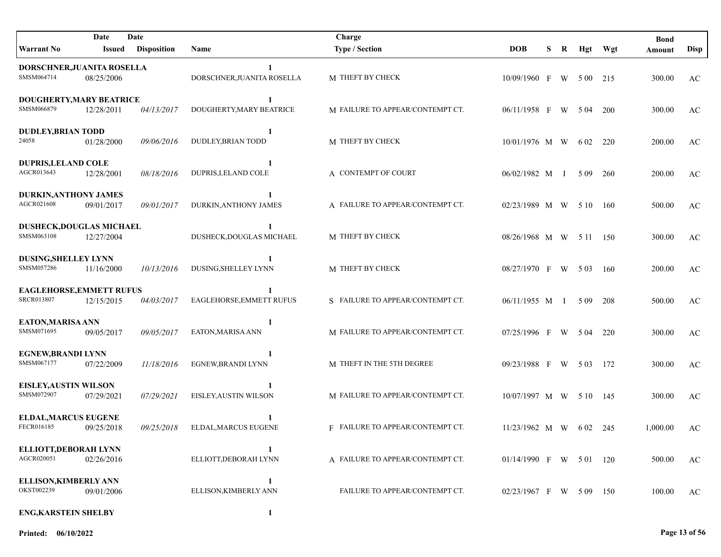|                                                      | Date       | Date               |                                     | Charge                           |                         |   |   |       |            | <b>Bond</b> |      |
|------------------------------------------------------|------------|--------------------|-------------------------------------|----------------------------------|-------------------------|---|---|-------|------------|-------------|------|
| <b>Warrant No</b>                                    | Issued     | <b>Disposition</b> | <b>Name</b>                         | <b>Type / Section</b>            | <b>DOB</b>              | S | R |       | Hgt Wgt    | Amount      | Disp |
| DORSCHNER, JUANITA ROSELLA<br>SMSM064714             | 08/25/2006 |                    | DORSCHNER, JUANITA ROSELLA          | M THEFT BY CHECK                 | 10/09/1960 F W 500 215  |   |   |       |            | 300.00      | AC   |
| DOUGHERTY, MARY BEATRICE<br>SMSM066879               | 12/28/2011 | 04/13/2017         | 1<br>DOUGHERTY, MARY BEATRICE       | M FAILURE TO APPEAR/CONTEMPT CT. | 06/11/1958 F W 504      |   |   |       | <b>200</b> | 300.00      | AC   |
| <b>DUDLEY, BRIAN TODD</b><br>24058                   | 01/28/2000 | 09/06/2016         | 1<br>DUDLEY, BRIAN TODD             | M THEFT BY CHECK                 | 10/01/1976 M W          |   |   | 6 0 2 | 220        | 200.00      | AC   |
| <b>DUPRIS, LELAND COLE</b><br>AGCR013643             | 12/28/2001 | 08/18/2016         | $\mathbf{1}$<br>DUPRIS, LELAND COLE | A CONTEMPT OF COURT              | 06/02/1982 M I          |   |   | 5 0 9 | 260        | 200.00      | AC   |
| <b>DURKIN, ANTHONY JAMES</b><br>AGCR021608           | 09/01/2017 | 09/01/2017         | 1<br>DURKIN, ANTHONY JAMES          | A FAILURE TO APPEAR/CONTEMPT CT. | 02/23/1989 M W 510      |   |   |       | - 160      | 500.00      | AC   |
| DUSHECK, DOUGLAS MICHAEL<br>SMSM063108               | 12/27/2004 |                    | DUSHECK, DOUGLAS MICHAEL            | M THEFT BY CHECK                 | 08/26/1968 M W 5 11 150 |   |   |       |            | 300.00      | AC   |
| DUSING, SHELLEY LYNN<br>SMSM057286                   | 11/16/2000 | 10/13/2016         | -1<br>DUSING, SHELLEY LYNN          | M THEFT BY CHECK                 | 08/27/1970 F W 5.03     |   |   |       | -160       | 200.00      | AC   |
| <b>EAGLEHORSE, EMMETT RUFUS</b><br><b>SRCR013807</b> | 12/15/2015 | 04/03/2017         | EAGLEHORSE, EMMETT RUFUS            | S FAILURE TO APPEAR/CONTEMPT CT. | $06/11/1955$ M I        |   |   | 5 0 9 | 208        | 500.00      | AC   |
| EATON, MARISA ANN<br>SMSM071695                      | 09/05/2017 | 09/05/2017         | 1<br>EATON, MARISA ANN              | M FAILURE TO APPEAR/CONTEMPT CT. | 07/25/1996 F W 504      |   |   |       | 220        | 300.00      | AC   |
| EGNEW, BRANDI LYNN<br>SMSM067177                     | 07/22/2009 | 11/18/2016         | EGNEW, BRANDI LYNN                  | M THEFT IN THE 5TH DEGREE        | 09/23/1988 F            |   |   | W 503 | - 172      | 300.00      | AC   |
| <b>EISLEY, AUSTIN WILSON</b><br>SMSM072907           | 07/29/2021 | 07/29/2021         | EISLEY, AUSTIN WILSON               | M FAILURE TO APPEAR/CONTEMPT CT. | 10/07/1997 M W 5 10 145 |   |   |       |            | 300.00      | AC   |
| <b>ELDAL, MARCUS EUGENE</b><br>FECR016185            | 09/25/2018 | 09/25/2018         | ELDAL, MARCUS EUGENE                | F FAILURE TO APPEAR/CONTEMPT CT. | $11/23/1962$ M W 602    |   |   |       | - 245      | 1,000.00    | AC   |
| ELLIOTT, DEBORAH LYNN<br>AGCR020051                  | 02/26/2016 |                    | 1<br>ELLIOTT, DEBORAH LYNN          | A FAILURE TO APPEAR/CONTEMPT CT. | 01/14/1990 F W 501 120  |   |   |       |            | 500.00      | AC   |
| ELLISON, KIMBERLY ANN<br>OKST002239                  | 09/01/2006 |                    | 1<br>ELLISON, KIMBERLY ANN          | FAILURE TO APPEAR/CONTEMPT CT.   | 02/23/1967 F W 509 150  |   |   |       |            | 100.00      | AC   |
| <b>ENG, KARSTEIN SHELBY</b>                          |            |                    | 1                                   |                                  |                         |   |   |       |            |             |      |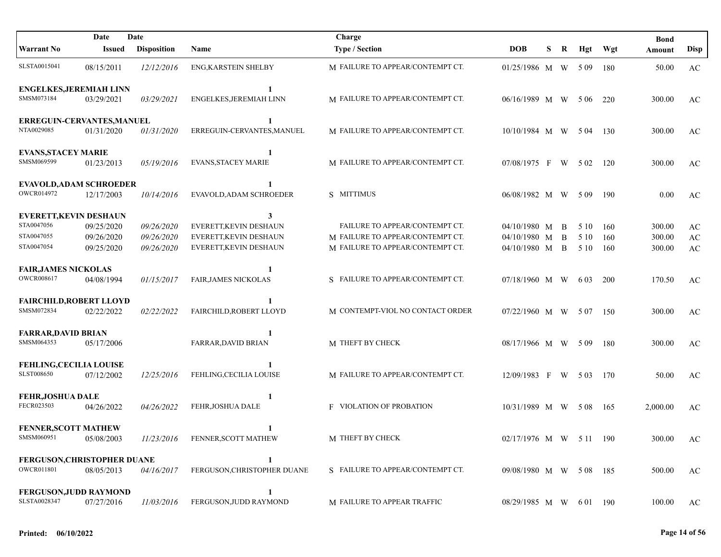| Date<br>Date                   |            |                    | Charge                       |                                  |                         |    |   |       | <b>Bond</b> |          |                        |
|--------------------------------|------------|--------------------|------------------------------|----------------------------------|-------------------------|----|---|-------|-------------|----------|------------------------|
| <b>Warrant No</b>              | Issued     | <b>Disposition</b> | <b>Name</b>                  | <b>Type / Section</b>            | <b>DOB</b>              | S. | R | Hgt   | Wgt         | Amount   | <b>Disp</b>            |
| SLSTA0015041                   | 08/15/2011 | 12/12/2016         | ENG, KARSTEIN SHELBY         | M FAILURE TO APPEAR/CONTEMPT CT. | 01/25/1986 M W 509      |    |   |       | 180         | 50.00    | AC                     |
| <b>ENGELKES, JEREMIAH LINN</b> |            |                    | 1                            |                                  |                         |    |   |       |             |          |                        |
| SMSM073184                     | 03/29/2021 | 03/29/2021         | ENGELKES, JEREMIAH LINN      | M FAILURE TO APPEAR/CONTEMPT CT. | 06/16/1989 M W          |    |   | 5 0 6 | 220         | 300.00   | AC                     |
| ERREGUIN-CERVANTES, MANUEL     |            |                    | 1                            |                                  |                         |    |   |       |             |          |                        |
| NTA0029085                     | 01/31/2020 | 01/31/2020         | ERREGUIN-CERVANTES, MANUEL   | M FAILURE TO APPEAR/CONTEMPT CT. | 10/10/1984 M W          |    |   | 5 04  | 130         | 300.00   | AC                     |
| <b>EVANS, STACEY MARIE</b>     |            |                    | $\mathbf{1}$                 |                                  |                         |    |   |       |             |          |                        |
| SMSM069599                     | 01/23/2013 | 05/19/2016         | <b>EVANS, STACEY MARIE</b>   | M FAILURE TO APPEAR/CONTEMPT CT. | 07/08/1975 F            |    | W | 5 0 2 | 120         | 300.00   | AC                     |
| <b>EVAVOLD, ADAM SCHROEDER</b> |            |                    | 1                            |                                  |                         |    |   |       |             |          |                        |
| OWCR014972                     | 12/17/2003 | 10/14/2016         | EVAVOLD, ADAM SCHROEDER      | S MITTIMUS                       | 06/08/1982 M W          |    |   | 509   | 190         | 0.00     | $\mathbf{A}\mathbf{C}$ |
| <b>EVERETT, KEVIN DESHAUN</b>  |            |                    | 3                            |                                  |                         |    |   |       |             |          |                        |
| STA0047056                     | 09/25/2020 | 09/26/2020         | EVERETT, KEVIN DESHAUN       | FAILURE TO APPEAR/CONTEMPT CT.   | 04/10/1980 M            |    | B | 5 10  | 160         | 300.00   | AC                     |
| STA0047055                     | 09/26/2020 | 09/26/2020         | <b>EVERETT.KEVIN DESHAUN</b> | M FAILURE TO APPEAR/CONTEMPT CT. | 04/10/1980 M            |    | B | 5 10  | 160         | 300.00   | $\mathbf{A}\mathbf{C}$ |
| STA0047054                     | 09/25/2020 | 09/26/2020         | EVERETT, KEVIN DESHAUN       | M FAILURE TO APPEAR/CONTEMPT CT. | 04/10/1980 M B          |    |   | 5 10  | 160         | 300.00   | $\mathbf{A}\mathbf{C}$ |
| <b>FAIR, JAMES NICKOLAS</b>    |            |                    | 1                            |                                  |                         |    |   |       |             |          |                        |
| <b>OWCR008617</b>              | 04/08/1994 | 01/15/2017         | <b>FAIR, JAMES NICKOLAS</b>  | S FAILURE TO APPEAR/CONTEMPT CT. | 07/18/1960 M W          |    |   | 6 0 3 | 200         | 170.50   | AC                     |
| <b>FAIRCHILD, ROBERT LLOYD</b> |            |                    |                              |                                  |                         |    |   |       |             |          |                        |
| SMSM072834                     | 02/22/2022 | 02/22/2022         | FAIRCHILD, ROBERT LLOYD      | M CONTEMPT-VIOL NO CONTACT ORDER | 07/22/1960 M W 507      |    |   |       | 150         | 300.00   | AC                     |
| <b>FARRAR, DAVID BRIAN</b>     |            |                    | 1                            |                                  |                         |    |   |       |             |          |                        |
| SMSM064353                     | 05/17/2006 |                    | FARRAR, DAVID BRIAN          | M THEFT BY CHECK                 | 08/17/1966 M W 509      |    |   |       | 180         | 300.00   | AC                     |
| <b>FEHLING, CECILIA LOUISE</b> |            |                    |                              |                                  |                         |    |   |       |             |          |                        |
| <b>SLST008650</b>              | 07/12/2002 | 12/25/2016         | FEHLING, CECILIA LOUISE      | M FAILURE TO APPEAR/CONTEMPT CT. | 12/09/1983 F            |    | W | 5 0 3 | 170         | 50.00    | AC                     |
| <b>FEHR, JOSHUA DALE</b>       |            |                    | 1                            |                                  |                         |    |   |       |             |          |                        |
| FECR023503                     | 04/26/2022 | 04/26/2022         | FEHR, JOSHUA DALE            | <b>F VIOLATION OF PROBATION</b>  | 10/31/1989 M W 508      |    |   |       | 165         | 2,000.00 | AC                     |
| <b>FENNER, SCOTT MATHEW</b>    |            |                    | 1                            |                                  |                         |    |   |       |             |          |                        |
| SMSM060951                     | 05/08/2003 | 11/23/2016         | FENNER,SCOTT MATHEW          | M THEFT BY CHECK                 | 02/17/1976 M W 5 11 190 |    |   |       |             | 300.00   | AC                     |
| FERGUSON, CHRISTOPHER DUANE    |            |                    | 1                            |                                  |                         |    |   |       |             |          |                        |
| OWCR011801                     | 08/05/2013 | 04/16/2017         | FERGUSON, CHRISTOPHER DUANE  | S FAILURE TO APPEAR/CONTEMPT CT. | 09/08/1980 M W 508 185  |    |   |       |             | 500.00   | AC                     |
| <b>FERGUSON, JUDD RAYMOND</b>  |            |                    | 1                            |                                  |                         |    |   |       |             |          |                        |
| SLSTA0028347                   | 07/27/2016 | 11/03/2016         | FERGUSON, JUDD RAYMOND       | M FAILURE TO APPEAR TRAFFIC      | 08/29/1985 M W 601 190  |    |   |       |             | 100.00   | AC                     |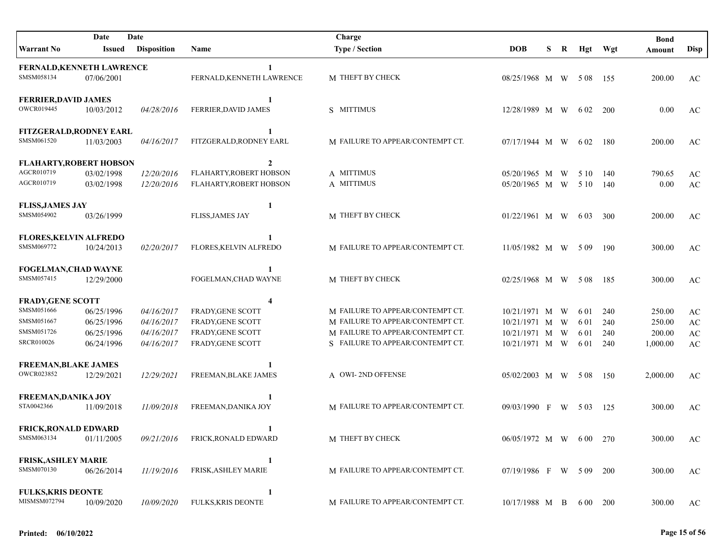| Date<br>Date                   |            |                    | Charge                     |                                  |                        |   |   |       | <b>Bond</b> |          |                        |
|--------------------------------|------------|--------------------|----------------------------|----------------------------------|------------------------|---|---|-------|-------------|----------|------------------------|
| Warrant No                     | Issued     | <b>Disposition</b> | Name                       | <b>Type / Section</b>            | <b>DOB</b>             | S | R |       | Hgt Wgt     | Amount   | <b>Disp</b>            |
| FERNALD, KENNETH LAWRENCE      |            |                    |                            |                                  |                        |   |   |       |             |          |                        |
| SMSM058134                     | 07/06/2001 |                    | FERNALD, KENNETH LAWRENCE  | M THEFT BY CHECK                 | $08/25/1968$ M W 508   |   |   |       | - 155       | 200.00   | AC                     |
| <b>FERRIER, DAVID JAMES</b>    |            |                    | 1                          |                                  |                        |   |   |       |             |          |                        |
| OWCR019445                     | 10/03/2012 | 04/28/2016         | FERRIER, DAVID JAMES       | S MITTIMUS                       | 12/28/1989 M W         |   |   | 6 0 2 | <b>200</b>  | 0.00     | AC                     |
| FITZGERALD, RODNEY EARL        |            |                    | $\mathbf{1}$               |                                  |                        |   |   |       |             |          |                        |
| SMSM061520                     | 11/03/2003 | 04/16/2017         | FITZGERALD, RODNEY EARL    | M FAILURE TO APPEAR/CONTEMPT CT. | 07/17/1944 M W         |   |   | 6 02  | - 180       | 200.00   | AC                     |
| <b>FLAHARTY, ROBERT HOBSON</b> |            |                    | $\overline{2}$             |                                  |                        |   |   |       |             |          |                        |
| AGCR010719                     | 03/02/1998 | 12/20/2016         | FLAHARTY, ROBERT HOBSON    | A MITTIMUS                       | 05/20/1965 M W         |   |   | 5 10  | 140         | 790.65   | AC                     |
| AGCR010719                     | 03/02/1998 | 12/20/2016         | FLAHARTY, ROBERT HOBSON    | A MITTIMUS                       | 05/20/1965 M W         |   |   | 5 10  | 140         | 0.00     | AC                     |
| <b>FLISS, JAMES JAY</b>        |            |                    | $\mathbf{1}$               |                                  |                        |   |   |       |             |          |                        |
| SMSM054902                     | 03/26/1999 |                    | <b>FLISS, JAMES JAY</b>    | M THEFT BY CHECK                 | 01/22/1961 M W         |   |   | 6 0 3 | 300         | 200.00   | AC                     |
| <b>FLORES, KELVIN ALFREDO</b>  |            |                    |                            |                                  |                        |   |   |       |             |          |                        |
| SMSM069772                     | 10/24/2013 | 02/20/2017         | FLORES, KELVIN ALFREDO     | M FAILURE TO APPEAR/CONTEMPT CT. | 11/05/1982 M W 509     |   |   |       | 190         | 300.00   | AC                     |
| FOGELMAN, CHAD WAYNE           |            |                    | 1                          |                                  |                        |   |   |       |             |          |                        |
| SMSM057415                     | 12/29/2000 |                    | FOGELMAN, CHAD WAYNE       | M THEFT BY CHECK                 | 02/25/1968 M W         |   |   | 5 0 8 | 185         | 300.00   | AC                     |
| <b>FRADY, GENE SCOTT</b>       |            |                    | 4                          |                                  |                        |   |   |       |             |          |                        |
| SMSM051666                     | 06/25/1996 | 04/16/2017         | <b>FRADY, GENE SCOTT</b>   | M FAILURE TO APPEAR/CONTEMPT CT. | 10/21/1971 M W         |   |   | 6 0 1 | 240         | 250.00   | $\mathbf{A}\mathbf{C}$ |
| SMSM051667                     | 06/25/1996 | 04/16/2017         | <b>FRADY, GENE SCOTT</b>   | M FAILURE TO APPEAR/CONTEMPT CT. | 10/21/1971 M W         |   |   | 6 01  | 240         | 250.00   | $\mathbf{A}\mathbf{C}$ |
| SMSM051726                     | 06/25/1996 | 04/16/2017         | FRADY, GENE SCOTT          | M FAILURE TO APPEAR/CONTEMPT CT. | 10/21/1971 M W         |   |   | 6 01  | 240         | 200.00   | $\mathbf{A}\mathbf{C}$ |
| <b>SRCR010026</b>              | 06/24/1996 | 04/16/2017         | FRADY, GENE SCOTT          | S FAILURE TO APPEAR/CONTEMPT CT. | 10/21/1971 M W         |   |   | 6 01  | 240         | 1,000.00 | AC                     |
| <b>FREEMAN, BLAKE JAMES</b>    |            |                    |                            |                                  |                        |   |   |       |             |          |                        |
| OWCR023852                     | 12/29/2021 | 12/29/2021         | FREEMAN, BLAKE JAMES       | A OWI-2ND OFFENSE                | 05/02/2003 M W 508     |   |   |       | 150         | 2,000.00 | AC                     |
| <b>FREEMAN, DANIKA JOY</b>     |            |                    | -1                         |                                  |                        |   |   |       |             |          |                        |
| STA0042366                     | 11/09/2018 | 11/09/2018         | FREEMAN, DANIKA JOY        | M FAILURE TO APPEAR/CONTEMPT CT. | 09/03/1990 F           |   |   | W 503 | 125         | 300.00   | AC                     |
| <b>FRICK, RONALD EDWARD</b>    |            |                    | 1                          |                                  |                        |   |   |       |             |          |                        |
| SMSM063134                     | 01/11/2005 | 09/21/2016         | FRICK, RONALD EDWARD       | M THEFT BY CHECK                 | 06/05/1972 M W 600 270 |   |   |       |             | 300.00   | AC                     |
| <b>FRISK, ASHLEY MARIE</b>     |            |                    | 1                          |                                  |                        |   |   |       |             |          |                        |
| SMSM070130                     | 06/26/2014 | 11/19/2016         | <b>FRISK, ASHLEY MARIE</b> | M FAILURE TO APPEAR/CONTEMPT CT. | 07/19/1986 F W 509     |   |   |       | 200         | 300.00   | AC                     |
| <b>FULKS, KRIS DEONTE</b>      |            |                    | 1                          |                                  |                        |   |   |       |             |          |                        |
| MISMSM072794                   | 10/09/2020 | 10/09/2020         | <b>FULKS, KRIS DEONTE</b>  | M FAILURE TO APPEAR/CONTEMPT CT. | $10/17/1988$ M B       |   |   | 6 00  | 200         | 300.00   | AC                     |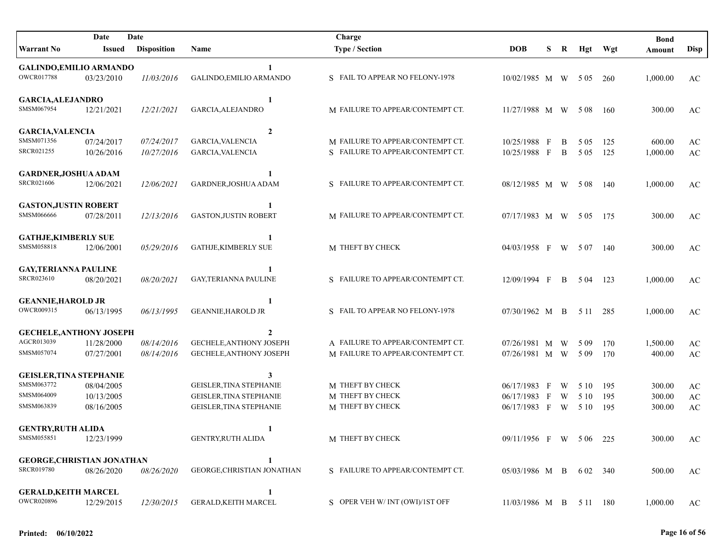|                                   | Date          | Date               |                                | Charge                           |                         |              |   |       |         | <b>Bond</b> |                        |
|-----------------------------------|---------------|--------------------|--------------------------------|----------------------------------|-------------------------|--------------|---|-------|---------|-------------|------------------------|
| <b>Warrant No</b>                 | <b>Issued</b> | <b>Disposition</b> | Name                           | <b>Type / Section</b>            | <b>DOB</b>              | S            | R |       | Hgt Wgt | Amount      | <b>Disp</b>            |
| <b>GALINDO, EMILIO ARMANDO</b>    |               |                    | 1                              |                                  |                         |              |   |       |         |             |                        |
| <b>OWCR017788</b>                 | 03/23/2010    | 11/03/2016         | GALINDO, EMILIO ARMANDO        | S FAIL TO APPEAR NO FELONY-1978  | 10/02/1985 M W          |              |   | 5 0 5 | 260     | 1,000.00    | AC                     |
| <b>GARCIA, ALEJANDRO</b>          |               |                    | 1                              |                                  |                         |              |   |       |         |             |                        |
| SMSM067954                        | 12/21/2021    | 12/21/2021         | GARCIA, ALEJANDRO              | M FAILURE TO APPEAR/CONTEMPT CT. | 11/27/1988 M W          |              |   | 5 0 8 | - 160   | 300.00      | AC                     |
| <b>GARCIA, VALENCIA</b>           |               |                    | $\overline{2}$                 |                                  |                         |              |   |       |         |             |                        |
| SMSM071356                        | 07/24/2017    | 07/24/2017         | GARCIA, VALENCIA               | M FAILURE TO APPEAR/CONTEMPT CT. | 10/25/1988              | $\mathbf{F}$ | B | 5 0 5 | 125     | 600.00      | AC                     |
| SRCR021255                        | 10/26/2016    | 10/27/2016         | GARCIA, VALENCIA               | S FAILURE TO APPEAR/CONTEMPT CT. | 10/25/1988 F            |              | B | 5 0 5 | 125     | 1,000.00    | AC                     |
| GARDNER, JOSHUA ADAM              |               |                    | 1                              |                                  |                         |              |   |       |         |             |                        |
| <b>SRCR021606</b>                 | 12/06/2021    | 12/06/2021         | GARDNER, JOSHUA ADAM           | S FAILURE TO APPEAR/CONTEMPT CT. | 08/12/1985 M W          |              |   | 5 0 8 | 140     | 1,000.00    | AC                     |
| <b>GASTON, JUSTIN ROBERT</b>      |               |                    | 1                              |                                  |                         |              |   |       |         |             |                        |
| SMSM066666                        | 07/28/2011    | 12/13/2016         | <b>GASTON, JUSTIN ROBERT</b>   | M FAILURE TO APPEAR/CONTEMPT CT. | 07/17/1983 M W 505      |              |   |       | - 175   | 300.00      | AC                     |
| <b>GATHJE, KIMBERLY SUE</b>       |               |                    | 1                              |                                  |                         |              |   |       |         |             |                        |
| SMSM058818                        | 12/06/2001    | 05/29/2016         | <b>GATHJE,KIMBERLY SUE</b>     | M THEFT BY CHECK                 | 04/03/1958 F W 507 140  |              |   |       |         | 300.00      | AC                     |
| <b>GAY,TERIANNA PAULINE</b>       |               |                    |                                |                                  |                         |              |   |       |         |             |                        |
| <b>SRCR023610</b>                 | 08/20/2021    | 08/20/2021         | GAY,TERIANNA PAULINE           | S FAILURE TO APPEAR/CONTEMPT CT. | 12/09/1994 F            |              | B | 5 04  | 123     | 1,000.00    | AC                     |
| <b>GEANNIE, HAROLD JR</b>         |               |                    | 1                              |                                  |                         |              |   |       |         |             |                        |
| OWCR009315                        | 06/13/1995    | 06/13/1995         | <b>GEANNIE, HAROLD JR</b>      | S FAIL TO APPEAR NO FELONY-1978  | 07/30/1962 M B          |              |   | 5 1 1 | -285    | 1,000.00    | AC                     |
| <b>GECHELE, ANTHONY JOSEPH</b>    |               |                    | 2                              |                                  |                         |              |   |       |         |             |                        |
| AGCR013039                        | 11/28/2000    | 08/14/2016         | <b>GECHELE, ANTHONY JOSEPH</b> | A FAILURE TO APPEAR/CONTEMPT CT. | 07/26/1981 M W          |              |   | 5 0 9 | 170     | 1,500.00    | AC                     |
| SMSM057074                        | 07/27/2001    | 08/14/2016         | <b>GECHELE, ANTHONY JOSEPH</b> | M FAILURE TO APPEAR/CONTEMPT CT. | 07/26/1981 M W          |              |   | 5 0 9 | 170     | 400.00      | AC                     |
| <b>GEISLER, TINA STEPHANIE</b>    |               |                    | 3                              |                                  |                         |              |   |       |         |             |                        |
| SMSM063772                        | 08/04/2005    |                    | GEISLER, TINA STEPHANIE        | M THEFT BY CHECK                 | 06/17/1983 F            |              | W | 5 10  | 195     | 300.00      | $\mathbf{A}\mathbf{C}$ |
| SMSM064009                        | 10/13/2005    |                    | GEISLER, TINA STEPHANIE        | M THEFT BY CHECK                 | 06/17/1983 F            |              | W | 5 10  | 195     | 300.00      | $\mathbf{A}\mathbf{C}$ |
| SMSM063839                        | 08/16/2005    |                    | GEISLER, TINA STEPHANIE        | M THEFT BY CHECK                 | 06/17/1983 F W 510      |              |   |       | 195     | 300.00      | AC                     |
| <b>GENTRY, RUTH ALIDA</b>         |               |                    | 1                              |                                  |                         |              |   |       |         |             |                        |
| SMSM055851                        | 12/23/1999    |                    | GENTRY, RUTH ALIDA             | M THEFT BY CHECK                 | 09/11/1956 F W 506 225  |              |   |       |         | 300.00      | AC                     |
| <b>GEORGE, CHRISTIAN JONATHAN</b> |               |                    | 1                              |                                  |                         |              |   |       |         |             |                        |
| <b>SRCR019780</b>                 | 08/26/2020    | 08/26/2020         | GEORGE, CHRISTIAN JONATHAN     | S FAILURE TO APPEAR/CONTEMPT CT. | 05/03/1986 M B 602 340  |              |   |       |         | 500.00      | AC                     |
| <b>GERALD, KEITH MARCEL</b>       |               |                    | 1                              |                                  |                         |              |   |       |         |             |                        |
| <b>OWCR020896</b>                 | 12/29/2015    | 12/30/2015         | <b>GERALD, KEITH MARCEL</b>    | S OPER VEH W/INT (OWI)/1ST OFF   | 11/03/1986 M B 5 11 180 |              |   |       |         | 1,000.00    | AC                     |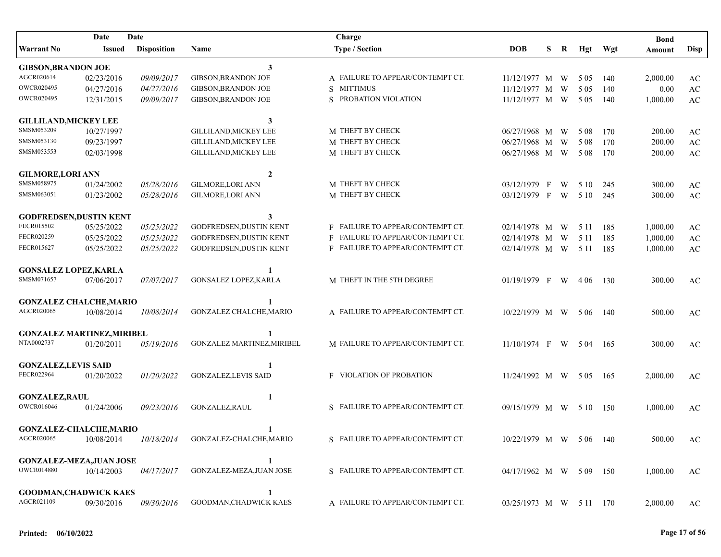| Date<br>Date                      |               |                    |                              | Charge                           |                           |   |                |       |       | <b>Bond</b> |                        |
|-----------------------------------|---------------|--------------------|------------------------------|----------------------------------|---------------------------|---|----------------|-------|-------|-------------|------------------------|
| <b>Warrant No</b>                 | <b>Issued</b> | <b>Disposition</b> | Name                         | <b>Type / Section</b>            | <b>DOB</b>                | S | $\bf R$        | Hgt   | Wgt   | Amount      | <b>Disp</b>            |
| <b>GIBSON, BRANDON JOE</b>        |               |                    | 3                            |                                  |                           |   |                |       |       |             |                        |
| AGCR020614                        | 02/23/2016    | 09/09/2017         | <b>GIBSON, BRANDON JOE</b>   | A FAILURE TO APPEAR/CONTEMPT CT. | 11/12/1977 M W            |   |                | 5 0 5 | 140   | 2,000.00    | AC                     |
| OWCR020495                        | 04/27/2016    | 04/27/2016         | <b>GIBSON, BRANDON JOE</b>   | S MITTIMUS                       | 11/12/1977 M              |   | W              | 5 0 5 | 140   | 0.00        | $\mathbf{A}\mathbf{C}$ |
| <b>OWCR020495</b>                 | 12/31/2015    | 09/09/2017         | <b>GIBSON, BRANDON JOE</b>   | S PROBATION VIOLATION            | 11/12/1977 M W            |   |                | 5 0 5 | 140   | 1,000.00    | $\mathbf{A}\mathbf{C}$ |
| <b>GILLILAND, MICKEY LEE</b>      |               |                    | $\mathbf{3}$                 |                                  |                           |   |                |       |       |             |                        |
| SMSM053209                        | 10/27/1997    |                    | <b>GILLILAND, MICKEY LEE</b> | M THEFT BY CHECK                 | 06/27/1968 M              |   | W              | 5 0 8 | 170   | 200.00      | $\mathbf{A}\mathbf{C}$ |
| SMSM053130                        | 09/23/1997    |                    | <b>GILLILAND, MICKEY LEE</b> | M THEFT BY CHECK                 | 06/27/1968 M              |   | W              | 5 0 8 | 170   | 200.00      | AC                     |
| SMSM053553                        | 02/03/1998    |                    | <b>GILLILAND, MICKEY LEE</b> | M THEFT BY CHECK                 | 06/27/1968 M W            |   |                | 5 0 8 | 170   | 200.00      | AC                     |
| <b>GILMORE, LORI ANN</b>          |               |                    | $\overline{2}$               |                                  |                           |   |                |       |       |             |                        |
| SMSM058975                        | 01/24/2002    | 05/28/2016         | <b>GILMORE, LORI ANN</b>     | M THEFT BY CHECK                 | 03/12/1979 F              |   | W              | 5 10  | 245   | 300.00      | AC                     |
| SMSM063051                        | 01/23/2002    | 05/28/2016         | <b>GILMORE, LORI ANN</b>     | M THEFT BY CHECK                 | 03/12/1979 F              |   | W <sub>\</sub> | 5 10  | 245   | 300.00      | AC                     |
| <b>GODFREDSEN, DUSTIN KENT</b>    |               |                    | 3                            |                                  |                           |   |                |       |       |             |                        |
| FECR015502                        | 05/25/2022    | 05/25/2022         | GODFREDSEN, DUSTIN KENT      | F FAILURE TO APPEAR/CONTEMPT CT. | $02/14/1978$ M W          |   |                | 5 1 1 | 185   | 1,000.00    | AC                     |
| FECR020259                        | 05/25/2022    | 05/25/2022         | GODFREDSEN, DUSTIN KENT      | F FAILURE TO APPEAR/CONTEMPT CT. | 02/14/1978 M W            |   |                | 5 1 1 | 185   | 1,000.00    | $\mathbf{A}\mathbf{C}$ |
| FECR015627                        | 05/25/2022    | 05/25/2022         | GODFREDSEN, DUSTIN KENT      | F FAILURE TO APPEAR/CONTEMPT CT. | $02/14/1978$ M W          |   |                | 5 1 1 | 185   | 1,000.00    | AC                     |
| <b>GONSALEZ LOPEZ, KARLA</b>      |               |                    | 1                            |                                  |                           |   |                |       |       |             |                        |
| SMSM071657                        | 07/06/2017    | 07/07/2017         | GONSALEZ LOPEZ, KARLA        | M THEFT IN THE 5TH DEGREE        | $01/19/1979$ F W          |   |                | 4 0 6 | 130   | 300.00      | AC                     |
| <b>GONZALEZ CHALCHE, MARIO</b>    |               |                    | 1                            |                                  |                           |   |                |       |       |             |                        |
| AGCR020065                        | 10/08/2014    | 10/08/2014         | GONZALEZ CHALCHE, MARIO      | A FAILURE TO APPEAR/CONTEMPT CT. | $10/22/1979$ M W 506      |   |                |       | - 140 | 500.00      | AC                     |
| <b>GONZALEZ MARTINEZ, MIRIBEL</b> |               |                    | 1                            |                                  |                           |   |                |       |       |             |                        |
| NTA0002737                        | 01/20/2011    | 05/19/2016         | GONZALEZ MARTINEZ, MIRIBEL   | M FAILURE TO APPEAR/CONTEMPT CT. | $11/10/1974$ F W 504      |   |                |       | - 165 | 300.00      | AC                     |
| <b>GONZALEZ, LEVIS SAID</b>       |               |                    | -1                           |                                  |                           |   |                |       |       |             |                        |
| FECR022964                        | 01/20/2022    | 01/20/2022         | <b>GONZALEZ, LEVIS SAID</b>  | <b>F VIOLATION OF PROBATION</b>  | $11/24/1992$ M W 505      |   |                |       | -165  | 2,000.00    | AC                     |
| <b>GONZALEZ, RAUL</b>             |               |                    | 1                            |                                  |                           |   |                |       |       |             |                        |
| <b>OWCR016046</b>                 | 01/24/2006    | 09/23/2016         | GONZALEZ, RAUL               | S FAILURE TO APPEAR/CONTEMPT CT. | 09/15/1979 M W 510        |   |                |       | 150   | 1,000.00    | AC                     |
| <b>GONZALEZ-CHALCHE, MARIO</b>    |               |                    | 1                            |                                  |                           |   |                |       |       |             |                        |
| AGCR020065                        | 10/08/2014    | 10/18/2014         | GONZALEZ-CHALCHE,MARIO       | S FAILURE TO APPEAR/CONTEMPT CT. | 10/22/1979 M W 506 140    |   |                |       |       | 500.00      | AC                     |
| <b>GONZALEZ-MEZA, JUAN JOSE</b>   |               |                    | 1                            |                                  |                           |   |                |       |       |             |                        |
| <b>OWCR014880</b>                 | 10/14/2003    | 04/17/2017         | GONZALEZ-MEZA, JUAN JOSE     | S FAILURE TO APPEAR/CONTEMPT CT. | $04/17/1962$ M W 5 09 150 |   |                |       |       | 1,000.00    | AC                     |
| <b>GOODMAN, CHADWICK KAES</b>     |               |                    | 1                            |                                  |                           |   |                |       |       |             |                        |
| AGCR021109                        | 09/30/2016    | 09/30/2016         | GOODMAN, CHADWICK KAES       | A FAILURE TO APPEAR/CONTEMPT CT. | 03/25/1973 M W 5 11 170   |   |                |       |       | 2,000.00    | AC                     |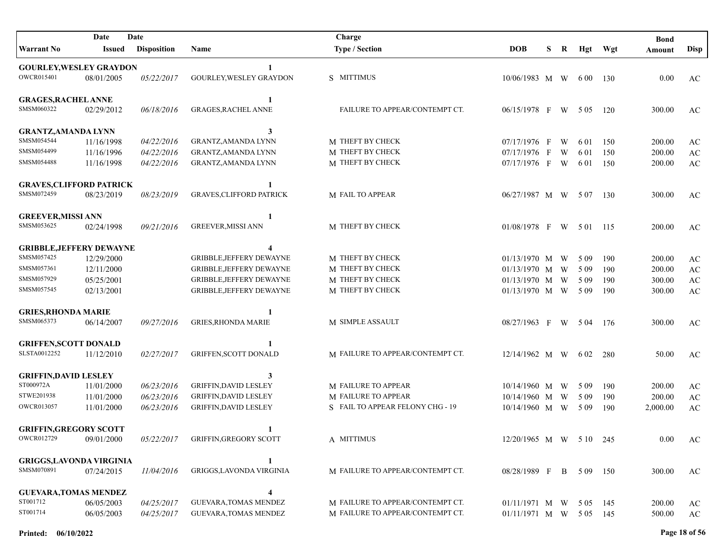|                                 | Date<br>Date |                    |                                 | Charge                           |                        |   |   |          |         | <b>Bond</b> |                        |
|---------------------------------|--------------|--------------------|---------------------------------|----------------------------------|------------------------|---|---|----------|---------|-------------|------------------------|
| Warrant No                      | Issued       | <b>Disposition</b> | Name                            | <b>Type / Section</b>            | <b>DOB</b>             | S | R |          | Hgt Wgt | Amount      | <b>Disp</b>            |
| <b>GOURLEY, WESLEY GRAYDON</b>  |              |                    |                                 |                                  |                        |   |   |          |         |             |                        |
| OWCR015401                      | 08/01/2005   | 05/22/2017         | GOURLEY, WESLEY GRAYDON         | S MITTIMUS                       | 10/06/1983 M W         |   |   | 6 00 130 |         | 0.00        | AC                     |
| <b>GRAGES, RACHEL ANNE</b>      |              |                    | 1                               |                                  |                        |   |   |          |         |             |                        |
| SMSM060322                      | 02/29/2012   | 06/18/2016         | <b>GRAGES, RACHEL ANNE</b>      | FAILURE TO APPEAR/CONTEMPT CT.   | 06/15/1978 F W         |   |   | 5 0 5    | 120     | 300.00      | AC                     |
| <b>GRANTZ, AMANDA LYNN</b>      |              |                    | 3                               |                                  |                        |   |   |          |         |             |                        |
| SMSM054544                      | 11/16/1998   | 04/22/2016         | <b>GRANTZ, AMANDA LYNN</b>      | M THEFT BY CHECK                 | 07/17/1976 F           |   | W | 6 01     | 150     | 200.00      | $\mathbf{A}\mathbf{C}$ |
| SMSM054499                      | 11/16/1996   | 04/22/2016         | GRANTZ, AMANDA LYNN             | M THEFT BY CHECK                 | 07/17/1976 F           |   | W | 6 0 1    | 150     | 200.00      | $\mathbf{A}\mathbf{C}$ |
| SMSM054488                      | 11/16/1998   | 04/22/2016         | GRANTZ, AMANDA LYNN             | M THEFT BY CHECK                 | 07/17/1976 F W         |   |   | 6 0 1    | 150     | 200.00      | $\mathbf{A}\mathbf{C}$ |
| <b>GRAVES, CLIFFORD PATRICK</b> |              |                    | 1                               |                                  |                        |   |   |          |         |             |                        |
| SMSM072459                      | 08/23/2019   | 08/23/2019         | <b>GRAVES, CLIFFORD PATRICK</b> | M FAIL TO APPEAR                 | 06/27/1987 M W         |   |   | 5 0 7    | 130     | 300.00      | AC                     |
| <b>GREEVER, MISSI ANN</b>       |              |                    | 1                               |                                  |                        |   |   |          |         |             |                        |
| SMSM053625                      | 02/24/1998   | 09/21/2016         | <b>GREEVER, MISSI ANN</b>       | M THEFT BY CHECK                 | 01/08/1978 F W 501 115 |   |   |          |         | 200.00      | AC                     |
| <b>GRIBBLE, JEFFERY DEWAYNE</b> |              |                    |                                 |                                  |                        |   |   |          |         |             |                        |
| SMSM057425                      | 12/29/2000   |                    | GRIBBLE, JEFFERY DEWAYNE        | M THEFT BY CHECK                 | 01/13/1970 M W         |   |   | 5 0 9    | 190     | 200.00      | $\mathbf{A}\mathbf{C}$ |
| SMSM057361                      | 12/11/2000   |                    | GRIBBLE, JEFFERY DEWAYNE        | M THEFT BY CHECK                 | 01/13/1970 M W         |   |   | 5 0 9    | 190     | 200.00      | $\mathbf{A}\mathbf{C}$ |
| SMSM057929                      | 05/25/2001   |                    | <b>GRIBBLE, JEFFERY DEWAYNE</b> | M THEFT BY CHECK                 | 01/13/1970 M W         |   |   | 5 0 9    | 190     | 300.00      | $\mathbf{A}\mathbf{C}$ |
| SMSM057545                      | 02/13/2001   |                    | <b>GRIBBLE, JEFFERY DEWAYNE</b> | M THEFT BY CHECK                 | $01/13/1970$ M W       |   |   | 5 0 9    | 190     | 300.00      | $\mathbf{A}\mathbf{C}$ |
| <b>GRIES, RHONDA MARIE</b>      |              |                    | 1                               |                                  |                        |   |   |          |         |             |                        |
| SMSM065373                      | 06/14/2007   | 09/27/2016         | <b>GRIES, RHONDA MARIE</b>      | M SIMPLE ASSAULT                 | 08/27/1963 F W 504     |   |   |          | 176     | 300.00      | AC                     |
| <b>GRIFFEN, SCOTT DONALD</b>    |              |                    | 1                               |                                  |                        |   |   |          |         |             |                        |
| SLSTA0012252                    | 11/12/2010   | 02/27/2017         | <b>GRIFFEN, SCOTT DONALD</b>    | M FAILURE TO APPEAR/CONTEMPT CT. | 12/14/1962 M W         |   |   | 6 0 2    | 280     | 50.00       | AC                     |
| <b>GRIFFIN, DAVID LESLEY</b>    |              |                    | 3                               |                                  |                        |   |   |          |         |             |                        |
| ST000972A                       | 11/01/2000   | 06/23/2016         | <b>GRIFFIN, DAVID LESLEY</b>    | M FAILURE TO APPEAR              | $10/14/1960$ M W       |   |   | 5 0 9    | 190     | 200.00      | $\mathbf{A}\mathbf{C}$ |
| STWE201938                      | 11/01/2000   | 06/23/2016         | <b>GRIFFIN, DAVID LESLEY</b>    | M FAILURE TO APPEAR              | $10/14/1960$ M W       |   |   | 5 0 9    | 190     | 200.00      | $\mathbf{A}\mathbf{C}$ |
| <b>OWCR013057</b>               | 11/01/2000   | 06/23/2016         | <b>GRIFFIN, DAVID LESLEY</b>    | S FAIL TO APPEAR FELONY CHG - 19 | 10/14/1960 M W         |   |   | 5 0 9    | 190     | 2,000.00    | AC                     |
| <b>GRIFFIN, GREGORY SCOTT</b>   |              |                    | 1                               |                                  |                        |   |   |          |         |             |                        |
| OWCR012729                      | 09/01/2000   | 05/22/2017         | <b>GRIFFIN, GREGORY SCOTT</b>   | A MITTIMUS                       | 12/20/1965 M W 510 245 |   |   |          |         | $0.00\,$    | AC                     |
| <b>GRIGGS, LAVONDA VIRGINIA</b> |              |                    | 1                               |                                  |                        |   |   |          |         |             |                        |
| SMSM070891                      | 07/24/2015   | 11/04/2016         | GRIGGS, LAVONDA VIRGINIA        | M FAILURE TO APPEAR/CONTEMPT CT. | 08/28/1989 F B 509 150 |   |   |          |         | 300.00      | AC                     |
| <b>GUEVARA, TOMAS MENDEZ</b>    |              |                    | 4                               |                                  |                        |   |   |          |         |             |                        |
| ST001712                        | 06/05/2003   | 04/25/2017         | <b>GUEVARA, TOMAS MENDEZ</b>    | M FAILURE TO APPEAR/CONTEMPT CT. | $01/11/1971$ M W 505   |   |   |          | 145     | 200.00      | AC                     |
| ST001714                        | 06/05/2003   | 04/25/2017         | <b>GUEVARA, TOMAS MENDEZ</b>    | M FAILURE TO APPEAR/CONTEMPT CT. | 01/11/1971 M W 505 145 |   |   |          |         | 500.00      | $\mathbf{A}\mathbf{C}$ |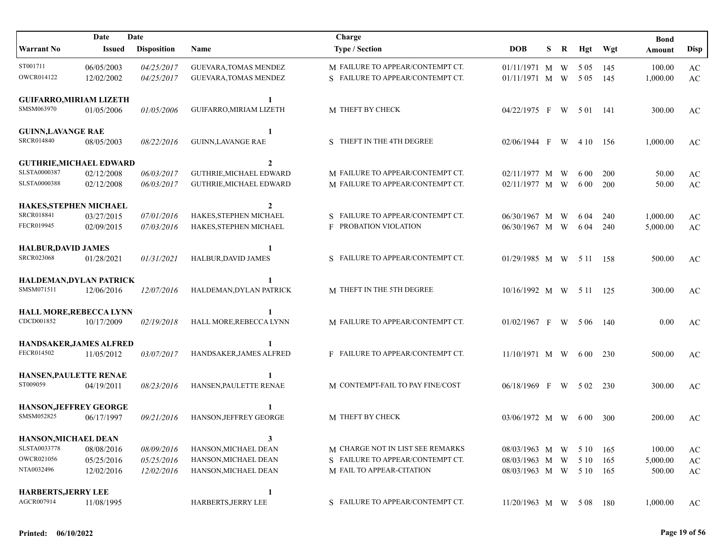| Date<br>Date                                |            |                    |                              | Charge                           |                         |   |   |          |         | <b>Bond</b> |                        |
|---------------------------------------------|------------|--------------------|------------------------------|----------------------------------|-------------------------|---|---|----------|---------|-------------|------------------------|
| <b>Warrant No</b>                           | Issued     | <b>Disposition</b> | <b>Name</b>                  | <b>Type / Section</b>            | <b>DOB</b>              | S | R |          | Hgt Wgt | Amount      | <b>Disp</b>            |
| ST001711                                    | 06/05/2003 | 04/25/2017         | <b>GUEVARA, TOMAS MENDEZ</b> | M FAILURE TO APPEAR/CONTEMPT CT. | 01/11/1971 M W          |   |   | 5 0 5    | -145    | 100.00      | $\mathbf{A}\mathbf{C}$ |
| OWCR014122                                  | 12/02/2002 | 04/25/2017         | <b>GUEVARA, TOMAS MENDEZ</b> | S FAILURE TO APPEAR/CONTEMPT CT. | 01/11/1971 M W          |   |   | 5 0 5    | 145     | 1,000.00    | AC                     |
| <b>GUIFARRO, MIRIAM LIZETH</b>              |            |                    | 1                            |                                  |                         |   |   |          |         |             |                        |
| SMSM063970                                  | 01/05/2006 | 01/05/2006         | GUIFARRO, MIRIAM LIZETH      | M THEFT BY CHECK                 | 04/22/1975 F            |   | W | 5 01 141 |         | 300.00      | AC                     |
| <b>GUINN, LAVANGE RAE</b>                   |            |                    | 1                            |                                  |                         |   |   |          |         |             |                        |
| <b>SRCR014840</b>                           | 08/05/2003 | 08/22/2016         | <b>GUINN, LAVANGE RAE</b>    | S THEFT IN THE 4TH DEGREE        | $02/06/1944$ F          |   | W | 4 10     | - 156   | 1,000.00    | AC                     |
| <b>GUTHRIE, MICHAEL EDWARD</b>              |            |                    | $\mathbf{2}$                 |                                  |                         |   |   |          |         |             |                        |
| SLSTA0000387                                | 02/12/2008 | 06/03/2017         | GUTHRIE, MICHAEL EDWARD      | M FAILURE TO APPEAR/CONTEMPT CT. | 02/11/1977 M W          |   |   | 6 0 0    | 200     | 50.00       | AC                     |
| <b>SLSTA0000388</b>                         | 02/12/2008 | 06/03/2017         | GUTHRIE, MICHAEL EDWARD      | M FAILURE TO APPEAR/CONTEMPT CT. | 02/11/1977 M W          |   |   | 6 0 0    | 200     | 50.00       | $\mathbf{A}\mathbf{C}$ |
| HAKES, STEPHEN MICHAEL                      |            |                    | $\mathbf{2}$                 |                                  |                         |   |   |          |         |             |                        |
| <b>SRCR018841</b>                           | 03/27/2015 | 07/01/2016         | HAKES, STEPHEN MICHAEL       | S FAILURE TO APPEAR/CONTEMPT CT. | 06/30/1967 M W          |   |   | 6 04     | 240     | 1,000.00    | AC                     |
| FECR019945                                  | 02/09/2015 | 07/03/2016         | HAKES, STEPHEN MICHAEL       | <b>F PROBATION VIOLATION</b>     | 06/30/1967 M W          |   |   | 6 04     | 240     | 5,000.00    | $\mathbf{A}\mathbf{C}$ |
|                                             |            |                    |                              |                                  |                         |   |   |          |         |             |                        |
| <b>HALBUR, DAVID JAMES</b>                  |            |                    | 1                            |                                  |                         |   |   |          |         |             |                        |
| <b>SRCR023068</b>                           | 01/28/2021 | 01/31/2021         | HALBUR, DAVID JAMES          | S FAILURE TO APPEAR/CONTEMPT CT. | 01/29/1985 M W 511 158  |   |   |          |         | 500.00      | AC                     |
| HALDEMAN, DYLAN PATRICK                     |            |                    |                              |                                  |                         |   |   |          |         |             |                        |
| SMSM071511                                  | 12/06/2016 | 12/07/2016         | HALDEMAN, DYLAN PATRICK      | M THEFT IN THE 5TH DEGREE        | 10/16/1992 M W 5 11 125 |   |   |          |         | 300.00      | AC                     |
|                                             |            |                    |                              |                                  |                         |   |   |          |         |             |                        |
| HALL MORE, REBECCA LYNN<br>CDCD001852       | 10/17/2009 | 02/19/2018         | HALL MORE, REBECCA LYNN      | M FAILURE TO APPEAR/CONTEMPT CT. | 01/02/1967 F W 506 140  |   |   |          |         | 0.00        | AC                     |
|                                             |            |                    |                              |                                  |                         |   |   |          |         |             |                        |
| HANDSAKER, JAMES ALFRED                     |            |                    |                              |                                  |                         |   |   |          |         |             |                        |
| FECR014502                                  | 11/05/2012 | 03/07/2017         | HANDSAKER, JAMES ALFRED      | F FAILURE TO APPEAR/CONTEMPT CT. | $11/10/1971$ M W 600    |   |   |          | 230     | 500.00      | AC                     |
| HANSEN, PAULETTE RENAE                      |            |                    |                              |                                  |                         |   |   |          |         |             |                        |
| ST009059                                    | 04/19/2011 | 08/23/2016         | HANSEN, PAULETTE RENAE       | M CONTEMPT-FAIL TO PAY FINE/COST | 06/18/1969 F W 502      |   |   |          | 230     | 300.00      | AC                     |
|                                             |            |                    |                              |                                  |                         |   |   |          |         |             |                        |
| <b>HANSON, JEFFREY GEORGE</b><br>SMSM052825 |            |                    | HANSON, JEFFREY GEORGE       | M THEFT BY CHECK                 |                         |   |   |          |         |             |                        |
|                                             | 06/17/1997 | 09/21/2016         |                              |                                  | $03/06/1972$ M W 600    |   |   |          | 300     | 200.00      | AC                     |
| HANSON, MICHAEL DEAN                        |            |                    | 3                            |                                  |                         |   |   |          |         |             |                        |
| SLSTA0033778                                | 08/08/2016 | 08/09/2016         | HANSON, MICHAEL DEAN         | M CHARGE NOT IN LIST SEE REMARKS | 08/03/1963 M W 510      |   |   |          | 165     | 100.00      | AC                     |
| OWCR021056                                  | 05/25/2016 | 05/25/2016         | HANSON, MICHAEL DEAN         | S FAILURE TO APPEAR/CONTEMPT CT. | 08/03/1963 M W          |   |   | 5 10     | 165     | 5,000.00    | $\mathbf{A}\mathbf{C}$ |
| NTA0032496                                  | 12/02/2016 | 12/02/2016         | HANSON, MICHAEL DEAN         | M FAIL TO APPEAR-CITATION        | 08/03/1963 M W 5 10 165 |   |   |          |         | 500.00      | AC                     |
|                                             |            |                    |                              |                                  |                         |   |   |          |         |             |                        |
| <b>HARBERTS, JERRY LEE</b><br>AGCR007914    | 11/08/1995 |                    | 1<br>HARBERTS, JERRY LEE     | S FAILURE TO APPEAR/CONTEMPT CT. | 11/20/1963 M W 508 180  |   |   |          |         | 1,000.00    | AC                     |
|                                             |            |                    |                              |                                  |                         |   |   |          |         |             |                        |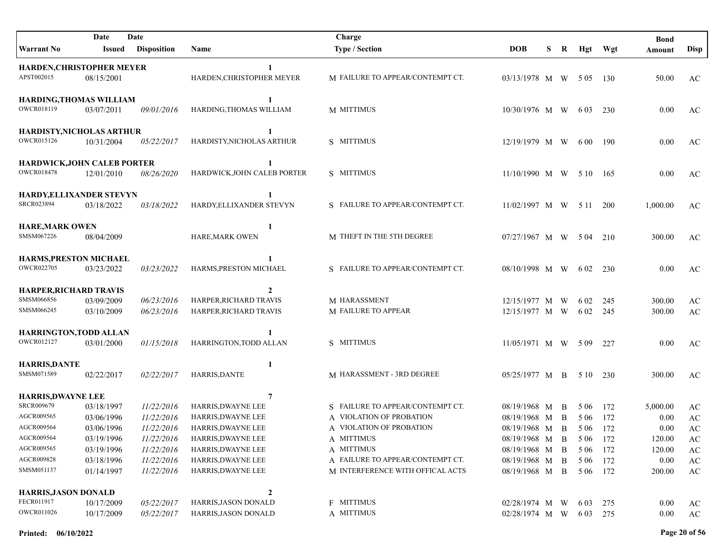|                                                                                                                                                            | Date                                                                                           | Date                                                                                           |                                                                                                                                                                               | Charge                                                                                                                                                                                       |                                                                                                                        |   |                   |                                                                            |            | <b>Bond</b>                                                    |                                                                                                                              |
|------------------------------------------------------------------------------------------------------------------------------------------------------------|------------------------------------------------------------------------------------------------|------------------------------------------------------------------------------------------------|-------------------------------------------------------------------------------------------------------------------------------------------------------------------------------|----------------------------------------------------------------------------------------------------------------------------------------------------------------------------------------------|------------------------------------------------------------------------------------------------------------------------|---|-------------------|----------------------------------------------------------------------------|------------|----------------------------------------------------------------|------------------------------------------------------------------------------------------------------------------------------|
| <b>Warrant No</b>                                                                                                                                          | Issued                                                                                         | <b>Disposition</b>                                                                             | Name                                                                                                                                                                          | <b>Type / Section</b>                                                                                                                                                                        | <b>DOB</b>                                                                                                             | S | R                 |                                                                            | Hgt Wgt    | Amount                                                         | Disp                                                                                                                         |
| <b>HARDEN, CHRISTOPHER MEYER</b><br>APST002015                                                                                                             | 08/15/2001                                                                                     |                                                                                                | HARDEN, CHRISTOPHER MEYER                                                                                                                                                     | M FAILURE TO APPEAR/CONTEMPT CT.                                                                                                                                                             | 03/13/1978 M W 5 05 130                                                                                                |   |                   |                                                                            |            | 50.00                                                          | AC                                                                                                                           |
| <b>HARDING, THOMAS WILLIAM</b><br>OWCR018119                                                                                                               | 03/07/2011                                                                                     | 09/01/2016                                                                                     | 1<br>HARDING, THOMAS WILLIAM                                                                                                                                                  | M MITTIMUS                                                                                                                                                                                   | 10/30/1976 M W                                                                                                         |   |                   | 6 0 3                                                                      | 230        | 0.00                                                           | AC                                                                                                                           |
| HARDISTY, NICHOLAS ARTHUR<br><b>OWCR015126</b>                                                                                                             | 10/31/2004                                                                                     | 05/22/2017                                                                                     | 1<br>HARDISTY, NICHOLAS ARTHUR                                                                                                                                                | S MITTIMUS                                                                                                                                                                                   | 12/19/1979 M W                                                                                                         |   |                   | 6 00                                                                       | - 190      | 0.00                                                           | AC                                                                                                                           |
| <b>HARDWICK, JOHN CALEB PORTER</b><br><b>OWCR018478</b>                                                                                                    | 12/01/2010                                                                                     | 08/26/2020                                                                                     | 1<br>HARDWICK, JOHN CALEB PORTER                                                                                                                                              | S MITTIMUS                                                                                                                                                                                   | 11/10/1990 M W 5 10 165                                                                                                |   |                   |                                                                            |            | 0.00                                                           | AC                                                                                                                           |
| HARDY, ELLIXANDER STEVYN<br>SRCR023894                                                                                                                     | 03/18/2022                                                                                     | 03/18/2022                                                                                     | 1<br>HARDY, ELLIXANDER STEVYN                                                                                                                                                 | S FAILURE TO APPEAR/CONTEMPT CT.                                                                                                                                                             | 11/02/1997 M W 511                                                                                                     |   |                   |                                                                            | <b>200</b> | 1,000.00                                                       | AC                                                                                                                           |
| <b>HARE, MARK OWEN</b><br>SMSM067226                                                                                                                       | 08/04/2009                                                                                     |                                                                                                | 1<br>HARE, MARK OWEN                                                                                                                                                          | M THEFT IN THE 5TH DEGREE                                                                                                                                                                    | 07/27/1967 M W 504                                                                                                     |   |                   |                                                                            | 210        | 300.00                                                         | AC                                                                                                                           |
| <b>HARMS, PRESTON MICHAEL</b><br><b>OWCR022705</b>                                                                                                         | 03/23/2022                                                                                     | 03/23/2022                                                                                     | 1<br>HARMS, PRESTON MICHAEL                                                                                                                                                   | S FAILURE TO APPEAR/CONTEMPT CT.                                                                                                                                                             | 08/10/1998 M W                                                                                                         |   |                   | 6 0 2                                                                      | 230        | 0.00                                                           | AC                                                                                                                           |
| <b>HARPER, RICHARD TRAVIS</b><br>SMSM066856<br>SMSM066245                                                                                                  | 03/09/2009<br>03/10/2009                                                                       | 06/23/2016<br>06/23/2016                                                                       | $\mathbf{2}$<br>HARPER, RICHARD TRAVIS<br>HARPER, RICHARD TRAVIS                                                                                                              | M HARASSMENT<br>M FAILURE TO APPEAR                                                                                                                                                          | 12/15/1977 M W<br>12/15/1977 M W                                                                                       |   |                   | 6 0 2<br>6 02                                                              | 245<br>245 | 300.00<br>300.00                                               | AC<br>$\mathbf{A}\mathbf{C}$                                                                                                 |
| HARRINGTON, TODD ALLAN<br>OWCR012127                                                                                                                       | 03/01/2000                                                                                     | 01/15/2018                                                                                     | HARRINGTON, TODD ALLAN                                                                                                                                                        | S MITTIMUS                                                                                                                                                                                   | $11/05/1971$ M W 5 09                                                                                                  |   |                   |                                                                            | 227        | 0.00                                                           | AC                                                                                                                           |
| <b>HARRIS, DANTE</b><br>SMSM071589                                                                                                                         | 02/22/2017                                                                                     | 02/22/2017                                                                                     | 1<br>HARRIS, DANTE                                                                                                                                                            | M HARASSMENT - 3RD DEGREE                                                                                                                                                                    | 05/25/1977 M B                                                                                                         |   |                   | 5 10                                                                       | 230        | 300.00                                                         | AC                                                                                                                           |
| <b>HARRIS, DWAYNE LEE</b><br>SRCR009679<br>AGCR009565<br>AGCR009564<br>AGCR009564<br>AGCR009565<br>AGCR009828<br>SMSM051137<br><b>HARRIS, JASON DONALD</b> | 03/18/1997<br>03/06/1996<br>03/06/1996<br>03/19/1996<br>03/19/1996<br>03/18/1996<br>01/14/1997 | 11/22/2016<br>11/22/2016<br>11/22/2016<br>11/22/2016<br>11/22/2016<br>11/22/2016<br>11/22/2016 | 7<br>HARRIS, DWAYNE LEE<br>HARRIS, DWAYNE LEE<br>HARRIS, DWAYNE LEE<br>HARRIS, DWAYNE LEE<br>HARRIS, DWAYNE LEE<br>HARRIS, DWAYNE LEE<br>HARRIS, DWAYNE LEE<br>$\overline{2}$ | S FAILURE TO APPEAR/CONTEMPT CT.<br>A VIOLATION OF PROBATION<br>A VIOLATION OF PROBATION<br>A MITTIMUS<br>A MITTIMUS<br>A FAILURE TO APPEAR/CONTEMPT CT.<br>M INTERFERENCE WITH OFFICAL ACTS | 08/19/1968 M<br>08/19/1968 M<br>08/19/1968 M B<br>08/19/1968 M B<br>08/19/1968 M B<br>08/19/1968 M B<br>08/19/1968 M B |   | <sup>B</sup><br>B | 5 0 6<br>5 0 6<br>5 06 172<br>5 06 172<br>5 06 172<br>5 06 172<br>5 06 172 | 172<br>172 | 5,000.00<br>0.00<br>0.00<br>120.00<br>120.00<br>0.00<br>200.00 | AC<br>$\rm AC$<br>$\mathbf{A}\mathbf{C}$<br>$\mathbf{A}\mathbf{C}$<br>$\mathbf{A}\mathbf{C}$<br>$\mathbf{A}\mathbf{C}$<br>AC |
| FECR011917<br>OWCR011026                                                                                                                                   | 10/17/2009<br>10/17/2009                                                                       | 05/22/2017<br>05/22/2017                                                                       | HARRIS, JASON DONALD<br>HARRIS, JASON DONALD                                                                                                                                  | <b>F MITTIMUS</b><br>A MITTIMUS                                                                                                                                                              | 02/28/1974 M W<br>02/28/1974 M W                                                                                       |   |                   | 6 0 3<br>6 03 275                                                          | 275        | 0.00<br>0.00                                                   | AC<br>$\mathbf{A}\mathbf{C}$                                                                                                 |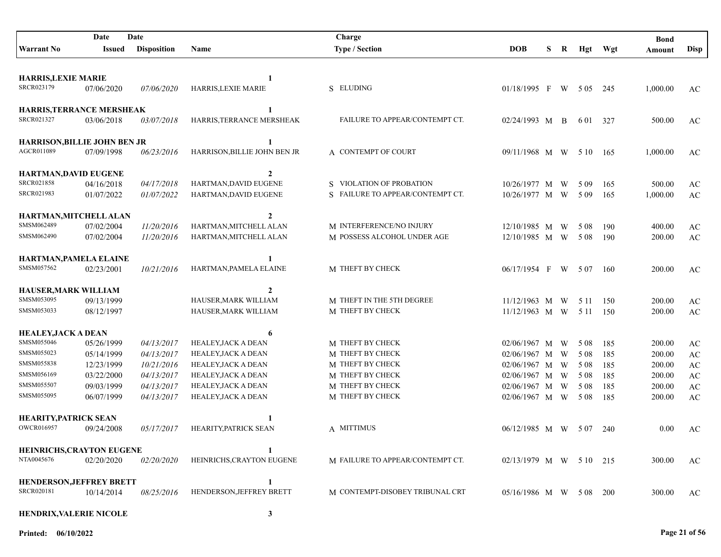| Date<br>Date                             |               |                    | Charge                              |                                  |                           |   |   |       | <b>Bond</b> |          |                        |
|------------------------------------------|---------------|--------------------|-------------------------------------|----------------------------------|---------------------------|---|---|-------|-------------|----------|------------------------|
| <b>Warrant No</b>                        | <b>Issued</b> | <b>Disposition</b> | Name                                | <b>Type / Section</b>            | <b>DOB</b>                | S | R | Hgt   | Wgt         | Amount   | <b>Disp</b>            |
|                                          |               |                    |                                     |                                  |                           |   |   |       |             |          |                        |
| <b>HARRIS, LEXIE MARIE</b><br>SRCR023179 | 07/06/2020    | 07/06/2020         | $\mathbf{1}$<br>HARRIS, LEXIE MARIE | S ELUDING                        | $01/18/1995$ F W 505      |   |   |       | 245         | 1,000.00 | AC                     |
| <b>HARRIS,TERRANCE MERSHEAK</b>          |               |                    | 1                                   |                                  |                           |   |   |       |             |          |                        |
| SRCR021327                               | 03/06/2018    | 03/07/2018         | HARRIS, TERRANCE MERSHEAK           | FAILURE TO APPEAR/CONTEMPT CT.   | 02/24/1993 M B            |   |   | 6 0 1 | 327         | 500.00   | AC                     |
| <b>HARRISON, BILLIE JOHN BEN JR</b>      |               |                    | 1                                   |                                  |                           |   |   |       |             |          |                        |
| AGCR011089                               | 07/09/1998    | 06/23/2016         | HARRISON, BILLIE JOHN BEN JR        | A CONTEMPT OF COURT              | 09/11/1968 M W            |   |   | 5 10  | 165         | 1,000.00 | AC                     |
| <b>HARTMAN, DAVID EUGENE</b>             |               |                    | $\overline{2}$                      |                                  |                           |   |   |       |             |          |                        |
| SRCR021858                               | 04/16/2018    | 04/17/2018         | HARTMAN, DAVID EUGENE               | S VIOLATION OF PROBATION         | 10/26/1977 M              |   | W | 5 0 9 | 165         | 500.00   | $\mathbf{A}\mathbf{C}$ |
| <b>SRCR021983</b>                        | 01/07/2022    | 01/07/2022         | HARTMAN, DAVID EUGENE               | S FAILURE TO APPEAR/CONTEMPT CT. | 10/26/1977 M              |   | W | 509   | 165         | 1,000.00 | AC                     |
| HARTMAN, MITCHELL ALAN                   |               |                    | $\overline{2}$                      |                                  |                           |   |   |       |             |          |                        |
| SMSM062489                               | 07/02/2004    | 11/20/2016         | HARTMAN, MITCHELL ALAN              | M INTERFERENCE/NO INJURY         | 12/10/1985 M W            |   |   | 5 0 8 | 190         | 400.00   | $\mathbf{A}\mathbf{C}$ |
| SMSM062490                               | 07/02/2004    | 11/20/2016         | HARTMAN, MITCHELL ALAN              | M POSSESS ALCOHOL UNDER AGE      | 12/10/1985 M W            |   |   | 5 0 8 | 190         | 200.00   | $\mathbf{A}\mathbf{C}$ |
| HARTMAN, PAMELA ELAINE                   |               |                    | 1                                   |                                  |                           |   |   |       |             |          |                        |
| SMSM057562                               | 02/23/2001    | 10/21/2016         | HARTMAN, PAMELA ELAINE              | M THEFT BY CHECK                 | 06/17/1954 F W            |   |   | 5 0 7 | - 160       | 200.00   | AC                     |
| <b>HAUSER, MARK WILLIAM</b>              |               |                    | $\mathbf{2}$                        |                                  |                           |   |   |       |             |          |                        |
| SMSM053095                               | 09/13/1999    |                    | HAUSER, MARK WILLIAM                | M THEFT IN THE 5TH DEGREE        | 11/12/1963 M              |   | W | 5 1 1 | 150         | 200.00   | AC                     |
| SMSM053033                               | 08/12/1997    |                    | HAUSER, MARK WILLIAM                | M THEFT BY CHECK                 | 11/12/1963 M W            |   |   | 5 1 1 | 150         | 200.00   | $\mathbf{A}\mathbf{C}$ |
| <b>HEALEY, JACK A DEAN</b>               |               |                    | 6                                   |                                  |                           |   |   |       |             |          |                        |
| SMSM055046                               | 05/26/1999    | 04/13/2017         | HEALEY, JACK A DEAN                 | M THEFT BY CHECK                 | $02/06/1967$ M            |   | W | 5 0 8 | 185         | 200.00   | AC                     |
| SMSM055023                               | 05/14/1999    | 04/13/2017         | HEALEY, JACK A DEAN                 | M THEFT BY CHECK                 | 02/06/1967 M              |   | W | 5 0 8 | 185         | 200.00   | $\mathbf{A}\mathbf{C}$ |
| SMSM055838                               | 12/23/1999    | 10/21/2016         | <b>HEALEY, JACK A DEAN</b>          | M THEFT BY CHECK                 | 02/06/1967 M              |   | W | 5 0 8 | 185         | 200.00   | $\mathbf{A}\mathbf{C}$ |
| SMSM056169                               | 03/22/2000    | 04/13/2017         | <b>HEALEY, JACK A DEAN</b>          | M THEFT BY CHECK                 | 02/06/1967 M              |   | W | 5 0 8 | 185         | 200.00   | $\mathbf{A}\mathbf{C}$ |
| SMSM055507                               | 09/03/1999    | 04/13/2017         | HEALEY, JACK A DEAN                 | M THEFT BY CHECK                 | $02/06/1967$ M            |   | W | 5 0 8 | 185         | 200.00   | $\mathbf{A}\mathbf{C}$ |
| SMSM055095                               | 06/07/1999    | 04/13/2017         | <b>HEALEY, JACK A DEAN</b>          | M THEFT BY CHECK                 | 02/06/1967 M W            |   |   | 5 0 8 | 185         | 200.00   | AC                     |
| <b>HEARITY, PATRICK SEAN</b>             |               |                    | 1                                   |                                  |                           |   |   |       |             |          |                        |
| <b>OWCR016957</b>                        | 09/24/2008    | 05/17/2017         | HEARITY, PATRICK SEAN               | A MITTIMUS                       | 06/12/1985 M W            |   |   | 5 0 7 | 240         | 0.00     | AC                     |
| <b>HEINRICHS, CRAYTON EUGENE</b>         |               |                    | 1                                   |                                  |                           |   |   |       |             |          |                        |
| NTA0045676                               | 02/20/2020    | 02/20/2020         | HEINRICHS, CRAYTON EUGENE           | M FAILURE TO APPEAR/CONTEMPT CT. | $02/13/1979$ M W 5 10 215 |   |   |       |             | 300.00   | AC                     |
| <b>HENDERSON, JEFFREY BRETT</b>          |               |                    | 1                                   |                                  |                           |   |   |       |             |          |                        |
| <b>SRCR020181</b>                        | 10/14/2014    | 08/25/2016         | HENDERSON, JEFFREY BRETT            | M CONTEMPT-DISOBEY TRIBUNAL CRT  | 05/16/1986 M W 508        |   |   |       | <b>200</b>  | 300.00   | AC                     |
| <b>HENDRIX, VALERIE NICOLE</b>           |               |                    | $\mathbf{3}$                        |                                  |                           |   |   |       |             |          |                        |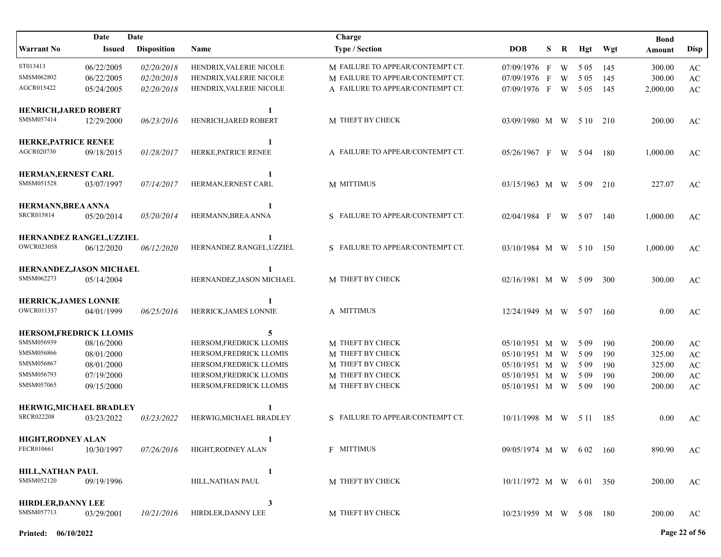|                              | Date          | Date               |                          | Charge                           |                        |   |    |       |       | <b>Bond</b> |                        |
|------------------------------|---------------|--------------------|--------------------------|----------------------------------|------------------------|---|----|-------|-------|-------------|------------------------|
| <b>Warrant No</b>            | <b>Issued</b> | <b>Disposition</b> | Name                     | <b>Type / Section</b>            | <b>DOB</b>             | S | R  | Hgt   | Wgt   | Amount      | <b>Disp</b>            |
| ST013413                     | 06/22/2005    | 02/20/2018         | HENDRIX, VALERIE NICOLE  | M FAILURE TO APPEAR/CONTEMPT CT. | 07/09/1976 F           |   | W  | 5 0 5 | 145   | 300.00      | AC                     |
| SMSM062802                   | 06/22/2005    | 02/20/2018         | HENDRIX, VALERIE NICOLE  | M FAILURE TO APPEAR/CONTEMPT CT. | 07/09/1976 F           |   | W  | 5 0 5 | 145   | 300.00      | $\mathbf{A}\mathbf{C}$ |
| AGCR015422                   | 05/24/2005    | 02/20/2018         | HENDRIX, VALERIE NICOLE  | A FAILURE TO APPEAR/CONTEMPT CT. | 07/09/1976 F           |   | W. | 5 0 5 | 145   | 2,000.00    | $\mathbf{A}\mathbf{C}$ |
| <b>HENRICH, JARED ROBERT</b> |               |                    | -1                       |                                  |                        |   |    |       |       |             |                        |
| SMSM057414                   | 12/29/2000    | 06/23/2016         | HENRICH, JARED ROBERT    | M THEFT BY CHECK                 | 03/09/1980 M W 510     |   |    |       | 210   | 200.00      | AC                     |
| <b>HERKE, PATRICE RENEE</b>  |               |                    |                          |                                  |                        |   |    |       |       |             |                        |
| AGCR020730                   | 09/18/2015    | 01/28/2017         | HERKE, PATRICE RENEE     | A FAILURE TO APPEAR/CONTEMPT CT. | $05/26/1967$ F W       |   |    | 5 04  | - 180 | 1,000.00    | AC                     |
| HERMAN, ERNEST CARL          |               |                    | $\blacksquare$           |                                  |                        |   |    |       |       |             |                        |
| SMSM051528                   | 03/07/1997    | 07/14/2017         | HERMAN, ERNEST CARL      | M MITTIMUS                       | 03/15/1963 M W         |   |    | 5 0 9 | 210   | 227.07      | AC                     |
| HERMANN, BREA ANNA           |               |                    | -1                       |                                  |                        |   |    |       |       |             |                        |
| SRCR015814                   | 05/20/2014    | 05/20/2014         | HERMANN, BREA ANNA       | S FAILURE TO APPEAR/CONTEMPT CT. | 02/04/1984 F           |   | W  | 5 0 7 | 140   | 1,000.00    | AC                     |
| HERNANDEZ RANGEL, UZZIEL     |               |                    | -1                       |                                  |                        |   |    |       |       |             |                        |
| <b>OWCR023058</b>            | 06/12/2020    | 06/12/2020         | HERNANDEZ RANGEL, UZZIEL | S FAILURE TO APPEAR/CONTEMPT CT. | $03/10/1984$ M W 5 10  |   |    |       | 150   | 1,000.00    | AC                     |
| HERNANDEZ, JASON MICHAEL     |               |                    | -1                       |                                  |                        |   |    |       |       |             |                        |
| SMSM062273                   | 05/14/2004    |                    | HERNANDEZ, JASON MICHAEL | M THEFT BY CHECK                 | 02/16/1981 M W         |   |    | 5 0 9 | 300   | 300.00      | AC                     |
| <b>HERRICK, JAMES LONNIE</b> |               |                    | -1                       |                                  |                        |   |    |       |       |             |                        |
| OWCR011337                   | 04/01/1999    | 06/25/2016         | HERRICK, JAMES LONNIE    | A MITTIMUS                       | 12/24/1949 M W         |   |    | 5 0 7 | 160   | 0.00        | AC                     |
| HERSOM, FREDRICK LLOMIS      |               |                    | 5                        |                                  |                        |   |    |       |       |             |                        |
| SMSM056939                   | 08/16/2000    |                    | HERSOM, FREDRICK LLOMIS  | M THEFT BY CHECK                 | 05/10/1951 M W         |   |    | 5 0 9 | 190   | 200.00      | AC                     |
| SMSM056866                   | 08/01/2000    |                    | HERSOM, FREDRICK LLOMIS  | M THEFT BY CHECK                 | 05/10/1951 M W         |   |    | 5 0 9 | 190   | 325.00      | $\mathbf{A}\mathbf{C}$ |
| SMSM056867                   | 08/01/2000    |                    | HERSOM, FREDRICK LLOMIS  | M THEFT BY CHECK                 | 05/10/1951 M W         |   |    | 5 0 9 | 190   | 325.00      | $\mathbf{A}\mathbf{C}$ |
| SMSM056793                   | 07/19/2000    |                    | HERSOM, FREDRICK LLOMIS  | M THEFT BY CHECK                 | 05/10/1951 M W         |   |    | 5 0 9 | 190   | 200.00      | $\mathbf{A}\mathbf{C}$ |
| SMSM057065                   | 09/15/2000    |                    | HERSOM,FREDRICK LLOMIS   | M THEFT BY CHECK                 | 05/10/1951 M W         |   |    | 5 0 9 | 190   | 200.00      | AC                     |
| HERWIG, MICHAEL BRADLEY      |               |                    |                          |                                  |                        |   |    |       |       |             |                        |
| <b>SRCR022208</b>            | 03/23/2022    | 03/23/2022         | HERWIG.MICHAEL BRADLEY   | S FAILURE TO APPEAR/CONTEMPT CT. | 10/11/1998 M W 511     |   |    |       | 185   | 0.00        | AC                     |
| HIGHT, RODNEY ALAN           |               |                    | 1                        |                                  |                        |   |    |       |       |             |                        |
| FECR010661                   | 10/30/1997    | 07/26/2016         | HIGHT, RODNEY ALAN       | F MITTIMUS                       | 09/05/1974 M W 602 160 |   |    |       |       | 890.90      | AC                     |
| <b>HILL, NATHAN PAUL</b>     |               |                    | 1                        |                                  |                        |   |    |       |       |             |                        |
| SMSM052120                   | 09/19/1996    |                    | HILL, NATHAN PAUL        | M THEFT BY CHECK                 | 10/11/1972 M W 601 350 |   |    |       |       | 200.00      | AC                     |
| <b>HIRDLER, DANNY LEE</b>    |               |                    | 3                        |                                  |                        |   |    |       |       |             |                        |
| SMSM057713                   | 03/29/2001    | 10/21/2016         | HIRDLER, DANNY LEE       | M THEFT BY CHECK                 | 10/23/1959 M W 508 180 |   |    |       |       | 200.00      | AC                     |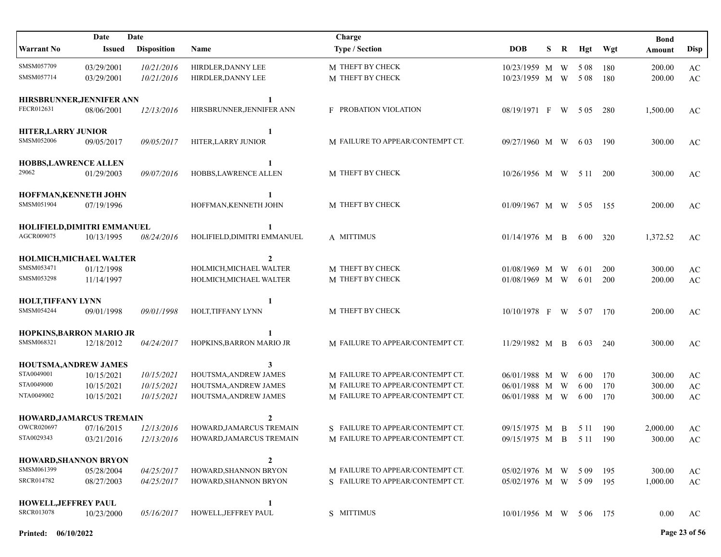| Date<br>Date                              |                          |                          | Charge                                         |                                                                      |                                            |   |   |               | <b>Bond</b> |                    |                        |
|-------------------------------------------|--------------------------|--------------------------|------------------------------------------------|----------------------------------------------------------------------|--------------------------------------------|---|---|---------------|-------------|--------------------|------------------------|
| <b>Warrant No</b>                         | <b>Issued</b>            | <b>Disposition</b>       | Name                                           | <b>Type / Section</b>                                                | <b>DOB</b>                                 | S | R | Hgt           | Wgt         | Amount             | <b>Disp</b>            |
| SMSM057709                                | 03/29/2001               | 10/21/2016               | HIRDLER, DANNY LEE                             | M THEFT BY CHECK                                                     | 10/23/1959 M W                             |   |   | 5 0 8         | 180         | 200.00             | $\mathbf{A}\mathbf{C}$ |
| SMSM057714                                | 03/29/2001               | 10/21/2016               | HIRDLER, DANNY LEE                             | M THEFT BY CHECK                                                     | 10/23/1959 M W                             |   |   | 5 0 8         | 180         | 200.00             | AC                     |
| HIRSBRUNNER, JENNIFER ANN<br>FECR012631   | 08/06/2001               | 12/13/2016               | 1<br>HIRSBRUNNER, JENNIFER ANN                 | <b>F</b> PROBATION VIOLATION                                         | 08/19/1971 F                               |   |   | W 505         | 280         | 1,500.00           | AC                     |
|                                           |                          |                          |                                                |                                                                      |                                            |   |   |               |             |                    |                        |
| <b>HITER, LARRY JUNIOR</b><br>SMSM052006  | 09/05/2017               | <i>09/05/2017</i>        | HITER, LARRY JUNIOR                            | M FAILURE TO APPEAR/CONTEMPT CT.                                     | 09/27/1960 M W                             |   |   | 6 0 3         | 190         | 300.00             | AC                     |
| <b>HOBBS,LAWRENCE ALLEN</b><br>29062      | 01/29/2003               | 09/07/2016               | 1<br>HOBBS, LAWRENCE ALLEN                     | M THEFT BY CHECK                                                     | $10/26/1956$ M W 5 11                      |   |   |               | 200         | 300.00             | AC                     |
| HOFFMAN, KENNETH JOHN                     |                          |                          | 1                                              |                                                                      |                                            |   |   |               |             |                    |                        |
| SMSM051904                                | 07/19/1996               |                          | HOFFMAN, KENNETH JOHN                          | M THEFT BY CHECK                                                     | 01/09/1967 M W                             |   |   | 5 0 5         | 155         | 200.00             | AC                     |
| HOLIFIELD, DIMITRI EMMANUEL<br>AGCR009075 | 10/13/1995               | 08/24/2016               | 1<br>HOLIFIELD, DIMITRI EMMANUEL               | A MITTIMUS                                                           | 01/14/1976 M                               |   | B | 6 0 0         | 320         | 1,372.52           | AC                     |
| <b>HOLMICH, MICHAEL WALTER</b>            |                          |                          | $\overline{2}$                                 |                                                                      |                                            |   |   |               |             |                    |                        |
| SMSM053471                                | 01/12/1998               |                          | HOLMICH, MICHAEL WALTER                        | M THEFT BY CHECK                                                     | 01/08/1969 M                               |   | W | 6 0 1         | 200         | 300.00             | AC                     |
| SMSM053298                                | 11/14/1997               |                          | HOLMICH, MICHAEL WALTER                        | M THEFT BY CHECK                                                     | 01/08/1969 M W                             |   |   | 6 0 1         | 200         | 200.00             | AC                     |
|                                           |                          |                          |                                                |                                                                      |                                            |   |   |               |             |                    |                        |
| <b>HOLT, TIFFANY LYNN</b><br>SMSM054244   | 09/01/1998               | 09/01/1998               | 1<br>HOLT, TIFFANY LYNN                        | M THEFT BY CHECK                                                     | $10/10/1978$ F W                           |   |   | 5 0 7         | 170         | 200.00             | AC                     |
| <b>HOPKINS, BARRON MARIO JR</b>           |                          |                          |                                                |                                                                      |                                            |   |   |               |             |                    |                        |
| SMSM068321                                | 12/18/2012               | 04/24/2017               | HOPKINS, BARRON MARIO JR                       | M FAILURE TO APPEAR/CONTEMPT CT.                                     | 11/29/1982 M B                             |   |   | 6 0 3         | 240         | 300.00             | AC                     |
|                                           |                          |                          |                                                |                                                                      |                                            |   |   |               |             |                    |                        |
| HOUTSMA, ANDREW JAMES<br>STA0049001       |                          |                          | 3                                              |                                                                      |                                            |   |   |               |             |                    |                        |
| STA0049000                                | 10/15/2021<br>10/15/2021 | 10/15/2021<br>10/15/2021 | HOUTSMA, ANDREW JAMES<br>HOUTSMA, ANDREW JAMES | M FAILURE TO APPEAR/CONTEMPT CT.<br>M FAILURE TO APPEAR/CONTEMPT CT. | 06/01/1988 M<br>06/01/1988 M               |   | W | 6 0 0         | 170<br>170  | 300.00             | AC                     |
| NTA0049002                                | 10/15/2021               | 10/15/2021               | HOUTSMA, ANDREW JAMES                          | M FAILURE TO APPEAR/CONTEMPT CT.                                     | 06/01/1988 M W                             |   | W | 6 00<br>6 0 0 | 170         | 300.00<br>300.00   | AC<br>AC               |
|                                           |                          |                          |                                                |                                                                      |                                            |   |   |               |             |                    |                        |
| HOWARD, JAMARCUS TREMAIN                  |                          |                          | $\mathbf{2}$                                   |                                                                      |                                            |   |   |               |             |                    |                        |
| <b>OWCR020697</b>                         | 07/16/2015               | 12/13/2016               | HOWARD, JAMARCUS TREMAIN                       | S FAILURE TO APPEAR/CONTEMPT CT.                                     | 09/15/1975 M B                             |   |   | 5 1 1         | 190         | 2,000.00           | AC                     |
| STA0029343                                | 03/21/2016               | 12/13/2016               | HOWARD, JAMARCUS TREMAIN                       | M FAILURE TO APPEAR/CONTEMPT CT.                                     | 09/15/1975 M B 5 11 190                    |   |   |               |             | 300.00             | AC                     |
|                                           |                          |                          |                                                |                                                                      |                                            |   |   |               |             |                    |                        |
| HOWARD, SHANNON BRYON<br>SMSM061399       |                          |                          | $\overline{2}$<br>HOWARD, SHANNON BRYON        | M FAILURE TO APPEAR/CONTEMPT CT.                                     |                                            |   |   |               |             |                    |                        |
| SRCR014782                                | 05/28/2004<br>08/27/2003 | 04/25/2017<br>04/25/2017 | HOWARD, SHANNON BRYON                          | S FAILURE TO APPEAR/CONTEMPT CT.                                     | 05/02/1976 M W 509<br>$05/02/1976$ M W 509 |   |   |               | 195<br>195  | 300.00<br>1,000.00 | AC                     |
|                                           |                          |                          |                                                |                                                                      |                                            |   |   |               |             |                    | AC                     |
| <b>HOWELL, JEFFREY PAUL</b>               |                          |                          | 1                                              |                                                                      |                                            |   |   |               |             |                    |                        |
| <b>SRCR013078</b>                         | 10/23/2000               | 05/16/2017               | HOWELL, JEFFREY PAUL                           | S MITTIMUS                                                           | 10/01/1956 M W 506 175                     |   |   |               |             | $0.00\,$           | AC                     |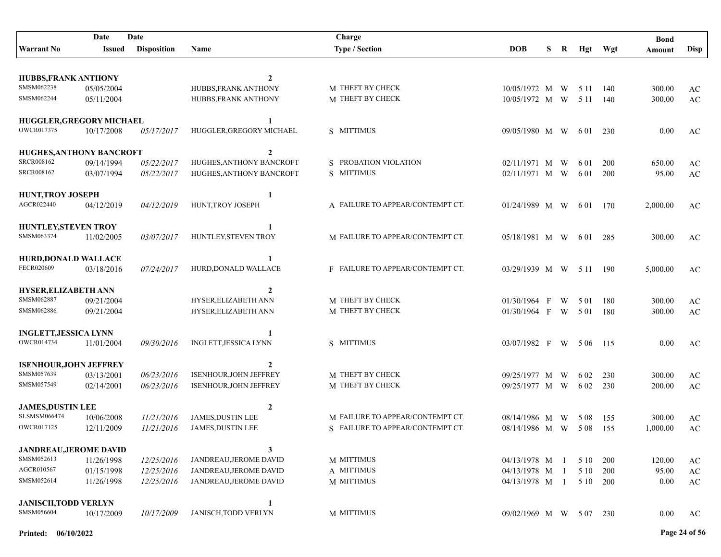| Date<br>Date                    |            |                    |                               | Charge                           |                        |    |   |         |       | <b>Bond</b> |                        |
|---------------------------------|------------|--------------------|-------------------------------|----------------------------------|------------------------|----|---|---------|-------|-------------|------------------------|
| <b>Warrant No</b>               | Issued     | <b>Disposition</b> | Name                          | <b>Type / Section</b>            | <b>DOB</b>             | S. | R | Hgt     | Wgt   | Amount      | <b>Disp</b>            |
|                                 |            |                    |                               |                                  |                        |    |   |         |       |             |                        |
| <b>HUBBS, FRANK ANTHONY</b>     |            |                    | $\mathbf{2}$                  |                                  |                        |    |   |         |       |             |                        |
| SMSM062238                      | 05/05/2004 |                    | HUBBS, FRANK ANTHONY          | M THEFT BY CHECK                 | 10/05/1972 M W         |    |   | 5 1 1   | 140   | 300.00      | AC                     |
| SMSM062244                      | 05/11/2004 |                    | HUBBS, FRANK ANTHONY          | M THEFT BY CHECK                 | 10/05/1972 M W         |    |   | 5 1 1   | 140   | 300.00      | $\mathbf{A}\mathbf{C}$ |
| HUGGLER, GREGORY MICHAEL        |            |                    | $\mathbf{1}$                  |                                  |                        |    |   |         |       |             |                        |
| OWCR017375                      | 10/17/2008 | 05/17/2017         | HUGGLER, GREGORY MICHAEL      | S MITTIMUS                       | 09/05/1980 M W         |    |   | 6 0 1   | 230   | 0.00        | AC                     |
| <b>HUGHES, ANTHONY BANCROFT</b> |            |                    | $\overline{2}$                |                                  |                        |    |   |         |       |             |                        |
| SRCR008162                      | 09/14/1994 | 05/22/2017         | HUGHES, ANTHONY BANCROFT      | S PROBATION VIOLATION            | 02/11/1971 M           |    | W | 6 0 1   | 200   | 650.00      | AC                     |
| SRCR008162                      | 03/07/1994 | 05/22/2017         | HUGHES, ANTHONY BANCROFT      | S MITTIMUS                       | 02/11/1971 M W         |    |   | 6 0 1   | 200   | 95.00       | $\mathbf{A}\mathbf{C}$ |
| <b>HUNT, TROY JOSEPH</b>        |            |                    | 1                             |                                  |                        |    |   |         |       |             |                        |
| AGCR022440                      | 04/12/2019 | 04/12/2019         | HUNT, TROY JOSEPH             | A FAILURE TO APPEAR/CONTEMPT CT. | 01/24/1989 M W         |    |   | 6 0 1   | 170   | 2,000.00    | AC                     |
| <b>HUNTLEY, STEVEN TROY</b>     |            |                    | 1                             |                                  |                        |    |   |         |       |             |                        |
| SMSM063374                      | 11/02/2005 | 03/07/2017         | HUNTLEY, STEVEN TROY          | M FAILURE TO APPEAR/CONTEMPT CT. | 05/18/1981 M W         |    |   | 6 0 1   | 285   | 300.00      | AC                     |
| <b>HURD,DONALD WALLACE</b>      |            |                    | 1                             |                                  |                        |    |   |         |       |             |                        |
| FECR020609                      | 03/18/2016 | 07/24/2017         | HURD, DONALD WALLACE          | F FAILURE TO APPEAR/CONTEMPT CT. | 03/29/1939 M W 511     |    |   |         | 190   | 5,000.00    | AC                     |
| <b>HYSER, ELIZABETH ANN</b>     |            |                    | 2                             |                                  |                        |    |   |         |       |             |                        |
| SMSM062887                      | 09/21/2004 |                    | HYSER, ELIZABETH ANN          | M THEFT BY CHECK                 | 01/30/1964 F           |    | W | 5 0 1   | 180   | 300.00      | AC                     |
| SMSM062886                      | 09/21/2004 |                    | HYSER, ELIZABETH ANN          | M THEFT BY CHECK                 | 01/30/1964 F           |    | W | 5 0 1   | 180   | 300.00      | $\mathbf{A}\mathbf{C}$ |
| <b>INGLETT, JESSICA LYNN</b>    |            |                    |                               |                                  |                        |    |   |         |       |             |                        |
| OWCR014734                      | 11/01/2004 | 09/30/2016         | INGLETT, JESSICA LYNN         | S MITTIMUS                       | 03/07/1982 F           |    |   | W 506   | - 115 | 0.00        | AC                     |
| <b>ISENHOUR, JOHN JEFFREY</b>   |            |                    | $\mathbf{2}$                  |                                  |                        |    |   |         |       |             |                        |
| SMSM057639                      | 03/13/2001 | 06/23/2016         | <b>ISENHOUR, JOHN JEFFREY</b> | M THEFT BY CHECK                 | 09/25/1977 M           |    | W | 6 0 2   | 230   | 300.00      | AC                     |
| SMSM057549                      | 02/14/2001 | 06/23/2016         | <b>ISENHOUR, JOHN JEFFREY</b> | M THEFT BY CHECK                 | 09/25/1977 M W         |    |   | 6 0 2   | 230   | 200.00      | AC                     |
| <b>JAMES,DUSTIN LEE</b>         |            |                    | $\mathbf{2}$                  |                                  |                        |    |   |         |       |             |                        |
| SLSMSM066474                    | 10/06/2008 | 11/21/2016         | <b>JAMES,DUSTIN LEE</b>       | M FAILURE TO APPEAR/CONTEMPT CT. | 08/14/1986 M W         |    |   | - 5 0 8 | 155   | 300.00      | AC                     |
| OWCR017125                      | 12/11/2009 | 11/21/2016         | JAMES, DUSTIN LEE             | S FAILURE TO APPEAR/CONTEMPT CT. | 08/14/1986 M W         |    |   | 5 0 8   | 155   | 1,000.00    | $\mathbf{A}\mathbf{C}$ |
| <b>JANDREAU, JEROME DAVID</b>   |            |                    | 3                             |                                  |                        |    |   |         |       |             |                        |
| SMSM052613                      | 11/26/1998 | 12/25/2016         | JANDREAU, JEROME DAVID        | M MITTIMUS                       | 04/13/1978 M I         |    |   | 5 10    | 200   | 120.00      | AC                     |
| AGCR010567                      | 01/15/1998 | 12/25/2016         | JANDREAU, JEROME DAVID        | A MITTIMUS                       | 04/13/1978 M I         |    |   | 5 10    | 200   | 95.00       | $\mathbf{A}\mathbf{C}$ |
| SMSM052614                      | 11/26/1998 | 12/25/2016         | JANDREAU, JEROME DAVID        | M MITTIMUS                       | 04/13/1978 M I         |    |   | 5 1 0   | 200   | 0.00        | $\mathbf{A}\mathbf{C}$ |
| <b>JANISCH, TODD VERLYN</b>     |            |                    | 1                             |                                  |                        |    |   |         |       |             |                        |
| SMSM056604                      | 10/17/2009 | 10/17/2009         | <b>JANISCH, TODD VERLYN</b>   | M MITTIMUS                       | 09/02/1969 M W 507 230 |    |   |         |       | 0.00        | AC                     |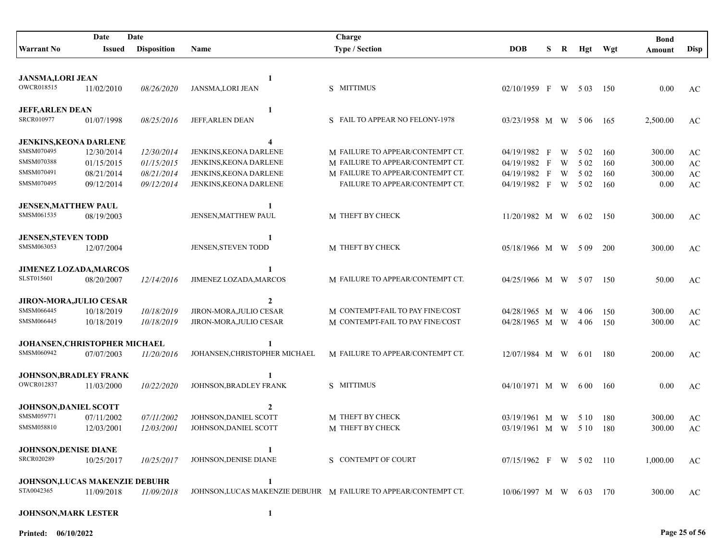| Date<br>Date                         |               |                    |                               | Charge                                                          |                        |   |   |       |       | <b>Bond</b> |                        |
|--------------------------------------|---------------|--------------------|-------------------------------|-----------------------------------------------------------------|------------------------|---|---|-------|-------|-------------|------------------------|
| <b>Warrant No</b>                    | <b>Issued</b> | <b>Disposition</b> | Name                          | <b>Type / Section</b>                                           | <b>DOB</b>             | S | R | Hgt   | Wgt   | Amount      | <b>Disp</b>            |
|                                      |               |                    |                               |                                                                 |                        |   |   |       |       |             |                        |
| <b>JANSMA,LORI JEAN</b>              |               |                    | 1                             |                                                                 |                        |   |   |       |       |             |                        |
| OWCR018515                           | 11/02/2010    | <i>08/26/2020</i>  | JANSMA, LORI JEAN             | S MITTIMUS                                                      | 02/10/1959 F           |   | W | 5 0 3 | 150   | 0.00        | AC                     |
| <b>JEFF, ARLEN DEAN</b>              |               |                    | 1                             |                                                                 |                        |   |   |       |       |             |                        |
| SRCR010977                           | 01/07/1998    | 08/25/2016         | JEFF, ARLEN DEAN              | S FAIL TO APPEAR NO FELONY-1978                                 | 03/23/1958 M W         |   |   | 5 0 6 | 165   | 2,500.00    | AC                     |
| <b>JENKINS, KEONA DARLENE</b>        |               |                    | 4                             |                                                                 |                        |   |   |       |       |             |                        |
| SMSM070495                           | 12/30/2014    | 12/30/2014         | JENKINS, KEONA DARLENE        | M FAILURE TO APPEAR/CONTEMPT CT.                                | 04/19/1982 F           |   | W | 5 0 2 | 160   | 300.00      | AC                     |
| SMSM070388                           | 01/15/2015    | 01/15/2015         | JENKINS, KEONA DARLENE        | M FAILURE TO APPEAR/CONTEMPT CT.                                | 04/19/1982 F           |   | W | 5 0 2 | 160   | 300.00      | AC                     |
| SMSM070491                           | 08/21/2014    | 08/21/2014         | JENKINS, KEONA DARLENE        | M FAILURE TO APPEAR/CONTEMPT CT.                                | 04/19/1982 F           |   | W | 5 0 2 | 160   | 300.00      | $\mathbf{A}\mathbf{C}$ |
| SMSM070495                           | 09/12/2014    | 09/12/2014         | JENKINS, KEONA DARLENE        | FAILURE TO APPEAR/CONTEMPT CT.                                  | 04/19/1982 F           |   | W | 5 0 2 | 160   | 0.00        | $\mathbf{A}\mathbf{C}$ |
| <b>JENSEN, MATTHEW PAUL</b>          |               |                    | 1                             |                                                                 |                        |   |   |       |       |             |                        |
| SMSM061535                           | 08/19/2003    |                    | JENSEN, MATTHEW PAUL          | M THEFT BY CHECK                                                | $11/20/1982$ M W       |   |   | 6 0 2 | 150   | 300.00      | AC                     |
| <b>JENSEN, STEVEN TODD</b>           |               |                    | 1                             |                                                                 |                        |   |   |       |       |             |                        |
| SMSM063053                           | 12/07/2004    |                    | JENSEN, STEVEN TODD           | M THEFT BY CHECK                                                | 05/18/1966 M W         |   |   | 5 0 9 | 200   | 300.00      | AC                     |
| <b>JIMENEZ LOZADA, MARCOS</b>        |               |                    |                               |                                                                 |                        |   |   |       |       |             |                        |
| SLST015601                           | 08/20/2007    | 12/14/2016         | JIMENEZ LOZADA, MARCOS        | M FAILURE TO APPEAR/CONTEMPT CT.                                | 04/25/1966 M W         |   |   | 5 0 7 | 150   | 50.00       | AC                     |
| <b>JIRON-MORA, JULIO CESAR</b>       |               |                    | $\mathbf{2}$                  |                                                                 |                        |   |   |       |       |             |                        |
| SMSM066445                           | 10/18/2019    | 10/18/2019         | JIRON-MORA, JULIO CESAR       | M CONTEMPT-FAIL TO PAY FINE/COST                                | 04/28/1965 M           |   | W | 4 0 6 | 150   | 300.00      | AC                     |
| SMSM066445                           | 10/18/2019    | 10/18/2019         | JIRON-MORA, JULIO CESAR       | M CONTEMPT-FAIL TO PAY FINE/COST                                | 04/28/1965 M W         |   |   | 4 0 6 | 150   | 300.00      | AC                     |
| JOHANSEN, CHRISTOPHER MICHAEL        |               |                    |                               |                                                                 |                        |   |   |       |       |             |                        |
| SMSM060942                           | 07/07/2003    | 11/20/2016         | JOHANSEN, CHRISTOPHER MICHAEL | M FAILURE TO APPEAR/CONTEMPT CT.                                | 12/07/1984 M W         |   |   | 6 0 1 | 180   | 200.00      | AC                     |
| <b>JOHNSON, BRADLEY FRANK</b>        |               |                    |                               |                                                                 |                        |   |   |       |       |             |                        |
| <b>OWCR012837</b>                    | 11/03/2000    | 10/22/2020         | JOHNSON, BRADLEY FRANK        | S MITTIMUS                                                      | $04/10/1971$ M W 600   |   |   |       | 160   | 0.00        | AC                     |
| <b>JOHNSON, DANIEL SCOTT</b>         |               |                    | 2                             |                                                                 |                        |   |   |       |       |             |                        |
| SMSM059771                           | 07/11/2002    | 07/11/2002         | JOHNSON, DANIEL SCOTT         | M THEFT BY CHECK                                                | $03/19/1961$ M W       |   |   | 5 10  | 180   | 300.00      | AC                     |
| SMSM058810                           | 12/03/2001    | 12/03/2001         | JOHNSON, DANIEL SCOTT         | M THEFT BY CHECK                                                | 03/19/1961 M W 510     |   |   |       | 180   | 300.00      | $\mathbf{A}\mathbf{C}$ |
| <b>JOHNSON, DENISE DIANE</b>         |               |                    |                               |                                                                 |                        |   |   |       |       |             |                        |
| <b>SRCR020289</b>                    | 10/25/2017    | 10/25/2017         | JOHNSON, DENISE DIANE         | S CONTEMPT OF COURT                                             | 07/15/1962 F W 502 110 |   |   |       |       | 1,000.00    | AC                     |
| <b>JOHNSON,LUCAS MAKENZIE DEBUHR</b> |               |                    | 1                             |                                                                 |                        |   |   |       |       |             |                        |
| STA0042365                           | 11/09/2018    | 11/09/2018         |                               | JOHNSON, LUCAS MAKENZIE DEBUHR M FAILURE TO APPEAR/CONTEMPT CT. | $10/06/1997$ M W 603   |   |   |       | - 170 | 300.00      | AC                     |
| <b>JOHNSON, MARK LESTER</b>          |               |                    | $\mathbf{1}$                  |                                                                 |                        |   |   |       |       |             |                        |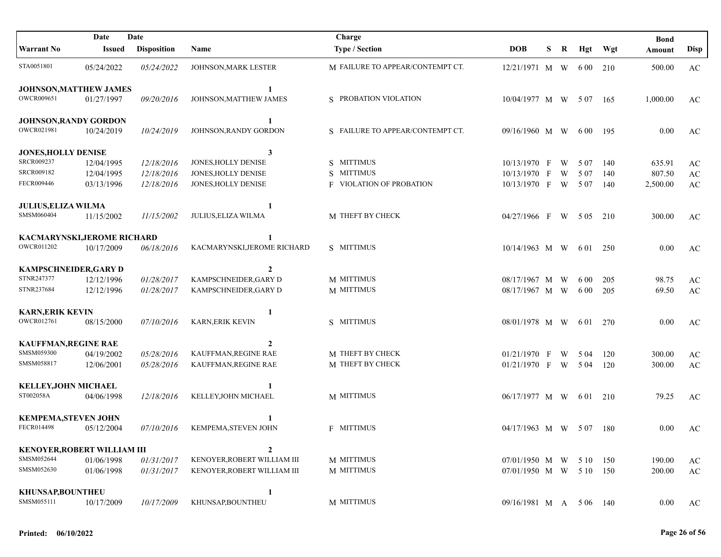|                                    | Date          | Date               |                             | Charge                           |                         |   |   |       |         | <b>Bond</b> |                        |
|------------------------------------|---------------|--------------------|-----------------------------|----------------------------------|-------------------------|---|---|-------|---------|-------------|------------------------|
| <b>Warrant No</b>                  | <b>Issued</b> | <b>Disposition</b> | Name                        | <b>Type / Section</b>            | <b>DOB</b>              | S | R |       | Hgt Wgt | Amount      | Disp                   |
| STA0051801                         | 05/24/2022    | 05/24/2022         | JOHNSON, MARK LESTER        | M FAILURE TO APPEAR/CONTEMPT CT. | 12/21/1971 M W          |   |   | 6 0 0 | 210     | 500.00      | $\mathbf{A}\mathbf{C}$ |
| <b>JOHNSON, MATTHEW JAMES</b>      |               |                    | 1                           |                                  |                         |   |   |       |         |             |                        |
| OWCR009651                         | 01/27/1997    | 09/20/2016         | JOHNSON, MATTHEW JAMES      | S PROBATION VIOLATION            | 10/04/1977 M W 507      |   |   |       | 165     | 1,000.00    | AC                     |
| <b>JOHNSON, RANDY GORDON</b>       |               |                    | $\mathbf{1}$                |                                  |                         |   |   |       |         |             |                        |
| OWCR021981                         | 10/24/2019    | 10/24/2019         | JOHNSON.RANDY GORDON        | S FAILURE TO APPEAR/CONTEMPT CT. | 09/16/1960 M W          |   |   | 6 0 0 | -195    | 0.00        | AC                     |
| <b>JONES, HOLLY DENISE</b>         |               |                    | 3                           |                                  |                         |   |   |       |         |             |                        |
| SRCR009237                         | 12/04/1995    | 12/18/2016         | JONES, HOLLY DENISE         | S MITTIMUS                       | 10/13/1970 F            |   | W | 5 0 7 | 140     | 635.91      | AC                     |
| SRCR009182                         | 12/04/1995    | 12/18/2016         | JONES, HOLLY DENISE         | S MITTIMUS                       | 10/13/1970 F            |   | W | 5 0 7 | 140     | 807.50      | $\mathbf{A}\mathbf{C}$ |
| FECR009446                         | 03/13/1996    | 12/18/2016         | JONES, HOLLY DENISE         | <b>F</b> VIOLATION OF PROBATION  | 10/13/1970 F            |   | W | 5 0 7 | 140     | 2,500.00    | $\mathbf{A}\mathbf{C}$ |
| <b>JULIUS, ELIZA WILMA</b>         |               |                    | 1                           |                                  |                         |   |   |       |         |             |                        |
| SMSM060404                         | 11/15/2002    | 11/15/2002         | JULIUS, ELIZA WILMA         | M THEFT BY CHECK                 | 04/27/1966 F W 505      |   |   |       | 210     | 300.00      | AC                     |
| KACMARYNSKI, JEROME RICHARD        |               |                    |                             |                                  |                         |   |   |       |         |             |                        |
| OWCR011202                         | 10/17/2009    | 06/18/2016         | KACMARYNSKI, JEROME RICHARD | S MITTIMUS                       | $10/14/1963$ M W        |   |   | 6 0 1 | 250     | 0.00        | AC                     |
| <b>KAMPSCHNEIDER, GARY D</b>       |               |                    | $\mathbf{2}$                |                                  |                         |   |   |       |         |             |                        |
| STNR247377                         | 12/12/1996    | 01/28/2017         | KAMPSCHNEIDER, GARY D       | M MITTIMUS                       | 08/17/1967 M W          |   |   | 6 0 0 | 205     | 98.75       | AC                     |
| STNR237684                         | 12/12/1996    | 01/28/2017         | KAMPSCHNEIDER, GARY D       | M MITTIMUS                       | 08/17/1967 M W          |   |   | 6 0 0 | 205     | 69.50       | $\mathbf{A}\mathbf{C}$ |
| <b>KARN, ERIK KEVIN</b>            |               |                    | 1                           |                                  |                         |   |   |       |         |             |                        |
| OWCR012761                         | 08/15/2000    | 07/10/2016         | <b>KARN, ERIK KEVIN</b>     | S MITTIMUS                       | 08/01/1978 M W          |   |   | 6 0 1 | 270     | 0.00        | AC                     |
| <b>KAUFFMAN, REGINE RAE</b>        |               |                    | $\mathbf{2}$                |                                  |                         |   |   |       |         |             |                        |
| SMSM059300                         | 04/19/2002    | 05/28/2016         | KAUFFMAN, REGINE RAE        | M THEFT BY CHECK                 | $01/21/1970$ F          |   | W | 5 04  | 120     | 300.00      | $\mathbf{A}\mathbf{C}$ |
| SMSM058817                         | 12/06/2001    | 05/28/2016         | KAUFFMAN, REGINE RAE        | M THEFT BY CHECK                 | $01/21/1970$ F          |   | W | 5 0 4 | 120     | 300.00      | $\mathbf{A}\mathbf{C}$ |
| <b>KELLEY, JOHN MICHAEL</b>        |               |                    |                             |                                  |                         |   |   |       |         |             |                        |
| ST002058A                          | 04/06/1998    | 12/18/2016         | KELLEY, JOHN MICHAEL        | M MITTIMUS                       | 06/17/1977 M W          |   |   | 6 0 1 | 210     | 79.25       | AC                     |
| <b>KEMPEMA, STEVEN JOHN</b>        |               |                    |                             |                                  |                         |   |   |       |         |             |                        |
| FECR014498                         | 05/12/2004    | 07/10/2016         | KEMPEMA, STEVEN JOHN        | <b>F MITTIMUS</b>                | 04/17/1963 M W 507      |   |   |       | 180     | 0.00        | AC                     |
| <b>KENOYER, ROBERT WILLIAM III</b> |               |                    | $\boldsymbol{2}$            |                                  |                         |   |   |       |         |             |                        |
| SMSM052644                         | 01/06/1998    | 01/31/2017         | KENOYER, ROBERT WILLIAM III | M MITTIMUS                       | $07/01/1950$ M W        |   |   | 5 10  | 150     | 190.00      | AC                     |
| SMSM052630                         | 01/06/1998    | 01/31/2017         | KENOYER, ROBERT WILLIAM III | M MITTIMUS                       | 07/01/1950 M W 5 10 150 |   |   |       |         | 200.00      | $\mathbf{A}\mathbf{C}$ |
| <b>KHUNSAP,BOUNTHEU</b>            |               |                    | 1                           |                                  |                         |   |   |       |         |             |                        |
| SMSM055111                         | 10/17/2009    | 10/17/2009         | KHUNSAP, BOUNTHEU           | M MITTIMUS                       | 09/16/1981 M A 5 06 140 |   |   |       |         | 0.00        | AC                     |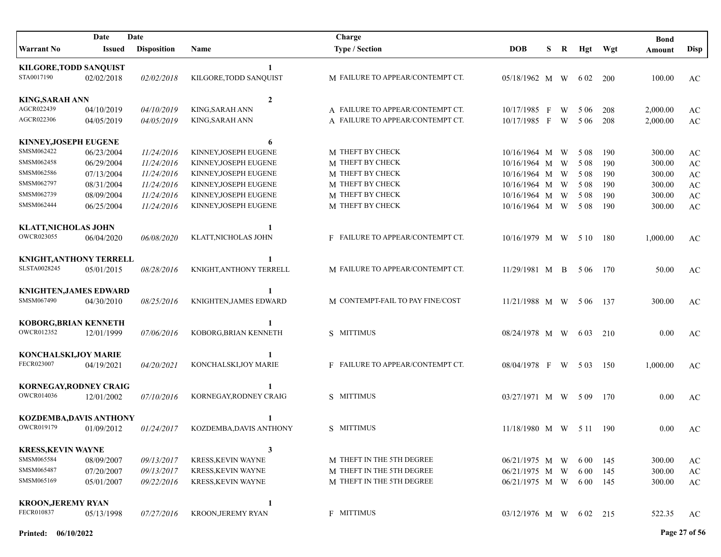| Date<br>Date                   |            |                    |                           | Charge                           |                           |   |   |          |         | <b>Bond</b> |                        |
|--------------------------------|------------|--------------------|---------------------------|----------------------------------|---------------------------|---|---|----------|---------|-------------|------------------------|
| <b>Warrant No</b>              | Issued     | <b>Disposition</b> | Name                      | <b>Type / Section</b>            | <b>DOB</b>                | S | R |          | Hgt Wgt | Amount      | <b>Disp</b>            |
| <b>KILGORE, TODD SANQUIST</b>  |            |                    | 1                         |                                  |                           |   |   |          |         |             |                        |
| STA0017190                     | 02/02/2018 | 02/02/2018         | KILGORE, TODD SANQUIST    | M FAILURE TO APPEAR/CONTEMPT CT. | 05/18/1962 M W            |   |   | 6 02     | 200     | 100.00      | AC                     |
| <b>KING, SARAH ANN</b>         |            |                    | $\overline{2}$            |                                  |                           |   |   |          |         |             |                        |
| AGCR022439                     | 04/10/2019 | 04/10/2019         | KING, SARAH ANN           | A FAILURE TO APPEAR/CONTEMPT CT. | 10/17/1985 F              |   | W | 5 0 6    | 208     | 2,000.00    | $\mathbf{A}\mathbf{C}$ |
| AGCR022306                     | 04/05/2019 | 04/05/2019         | KING, SARAH ANN           | A FAILURE TO APPEAR/CONTEMPT CT. | 10/17/1985 F              |   | W | 5 0 6    | 208     | 2,000.00    | AC                     |
| KINNEY, JOSEPH EUGENE          |            |                    | 6                         |                                  |                           |   |   |          |         |             |                        |
| SMSM062422                     | 06/23/2004 | 11/24/2016         | KINNEY, JOSEPH EUGENE     | M THEFT BY CHECK                 | 10/16/1964 M              |   | W | 5 0 8    | 190     | 300.00      | AC                     |
| SMSM062458                     | 06/29/2004 | 11/24/2016         | KINNEY, JOSEPH EUGENE     | M THEFT BY CHECK                 | 10/16/1964 M              |   | W | 5 0 8    | 190     | 300.00      | $\mathbf{A}\mathbf{C}$ |
| SMSM062586                     | 07/13/2004 | 11/24/2016         | KINNEY, JOSEPH EUGENE     | M THEFT BY CHECK                 | 10/16/1964 M              |   | W | 5 0 8    | 190     | 300.00      | $\mathbf{A}\mathbf{C}$ |
| SMSM062797                     | 08/31/2004 | 11/24/2016         | KINNEY, JOSEPH EUGENE     | M THEFT BY CHECK                 | 10/16/1964 M W            |   |   | 5 0 8    | 190     | 300.00      | $\mathbf{A}\mathbf{C}$ |
| SMSM062739                     | 08/09/2004 | 11/24/2016         | KINNEY, JOSEPH EUGENE     | M THEFT BY CHECK                 | $10/16/1964$ M            |   | W | 5 0 8    | 190     | 300.00      | $\mathbf{A}\mathbf{C}$ |
| SMSM062444                     | 06/25/2004 | 11/24/2016         | KINNEY, JOSEPH EUGENE     | M THEFT BY CHECK                 | $10/16/1964$ M W          |   |   | 5 0 8    | 190     | 300.00      | AC                     |
| <b>KLATT, NICHOLAS JOHN</b>    |            |                    |                           |                                  |                           |   |   |          |         |             |                        |
| OWCR023055                     | 06/04/2020 | 06/08/2020         | KLATT, NICHOLAS JOHN      | F FAILURE TO APPEAR/CONTEMPT CT. | 10/16/1979 M W 510        |   |   |          | 180     | 1,000.00    | AC                     |
| <b>KNIGHT, ANTHONY TERRELL</b> |            |                    | 1                         |                                  |                           |   |   |          |         |             |                        |
| SLSTA0028245                   | 05/01/2015 | 08/28/2016         | KNIGHT, ANTHONY TERRELL   | M FAILURE TO APPEAR/CONTEMPT CT. | 11/29/1981 M B            |   |   | 5 0 6    | 170     | 50.00       | AC                     |
| <b>KNIGHTEN, JAMES EDWARD</b>  |            |                    |                           |                                  |                           |   |   |          |         |             |                        |
| SMSM067490                     | 04/30/2010 | 08/25/2016         | KNIGHTEN, JAMES EDWARD    | M CONTEMPT-FAIL TO PAY FINE/COST | 11/21/1988 M W            |   |   | 5 0 6    | -137    | 300.00      | AC                     |
| KOBORG, BRIAN KENNETH          |            |                    |                           |                                  |                           |   |   |          |         |             |                        |
| OWCR012352                     | 12/01/1999 | 07/06/2016         | KOBORG, BRIAN KENNETH     | S MITTIMUS                       | 08/24/1978 M W            |   |   | 6 0 3    | 210     | 0.00        | AC                     |
| KONCHALSKI,JOY MARIE           |            |                    |                           |                                  |                           |   |   |          |         |             |                        |
| FECR023007                     | 04/19/2021 | 04/20/2021         | KONCHALSKI, JOY MARIE     | F FAILURE TO APPEAR/CONTEMPT CT. | 08/04/1978 F              |   |   | W 503    | 150     | 1,000.00    | AC                     |
| KORNEGAY, RODNEY CRAIG         |            |                    |                           |                                  |                           |   |   |          |         |             |                        |
| <b>OWCR014036</b>              | 12/01/2002 | 07/10/2016         | KORNEGAY, RODNEY CRAIG    | S MITTIMUS                       | 03/27/1971 M W 509        |   |   |          | 170     | 0.00        | AC                     |
| <b>KOZDEMBA, DAVIS ANTHONY</b> |            |                    |                           |                                  |                           |   |   |          |         |             |                        |
| OWCR019179                     | 01/09/2012 | 01/24/2017         | KOZDEMBA, DAVIS ANTHONY   | S MITTIMUS                       | $11/18/1980$ M W 5 11 190 |   |   |          |         | 0.00        | AC                     |
| <b>KRESS, KEVIN WAYNE</b>      |            |                    | 3                         |                                  |                           |   |   |          |         |             |                        |
| SMSM065584                     | 08/09/2007 | 09/13/2017         | <b>KRESS, KEVIN WAYNE</b> | M THEFT IN THE 5TH DEGREE        | 06/21/1975 M W            |   |   | 6 0 0    | 145     | 300.00      | AC                     |
| SMSM065487                     | 07/20/2007 | 09/13/2017         | <b>KRESS, KEVIN WAYNE</b> | M THEFT IN THE 5TH DEGREE        | 06/21/1975 M W            |   |   | 6 0 0    | 145     | 300.00      | $\mathbf{A}\mathbf{C}$ |
| SMSM065169                     | 05/01/2007 | 09/22/2016         | <b>KRESS, KEVIN WAYNE</b> | M THEFT IN THE 5TH DEGREE        | 06/21/1975 M W            |   |   | 6 0 0    | 145     | 300.00      | $\mathbf{A}\mathbf{C}$ |
| <b>KROON, JEREMY RYAN</b>      |            |                    | 1                         |                                  |                           |   |   |          |         |             |                        |
| FECR010837                     | 05/13/1998 | 07/27/2016         | KROON, JEREMY RYAN        | <b>F MITTIMUS</b>                | 03/12/1976 M W            |   |   | 6 02 215 |         | 522.35      | AC                     |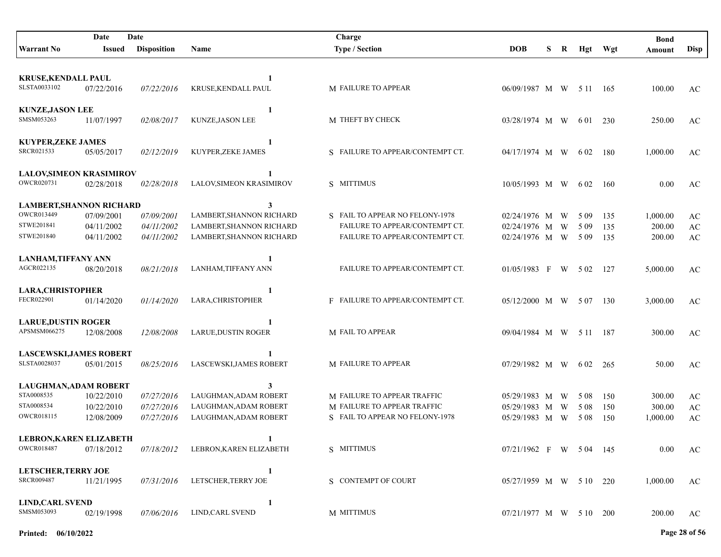|                                               | Date                     | Date                     |                            | Charge                             |                         |   |   |                |       | <b>Bond</b> |                        |
|-----------------------------------------------|--------------------------|--------------------------|----------------------------|------------------------------------|-------------------------|---|---|----------------|-------|-------------|------------------------|
| <b>Warrant No</b>                             | <b>Issued</b>            | <b>Disposition</b>       | Name                       | <b>Type / Section</b>              | <b>DOB</b>              | S | R | Hgt            | Wgt   | Amount      | Disp                   |
|                                               |                          |                          |                            |                                    |                         |   |   |                |       |             |                        |
| <b>KRUSE, KENDALL PAUL</b>                    |                          |                          | 1                          |                                    |                         |   |   |                |       |             |                        |
| SLSTA0033102                                  | 07/22/2016               | 07/22/2016               | KRUSE, KENDALL PAUL        | <b>M FAILURE TO APPEAR</b>         | 06/09/1987 M W 5 11 165 |   |   |                |       | 100.00      | AC                     |
|                                               |                          |                          |                            |                                    |                         |   |   |                |       |             |                        |
| <b>KUNZE, JASON LEE</b>                       |                          |                          | 1                          |                                    |                         |   |   |                |       |             |                        |
| SMSM053263                                    | 11/07/1997               | 02/08/2017               | KUNZE, JASON LEE           | M THEFT BY CHECK                   | 03/28/1974 M W          |   |   | 6 0 1          | 230   | 250.00      | AC                     |
| <b>KUYPER, ZEKE JAMES</b>                     |                          |                          |                            |                                    |                         |   |   |                |       |             |                        |
| SRCR021533                                    | 05/05/2017               | 02/12/2019               | 1<br>KUYPER, ZEKE JAMES    | S FAILURE TO APPEAR/CONTEMPT CT.   | 04/17/1974 M W          |   |   | 6 0 2          | 180   | 1,000.00    | AC                     |
|                                               |                          |                          |                            |                                    |                         |   |   |                |       |             |                        |
| <b>LALOV, SIMEON KRASIMIROV</b>               |                          |                          | 1                          |                                    |                         |   |   |                |       |             |                        |
| OWCR020731                                    | 02/28/2018               | 02/28/2018               | LALOV, SIMEON KRASIMIROV   | S MITTIMUS                         | 10/05/1993 M W          |   |   | 6 0 2          | - 160 | 0.00        | AC                     |
|                                               |                          |                          |                            |                                    |                         |   |   |                |       |             |                        |
| <b>LAMBERT, SHANNON RICHARD</b><br>OWCR013449 |                          |                          | 3                          |                                    |                         |   |   |                |       |             |                        |
|                                               | 07/09/2001               | 07/09/2001               | LAMBERT, SHANNON RICHARD   | S FAIL TO APPEAR NO FELONY-1978    | 02/24/1976 M            |   | W | 5 0 9          | 135   | 1,000.00    | AC                     |
| STWE201841                                    | 04/11/2002               | 04/11/2002               | LAMBERT, SHANNON RICHARD   | FAILURE TO APPEAR/CONTEMPT CT.     | 02/24/1976 M            |   | W | 5 0 9          | 135   | 200.00      | $\mathbf{A}\mathbf{C}$ |
| STWE201840                                    | 04/11/2002               | 04/11/2002               | LAMBERT, SHANNON RICHARD   | FAILURE TO APPEAR/CONTEMPT CT.     | 02/24/1976 M W          |   |   | 5 0 9          | 135   | 200.00      | $\mathbf{A}\mathbf{C}$ |
| <b>LANHAM, TIFFANY ANN</b>                    |                          |                          | 1                          |                                    |                         |   |   |                |       |             |                        |
| AGCR022135                                    | 08/20/2018               | 08/21/2018               | LANHAM, TIFFANY ANN        | FAILURE TO APPEAR/CONTEMPT CT.     | $01/05/1983$ F W        |   |   | 5 0 2          | 127   | 5,000.00    | AC                     |
|                                               |                          |                          |                            |                                    |                         |   |   |                |       |             |                        |
| <b>LARA, CHRISTOPHER</b>                      |                          |                          | 1                          |                                    |                         |   |   |                |       |             |                        |
| FECR022901                                    | 01/14/2020               | 01/14/2020               | LARA, CHRISTOPHER          | F FAILURE TO APPEAR/CONTEMPT CT.   | 05/12/2000 M W          |   |   | 5 0 7          | 130   | 3,000.00    | AC                     |
| <b>LARUE, DUSTIN ROGER</b>                    |                          |                          | 1                          |                                    |                         |   |   |                |       |             |                        |
| APSMSM066275                                  | 12/08/2008               | 12/08/2008               | <b>LARUE, DUSTIN ROGER</b> | M FAIL TO APPEAR                   | 09/04/1984 M W          |   |   | 5 1 1          | - 187 | 300.00      | AC                     |
|                                               |                          |                          |                            |                                    |                         |   |   |                |       |             |                        |
| <b>LASCEWSKI, JAMES ROBERT</b>                |                          |                          | $\mathbf{1}$               |                                    |                         |   |   |                |       |             |                        |
| SLSTA0028037                                  | 05/01/2015               | 08/25/2016               | LASCEWSKI, JAMES ROBERT    | <b>M FAILURE TO APPEAR</b>         | 07/29/1982 M W          |   |   | 6 0 2          | 265   | 50.00       | AC                     |
|                                               |                          |                          |                            |                                    |                         |   |   |                |       |             |                        |
| <b>LAUGHMAN, ADAM ROBERT</b><br>STA0008535    |                          |                          | 3<br>LAUGHMAN, ADAM ROBERT | M FAILURE TO APPEAR TRAFFIC        |                         |   |   |                |       |             |                        |
| STA0008534                                    | 10/22/2010<br>10/22/2010 | 07/27/2016<br>07/27/2016 | LAUGHMAN, ADAM ROBERT      | <b>M FAILURE TO APPEAR TRAFFIC</b> | 05/29/1983 M            |   | W | 5 0 8<br>5 0 8 | 150   | 300.00      | AC                     |
| OWCR018115                                    | 12/08/2009               |                          | LAUGHMAN, ADAM ROBERT      | S FAIL TO APPEAR NO FELONY-1978    | 05/29/1983 M            |   | W |                | 150   | 300.00      | $\mathbf{A}\mathbf{C}$ |
|                                               |                          | 07/27/2016               |                            |                                    | 05/29/1983 M            |   | W | 5 0 8          | 150   | 1,000.00    | AC                     |
| LEBRON, KAREN ELIZABETH                       |                          |                          | 1                          |                                    |                         |   |   |                |       |             |                        |
| <b>OWCR018487</b>                             | 07/18/2012               | 07/18/2012               | LEBRON, KAREN ELIZABETH    | S MITTIMUS                         | 07/21/1962 F W 504 145  |   |   |                |       | $0.00\,$    | AC                     |
|                                               |                          |                          |                            |                                    |                         |   |   |                |       |             |                        |
| <b>LETSCHER, TERRY JOE</b>                    |                          |                          | 1                          |                                    |                         |   |   |                |       |             |                        |
| SRCR009487                                    | 11/21/1995               | 07/31/2016               | LETSCHER, TERRY JOE        | S CONTEMPT OF COURT                | 05/27/1959 M W 5 10 220 |   |   |                |       | 1,000.00    | AC                     |
|                                               |                          |                          |                            |                                    |                         |   |   |                |       |             |                        |
| <b>LIND, CARL SVEND</b><br>SMSM053093         | 02/19/1998               | 07/06/2016               | 1<br>LIND, CARL SVEND      | M MITTIMUS                         | 07/21/1977 M W 5 10 200 |   |   |                |       | 200.00      |                        |
|                                               |                          |                          |                            |                                    |                         |   |   |                |       |             | AC                     |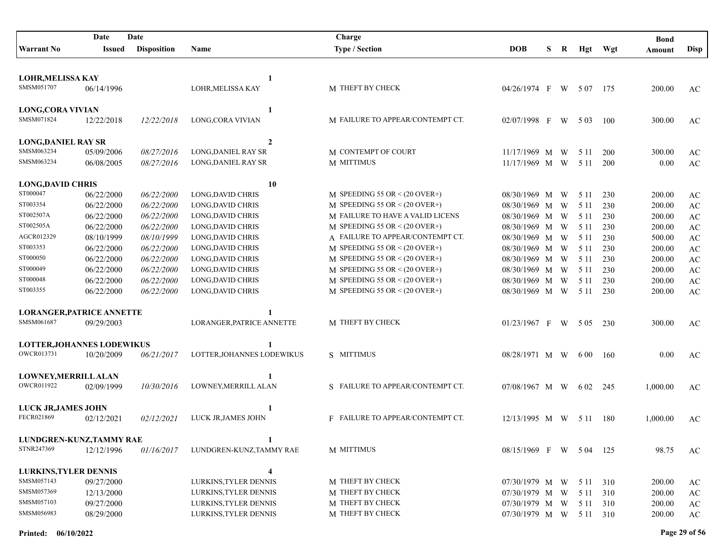| Date<br>Date                             |            |                    | Charge                     |                                    |                        |   |                |           | <b>Bond</b> |          |                        |
|------------------------------------------|------------|--------------------|----------------------------|------------------------------------|------------------------|---|----------------|-----------|-------------|----------|------------------------|
| <b>Warrant No</b>                        | Issued     | <b>Disposition</b> | <b>Name</b>                | <b>Type / Section</b>              | <b>DOB</b>             | S | R              | Hgt       | Wgt         | Amount   | <b>Disp</b>            |
|                                          |            |                    |                            |                                    |                        |   |                |           |             |          |                        |
| <b>LOHR, MELISSA KAY</b>                 |            |                    | 1                          |                                    |                        |   |                |           |             |          |                        |
| SMSM051707                               | 06/14/1996 |                    | LOHR, MELISSA KAY          | M THEFT BY CHECK                   | 04/26/1974 F           |   | W              | 5 0 7     | -175        | 200.00   | AC                     |
|                                          |            |                    |                            |                                    |                        |   |                |           |             |          |                        |
| <b>LONG, CORA VIVIAN</b>                 |            |                    | 1                          |                                    |                        |   |                |           |             |          |                        |
| SMSM071824                               | 12/22/2018 | 12/22/2018         | LONG, CORA VIVIAN          | M FAILURE TO APPEAR/CONTEMPT CT.   | 02/07/1998 F           |   | W              | 5 0 3     | 100         | 300.00   | AC                     |
|                                          |            |                    |                            |                                    |                        |   |                |           |             |          |                        |
| <b>LONG, DANIEL RAY SR</b>               |            |                    | $\overline{2}$             |                                    |                        |   |                |           |             |          |                        |
| SMSM063234                               | 05/09/2006 | 08/27/2016         | LONG, DANIEL RAY SR        | M CONTEMPT OF COURT                | 11/17/1969 M           |   | W              | 5 1 1     | 200         | 300.00   | AC                     |
| SMSM063234                               | 06/08/2005 | 08/27/2016         | LONG, DANIEL RAY SR        | M MITTIMUS                         | 11/17/1969 M W         |   |                | 5 1 1     | 200         | 0.00     | AC                     |
|                                          |            |                    |                            |                                    |                        |   |                |           |             |          |                        |
| <b>LONG, DAVID CHRIS</b>                 |            |                    | 10                         |                                    |                        |   |                |           |             |          |                        |
| ST000047                                 | 06/22/2000 | 06/22/2000         | LONG, DAVID CHRIS          | M SPEEDING 55 OR $\leq$ (20 OVER+) | 08/30/1969 M           |   | W              | 5 1 1     | 230         | 200.00   | AC                     |
| ST003354<br>ST002507A                    | 06/22/2000 | 06/22/2000         | LONG, DAVID CHRIS          | M SPEEDING 55 OR $\leq$ (20 OVER+) | 08/30/1969 M           |   | W              | 5 1 1     | 230         | 200.00   | $\mathbf{A}\mathbf{C}$ |
| ST002505A                                | 06/22/2000 | 06/22/2000         | LONG, DAVID CHRIS          | M FAILURE TO HAVE A VALID LICENS   | 08/30/1969 M W         |   |                | 5 1 1     | 230         | 200.00   | $\mathbf{A}\mathbf{C}$ |
| AGCR012329                               | 06/22/2000 | 06/22/2000         | LONG, DAVID CHRIS          | M SPEEDING 55 OR $\leq$ (20 OVER+) | 08/30/1969 M           |   | W              | 5 1 1     | 230         | 200.00   | AC                     |
| ST003353                                 | 08/10/1999 | 08/10/1999         | LONG, DAVID CHRIS          | A FAILURE TO APPEAR/CONTEMPT CT.   | 08/30/1969 M           |   | W              | 5 1 1     | 230         | 500.00   | AC                     |
|                                          | 06/22/2000 | 06/22/2000         | <b>LONG, DAVID CHRIS</b>   | M SPEEDING 55 OR $\leq$ (20 OVER+) | 08/30/1969 M           |   | W              | 5 1 1     | 230         | 200.00   | AC                     |
| ST000050                                 | 06/22/2000 | 06/22/2000         | LONG, DAVID CHRIS          | M SPEEDING 55 OR $\leq$ (20 OVER+) | 08/30/1969 M           |   | W              | 5 1 1     | 230         | 200.00   | AC                     |
| ST000049                                 | 06/22/2000 | 06/22/2000         | LONG, DAVID CHRIS          | M SPEEDING 55 OR $\leq$ (20 OVER+) | 08/30/1969 M           |   | W              | 5 1 1     | 230         | 200.00   | AC                     |
| ST000048                                 | 06/22/2000 | 06/22/2000         | LONG, DAVID CHRIS          | M SPEEDING 55 OR $\leq$ (20 OVER+) | 08/30/1969 M           |   | W              | 5 1 1     | 230         | 200.00   | AC                     |
| ST003355                                 | 06/22/2000 | 06/22/2000         | LONG, DAVID CHRIS          | M SPEEDING 55 OR $\leq$ (20 OVER+) | 08/30/1969 M W         |   |                | 5 1 1     | 230         | 200.00   | AC                     |
| <b>LORANGER, PATRICE ANNETTE</b>         |            |                    | 1                          |                                    |                        |   |                |           |             |          |                        |
| SMSM061687                               | 09/29/2003 |                    | LORANGER, PATRICE ANNETTE  | M THEFT BY CHECK                   | $01/23/1967$ F         |   | W <sub>\</sub> | 5 0 5     | 230         | 300.00   | AC                     |
|                                          |            |                    |                            |                                    |                        |   |                |           |             |          |                        |
| <b>LOTTER, JOHANNES LODEWIKUS</b>        |            |                    | 1                          |                                    |                        |   |                |           |             |          |                        |
| OWCR013731                               | 10/20/2009 | 06/21/2017         | LOTTER, JOHANNES LODEWIKUS | S MITTIMUS                         | 08/28/1971 M W         |   |                | 6 00      | -160        | 0.00     | AC                     |
|                                          |            |                    |                            |                                    |                        |   |                |           |             |          |                        |
| LOWNEY, MERRILL ALAN                     |            |                    | 1                          |                                    |                        |   |                |           |             |          |                        |
| <b>OWCR011922</b>                        | 02/09/1999 | 10/30/2016         | LOWNEY.MERRILL ALAN        | S FAILURE TO APPEAR/CONTEMPT CT.   | 07/08/1967 M W         |   |                | 6 02      | 245         | 1,000.00 | AC                     |
|                                          |            |                    |                            |                                    |                        |   |                |           |             |          |                        |
| <b>LUCK JR, JAMES JOHN</b><br>FECR021869 | 02/12/2021 | 02/12/2021         | LUCK JR, JAMES JOHN        | F FAILURE TO APPEAR/CONTEMPT CT.   | 12/13/1995 M W 511     |   |                |           |             | 1,000.00 |                        |
|                                          |            |                    |                            |                                    |                        |   |                |           | -180        |          | AC                     |
| LUNDGREN-KUNZ, TAMMY RAE                 |            |                    |                            |                                    |                        |   |                |           |             |          |                        |
| STNR247369                               | 12/12/1996 | 01/16/2017         | LUNDGREN-KUNZ, TAMMY RAE   | M MITTIMUS                         | 08/15/1969 F W 504 125 |   |                |           |             | 98.75    | AC                     |
|                                          |            |                    |                            |                                    |                        |   |                |           |             |          |                        |
| <b>LURKINS, TYLER DENNIS</b>             |            |                    | 4                          |                                    |                        |   |                |           |             |          |                        |
| SMSM057143                               | 09/27/2000 |                    | LURKINS, TYLER DENNIS      | M THEFT BY CHECK                   | 07/30/1979 M W         |   |                | 5 1 1     | 310         | 200.00   | AC                     |
| SMSM057369                               | 12/13/2000 |                    | LURKINS, TYLER DENNIS      | M THEFT BY CHECK                   | 07/30/1979 M W         |   |                | 5 1 1     | 310         | 200.00   | $\mathbf{A}\mathbf{C}$ |
| SMSM057103                               | 09/27/2000 |                    | LURKINS, TYLER DENNIS      | M THEFT BY CHECK                   | 07/30/1979 M W         |   |                | 5 1 1     | 310         | 200.00   | $\mathbf{A}\mathbf{C}$ |
| SMSM056983                               | 08/29/2000 |                    | LURKINS, TYLER DENNIS      | M THEFT BY CHECK                   | 07/30/1979 M W         |   |                | 5 11 3 10 |             | 200.00   | $\mathbf{A}\mathbf{C}$ |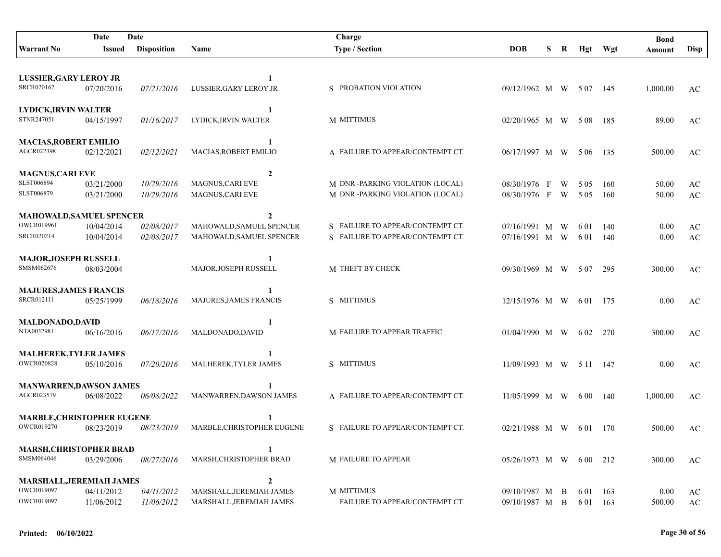|                                                    | Date       | Date               |                            | Charge                           |                         |   |   |          |         | <b>Bond</b> |                        |
|----------------------------------------------------|------------|--------------------|----------------------------|----------------------------------|-------------------------|---|---|----------|---------|-------------|------------------------|
| <b>Warrant No</b>                                  | Issued     | <b>Disposition</b> | Name                       | <b>Type / Section</b>            | <b>DOB</b>              | S | R |          | Hgt Wgt | Amount      | <b>Disp</b>            |
|                                                    |            |                    |                            |                                  |                         |   |   |          |         |             |                        |
| <b>LUSSIER, GARY LEROY JR</b>                      |            |                    | 1                          |                                  |                         |   |   |          |         |             |                        |
| SRCR020162                                         | 07/20/2016 | 07/21/2016         | LUSSIER, GARY LEROY JR     | S PROBATION VIOLATION            | 09/12/1962 M W 507      |   |   |          | 145     | 1,000.00    | AC                     |
|                                                    |            |                    |                            |                                  |                         |   |   |          |         |             |                        |
| <b>LYDICK, IRVIN WALTER</b>                        |            |                    | 1                          |                                  |                         |   |   |          |         |             |                        |
| STNR247051                                         | 04/15/1997 | 01/16/2017         | LYDICK, IRVIN WALTER       | M MITTIMUS                       | $02/20/1965$ M W        |   |   | 5 0 8    | -185    | 89.00       | AC                     |
| <b>MACIAS, ROBERT EMILIO</b>                       |            |                    | 1                          |                                  |                         |   |   |          |         |             |                        |
| AGCR022398                                         | 02/12/2021 | 02/12/2021         | MACIAS, ROBERT EMILIO      | A FAILURE TO APPEAR/CONTEMPT CT. | 06/17/1997 M W          |   |   | 5 0 6    | 135     | 500.00      | AC                     |
|                                                    |            |                    |                            |                                  |                         |   |   |          |         |             |                        |
| <b>MAGNUS, CARI EVE</b>                            |            |                    | $\overline{2}$             |                                  |                         |   |   |          |         |             |                        |
| SLST006894                                         | 03/21/2000 | 10/29/2016         | <b>MAGNUS, CARI EVE</b>    | M DNR -PARKING VIOLATION (LOCAL) | 08/30/1976 F            |   | W | 5 0 5    | 160     | 50.00       | AC                     |
| SLST006879                                         | 03/21/2000 | 10/29/2016         | <b>MAGNUS, CARI EVE</b>    | M DNR -PARKING VIOLATION (LOCAL) | 08/30/1976 F            |   | W | 5 0 5    | 160     | 50.00       | AC                     |
| MAHOWALD, SAMUEL SPENCER                           |            |                    | $\mathbf{2}$               |                                  |                         |   |   |          |         |             |                        |
| <b>OWCR019961</b>                                  | 10/04/2014 | 02/08/2017         | MAHOWALD, SAMUEL SPENCER   | S FAILURE TO APPEAR/CONTEMPT CT. | 07/16/1991 M W          |   |   | 6 0 1    | 140     | 0.00        | AC                     |
| SRCR020214                                         | 10/04/2014 | 02/08/2017         | MAHOWALD, SAMUEL SPENCER   | S FAILURE TO APPEAR/CONTEMPT CT. | 07/16/1991 M W          |   |   | 6 0 1    | 140     | 0.00        | $\mathbf{A}\mathbf{C}$ |
|                                                    |            |                    |                            |                                  |                         |   |   |          |         |             |                        |
| <b>MAJOR, JOSEPH RUSSELL</b>                       |            |                    |                            |                                  |                         |   |   |          |         |             |                        |
| SMSM062676                                         | 08/03/2004 |                    | MAJOR, JOSEPH RUSSELL      | M THEFT BY CHECK                 | 09/30/1969 M W 507      |   |   |          | 295     | 300.00      | AC                     |
|                                                    |            |                    |                            |                                  |                         |   |   |          |         |             |                        |
| <b>MAJURES, JAMES FRANCIS</b><br><b>SRCR012111</b> | 05/25/1999 | 06/18/2016         | MAJURES, JAMES FRANCIS     | S MITTIMUS                       | 12/15/1976 M W          |   |   | 6 0 1    | - 175   | 0.00        | AC                     |
|                                                    |            |                    |                            |                                  |                         |   |   |          |         |             |                        |
| <b>MALDONADO,DAVID</b>                             |            |                    |                            |                                  |                         |   |   |          |         |             |                        |
| NTA0032981                                         | 06/16/2016 | 06/17/2016         | MALDONADO,DAVID            | M FAILURE TO APPEAR TRAFFIC      | 01/04/1990 M W          |   |   | 6 0 2    | 270     | 300.00      | AC                     |
|                                                    |            |                    |                            |                                  |                         |   |   |          |         |             |                        |
| <b>MALHEREK, TYLER JAMES</b><br><b>OWCR020828</b>  |            |                    |                            | S MITTIMUS                       |                         |   |   |          |         |             |                        |
|                                                    | 05/10/2016 | 07/20/2016         | MALHEREK, TYLER JAMES      |                                  | 11/09/1993 M W 5 11 147 |   |   |          |         | 0.00        | AC                     |
| <b>MANWARREN, DAWSON JAMES</b>                     |            |                    |                            |                                  |                         |   |   |          |         |             |                        |
| AGCR023579                                         | 06/08/2022 | 06/08/2022         | MANWARREN, DAWSON JAMES    | A FAILURE TO APPEAR/CONTEMPT CT. | 11/05/1999 M W          |   |   | 6 00     | 140     | 1,000.00    | AC                     |
|                                                    |            |                    |                            |                                  |                         |   |   |          |         |             |                        |
| <b>MARBLE, CHRISTOPHER EUGENE</b>                  |            |                    |                            |                                  |                         |   |   |          |         |             |                        |
| <b>OWCR019270</b>                                  | 08/23/2019 | 08/23/2019         | MARBLE, CHRISTOPHER EUGENE | S FAILURE TO APPEAR/CONTEMPT CT. | 02/21/1988 M W          |   |   | 6 01 170 |         | 500.00      | AC                     |
| <b>MARSH, CHRISTOPHER BRAD</b>                     |            |                    | 1                          |                                  |                         |   |   |          |         |             |                        |
| SMSM064046                                         | 03/29/2006 | 08/27/2016         | MARSH, CHRISTOPHER BRAD    | M FAILURE TO APPEAR              | 05/26/1973 M W 600 212  |   |   |          |         | 300.00      | AC                     |
|                                                    |            |                    |                            |                                  |                         |   |   |          |         |             |                        |
| MARSHALL, JEREMIAH JAMES                           |            |                    | $\mathbf{2}$               |                                  |                         |   |   |          |         |             |                        |
| <b>OWCR019097</b>                                  | 04/11/2012 | 04/11/2012         | MARSHALL, JEREMIAH JAMES   | M MITTIMUS                       | 09/10/1987 M B          |   |   | 6 0 1    | - 163   | 0.00        | AC                     |
| <b>OWCR019097</b>                                  | 11/06/2012 | 11/06/2012         | MARSHALL, JEREMIAH JAMES   | FAILURE TO APPEAR/CONTEMPT CT.   | 09/10/1987 M B          |   |   | 6 01 163 |         | 500.00      | AC                     |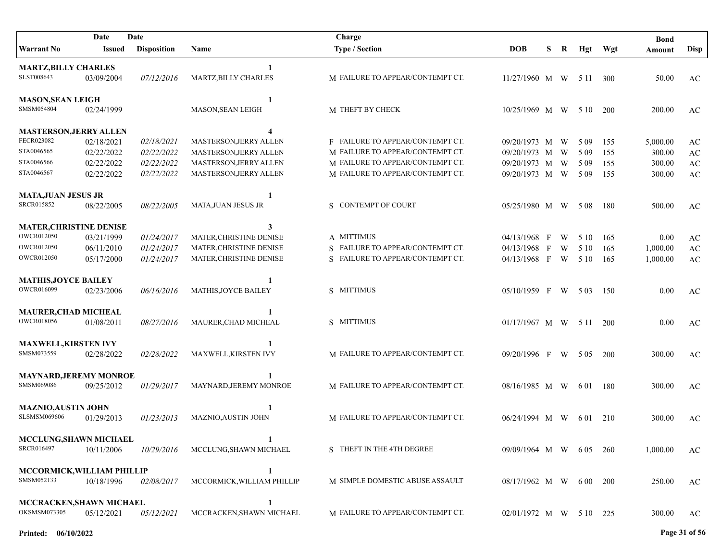| Date<br>Date                             |            |                    |                               | Charge                           |                         |   |   |       |            | <b>Bond</b> |                        |
|------------------------------------------|------------|--------------------|-------------------------------|----------------------------------|-------------------------|---|---|-------|------------|-------------|------------------------|
| <b>Warrant No</b>                        | Issued     | <b>Disposition</b> | Name                          | <b>Type / Section</b>            | <b>DOB</b>              | S | R |       | Hgt Wgt    | Amount      | <b>Disp</b>            |
| <b>MARTZ, BILLY CHARLES</b>              |            |                    | 1                             |                                  |                         |   |   |       |            |             |                        |
| SLST008643                               | 03/09/2004 | 07/12/2016         | MARTZ, BILLY CHARLES          | M FAILURE TO APPEAR/CONTEMPT CT. | $11/27/1960$ M W        |   |   | 5 1 1 | 300        | 50.00       | AC                     |
| <b>MASON, SEAN LEIGH</b>                 |            |                    | 1                             |                                  |                         |   |   |       |            |             |                        |
| SMSM054804                               | 02/24/1999 |                    | <b>MASON, SEAN LEIGH</b>      | M THEFT BY CHECK                 | 10/25/1969 M W          |   |   | 5 10  | <b>200</b> | 200.00      | AC                     |
| <b>MASTERSON, JERRY ALLEN</b>            |            |                    | 4                             |                                  |                         |   |   |       |            |             |                        |
| FECR023082                               | 02/18/2021 | 02/18/2021         | <b>MASTERSON, JERRY ALLEN</b> | F FAILURE TO APPEAR/CONTEMPT CT. | 09/20/1973 M            |   | W | 5 0 9 | 155        | 5,000.00    | AC                     |
| STA0046565                               | 02/22/2022 | 02/22/2022         | MASTERSON, JERRY ALLEN        | M FAILURE TO APPEAR/CONTEMPT CT. | 09/20/1973 M            |   | W | 5 0 9 | 155        | 300.00      | $\mathbf{A}\mathbf{C}$ |
| STA0046566                               | 02/22/2022 | 02/22/2022         | MASTERSON, JERRY ALLEN        | M FAILURE TO APPEAR/CONTEMPT CT. | 09/20/1973 M            |   | W | 5 0 9 | 155        | 300.00      | AC                     |
| STA0046567                               | 02/22/2022 | 02/22/2022         | MASTERSON, JERRY ALLEN        | M FAILURE TO APPEAR/CONTEMPT CT. | 09/20/1973 M W          |   |   | 5 0 9 | 155        | 300.00      | AC                     |
| <b>MATA, JUAN JESUS JR</b>               |            |                    | 1                             |                                  |                         |   |   |       |            |             |                        |
| SRCR015852                               | 08/22/2005 | 08/22/2005         | MATA, JUAN JESUS JR           | S CONTEMPT OF COURT              | 05/25/1980 M W          |   |   | 5 0 8 | 180        | 500.00      | AC                     |
| <b>MATER, CHRISTINE DENISE</b>           |            |                    | 3                             |                                  |                         |   |   |       |            |             |                        |
| <b>OWCR012050</b>                        | 03/21/1999 | 01/24/2017         | MATER, CHRISTINE DENISE       | A MITTIMUS                       | 04/13/1968 F            |   | W | 5 10  | 165        | 0.00        | AC                     |
| <b>OWCR012050</b>                        | 06/11/2010 | 01/24/2017         | MATER, CHRISTINE DENISE       | S FAILURE TO APPEAR/CONTEMPT CT. | 04/13/1968 F            |   | W | 5 1 0 | 165        | 1,000.00    | $\mathbf{A}\mathbf{C}$ |
| <b>OWCR012050</b>                        | 05/17/2000 | 01/24/2017         | MATER, CHRISTINE DENISE       | S FAILURE TO APPEAR/CONTEMPT CT. | 04/13/1968 F W          |   |   | 5 10  | 165        | 1,000.00    | AC                     |
| <b>MATHIS, JOYCE BAILEY</b>              |            |                    | $\mathbf{1}$                  |                                  |                         |   |   |       |            |             |                        |
| <b>OWCR016099</b>                        | 02/23/2006 | 06/16/2016         | <b>MATHIS, JOYCE BAILEY</b>   | S MITTIMUS                       | 05/10/1959 F W 503      |   |   |       | 150        | 0.00        | AC                     |
| <b>MAURER, CHAD MICHEAL</b>              |            |                    |                               |                                  |                         |   |   |       |            |             |                        |
| <b>OWCR018056</b>                        | 01/08/2011 | 08/27/2016         | MAURER, CHAD MICHEAL          | S MITTIMUS                       | $01/17/1967$ M W 5 11   |   |   |       | 200        | 0.00        | AC                     |
| <b>MAXWELL, KIRSTEN IVY</b>              |            |                    |                               |                                  |                         |   |   |       |            |             |                        |
| SMSM073559                               | 02/28/2022 | 02/28/2022         | MAXWELL, KIRSTEN IVY          | M FAILURE TO APPEAR/CONTEMPT CT. | 09/20/1996 F            |   |   | W 505 | 200        | 300.00      | AC                     |
| <b>MAYNARD, JEREMY MONROE</b>            |            |                    |                               |                                  |                         |   |   |       |            |             |                        |
| SMSM069086                               | 09/25/2012 | 01/29/2017         | MAYNARD, JEREMY MONROE        | M FAILURE TO APPEAR/CONTEMPT CT. | 08/16/1985 M W 601      |   |   |       | 180        | 300.00      | AC                     |
| <b>MAZNIO, AUSTIN JOHN</b>               |            |                    |                               |                                  |                         |   |   |       |            |             |                        |
| <b>SLSMSM069606</b>                      | 01/29/2013 | 01/23/2013         | <b>MAZNIO, AUSTIN JOHN</b>    | M FAILURE TO APPEAR/CONTEMPT CT. | $06/24/1994$ M W 601    |   |   |       | 210        | 300.00      | AC                     |
| <b>MCCLUNG, SHAWN MICHAEL</b>            |            |                    |                               |                                  |                         |   |   |       |            |             |                        |
| SRCR016497                               | 10/11/2006 | 10/29/2016         | MCCLUNG, SHAWN MICHAEL        | S THEFT IN THE 4TH DEGREE        | 09/09/1964 M W 6.05 260 |   |   |       |            | 1,000.00    | AC                     |
| MCCORMICK, WILLIAM PHILLIP               |            |                    | 1                             |                                  |                         |   |   |       |            |             |                        |
| SMSM052133                               | 10/18/1996 | 02/08/2017         | MCCORMICK, WILLIAM PHILLIP    | M SIMPLE DOMESTIC ABUSE ASSAULT  | 08/17/1962 M W 600 200  |   |   |       |            | 250.00      | AC                     |
|                                          |            |                    |                               |                                  |                         |   |   |       |            |             |                        |
| MCCRACKEN, SHAWN MICHAEL<br>OKSMSM073305 | 05/12/2021 | 05/12/2021         | 1<br>MCCRACKEN, SHAWN MICHAEL | M FAILURE TO APPEAR/CONTEMPT CT. | 02/01/1972 M W 5 10 225 |   |   |       |            | 300.00      |                        |
|                                          |            |                    |                               |                                  |                         |   |   |       |            |             | AC                     |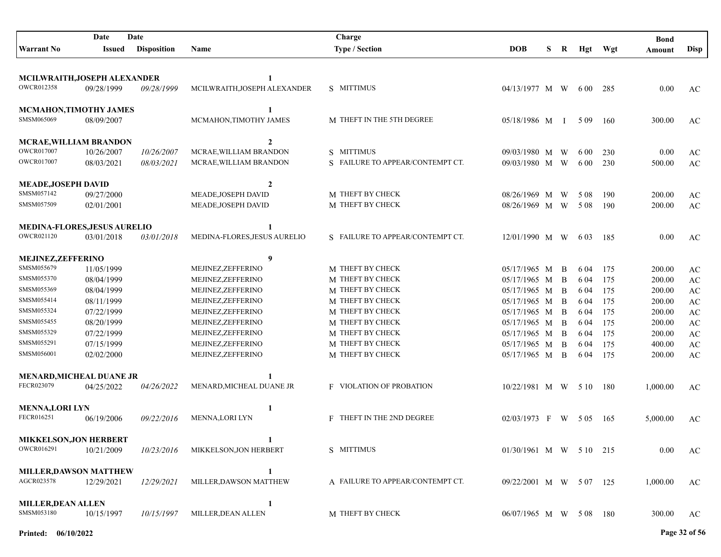|                                             | Date                     | Date               |                                          | Charge                               |                              |    |              |              |            | <b>Bond</b>      |                                                  |
|---------------------------------------------|--------------------------|--------------------|------------------------------------------|--------------------------------------|------------------------------|----|--------------|--------------|------------|------------------|--------------------------------------------------|
| <b>Warrant No</b>                           | Issued                   | <b>Disposition</b> | Name                                     | <b>Type / Section</b>                | <b>DOB</b>                   | S. | $\bf R$      | Hgt          | Wgt        | Amount           | <b>Disp</b>                                      |
|                                             |                          |                    |                                          |                                      |                              |    |              |              |            |                  |                                                  |
| MCILWRAITH, JOSEPH ALEXANDER                |                          |                    | 1                                        |                                      |                              |    |              |              |            |                  |                                                  |
| OWCR012358                                  | 09/28/1999               | 09/28/1999         | MCILWRAITH, JOSEPH ALEXANDER             | S MITTIMUS                           | 04/13/1977 M W               |    |              | 6 00         | 285        | 0.00             | AC                                               |
|                                             |                          |                    |                                          |                                      |                              |    |              |              |            |                  |                                                  |
| MCMAHON, TIMOTHY JAMES                      |                          |                    | 1                                        |                                      |                              |    |              |              |            |                  |                                                  |
| SMSM065069                                  | 08/09/2007               |                    | MCMAHON, TIMOTHY JAMES                   | M THEFT IN THE 5TH DEGREE            | 05/18/1986 M I               |    |              | 5 0 9        | 160        | 300.00           | AC                                               |
|                                             |                          |                    |                                          |                                      |                              |    |              |              |            |                  |                                                  |
| <b>MCRAE, WILLIAM BRANDON</b>               |                          |                    | $\mathbf{2}$                             |                                      |                              |    |              |              |            |                  |                                                  |
| <b>OWCR017007</b><br><b>OWCR017007</b>      | 10/26/2007               | 10/26/2007         | MCRAE, WILLIAM BRANDON                   | S MITTIMUS                           | 09/03/1980 M                 |    | W            | 6.00         | 230        | 0.00             | AC                                               |
|                                             | 08/03/2021               | 08/03/2021         | MCRAE, WILLIAM BRANDON                   | S FAILURE TO APPEAR/CONTEMPT CT.     | 09/03/1980 M W               |    |              | 6 0 0        | 230        | 500.00           | $\mathbf{A}\mathbf{C}$                           |
| MEADE, JOSEPH DAVID                         |                          |                    | $\boldsymbol{2}$                         |                                      |                              |    |              |              |            |                  |                                                  |
| SMSM057142                                  | 09/27/2000               |                    | MEADE, JOSEPH DAVID                      | M THEFT BY CHECK                     | 08/26/1969 M                 |    | W            | 5 0 8        | 190        | 200.00           | AC                                               |
| SMSM057509                                  | 02/01/2001               |                    | MEADE, JOSEPH DAVID                      | M THEFT BY CHECK                     | 08/26/1969 M W               |    |              | 5 0 8        | 190        | 200.00           | AC                                               |
|                                             |                          |                    |                                          |                                      |                              |    |              |              |            |                  |                                                  |
| MEDINA-FLORES, JESUS AURELIO                |                          |                    | 1                                        |                                      |                              |    |              |              |            |                  |                                                  |
| OWCR021120                                  | 03/01/2018               | 03/01/2018         | MEDINA-FLORES, JESUS AURELIO             | S FAILURE TO APPEAR/CONTEMPT CT.     | 12/01/1990 M W               |    |              | 6 0 3        | 185        | 0.00             | AC                                               |
|                                             |                          |                    |                                          |                                      |                              |    |              |              |            |                  |                                                  |
| <b>MEJINEZ, ZEFFERINO</b>                   |                          |                    | 9                                        |                                      |                              |    |              |              |            |                  |                                                  |
| SMSM055679                                  | 11/05/1999               |                    | MEJINEZ, ZEFFERINO                       | M THEFT BY CHECK                     | 05/17/1965 M                 |    | <sup>B</sup> | 6 04         | 175        | 200.00           | AC                                               |
| SMSM055370                                  | 08/04/1999               |                    | MEJINEZ, ZEFFERINO                       | M THEFT BY CHECK                     | 05/17/1965 M                 |    | B            | 6 04         | 175        | 200.00           | AC                                               |
| SMSM055369<br>SMSM055414                    | 08/04/1999               |                    | MEJINEZ, ZEFFERINO                       | M THEFT BY CHECK                     | 05/17/1965 M                 |    | B            | 6 04         | 175        | 200.00           | AC                                               |
| SMSM055324                                  | 08/11/1999               |                    | MEJINEZ, ZEFFERINO<br>MEJINEZ, ZEFFERINO | M THEFT BY CHECK<br>M THEFT BY CHECK | 05/17/1965 M                 |    | B            | 6 04         | 175        | 200.00           | AC                                               |
| SMSM055455                                  | 07/22/1999<br>08/20/1999 |                    | MEJINEZ, ZEFFERINO                       | M THEFT BY CHECK                     | 05/17/1965 M<br>05/17/1965 M |    | B<br>B       | 6 04<br>6 04 | 175<br>175 | 200.00<br>200.00 | $\mathbf{A}\mathbf{C}$                           |
| SMSM055329                                  | 07/22/1999               |                    | MEJINEZ, ZEFFERINO                       | M THEFT BY CHECK                     | 05/17/1965 M                 |    | B            | 6 04         | 175        | 200.00           | $\mathbf{A}\mathbf{C}$<br>$\mathbf{A}\mathbf{C}$ |
| SMSM055291                                  | 07/15/1999               |                    | MEJINEZ, ZEFFERINO                       | M THEFT BY CHECK                     | 05/17/1965 M                 |    | B            | 6 04         | 175        | 400.00           | $\mathbf{A}\mathbf{C}$                           |
| SMSM056001                                  | 02/02/2000               |                    | MEJINEZ, ZEFFERINO                       | M THEFT BY CHECK                     | 05/17/1965 M                 |    | B            | 6 04         | 175        | 200.00           | $\mathbf{A}\mathbf{C}$                           |
|                                             |                          |                    |                                          |                                      |                              |    |              |              |            |                  |                                                  |
| MENARD, MICHEAL DUANE JR                    |                          |                    | $\blacksquare$                           |                                      |                              |    |              |              |            |                  |                                                  |
| FECR023079                                  | 04/25/2022               | 04/26/2022         | MENARD.MICHEAL DUANE JR                  | <b>F</b> VIOLATION OF PROBATION      | $10/22/1981$ M W 5 10        |    |              |              | 180        | 1,000.00         | AC                                               |
|                                             |                          |                    |                                          |                                      |                              |    |              |              |            |                  |                                                  |
| <b>MENNA, LORI LYN</b>                      |                          |                    | 1                                        |                                      |                              |    |              |              |            |                  |                                                  |
| FECR016251                                  | 06/19/2006               | 09/22/2016         | <b>MENNA, LORI LYN</b>                   | F THEFT IN THE 2ND DEGREE            | $02/03/1973$ F               |    | W            | 5 0 5        | 165        | 5,000.00         | AC                                               |
|                                             |                          |                    |                                          |                                      |                              |    |              |              |            |                  |                                                  |
| <b>MIKKELSON, JON HERBERT</b><br>OWCR016291 | 10/21/2009               |                    | 1                                        | S MITTIMUS                           |                              |    |              |              |            |                  |                                                  |
|                                             |                          | 10/23/2016         | MIKKELSON, JON HERBERT                   |                                      | 01/30/1961 M W 510 215       |    |              |              |            | $0.00\,$         | AC                                               |
| <b>MILLER, DAWSON MATTHEW</b>               |                          |                    | 1                                        |                                      |                              |    |              |              |            |                  |                                                  |
| AGCR023578                                  | 12/29/2021               | 12/29/2021         | MILLER, DAWSON MATTHEW                   | A FAILURE TO APPEAR/CONTEMPT CT.     | 09/22/2001 M W 5 07 125      |    |              |              |            | 1,000.00         | AC                                               |
|                                             |                          |                    |                                          |                                      |                              |    |              |              |            |                  |                                                  |
| <b>MILLER, DEAN ALLEN</b>                   |                          |                    | 1                                        |                                      |                              |    |              |              |            |                  |                                                  |
| SMSM053180                                  | 10/15/1997               | 10/15/1997         | MILLER, DEAN ALLEN                       | M THEFT BY CHECK                     | 06/07/1965 M W 508 180       |    |              |              |            | 300.00           | AC                                               |
|                                             |                          |                    |                                          |                                      |                              |    |              |              |            |                  |                                                  |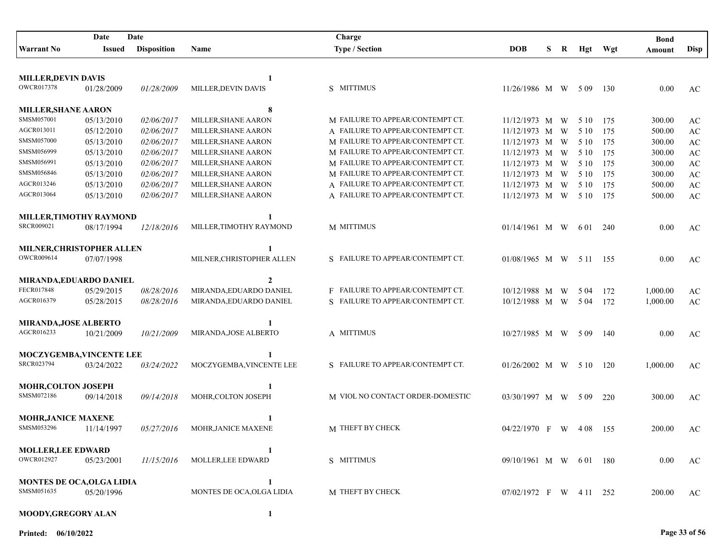|                                        | Date          | Date               |                            | Charge                           |                        |   |   |          |     | <b>Bond</b> |                        |
|----------------------------------------|---------------|--------------------|----------------------------|----------------------------------|------------------------|---|---|----------|-----|-------------|------------------------|
| <b>Warrant No</b>                      | <b>Issued</b> | <b>Disposition</b> | Name                       | <b>Type / Section</b>            | <b>DOB</b>             | S | R | Hgt      | Wgt | Amount      | <b>Disp</b>            |
|                                        |               |                    |                            |                                  |                        |   |   |          |     |             |                        |
| <b>MILLER, DEVIN DAVIS</b>             |               |                    | 1                          |                                  |                        |   |   |          |     |             |                        |
| <b>OWCR017378</b>                      | 01/28/2009    | 01/28/2009         | MILLER, DEVIN DAVIS        | S MITTIMUS                       | 11/26/1986 M W         |   |   | 5 0 9    | 130 | 0.00        | AC                     |
|                                        |               |                    |                            |                                  |                        |   |   |          |     |             |                        |
| MILLER, SHANE AARON<br>SMSM057001      |               |                    | 8                          |                                  |                        |   |   |          |     |             |                        |
|                                        | 05/13/2010    | 02/06/2017         | MILLER, SHANE AARON        | M FAILURE TO APPEAR/CONTEMPT CT. | $11/12/1973$ M         |   | W | 5 10     | 175 | 300.00      | AC                     |
| AGCR013011                             | 05/12/2010    | 02/06/2017         | MILLER, SHANE AARON        | A FAILURE TO APPEAR/CONTEMPT CT. | 11/12/1973 M           |   | W | 5 10     | 175 | 500.00      | AC                     |
| SMSM057000                             | 05/13/2010    | 02/06/2017         | MILLER, SHANE AARON        | M FAILURE TO APPEAR/CONTEMPT CT. | $11/12/1973$ M         |   | W | 5 10     | 175 | 300.00      | $\mathbf{A}\mathbf{C}$ |
| SMSM056999                             | 05/13/2010    | 02/06/2017         | MILLER, SHANE AARON        | M FAILURE TO APPEAR/CONTEMPT CT. | 11/12/1973 M           |   | W | 5 10     | 175 | 300.00      | $\mathbf{A}\mathbf{C}$ |
| SMSM056991                             | 05/13/2010    | 02/06/2017         | MILLER, SHANE AARON        | M FAILURE TO APPEAR/CONTEMPT CT. | 11/12/1973 M           |   | W | 5 10     | 175 | 300.00      | $\mathbf{A}\mathbf{C}$ |
| SMSM056846                             | 05/13/2010    | 02/06/2017         | MILLER, SHANE AARON        | M FAILURE TO APPEAR/CONTEMPT CT. | 11/12/1973 M W         |   |   | 5 10     | 175 | 300.00      | $\mathbf{A}\mathbf{C}$ |
| AGCR013246                             | 05/13/2010    | 02/06/2017         | MILLER, SHANE AARON        | A FAILURE TO APPEAR/CONTEMPT CT. | 11/12/1973 M W         |   |   | 5 1 0    | 175 | 500.00      | $\mathbf{A}\mathbf{C}$ |
| AGCR013064                             | 05/13/2010    | 02/06/2017         | MILLER, SHANE AARON        | A FAILURE TO APPEAR/CONTEMPT CT. | 11/12/1973 M W         |   |   | 5 10     | 175 | 500.00      | AC                     |
| MILLER, TIMOTHY RAYMOND                |               |                    |                            |                                  |                        |   |   |          |     |             |                        |
| SRCR009021                             | 08/17/1994    | 12/18/2016         | MILLER, TIMOTHY RAYMOND    | M MITTIMUS                       | $01/14/1961$ M W       |   |   | 6 0 1    | 240 | 0.00        | AC                     |
| MILNER, CHRISTOPHER ALLEN              |               |                    | 1                          |                                  |                        |   |   |          |     |             |                        |
| OWCR009614                             | 07/07/1998    |                    | MILNER, CHRISTOPHER ALLEN  | S FAILURE TO APPEAR/CONTEMPT CT. | $01/08/1965$ M W       |   |   | 5 11 155 |     | 0.00        | AC                     |
|                                        |               |                    |                            |                                  |                        |   |   |          |     |             |                        |
| MIRANDA, EDUARDO DANIEL                |               |                    | $\mathbf{2}$               |                                  |                        |   |   |          |     |             |                        |
| FECR017848                             | 05/29/2015    | 08/28/2016         | MIRANDA, EDUARDO DANIEL    | F FAILURE TO APPEAR/CONTEMPT CT. | 10/12/1988 M           |   | W | 5 04     | 172 | 1,000.00    | AC                     |
| AGCR016379                             | 05/28/2015    | 08/28/2016         | MIRANDA, EDUARDO DANIEL    | S FAILURE TO APPEAR/CONTEMPT CT. | 10/12/1988 M W         |   |   | 5 0 4    | 172 | 1,000.00    | AC                     |
| MIRANDA, JOSE ALBERTO                  |               |                    | 1                          |                                  |                        |   |   |          |     |             |                        |
| AGCR016233                             | 10/21/2009    | 10/21/2009         | MIRANDA, JOSE ALBERTO      | A MITTIMUS                       | 10/27/1985 M W         |   |   | 5 0 9    | 140 | 0.00        | AC                     |
|                                        |               |                    |                            |                                  |                        |   |   |          |     |             |                        |
| MOCZYGEMBA, VINCENTE LEE<br>SRCR023794 | 03/24/2022    | 03/24/2022         | MOCZYGEMBA, VINCENTE LEE   | S FAILURE TO APPEAR/CONTEMPT CT. | $01/26/2002$ M W 5 10  |   |   |          | 120 | 1,000.00    | AC                     |
|                                        |               |                    |                            |                                  |                        |   |   |          |     |             |                        |
| <b>MOHR, COLTON JOSEPH</b>             |               |                    |                            |                                  |                        |   |   |          |     |             |                        |
| SMSM072186                             | 09/14/2018    | 09/14/2018         | MOHR, COLTON JOSEPH        | M VIOL NO CONTACT ORDER-DOMESTIC | 03/30/1997 M W 509     |   |   |          | 220 | 300.00      | AC                     |
| <b>MOHR, JANICE MAXENE</b>             |               |                    |                            |                                  |                        |   |   |          |     |             |                        |
| SMSM053296                             | 11/14/1997    | 05/27/2016         | <b>MOHR, JANICE MAXENE</b> | M THEFT BY CHECK                 | 04/22/1970 F W         |   |   | - 4 0 8  | 155 | 200.00      | AC                     |
|                                        |               |                    |                            |                                  |                        |   |   |          |     |             |                        |
| <b>MOLLER, LEE EDWARD</b>              |               |                    |                            |                                  |                        |   |   |          |     |             |                        |
| OWCR012927                             | 05/23/2001    | 11/15/2016         | MOLLER, LEE EDWARD         | S MITTIMUS                       | 09/10/1961 M W 601 180 |   |   |          |     | 0.00        | AC                     |
| <b>MONTES DE OCA, OLGA LIDIA</b>       |               |                    | 1                          |                                  |                        |   |   |          |     |             |                        |
| SMSM051635                             | 05/20/1996    |                    | MONTES DE OCA, OLGA LIDIA  | M THEFT BY CHECK                 | 07/02/1972 F W 411 252 |   |   |          |     | 200.00      | AC                     |
| MOODY, GREGORY ALAN                    |               |                    | 1                          |                                  |                        |   |   |          |     |             |                        |
|                                        |               |                    |                            |                                  |                        |   |   |          |     |             |                        |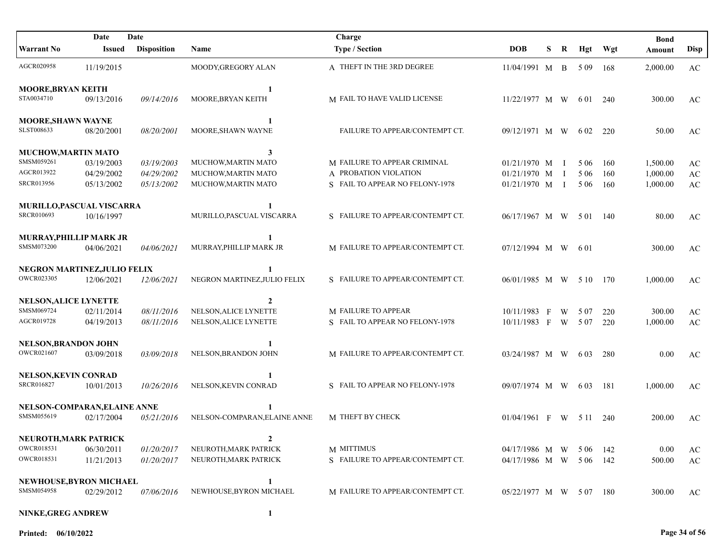|                               | Date       | Date               |                              | Charge                           |                        |   |                |       |      | <b>Bond</b> |                        |
|-------------------------------|------------|--------------------|------------------------------|----------------------------------|------------------------|---|----------------|-------|------|-------------|------------------------|
| <b>Warrant No</b>             | Issued     | <b>Disposition</b> | <b>Name</b>                  | <b>Type / Section</b>            | <b>DOB</b>             | S | R              | Hgt   | Wgt  | Amount      | Disp                   |
| AGCR020958                    | 11/19/2015 |                    | MOODY, GREGORY ALAN          | A THEFT IN THE 3RD DEGREE        | 11/04/1991 M B         |   |                | 5 0 9 | -168 | 2,000.00    | AC                     |
| <b>MOORE, BRYAN KEITH</b>     |            |                    |                              |                                  |                        |   |                |       |      |             |                        |
| STA0034710                    | 09/13/2016 | 09/14/2016         | MOORE, BRYAN KEITH           | M FAIL TO HAVE VALID LICENSE     | 11/22/1977 M W         |   |                | 6 0 1 | 240  | 300.00      | AC                     |
| <b>MOORE, SHAWN WAYNE</b>     |            |                    | $\mathbf{1}$                 |                                  |                        |   |                |       |      |             |                        |
| SLST008633                    | 08/20/2001 | 08/20/2001         | MOORE, SHAWN WAYNE           | FAILURE TO APPEAR/CONTEMPT CT.   | 09/12/1971 M W         |   |                | 6 0 2 | 220  | 50.00       | AC                     |
| MUCHOW, MARTIN MATO           |            |                    | 3                            |                                  |                        |   |                |       |      |             |                        |
| SMSM059261                    | 03/19/2003 | 03/19/2003         | MUCHOW, MARTIN MATO          | M FAILURE TO APPEAR CRIMINAL     | 01/21/1970 M           |   | $\blacksquare$ | 5 0 6 | 160  | 1,500.00    | AC                     |
| AGCR013922                    | 04/29/2002 | 04/29/2002         | MUCHOW, MARTIN MATO          | A PROBATION VIOLATION            | 01/21/1970 M           |   | $\mathbf{I}$   | 5 0 6 | 160  | 1,000.00    | $\mathbf{A}\mathbf{C}$ |
| <b>SRCR013956</b>             | 05/13/2002 | 05/13/2002         | MUCHOW, MARTIN MATO          | S FAIL TO APPEAR NO FELONY-1978  | 01/21/1970 M I         |   |                | 5 0 6 | 160  | 1,000.00    | $\mathbf{A}\mathbf{C}$ |
| MURILLO, PASCUAL VISCARRA     |            |                    |                              |                                  |                        |   |                |       |      |             |                        |
| <b>SRCR010693</b>             | 10/16/1997 |                    | MURILLO, PASCUAL VISCARRA    | S FAILURE TO APPEAR/CONTEMPT CT. | 06/17/1967 M W 501 140 |   |                |       |      | 80.00       | AC                     |
| <b>MURRAY.PHILLIP MARK JR</b> |            |                    |                              |                                  |                        |   |                |       |      |             |                        |
| SMSM073200                    | 04/06/2021 | 04/06/2021         | MURRAY, PHILLIP MARK JR      | M FAILURE TO APPEAR/CONTEMPT CT. | 07/12/1994 M W 601     |   |                |       |      | 300.00      | AC                     |
| NEGRON MARTINEZ, JULIO FELIX  |            |                    |                              |                                  |                        |   |                |       |      |             |                        |
| OWCR023305                    | 12/06/2021 | 12/06/2021         | NEGRON MARTINEZ, JULIO FELIX | S FAILURE TO APPEAR/CONTEMPT CT. | 06/01/1985 M W 510 170 |   |                |       |      | 1,000.00    | AC                     |
| <b>NELSON, ALICE LYNETTE</b>  |            |                    | $\mathbf{2}$                 |                                  |                        |   |                |       |      |             |                        |
| SMSM069724                    | 02/11/2014 | 08/11/2016         | NELSON, ALICE LYNETTE        | M FAILURE TO APPEAR              | 10/11/1983 F           |   | W              | 5 0 7 | 220  | 300.00      | AC                     |
| AGCR019728                    | 04/19/2013 | 08/11/2016         | NELSON, ALICE LYNETTE        | S FAIL TO APPEAR NO FELONY-1978  | 10/11/1983 F           |   | W              | 5 0 7 | 220  | 1,000.00    | $\mathbf{A}\mathbf{C}$ |
| NELSON, BRANDON JOHN          |            |                    |                              |                                  |                        |   |                |       |      |             |                        |
| OWCR021607                    | 03/09/2018 | 03/09/2018         | NELSON, BRANDON JOHN         | M FAILURE TO APPEAR/CONTEMPT CT. | 03/24/1987 M W         |   |                | 6 0 3 | 280  | 0.00        | AC                     |
| <b>NELSON, KEVIN CONRAD</b>   |            |                    |                              |                                  |                        |   |                |       |      |             |                        |
| SRCR016827                    | 10/01/2013 | 10/26/2016         | NELSON, KEVIN CONRAD         | S FAIL TO APPEAR NO FELONY-1978  | 09/07/1974 M W 603     |   |                |       | -181 | 1,000.00    | AC                     |
| NELSON-COMPARAN, ELAINE ANNE  |            |                    |                              |                                  |                        |   |                |       |      |             |                        |
| SMSM055619                    | 02/17/2004 | 05/21/2016         | NELSON-COMPARAN, ELAINE ANNE | M THEFT BY CHECK                 | $01/04/1961$ F W 511   |   |                |       | 240  | 200.00      | AC                     |
| NEUROTH, MARK PATRICK         |            |                    |                              |                                  |                        |   |                |       |      |             |                        |
| OWCR018531                    | 06/30/2011 | 01/20/2017         | NEUROTH, MARK PATRICK        | M MITTIMUS                       | 04/17/1986 M W 506 142 |   |                |       |      | 0.00        | AC                     |
| OWCR018531                    | 11/21/2013 | 01/20/2017         | NEUROTH, MARK PATRICK        | S FAILURE TO APPEAR/CONTEMPT CT. | 04/17/1986 M W 506 142 |   |                |       |      | 500.00      | AC                     |
| NEWHOUSE, BYRON MICHAEL       |            |                    | 1                            |                                  |                        |   |                |       |      |             |                        |
| SMSM054958                    | 02/29/2012 | 07/06/2016         | NEWHOUSE, BYRON MICHAEL      | M FAILURE TO APPEAR/CONTEMPT CT. | 05/22/1977 M W 507 180 |   |                |       |      | 300.00      | AC                     |
| NINKE, GREG ANDREW            |            |                    | 1                            |                                  |                        |   |                |       |      |             |                        |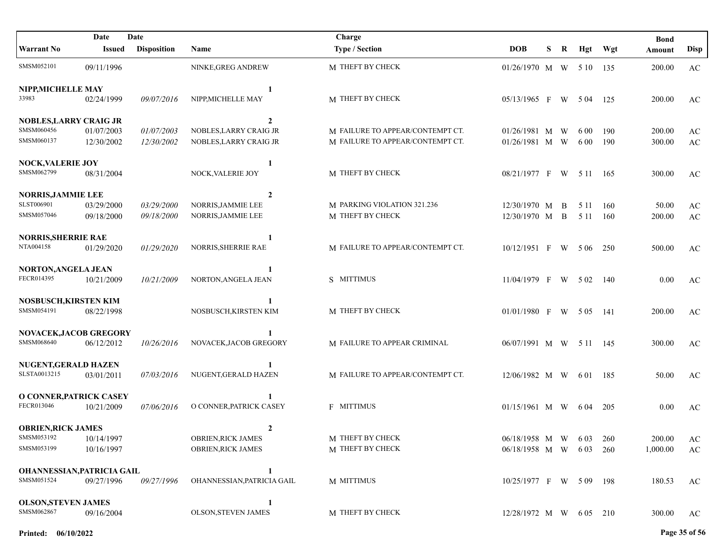|                                          | Date          | Date               |                            | Charge                           |                         |   |   |       |       | <b>Bond</b> |                        |
|------------------------------------------|---------------|--------------------|----------------------------|----------------------------------|-------------------------|---|---|-------|-------|-------------|------------------------|
| <b>Warrant No</b>                        | <b>Issued</b> | <b>Disposition</b> | <b>Name</b>                | <b>Type / Section</b>            | <b>DOB</b>              | S | R | Hgt   | Wgt   | Amount      | <b>Disp</b>            |
| SMSM052101                               | 09/11/1996    |                    | NINKE, GREG ANDREW         | M THEFT BY CHECK                 | 01/26/1970 M W 5 10 135 |   |   |       |       | 200.00      | $\rm AC$               |
| NIPP, MICHELLE MAY                       |               |                    | 1                          |                                  |                         |   |   |       |       |             |                        |
| 33983                                    | 02/24/1999    | 09/07/2016         | NIPP, MICHELLE MAY         | M THEFT BY CHECK                 | 05/13/1965 F W 504      |   |   |       | -125  | 200.00      | AC                     |
| <b>NOBLES, LARRY CRAIG JR</b>            |               |                    | $\mathbf{2}$               |                                  |                         |   |   |       |       |             |                        |
| SMSM060456                               | 01/07/2003    | 01/07/2003         | NOBLES, LARRY CRAIG JR     | M FAILURE TO APPEAR/CONTEMPT CT. | 01/26/1981 M W          |   |   | 6 0 0 | 190   | 200.00      | $\mathbf{A}\mathbf{C}$ |
| SMSM060137                               | 12/30/2002    | 12/30/2002         | NOBLES, LARRY CRAIG JR     | M FAILURE TO APPEAR/CONTEMPT CT. | 01/26/1981 M W          |   |   | 6 0 0 | 190   | 300.00      | $\mathbf{A}\mathbf{C}$ |
| <b>NOCK, VALERIE JOY</b>                 |               |                    | 1                          |                                  |                         |   |   |       |       |             |                        |
| SMSM062799                               | 08/31/2004    |                    | NOCK, VALERIE JOY          | M THEFT BY CHECK                 | 08/21/1977 F W 5 11 165 |   |   |       |       | 300.00      | AC                     |
| <b>NORRIS, JAMMIE LEE</b>                |               |                    | $\overline{2}$             |                                  |                         |   |   |       |       |             |                        |
| SLST006901                               | 03/29/2000    | 03/29/2000         | NORRIS, JAMMIE LEE         | M PARKING VIOLATION 321.236      | 12/30/1970 M B          |   |   | 5 1 1 | -160  | 50.00       | AC                     |
| SMSM057046                               | 09/18/2000    | 09/18/2000         | NORRIS, JAMMIE LEE         | M THEFT BY CHECK                 | 12/30/1970 M B          |   |   | 5 1 1 | 160   | 200.00      | $\mathbf{A}\mathbf{C}$ |
| <b>NORRIS, SHERRIE RAE</b>               |               |                    |                            |                                  |                         |   |   |       |       |             |                        |
| NTA004158                                | 01/29/2020    | 01/29/2020         | NORRIS, SHERRIE RAE        | M FAILURE TO APPEAR/CONTEMPT CT. | $10/12/1951$ F W 506    |   |   |       | 250   | 500.00      | AC                     |
| <b>NORTON, ANGELA JEAN</b>               |               |                    | $\mathbf{1}$               |                                  |                         |   |   |       |       |             |                        |
| FECR014395                               | 10/21/2009    | 10/21/2009         | NORTON, ANGELA JEAN        | S MITTIMUS                       | $11/04/1979$ F W 502    |   |   |       | - 140 | 0.00        | AC                     |
| <b>NOSBUSCH, KIRSTEN KIM</b>             |               |                    |                            |                                  |                         |   |   |       |       |             |                        |
| SMSM054191                               | 08/22/1998    |                    | NOSBUSCH, KIRSTEN KIM      | M THEFT BY CHECK                 | 01/01/1980 F W 505 141  |   |   |       |       | 200.00      | AC                     |
| <b>NOVACEK, JACOB GREGORY</b>            |               |                    |                            |                                  |                         |   |   |       |       |             |                        |
| SMSM068640                               | 06/12/2012    | 10/26/2016         | NOVACEK, JACOB GREGORY     | M FAILURE TO APPEAR CRIMINAL     | 06/07/1991 M W 5 11 145 |   |   |       |       | 300.00      | AC                     |
| <b>NUGENT, GERALD HAZEN</b>              |               |                    |                            |                                  |                         |   |   |       |       |             |                        |
| SLSTA0013215                             | 03/01/2011    | 07/03/2016         | NUGENT, GERALD HAZEN       | M FAILURE TO APPEAR/CONTEMPT CT. | 12/06/1982 M W 601      |   |   |       | - 185 | 50.00       | AC                     |
| O CONNER, PATRICK CASEY                  |               |                    |                            |                                  |                         |   |   |       |       |             |                        |
| FECR013046                               | 10/21/2009    | 07/06/2016         | O CONNER, PATRICK CASEY    | <b>F MITTIMUS</b>                | 01/15/1961 M W 604      |   |   |       | 205   | 0.00        | AC                     |
| <b>OBRIEN, RICK JAMES</b>                |               |                    | $\overline{2}$             |                                  |                         |   |   |       |       |             |                        |
| SMSM053192                               | 10/14/1997    |                    | <b>OBRIEN, RICK JAMES</b>  | M THEFT BY CHECK                 | 06/18/1958 M W 603      |   |   |       | 260   | 200.00      | AC                     |
| SMSM053199                               | 10/16/1997    |                    | <b>OBRIEN, RICK JAMES</b>  | M THEFT BY CHECK                 | 06/18/1958 M W 603      |   |   |       | 260   | 1,000.00    | AC                     |
|                                          |               |                    |                            |                                  |                         |   |   |       |       |             |                        |
| OHANNESSIAN, PATRICIA GAIL<br>SMSM051524 |               |                    | 1                          |                                  |                         |   |   |       |       |             |                        |
|                                          | 09/27/1996    | 09/27/1996         | OHANNESSIAN, PATRICIA GAIL | M MITTIMUS                       | 10/25/1977 F W 509 198  |   |   |       |       | 180.53      | AC                     |
| <b>OLSON, STEVEN JAMES</b>               |               |                    | 1                          |                                  |                         |   |   |       |       |             |                        |
| SMSM062867                               | 09/16/2004    |                    | <b>OLSON, STEVEN JAMES</b> | M THEFT BY CHECK                 | 12/28/1972 M W 605 210  |   |   |       |       | 300.00      | AC                     |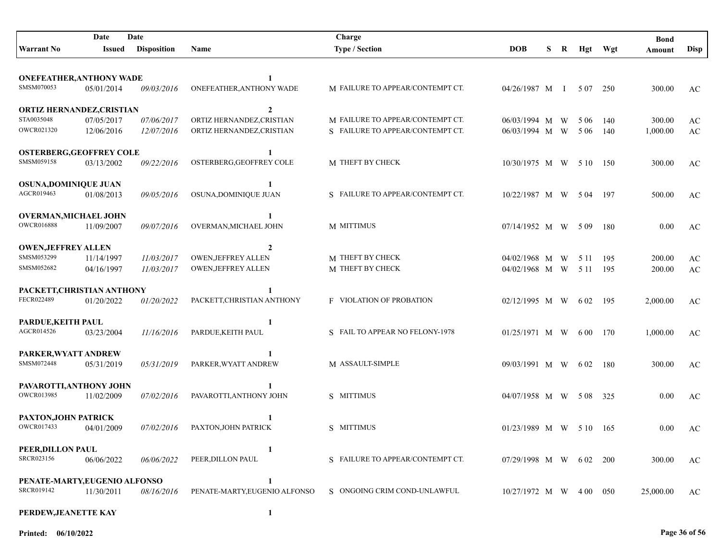|                                                | Date       | Date               |                                             | Charge                           |                           |    |   |       |      | <b>Bond</b> |                        |
|------------------------------------------------|------------|--------------------|---------------------------------------------|----------------------------------|---------------------------|----|---|-------|------|-------------|------------------------|
| <b>Warrant No</b>                              | Issued     | <b>Disposition</b> | Name                                        | <b>Type / Section</b>            | <b>DOB</b>                | S. | R | Hgt   | Wgt  | Amount      | <b>Disp</b>            |
|                                                |            |                    |                                             |                                  |                           |    |   |       |      |             |                        |
| <b>ONEFEATHER, ANTHONY WADE</b>                |            |                    | $\mathbf{1}$                                |                                  |                           |    |   |       |      |             |                        |
| SMSM070053                                     | 05/01/2014 | <i>09/03/2016</i>  | ONEFEATHER, ANTHONY WADE                    | M FAILURE TO APPEAR/CONTEMPT CT. | 04/26/1987 M I            |    |   | 5 0 7 | 250  | 300.00      | AC                     |
|                                                |            |                    |                                             |                                  |                           |    |   |       |      |             |                        |
| <b>ORTIZ HERNANDEZ, CRISTIAN</b><br>STA0035048 | 07/05/2017 | 07/06/2017         | $\overline{2}$<br>ORTIZ HERNANDEZ, CRISTIAN | M FAILURE TO APPEAR/CONTEMPT CT. | $06/03/1994$ M            |    | W | 5 0 6 | 140  | 300.00      | AC                     |
| <b>OWCR021320</b>                              | 12/06/2016 | 12/07/2016         | ORTIZ HERNANDEZ, CRISTIAN                   | S FAILURE TO APPEAR/CONTEMPT CT. | $06/03/1994$ M W          |    |   | 5 0 6 | 140  | 1,000.00    | AC                     |
|                                                |            |                    |                                             |                                  |                           |    |   |       |      |             |                        |
| <b>OSTERBERG, GEOFFREY COLE</b>                |            |                    | 1                                           |                                  |                           |    |   |       |      |             |                        |
| SMSM059158                                     | 03/13/2002 | 09/22/2016         | OSTERBERG, GEOFFREY COLE                    | M THEFT BY CHECK                 | 10/30/1975 M W            |    |   | 5 10  | 150  | 300.00      | AC                     |
| <b>OSUNA,DOMINIQUE JUAN</b>                    |            |                    | 1                                           |                                  |                           |    |   |       |      |             |                        |
| AGCR019463                                     | 01/08/2013 | 09/05/2016         | OSUNA, DOMINIQUE JUAN                       | S FAILURE TO APPEAR/CONTEMPT CT. | 10/22/1987 M W 504        |    |   |       | 197  | 500.00      | AC                     |
|                                                |            |                    |                                             |                                  |                           |    |   |       |      |             |                        |
| <b>OVERMAN, MICHAEL JOHN</b>                   |            |                    | 1                                           |                                  |                           |    |   |       |      |             |                        |
| <b>OWCR016888</b>                              | 11/09/2007 | 09/07/2016         | OVERMAN, MICHAEL JOHN                       | M MITTIMUS                       | 07/14/1952 M W 509        |    |   |       | 180  | 0.00        | AC                     |
| <b>OWEN, JEFFREY ALLEN</b>                     |            |                    | 2                                           |                                  |                           |    |   |       |      |             |                        |
| SMSM053299                                     | 11/14/1997 | 11/03/2017         | <b>OWEN, JEFFREY ALLEN</b>                  | M THEFT BY CHECK                 | 04/02/1968 M W            |    |   | 5 1 1 | 195  | 200.00      | AC                     |
| SMSM052682                                     | 04/16/1997 | 11/03/2017         | <b>OWEN, JEFFREY ALLEN</b>                  | M THEFT BY CHECK                 | 04/02/1968 M W            |    |   | 5 1 1 | 195  | 200.00      | $\mathbf{A}\mathbf{C}$ |
| PACKETT, CHRISTIAN ANTHONY                     |            |                    |                                             |                                  |                           |    |   |       |      |             |                        |
| FECR022489                                     | 01/20/2022 | 01/20/2022         | PACKETT, CHRISTIAN ANTHONY                  | <b>F VIOLATION OF PROBATION</b>  | 02/12/1995 M W            |    |   | 6 02  | 195  | 2,000.00    | AC                     |
|                                                |            |                    |                                             |                                  |                           |    |   |       |      |             |                        |
| PARDUE, KEITH PAUL                             |            |                    |                                             |                                  |                           |    |   |       |      |             |                        |
| AGCR014526                                     | 03/23/2004 | 11/16/2016         | PARDUE, KEITH PAUL                          | S FAIL TO APPEAR NO FELONY-1978  | $01/25/1971$ M W 600      |    |   |       | 170  | 1,000.00    | AC                     |
| PARKER, WYATT ANDREW                           |            |                    |                                             |                                  |                           |    |   |       |      |             |                        |
| SMSM072448                                     | 05/31/2019 | 05/31/2019         | PARKER, WYATT ANDREW                        | M ASSAULT-SIMPLE                 | 09/03/1991 M W 602        |    |   |       | 180  | 300.00      | AC                     |
|                                                |            |                    |                                             |                                  |                           |    |   |       |      |             |                        |
| PAVAROTTI, ANTHONY JOHN<br><b>OWCR013985</b>   |            |                    | PAVAROTTI, ANTHONY JOHN                     |                                  |                           |    |   |       |      |             |                        |
|                                                | 11/02/2009 | 07/02/2016         |                                             | S MITTIMUS                       | 04/07/1958 M W 508        |    |   |       | 325  | 0.00        | AC                     |
| PAXTON, JOHN PATRICK                           |            |                    |                                             |                                  |                           |    |   |       |      |             |                        |
| OWCR017433                                     | 04/01/2009 | 07/02/2016         | PAXTON, JOHN PATRICK                        | S MITTIMUS                       | $01/23/1989$ M W 5 10 165 |    |   |       |      | 0.00        | AC                     |
|                                                |            |                    |                                             |                                  |                           |    |   |       |      |             |                        |
| PEER, DILLON PAUL<br>SRCR023156                | 06/06/2022 | 06/06/2022         | -1<br>PEER, DILLON PAUL                     | S FAILURE TO APPEAR/CONTEMPT CT. | 07/29/1998 M W 602 200    |    |   |       |      | 300.00      | AC                     |
|                                                |            |                    |                                             |                                  |                           |    |   |       |      |             |                        |
| PENATE-MARTY, EUGENIO ALFONSO                  |            |                    | 1                                           |                                  |                           |    |   |       |      |             |                        |
| SRCR019142                                     | 11/30/2011 | 08/16/2016         | PENATE-MARTY, EUGENIO ALFONSO               | S ONGOING CRIM COND-UNLAWFUL     | $10/27/1972$ M W 400      |    |   |       | -050 | 25,000.00   | AC                     |
| PERDEW, JEANETTE KAY                           |            |                    | 1                                           |                                  |                           |    |   |       |      |             |                        |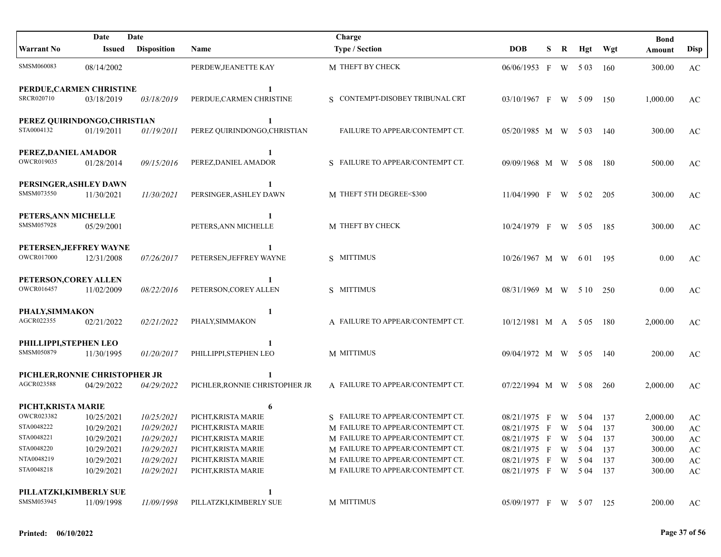|                                       | Date                           | Date               |                                | Charge                           |                        |   |   |       |       | <b>Bond</b> |                        |
|---------------------------------------|--------------------------------|--------------------|--------------------------------|----------------------------------|------------------------|---|---|-------|-------|-------------|------------------------|
| <b>Warrant No</b>                     | <b>Issued</b>                  | <b>Disposition</b> | Name                           | <b>Type / Section</b>            | <b>DOB</b>             | S | R | Hgt   | Wgt   | Amount      | <b>Disp</b>            |
| SMSM060083                            | 08/14/2002                     |                    | PERDEW, JEANETTE KAY           | M THEFT BY CHECK                 | 06/06/1953 F           |   |   | W 503 | -160  | 300.00      | AC                     |
|                                       | PERDUE, CARMEN CHRISTINE       |                    | -1                             |                                  |                        |   |   |       |       |             |                        |
| SRCR020710                            | 03/18/2019                     | 03/18/2019         | PERDUE, CARMEN CHRISTINE       | S CONTEMPT-DISOBEY TRIBUNAL CRT  | $03/10/1967$ F W 509   |   |   |       | 150   | 1,000.00    | AC                     |
|                                       | PEREZ QUIRINDONGO, CHRISTIAN   |                    | -1                             |                                  |                        |   |   |       |       |             |                        |
| STA0004132                            | 01/19/2011                     | 01/19/2011         | PEREZ QUIRINDONGO, CHRISTIAN   | FAILURE TO APPEAR/CONTEMPT CT.   | 05/20/1985 M W 503     |   |   |       | 140   | 300.00      | AC                     |
| PEREZ, DANIEL AMADOR                  |                                |                    | $\mathbf{1}$                   |                                  |                        |   |   |       |       |             |                        |
| OWCR019035                            | 01/28/2014                     | 09/15/2016         | PEREZ, DANIEL AMADOR           | S FAILURE TO APPEAR/CONTEMPT CT. | 09/09/1968 M W         |   |   | 5 0 8 | -180  | 500.00      | AC                     |
| PERSINGER, ASHLEY DAWN                |                                |                    | 1                              |                                  |                        |   |   |       |       |             |                        |
| SMSM073550                            | 11/30/2021                     | 11/30/2021         | PERSINGER, ASHLEY DAWN         | M THEFT 5TH DEGREE<\$300         | $11/04/1990$ F         |   | W | 5 0 2 | 205   | 300.00      | AC                     |
| PETERS, ANN MICHELLE                  |                                |                    | -1                             |                                  |                        |   |   |       |       |             |                        |
| SMSM057928                            | 05/29/2001                     |                    | PETERS, ANN MICHELLE           | M THEFT BY CHECK                 | $10/24/1979$ F W 505   |   |   |       | 185   | 300.00      | AC                     |
|                                       | PETERSEN, JEFFREY WAYNE        |                    |                                |                                  |                        |   |   |       |       |             |                        |
| <b>OWCR017000</b>                     | 12/31/2008                     | 07/26/2017         | PETERSEN, JEFFREY WAYNE        | S MITTIMUS                       | $10/26/1967$ M W       |   |   | 6 0 1 | - 195 | 0.00        | AC                     |
| PETERSON, COREY ALLEN                 |                                |                    |                                |                                  |                        |   |   |       |       |             |                        |
| <b>OWCR016457</b>                     | 11/02/2009                     | 08/22/2016         | PETERSON, COREY ALLEN          | S MITTIMUS                       | 08/31/1969 M W 510     |   |   |       | 250   | 0.00        | AC                     |
| PHALY, SIMMAKON                       |                                |                    | 1                              |                                  |                        |   |   |       |       |             |                        |
| AGCR022355                            | 02/21/2022                     | 02/21/2022         | PHALY, SIMMAKON                | A FAILURE TO APPEAR/CONTEMPT CT. | 10/12/1981 M A 5 05    |   |   |       | - 180 | 2,000.00    | AC                     |
| PHILLIPPI,STEPHEN LEO                 |                                |                    |                                |                                  |                        |   |   |       |       |             |                        |
| SMSM050879                            | 11/30/1995                     | 01/20/2017         | PHILLIPPI, STEPHEN LEO         | M MITTIMUS                       | 09/04/1972 M W 505     |   |   |       | - 140 | 200.00      | AC                     |
|                                       | PICHLER, RONNIE CHRISTOPHER JR |                    |                                |                                  |                        |   |   |       |       |             |                        |
| AGCR023588                            | 04/29/2022                     | 04/29/2022         | PICHLER, RONNIE CHRISTOPHER JR | A FAILURE TO APPEAR/CONTEMPT CT. | 07/22/1994 M W 508     |   |   |       | 260   | 2,000.00    | AC                     |
| PICHT, KRISTA MARIE                   |                                |                    | 6                              |                                  |                        |   |   |       |       |             |                        |
| OWCR023382                            | 10/25/2021                     | 10/25/2021         | PICHT, KRISTA MARIE            | S FAILURE TO APPEAR/CONTEMPT CT. | $08/21/1975$ F         |   | W | 5 04  | 137   | 2,000.00    | AC                     |
| STA0048222                            | 10/29/2021                     | 10/29/2021         | PICHT, KRISTA MARIE            | M FAILURE TO APPEAR/CONTEMPT CT. | 08/21/1975 F           |   |   | W 504 | 137   | 300.00      | AC                     |
| STA0048221                            | 10/29/2021                     | 10/29/2021         | PICHT, KRISTA MARIE            | M FAILURE TO APPEAR/CONTEMPT CT. | 08/21/1975 F           |   | W | 5 04  | 137   | 300.00      | AC                     |
| STA0048220                            | 10/29/2021                     | 10/29/2021         | PICHT, KRISTA MARIE            | M FAILURE TO APPEAR/CONTEMPT CT. | 08/21/1975 F           |   | W | 5 04  | 137   | 300.00      | AC                     |
| NTA0048219                            | 10/29/2021                     | 10/29/2021         | PICHT, KRISTA MARIE            | M FAILURE TO APPEAR/CONTEMPT CT. | 08/21/1975 F           |   | W | 5 04  | 137   | 300.00      | $\mathbf{A}\mathbf{C}$ |
| STA0048218                            | 10/29/2021                     | 10/29/2021         | PICHT, KRISTA MARIE            | M FAILURE TO APPEAR/CONTEMPT CT. | 08/21/1975 F W 504 137 |   |   |       |       | 300.00      | $\mathbf{A}\mathbf{C}$ |
|                                       |                                |                    | 1                              |                                  |                        |   |   |       |       |             |                        |
| PILLATZKI, KIMBERLY SUE<br>SMSM053945 | 11/09/1998                     | 11/09/1998         | PILLATZKI, KIMBERLY SUE        | M MITTIMUS                       | 05/09/1977 F W 507 125 |   |   |       |       | 200.00      | AC                     |
|                                       |                                |                    |                                |                                  |                        |   |   |       |       |             |                        |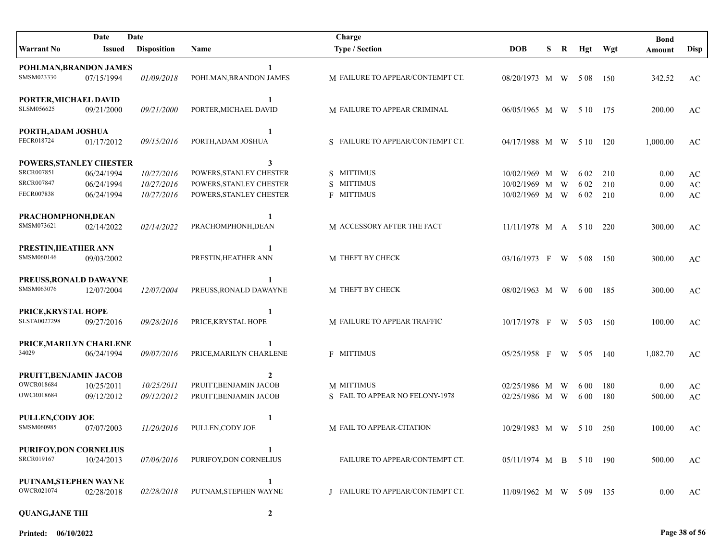| Date<br>Date                 |            |                    |                         | Charge                           |                         |   |   |       |         | <b>Bond</b> |                        |
|------------------------------|------------|--------------------|-------------------------|----------------------------------|-------------------------|---|---|-------|---------|-------------|------------------------|
| Warrant No                   | Issued     | <b>Disposition</b> | Name                    | <b>Type / Section</b>            | <b>DOB</b>              | S | R |       | Hgt Wgt | Amount      | <b>Disp</b>            |
| POHLMAN, BRANDON JAMES       |            |                    | 1                       |                                  |                         |   |   |       |         |             |                        |
| SMSM023330                   | 07/15/1994 | 01/09/2018         | POHLMAN, BRANDON JAMES  | M FAILURE TO APPEAR/CONTEMPT CT. | 08/20/1973 M W 508      |   |   |       | 150     | 342.52      | AC                     |
| PORTER, MICHAEL DAVID        |            |                    | 1                       |                                  |                         |   |   |       |         |             |                        |
| SLSM056625                   | 09/21/2000 | 09/21/2000         | PORTER, MICHAEL DAVID   | M FAILURE TO APPEAR CRIMINAL     | 06/05/1965 M W 510 175  |   |   |       |         | 200.00      | AC                     |
| PORTH, ADAM JOSHUA           |            |                    | $\mathbf{1}$            |                                  |                         |   |   |       |         |             |                        |
| FECR018724                   | 01/17/2012 | 09/15/2016         | PORTH, ADAM JOSHUA      | S FAILURE TO APPEAR/CONTEMPT CT. | 04/17/1988 M W          |   |   | 5 10  | 120     | 1,000.00    | AC                     |
| POWERS, STANLEY CHESTER      |            |                    | 3                       |                                  |                         |   |   |       |         |             |                        |
| SRCR007851                   | 06/24/1994 | 10/27/2016         | POWERS, STANLEY CHESTER | S MITTIMUS                       | 10/02/1969 M            |   | W | 6 0 2 | 210     | 0.00        | AC                     |
| <b>SRCR007847</b>            | 06/24/1994 | 10/27/2016         | POWERS, STANLEY CHESTER | S MITTIMUS                       | 10/02/1969 M W          |   |   | 6 0 2 | 210     | $0.00\,$    | $\mathbf{A}\mathbf{C}$ |
| FECR007838                   | 06/24/1994 | 10/27/2016         | POWERS, STANLEY CHESTER | <b>F MITTIMUS</b>                | 10/02/1969 M W          |   |   | 6 0 2 | 210     | 0.00        | $\mathbf{A}\mathbf{C}$ |
| PRACHOMPHONH, DEAN           |            |                    | 1                       |                                  |                         |   |   |       |         |             |                        |
| SMSM073621                   | 02/14/2022 | 02/14/2022         | PRACHOMPHONH, DEAN      | M ACCESSORY AFTER THE FACT       | $11/11/1978$ M A 5 10   |   |   |       | 220     | 300.00      | AC                     |
| PRESTIN, HEATHER ANN         |            |                    |                         |                                  |                         |   |   |       |         |             |                        |
| SMSM060146                   | 09/03/2002 |                    | PRESTIN, HEATHER ANN    | M THEFT BY CHECK                 | 03/16/1973 F W 508      |   |   |       | 150     | 300.00      | AC                     |
| PREUSS, RONALD DAWAYNE       |            |                    |                         |                                  |                         |   |   |       |         |             |                        |
| SMSM063076                   | 12/07/2004 | <i>12/07/2004</i>  | PREUSS, RONALD DAWAYNE  | M THEFT BY CHECK                 | 08/02/1963 M W          |   |   | 6 0 0 | 185     | 300.00      | AC                     |
| PRICE, KRYSTAL HOPE          |            |                    |                         |                                  |                         |   |   |       |         |             |                        |
| SLSTA0027298                 | 09/27/2016 | 09/28/2016         | PRICE, KRYSTAL HOPE     | M FAILURE TO APPEAR TRAFFIC      | $10/17/1978$ F W 503    |   |   |       | - 150   | 100.00      | AC                     |
| PRICE, MARILYN CHARLENE      |            |                    |                         |                                  |                         |   |   |       |         |             |                        |
| 34029                        | 06/24/1994 | 09/07/2016         | PRICE, MARILYN CHARLENE | <b>F MITTIMUS</b>                | 05/25/1958 F W 505      |   |   |       | - 140   | 1,082.70    | AC                     |
| PRUITT, BENJAMIN JACOB       |            |                    | $\mathbf{2}$            |                                  |                         |   |   |       |         |             |                        |
| <b>OWCR018684</b>            | 10/25/2011 | 10/25/2011         | PRUITT, BENJAMIN JACOB  | M MITTIMUS                       | 02/25/1986 M W          |   |   | 6 0 0 | 180     | 0.00        | AC                     |
| <b>OWCR018684</b>            | 09/12/2012 | 09/12/2012         | PRUITT, BENJAMIN JACOB  | S FAIL TO APPEAR NO FELONY-1978  | 02/25/1986 M W          |   |   | 6 0 0 | 180     | 500.00      | $\mathbf{A}\mathbf{C}$ |
| <b>PULLEN, CODY JOE</b>      |            |                    | 1                       |                                  |                         |   |   |       |         |             |                        |
| SMSM060985                   | 07/07/2003 | 11/20/2016         | PULLEN, CODY JOE        | M FAIL TO APPEAR-CITATION        | 10/29/1983 M W 5 10 250 |   |   |       |         | 100.00      | AC                     |
| <b>PURIFOY,DON CORNELIUS</b> |            |                    |                         |                                  |                         |   |   |       |         |             |                        |
| SRCR019167                   | 10/24/2013 | 07/06/2016         | PURIFOY, DON CORNELIUS  | FAILURE TO APPEAR/CONTEMPT CT.   | 05/11/1974 M B 5 10 190 |   |   |       |         | 500.00      | AC                     |
| PUTNAM, STEPHEN WAYNE        |            |                    |                         |                                  |                         |   |   |       |         |             |                        |
| OWCR021074                   | 02/28/2018 | 02/28/2018         | PUTNAM, STEPHEN WAYNE   | J FAILURE TO APPEAR/CONTEMPT CT. | 11/09/1962 M W 5 09 135 |   |   |       |         | 0.00        | AC                     |
| <b>QUANG, JANE THI</b>       |            |                    | $\overline{2}$          |                                  |                         |   |   |       |         |             |                        |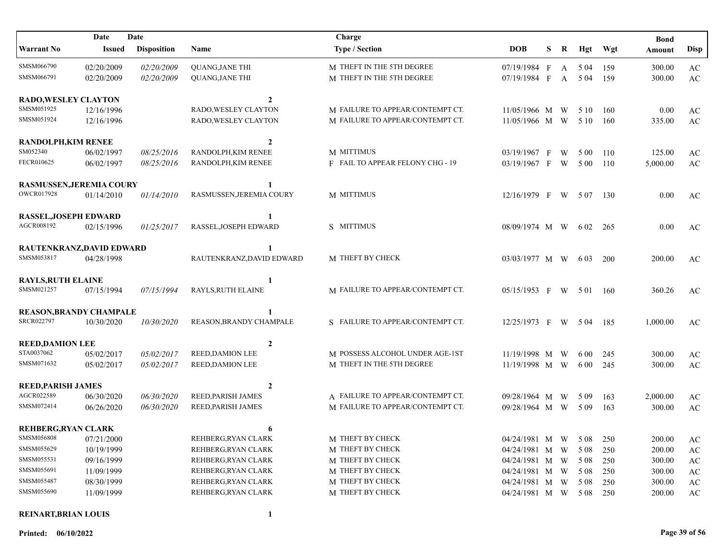|                                | Date          | Date               |                           | Charge                           |                    |   |   |       |     | <b>Bond</b> |                        |
|--------------------------------|---------------|--------------------|---------------------------|----------------------------------|--------------------|---|---|-------|-----|-------------|------------------------|
| <b>Warrant No</b>              | <b>Issued</b> | <b>Disposition</b> | Name                      | <b>Type / Section</b>            | <b>DOB</b>         | S | R | Hgt   | Wgt | Amount      | <b>Disp</b>            |
| SMSM066790                     | 02/20/2009    | 02/20/2009         | <b>QUANG, JANE THI</b>    | M THEFT IN THE 5TH DEGREE        | 07/19/1984 F       |   |   | A 504 | 159 | 300.00      | $\mathbf{A}\mathbf{C}$ |
| SMSM066791                     | 02/20/2009    | 02/20/2009         | <b>QUANG, JANE THI</b>    | M THEFT IN THE 5TH DEGREE        | 07/19/1984 F       |   |   | A 504 | 159 | 300.00      | AC                     |
| <b>RADO, WESLEY CLAYTON</b>    |               |                    | $\overline{2}$            |                                  |                    |   |   |       |     |             |                        |
| SMSM051925                     | 12/16/1996    |                    | RADO, WESLEY CLAYTON      | M FAILURE TO APPEAR/CONTEMPT CT. | 11/05/1966 M W     |   |   | 5 10  | 160 | 0.00        | AC                     |
| SMSM051924                     | 12/16/1996    |                    | RADO, WESLEY CLAYTON      | M FAILURE TO APPEAR/CONTEMPT CT. | 11/05/1966 M W     |   |   | 5 10  | 160 | 335.00      | $\mathbf{A}\mathbf{C}$ |
| <b>RANDOLPH, KIM RENEE</b>     |               |                    | $\overline{2}$            |                                  |                    |   |   |       |     |             |                        |
| SM052340                       | 06/02/1997    | 08/25/2016         | RANDOLPH, KIM RENEE       | <b>M MITTIMUS</b>                | 03/19/1967 F       |   | W | 5 0 0 | 110 | 125.00      | AC                     |
| FECR010625                     | 06/02/1997    | 08/25/2016         | RANDOLPH, KIM RENEE       | F FAIL TO APPEAR FELONY CHG - 19 | 03/19/1967 F       |   | W | 5 0 0 | 110 | 5,000.00    | $\mathbf{A}\mathbf{C}$ |
| RASMUSSEN, JEREMIA COURY       |               |                    | 1                         |                                  |                    |   |   |       |     |             |                        |
| <b>OWCR017928</b>              | 01/14/2010    | 01/14/2010         | RASMUSSEN, JEREMIA COURY  | M MITTIMUS                       | 12/16/1979 F       |   | W | 5 0 7 | 130 | 0.00        | AC                     |
| <b>RASSEL, JOSEPH EDWARD</b>   |               |                    | 1                         |                                  |                    |   |   |       |     |             |                        |
| AGCR008192                     | 02/15/1996    | 01/25/2017         | RASSEL, JOSEPH EDWARD     | S MITTIMUS                       | 08/09/1974 M W     |   |   | 6 0 2 | 265 | 0.00        | AC                     |
| RAUTENKRANZ, DAVID EDWARD      |               |                    | 1                         |                                  |                    |   |   |       |     |             |                        |
| SMSM053817                     | 04/28/1998    |                    | RAUTENKRANZ, DAVID EDWARD | M THEFT BY CHECK                 | 03/03/1977 M W     |   |   | 6 0 3 | 200 | 200.00      | AC                     |
| <b>RAYLS, RUTH ELAINE</b>      |               |                    | 1                         |                                  |                    |   |   |       |     |             |                        |
| SMSM021257                     | 07/15/1994    | 07/15/1994         | RAYLS, RUTH ELAINE        | M FAILURE TO APPEAR/CONTEMPT CT. | 05/15/1953 F       |   | W | 5 0 1 | 160 | 360.26      | AC                     |
| <b>REASON, BRANDY CHAMPALE</b> |               |                    |                           |                                  |                    |   |   |       |     |             |                        |
| <b>SRCR022797</b>              | 10/30/2020    | 10/30/2020         | REASON, BRANDY CHAMPALE   | S FAILURE TO APPEAR/CONTEMPT CT. | 12/25/1973 F W     |   |   | 5 0 4 | 185 | 1,000.00    | AC                     |
| <b>REED, DAMION LEE</b>        |               |                    | $\overline{2}$            |                                  |                    |   |   |       |     |             |                        |
| STA0037062                     | 05/02/2017    | 05/02/2017         | <b>REED, DAMION LEE</b>   | M POSSESS ALCOHOL UNDER AGE-1ST  | 11/19/1998 M       |   | W | 6 0 0 | 245 | 300.00      | AC                     |
| SMSM071632                     | 05/02/2017    | 05/02/2017         | REED, DAMION LEE          | M THEFT IN THE 5TH DEGREE        | 11/19/1998 M W     |   |   | 6 0 0 | 245 | 300.00      | AC                     |
| <b>REED, PARISH JAMES</b>      |               |                    | $\overline{2}$            |                                  |                    |   |   |       |     |             |                        |
| AGCR022589                     | 06/30/2020    | 06/30/2020         | REED, PARISH JAMES        | A FAILURE TO APPEAR/CONTEMPT CT. | 09/28/1964 M       |   | W | 5 0 9 | 163 | 2,000.00    | AC                     |
| SMSM072414                     | 06/26/2020    | 06/30/2020         | REED, PARISH JAMES        | M FAILURE TO APPEAR/CONTEMPT CT. | 09/28/1964 M W     |   |   | 5 0 9 | 163 | 300.00      | $\mathbf{A}\mathbf{C}$ |
| <b>REHBERG, RYAN CLARK</b>     |               |                    | 6                         |                                  |                    |   |   |       |     |             |                        |
| SMSM056808                     | 07/21/2000    |                    | REHBERG, RYAN CLARK       | M THEFT BY CHECK                 | 04/24/1981 M W     |   |   | 5 0 8 | 250 | 200.00      | $\mathbf{A}\mathbf{C}$ |
| SMSM055629                     | 10/19/1999    |                    | REHBERG, RYAN CLARK       | M THEFT BY CHECK                 | 04/24/1981 M W     |   |   | 5 0 8 | 250 | 200.00      | $\mathbf{A}\mathbf{C}$ |
| SMSM055531                     | 09/16/1999    |                    | REHBERG, RYAN CLARK       | M THEFT BY CHECK                 | 04/24/1981 M W     |   |   | 5 0 8 | 250 | 300.00      | AC                     |
| SMSM055691                     | 11/09/1999    |                    | REHBERG, RYAN CLARK       | M THEFT BY CHECK                 | 04/24/1981 M W     |   |   | 5 0 8 | 250 | 300.00      | AC                     |
| SMSM055487                     | 08/30/1999    |                    | REHBERG, RYAN CLARK       | M THEFT BY CHECK                 | 04/24/1981 M W     |   |   | 5 0 8 | 250 | 300.00      | AC                     |
| SMSM055690                     | 11/09/1999    |                    | REHBERG, RYAN CLARK       | M THEFT BY CHECK                 | 04/24/1981 M W 508 |   |   |       | 250 | 200.00      | AC                     |
|                                |               |                    |                           |                                  |                    |   |   |       |     |             |                        |

## **REINART,BRIAN LOUIS 1**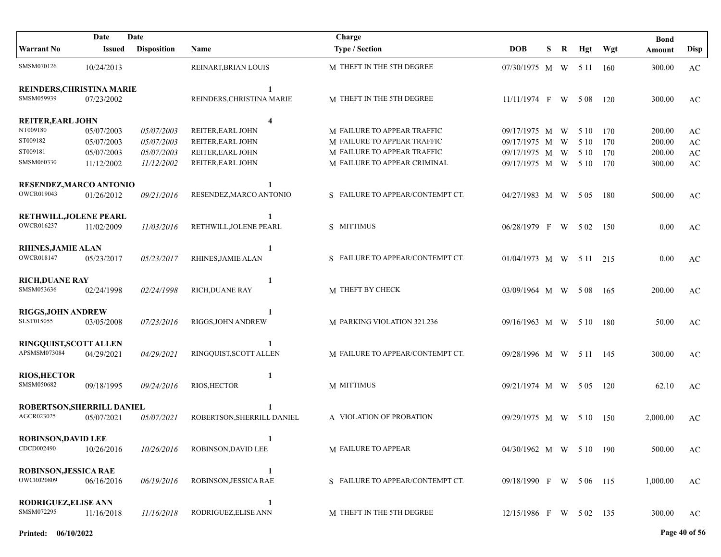|                               | Date       | Date               |                            | Charge                           |                         |   |   |       |         | <b>Bond</b> |                        |
|-------------------------------|------------|--------------------|----------------------------|----------------------------------|-------------------------|---|---|-------|---------|-------------|------------------------|
| <b>Warrant No</b>             | Issued     | <b>Disposition</b> | <b>Name</b>                | <b>Type / Section</b>            | <b>DOB</b>              | S | R |       | Hgt Wgt | Amount      | <b>Disp</b>            |
| SMSM070126                    | 10/24/2013 |                    | REINART, BRIAN LOUIS       | M THEFT IN THE 5TH DEGREE        | 07/30/1975 M W 511 160  |   |   |       |         | 300.00      | AC                     |
| REINDERS, CHRISTINA MARIE     |            |                    | 1                          |                                  |                         |   |   |       |         |             |                        |
| SMSM059939                    | 07/23/2002 |                    | REINDERS, CHRISTINA MARIE  | M THEFT IN THE 5TH DEGREE        | $11/11/1974$ F W 508    |   |   |       | 120     | 300.00      | AC                     |
| <b>REITER, EARL JOHN</b>      |            |                    | $\overline{\mathbf{4}}$    |                                  |                         |   |   |       |         |             |                        |
| NT009180                      | 05/07/2003 | 05/07/2003         | REITER, EARL JOHN          | M FAILURE TO APPEAR TRAFFIC      | 09/17/1975 M            |   | W | 5 10  | 170     | 200.00      | AC                     |
| ST009182                      | 05/07/2003 | 05/07/2003         | REITER, EARL JOHN          | M FAILURE TO APPEAR TRAFFIC      | 09/17/1975 M            |   | W | 5 10  | 170     | 200.00      | $\mathbf{A}\mathbf{C}$ |
| ST009181                      | 05/07/2003 | 05/07/2003         | REITER, EARL JOHN          | M FAILURE TO APPEAR TRAFFIC      | 09/17/1975 M            |   | W | 5 10  | 170     | 200.00      | $\mathbf{A}\mathbf{C}$ |
| SMSM060330                    | 11/12/2002 | 11/12/2002         | REITER, EARL JOHN          | M FAILURE TO APPEAR CRIMINAL     | 09/17/1975 M W          |   |   | 5 10  | 170     | 300.00      | $\mathbf{A}\mathbf{C}$ |
| RESENDEZ, MARCO ANTONIO       |            |                    | 1                          |                                  |                         |   |   |       |         |             |                        |
| OWCR019043                    | 01/26/2012 | 09/21/2016         | RESENDEZ, MARCO ANTONIO    | S FAILURE TO APPEAR/CONTEMPT CT. | 04/27/1983 M W 505      |   |   |       | -180    | 500.00      | AC                     |
| RETHWILL, JOLENE PEARL        |            |                    | 1                          |                                  |                         |   |   |       |         |             |                        |
| OWCR016237                    | 11/02/2009 | 11/03/2016         | RETHWILL, JOLENE PEARL     | S MITTIMUS                       | 06/28/1979 F W          |   |   | 5 0 2 | 150     | 0.00        | AC                     |
| <b>RHINES, JAMIE ALAN</b>     |            |                    | 1                          |                                  |                         |   |   |       |         |             |                        |
| <b>OWCR018147</b>             | 05/23/2017 | 05/23/2017         | RHINES, JAMIE ALAN         | S FAILURE TO APPEAR/CONTEMPT CT. | 01/04/1973 M W 5 11 215 |   |   |       |         | 0.00        | AC                     |
| <b>RICH, DUANE RAY</b>        |            |                    | 1                          |                                  |                         |   |   |       |         |             |                        |
| SMSM053636                    | 02/24/1998 | 02/24/1998         | RICH, DUANE RAY            | M THEFT BY CHECK                 | 03/09/1964 M W 508      |   |   |       | 165     | 200.00      | AC                     |
| <b>RIGGS, JOHN ANDREW</b>     |            |                    | 1                          |                                  |                         |   |   |       |         |             |                        |
| SLST015055                    | 03/05/2008 | 07/23/2016         | RIGGS, JOHN ANDREW         | M PARKING VIOLATION 321.236      | 09/16/1963 M W 510      |   |   |       | - 180   | 50.00       | AC                     |
| <b>RINGQUIST, SCOTT ALLEN</b> |            |                    |                            |                                  |                         |   |   |       |         |             |                        |
| APSMSM073084                  | 04/29/2021 | 04/29/2021         | RINGQUIST, SCOTT ALLEN     | M FAILURE TO APPEAR/CONTEMPT CT. | 09/28/1996 M W 5 11 145 |   |   |       |         | 300.00      | AC                     |
| <b>RIOS, HECTOR</b>           |            |                    | 1                          |                                  |                         |   |   |       |         |             |                        |
| SMSM050682                    | 09/18/1995 | 09/24/2016         | <b>RIOS, HECTOR</b>        | M MITTIMUS                       | 09/21/1974 M W 505      |   |   |       | 120     | 62.10       | AC                     |
| ROBERTSON, SHERRILL DANIEL    |            |                    |                            |                                  |                         |   |   |       |         |             |                        |
| AGCR023025                    | 05/07/2021 | 05/07/2021         | ROBERTSON, SHERRILL DANIEL | A VIOLATION OF PROBATION         | 09/29/1975 M W 510      |   |   |       | -150    | 2,000.00    | AC                     |
| <b>ROBINSON, DAVID LEE</b>    |            |                    |                            |                                  |                         |   |   |       |         |             |                        |
| CDCD002490                    | 10/26/2016 | 10/26/2016         | ROBINSON, DAVID LEE        | <b>M FAILURE TO APPEAR</b>       | 04/30/1962 M W 5 10 190 |   |   |       |         | 500.00      | AC                     |
| <b>ROBINSON, JESSICA RAE</b>  |            |                    | $\mathbf{1}$               |                                  |                         |   |   |       |         |             |                        |
| <b>OWCR020809</b>             | 06/16/2016 | 06/19/2016         | ROBINSON, JESSICA RAE      | S FAILURE TO APPEAR/CONTEMPT CT. | 09/18/1990 F W 506 115  |   |   |       |         | 1,000.00    | AC                     |
| RODRIGUEZ, ELISE ANN          |            |                    | 1                          |                                  |                         |   |   |       |         |             |                        |
| SMSM072295                    | 11/16/2018 | 11/16/2018         | RODRIGUEZ, ELISE ANN       | M THEFT IN THE 5TH DEGREE        | 12/15/1986 F W 502 135  |   |   |       |         | 300.00      | AC                     |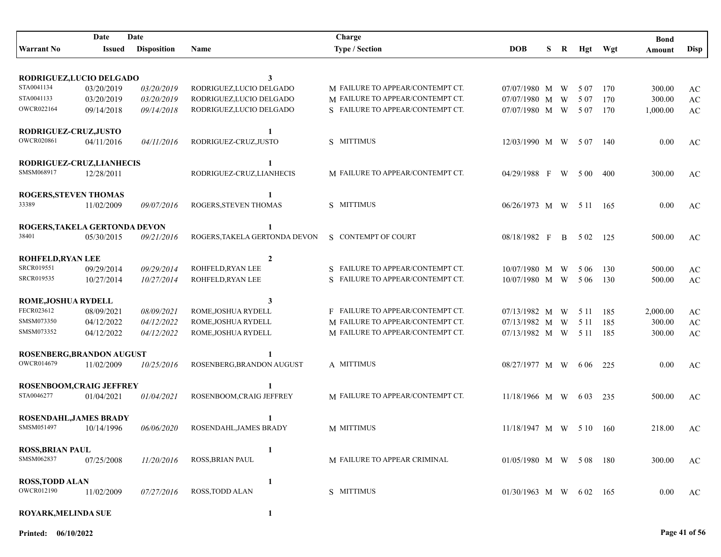|                            | Date                          | Date               |                               | Charge                           |                           |   |              |          |         | <b>Bond</b> |                        |
|----------------------------|-------------------------------|--------------------|-------------------------------|----------------------------------|---------------------------|---|--------------|----------|---------|-------------|------------------------|
| <b>Warrant No</b>          | Issued                        | <b>Disposition</b> | Name                          | <b>Type / Section</b>            | <b>DOB</b>                | S | R            |          | Hgt Wgt | Amount      | <b>Disp</b>            |
|                            | RODRIGUEZ,LUCIO DELGADO       |                    | 3                             |                                  |                           |   |              |          |         |             |                        |
| STA0041134                 | 03/20/2019                    | 03/20/2019         | RODRIGUEZ,LUCIO DELGADO       | M FAILURE TO APPEAR/CONTEMPT CT. | 07/07/1980 M W            |   |              | 5 0 7    | 170     | 300.00      | AC                     |
| STA0041133                 | 03/20/2019                    | 03/20/2019         | RODRIGUEZ,LUCIO DELGADO       | M FAILURE TO APPEAR/CONTEMPT CT. | 07/07/1980 M              |   | W            | 5 0 7    | 170     | 300.00      | $\mathbf{A}\mathbf{C}$ |
| <b>OWCR022164</b>          | 09/14/2018                    | 09/14/2018         | RODRIGUEZ,LUCIO DELGADO       | S FAILURE TO APPEAR/CONTEMPT CT. | 07/07/1980 M W            |   |              | 5 0 7    | 170     | 1,000.00    | $\mathbf{A}\mathbf{C}$ |
| RODRIGUEZ-CRUZ, JUSTO      |                               |                    | 1                             |                                  |                           |   |              |          |         |             |                        |
| <b>OWCR020861</b>          | 04/11/2016                    | 04/11/2016         | RODRIGUEZ-CRUZ,JUSTO          | S MITTIMUS                       | $12/03/1990$ M W          |   |              | 507      | - 140   | 0.00        | AC                     |
|                            | RODRIGUEZ-CRUZ,LIANHECIS      |                    | 1                             |                                  |                           |   |              |          |         |             |                        |
| SMSM068917                 | 12/28/2011                    |                    | RODRIGUEZ-CRUZ,LIANHECIS      | M FAILURE TO APPEAR/CONTEMPT CT. | 04/29/1988 F              |   | W            | 5 0 0    | 400     | 300.00      | AC                     |
| ROGERS, STEVEN THOMAS      |                               |                    | 1                             |                                  |                           |   |              |          |         |             |                        |
| 33389                      | 11/02/2009                    | 09/07/2016         | ROGERS, STEVEN THOMAS         | S MITTIMUS                       | 06/26/1973 M W            |   |              | 5 1 1    | - 165   | 0.00        | AC                     |
|                            | ROGERS, TAKELA GERTONDA DEVON |                    | 1                             |                                  |                           |   |              |          |         |             |                        |
| 38401                      | 05/30/2015                    | 09/21/2016         | ROGERS, TAKELA GERTONDA DEVON | S CONTEMPT OF COURT              | 08/18/1982 F              |   | $\mathbf{B}$ | 5 0 2    | 125     | 500.00      | AC                     |
| <b>ROHFELD, RYAN LEE</b>   |                               |                    | $\overline{2}$                |                                  |                           |   |              |          |         |             |                        |
| SRCR019551                 | 09/29/2014                    | 09/29/2014         | ROHFELD, RYAN LEE             | S FAILURE TO APPEAR/CONTEMPT CT. | 10/07/1980 M W            |   |              | 5 0 6    | 130     | 500.00      | AC                     |
| SRCR019535                 | 10/27/2014                    | 10/27/2014         | ROHFELD, RYAN LEE             | S FAILURE TO APPEAR/CONTEMPT CT. | 10/07/1980 M W            |   |              | 5 0 6    | 130     | 500.00      | AC                     |
| <b>ROME, JOSHUA RYDELL</b> |                               |                    | 3                             |                                  |                           |   |              |          |         |             |                        |
| FECR023612                 | 08/09/2021                    | 08/09/2021         | ROME, JOSHUA RYDELL           | F FAILURE TO APPEAR/CONTEMPT CT. | 07/13/1982 M W            |   |              | 5 1 1    | 185     | 2,000.00    | AC                     |
| SMSM073350                 | 04/12/2022                    | 04/12/2022         | ROME, JOSHUA RYDELL           | M FAILURE TO APPEAR/CONTEMPT CT. | 07/13/1982 M W            |   |              | 5 1 1    | 185     | 300.00      | $\mathbf{A}\mathbf{C}$ |
| SMSM073352                 | 04/12/2022                    | 04/12/2022         | ROME, JOSHUA RYDELL           | M FAILURE TO APPEAR/CONTEMPT CT. | 07/13/1982 M W            |   |              | 5 1 1    | 185     | 300.00      | AC                     |
|                            | ROSENBERG, BRANDON AUGUST     |                    |                               |                                  |                           |   |              |          |         |             |                        |
| <b>OWCR014679</b>          | 11/02/2009                    | 10/25/2016         | ROSENBERG, BRANDON AUGUST     | A MITTIMUS                       | 08/27/1977 M W            |   |              | 6 0 6    | 225     | 0.00        | AC                     |
|                            | ROSENBOOM, CRAIG JEFFREY      |                    |                               |                                  |                           |   |              |          |         |             |                        |
| STA0046277                 | 01/04/2021                    | 01/04/2021         | ROSENBOOM, CRAIG JEFFREY      | M FAILURE TO APPEAR/CONTEMPT CT. | $11/18/1966$ M W          |   |              | 6 0 3    | 235     | 500.00      | AC                     |
|                            | <b>ROSENDAHL, JAMES BRADY</b> |                    |                               |                                  |                           |   |              |          |         |             |                        |
| SMSM051497                 | 10/14/1996                    | 06/06/2020         | ROSENDAHL, JAMES BRADY        | M MITTIMUS                       | $11/18/1947$ M W 5 10 160 |   |              |          |         | 218.00      | AC                     |
| <b>ROSS, BRIAN PAUL</b>    |                               |                    | 1                             |                                  |                           |   |              |          |         |             |                        |
| SMSM062837                 | 07/25/2008                    | 11/20/2016         | ROSS, BRIAN PAUL              | M FAILURE TO APPEAR CRIMINAL     | 01/05/1980 M W 508 180    |   |              |          |         | 300.00      | AC                     |
| <b>ROSS, TODD ALAN</b>     |                               |                    | 1                             |                                  |                           |   |              |          |         |             |                        |
| <b>OWCR012190</b>          | 11/02/2009                    | 07/27/2016         | <b>ROSS, TODD ALAN</b>        | S MITTIMUS                       | $01/30/1963$ M W          |   |              | 6 02 165 |         | 0.00        | AC                     |
| ROYARK, MELINDA SUE        |                               |                    | 1                             |                                  |                           |   |              |          |         |             |                        |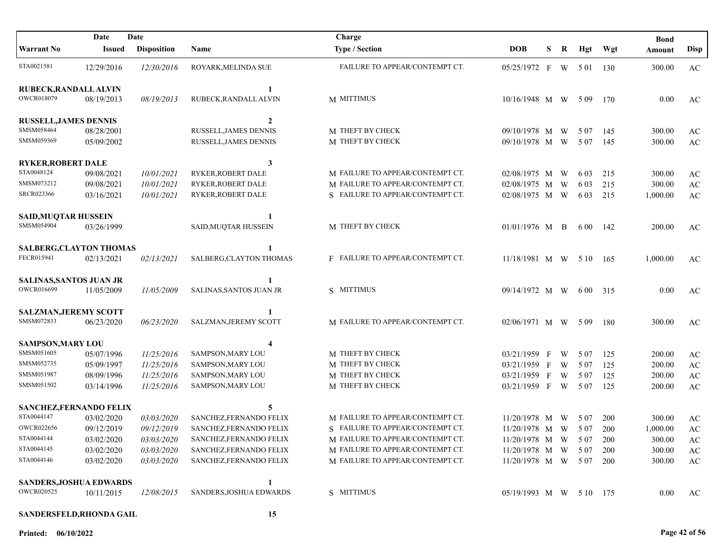|                                | Date          | Date               |                          | Charge                           |                         |   |   |       |     | <b>Bond</b> |                        |
|--------------------------------|---------------|--------------------|--------------------------|----------------------------------|-------------------------|---|---|-------|-----|-------------|------------------------|
| <b>Warrant No</b>              | <b>Issued</b> | <b>Disposition</b> | <b>Name</b>              | <b>Type / Section</b>            | <b>DOB</b>              | S | R | Hgt   | Wgt | Amount      | <b>Disp</b>            |
| STA0021581                     | 12/29/2016    | 12/30/2016         | ROYARK, MELINDA SUE      | FAILURE TO APPEAR/CONTEMPT CT.   | 05/25/1972 F W 501      |   |   |       | 130 | 300.00      | AC                     |
| RUBECK, RANDALL ALVIN          |               |                    | 1                        |                                  |                         |   |   |       |     |             |                        |
| <b>OWCR018079</b>              | 08/19/2013    | 08/19/2013         | RUBECK, RANDALL ALVIN    | M MITTIMUS                       | 10/16/1948 M W          |   |   | 509   | 170 | 0.00        | AC                     |
| <b>RUSSELL, JAMES DENNIS</b>   |               |                    | $\mathbf{2}$             |                                  |                         |   |   |       |     |             |                        |
| SMSM058464                     | 08/28/2001    |                    | RUSSELL, JAMES DENNIS    | M THEFT BY CHECK                 | 09/10/1978 M W          |   |   | 5 0 7 | 145 | 300.00      | AC                     |
| SMSM059369                     | 05/09/2002    |                    | RUSSELL, JAMES DENNIS    | M THEFT BY CHECK                 | 09/10/1978 M W          |   |   | 5 0 7 | 145 | 300.00      | $\mathbf{A}\mathbf{C}$ |
| <b>RYKER, ROBERT DALE</b>      |               |                    | 3                        |                                  |                         |   |   |       |     |             |                        |
| STA0048124                     | 09/08/2021    | 10/01/2021         | RYKER, ROBERT DALE       | M FAILURE TO APPEAR/CONTEMPT CT. | 02/08/1975 M            |   | W | 6 0 3 | 215 | 300.00      | $\mathbf{A}\mathbf{C}$ |
| SMSM073212                     | 09/08/2021    | 10/01/2021         | RYKER, ROBERT DALE       | M FAILURE TO APPEAR/CONTEMPT CT. | 02/08/1975 M            |   | W | 6 0 3 | 215 | 300.00      | AC                     |
| <b>SRCR023366</b>              | 03/16/2021    | 10/01/2021         | RYKER, ROBERT DALE       | S FAILURE TO APPEAR/CONTEMPT CT. | 02/08/1975 M W          |   |   | 6 0 3 | 215 | 1,000.00    | AC                     |
| <b>SAID, MUQTAR HUSSEIN</b>    |               |                    |                          |                                  |                         |   |   |       |     |             |                        |
| SMSM054904                     | 03/26/1999    |                    | SAID, MUQTAR HUSSEIN     | M THEFT BY CHECK                 | 01/01/1976 M B          |   |   | 6 0 0 | 142 | 200.00      | AC                     |
| <b>SALBERG, CLAYTON THOMAS</b> |               |                    |                          |                                  |                         |   |   |       |     |             |                        |
| FECR015941                     | 02/13/2021    | 02/13/2021         | SALBERG, CLAYTON THOMAS  | F FAILURE TO APPEAR/CONTEMPT CT. | 11/18/1981 M W 510      |   |   |       | 165 | 1,000.00    | AC                     |
| SALINAS, SANTOS JUAN JR        |               |                    |                          |                                  |                         |   |   |       |     |             |                        |
| OWCR016699                     | 11/05/2009    | 11/05/2009         | SALINAS, SANTOS JUAN JR  | S MITTIMUS                       | 09/14/1972 M W          |   |   | 6 0 0 | 315 | 0.00        | AC                     |
| <b>SALZMAN, JEREMY SCOTT</b>   |               |                    |                          |                                  |                         |   |   |       |     |             |                        |
| SMSM072833                     | 06/23/2020    | 06/23/2020         | SALZMAN, JEREMY SCOTT    | M FAILURE TO APPEAR/CONTEMPT CT. | 02/06/1971 M W          |   |   | 5 0 9 | 180 | 300.00      | AC                     |
| <b>SAMPSON, MARY LOU</b>       |               |                    | 4                        |                                  |                         |   |   |       |     |             |                        |
| SMSM051605                     | 05/07/1996    | 11/25/2016         | <b>SAMPSON, MARY LOU</b> | M THEFT BY CHECK                 | 03/21/1959 F            |   | W | 5 0 7 | 125 | 200.00      | AC                     |
| SMSM052735                     | 05/09/1997    | 11/25/2016         | SAMPSON, MARY LOU        | M THEFT BY CHECK                 | 03/21/1959 F            |   | W | 5 0 7 | 125 | 200.00      | $\mathbf{A}\mathbf{C}$ |
| SMSM051987                     | 08/09/1996    | 11/25/2016         | SAMPSON, MARY LOU        | M THEFT BY CHECK                 | 03/21/1959 F            |   | W | 5 0 7 | 125 | 200.00      | $\mathbf{A}\mathbf{C}$ |
| SMSM051502                     | 03/14/1996    | 11/25/2016         | <b>SAMPSON, MARY LOU</b> | M THEFT BY CHECK                 | 03/21/1959 F            |   | W | 5 0 7 | 125 | 200.00      | $\mathbf{A}\mathbf{C}$ |
| <b>SANCHEZ, FERNANDO FELIX</b> |               |                    | 5                        |                                  |                         |   |   |       |     |             |                        |
| STA0044147                     | 03/02/2020    | 03/03/2020         | SANCHEZ, FERNANDO FELIX  | M FAILURE TO APPEAR/CONTEMPT CT. | 11/20/1978 M            |   | W | 5 0 7 | 200 | 300.00      | AC                     |
| <b>OWCR022656</b>              | 09/12/2019    | 09/12/2019         | SANCHEZ, FERNANDO FELIX  | S FAILURE TO APPEAR/CONTEMPT CT. | 11/20/1978 M W          |   |   | 5 0 7 | 200 | 1,000.00    | $\mathbf{A}\mathbf{C}$ |
| STA0044144                     | 03/02/2020    | 03/03/2020         | SANCHEZ, FERNANDO FELIX  | M FAILURE TO APPEAR/CONTEMPT CT. | 11/20/1978 M W          |   |   | 5 0 7 | 200 | 300.00      | AC                     |
| STA0044145                     | 03/02/2020    | 03/03/2020         | SANCHEZ, FERNANDO FELIX  | M FAILURE TO APPEAR/CONTEMPT CT. | $11/20/1978$ M W 507    |   |   |       | 200 | 300.00      | AC                     |
| STA0044146                     | 03/02/2020    | 03/03/2020         | SANCHEZ, FERNANDO FELIX  | M FAILURE TO APPEAR/CONTEMPT CT. | 11/20/1978 M W 507 200  |   |   |       |     | 300.00      | AC                     |
| <b>SANDERS, JOSHUA EDWARDS</b> |               |                    | 1                        |                                  |                         |   |   |       |     |             |                        |
| <b>OWCR020525</b>              | 10/11/2015    | 12/08/2015         | SANDERS, JOSHUA EDWARDS  | S MITTIMUS                       | 05/19/1993 M W 5 10 175 |   |   |       |     | 0.00        | AC                     |
| SANDERSFELD, RHONDA GAIL       |               |                    | 15                       |                                  |                         |   |   |       |     |             |                        |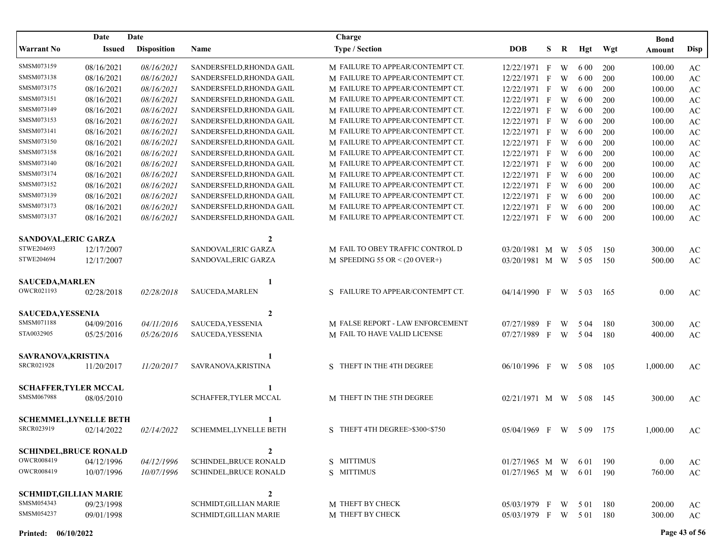| Date<br>Date                  |               |                    |                               | Charge                             |                    |              |   |       |     | <b>Bond</b> |                        |
|-------------------------------|---------------|--------------------|-------------------------------|------------------------------------|--------------------|--------------|---|-------|-----|-------------|------------------------|
| <b>Warrant No</b>             | <b>Issued</b> | <b>Disposition</b> | Name                          | <b>Type / Section</b>              | <b>DOB</b>         | S            | R | Hgt   | Wgt | Amount      | Disp                   |
| SMSM073159                    | 08/16/2021    | 08/16/2021         | SANDERSFELD, RHONDA GAIL      | M FAILURE TO APPEAR/CONTEMPT CT.   | 12/22/1971 F       |              | W | 6 0 0 | 200 | 100.00      | $\mathbf{A}\mathbf{C}$ |
| SMSM073138                    | 08/16/2021    | 08/16/2021         | SANDERSFELD, RHONDA GAIL      | M FAILURE TO APPEAR/CONTEMPT CT.   | 12/22/1971         | F            | W | 6 0 0 | 200 | 100.00      | $\mathbf{A}\mathbf{C}$ |
| SMSM073175                    | 08/16/2021    | 08/16/2021         | SANDERSFELD, RHONDA GAIL      | M FAILURE TO APPEAR/CONTEMPT CT.   | 12/22/1971 F       |              | W | 6 0 0 | 200 | 100.00      | $\mathbf{A}\mathbf{C}$ |
| SMSM073151                    | 08/16/2021    | 08/16/2021         | SANDERSFELD, RHONDA GAIL      | M FAILURE TO APPEAR/CONTEMPT CT.   | 12/22/1971 F       |              | W | 6 0 0 | 200 | 100.00      | AC                     |
| SMSM073149                    | 08/16/2021    | 08/16/2021         | SANDERSFELD, RHONDA GAIL      | M FAILURE TO APPEAR/CONTEMPT CT.   | 12/22/1971         | $\mathbf{F}$ | W | 6 0 0 | 200 | 100.00      | AC                     |
| SMSM073153                    | 08/16/2021    | 08/16/2021         | SANDERSFELD, RHONDA GAIL      | M FAILURE TO APPEAR/CONTEMPT CT.   | 12/22/1971 F       |              | W | 6 0 0 | 200 | 100.00      | AC                     |
| SMSM073141                    | 08/16/2021    | 08/16/2021         | SANDERSFELD, RHONDA GAIL      | M FAILURE TO APPEAR/CONTEMPT CT.   | 12/22/1971         | $_{\rm F}$   | W | 6 0 0 | 200 | 100.00      | $\mathbf{A}\mathbf{C}$ |
| SMSM073150                    | 08/16/2021    | 08/16/2021         | SANDERSFELD, RHONDA GAIL      | M FAILURE TO APPEAR/CONTEMPT CT.   | 12/22/1971         | $\mathbf{F}$ | W | 6 0 0 | 200 | 100.00      | AC                     |
| SMSM073158                    | 08/16/2021    | 08/16/2021         | SANDERSFELD, RHONDA GAIL      | M FAILURE TO APPEAR/CONTEMPT CT.   | 12/22/1971         | $_{\rm F}$   | W | 6 0 0 | 200 | 100.00      | $\mathbf{A}\mathbf{C}$ |
| SMSM073140                    | 08/16/2021    | 08/16/2021         | SANDERSFELD, RHONDA GAIL      | M FAILURE TO APPEAR/CONTEMPT CT.   | 12/22/1971 F       |              | W | 6 0 0 | 200 | 100.00      | $\mathbf{A}\mathbf{C}$ |
| SMSM073174                    | 08/16/2021    | 08/16/2021         | SANDERSFELD, RHONDA GAIL      | M FAILURE TO APPEAR/CONTEMPT CT.   | 12/22/1971 F       |              | W | 6 0 0 | 200 | 100.00      | $\mathbf{A}\mathbf{C}$ |
| SMSM073152                    | 08/16/2021    | 08/16/2021         | SANDERSFELD, RHONDA GAIL      | M FAILURE TO APPEAR/CONTEMPT CT.   | 12/22/1971 F       |              | W | 6 0 0 | 200 | 100.00      | $\mathbf{A}\mathbf{C}$ |
| SMSM073139                    | 08/16/2021    | 08/16/2021         | SANDERSFELD, RHONDA GAIL      | M FAILURE TO APPEAR/CONTEMPT CT.   | 12/22/1971         | $\mathbf{F}$ | W | 6 0 0 | 200 | 100.00      | $\mathbf{A}\mathbf{C}$ |
| SMSM073173                    | 08/16/2021    | 08/16/2021         | SANDERSFELD, RHONDA GAIL      | M FAILURE TO APPEAR/CONTEMPT CT.   | 12/22/1971         | $\mathbf{F}$ | W | 6 0 0 | 200 | 100.00      | $\mathbf{A}\mathbf{C}$ |
| SMSM073137                    | 08/16/2021    | 08/16/2021         | SANDERSFELD, RHONDA GAIL      | M FAILURE TO APPEAR/CONTEMPT CT.   | 12/22/1971 F       |              | W | 6 0 0 | 200 | 100.00      | $\mathbf{A}\mathbf{C}$ |
| SANDOVAL, ERIC GARZA          |               |                    | $\mathbf{2}$                  |                                    |                    |              |   |       |     |             |                        |
| STWE204693                    | 12/17/2007    |                    | SANDOVAL, ERIC GARZA          | M FAIL TO OBEY TRAFFIC CONTROL D   | 03/20/1981 M W     |              |   | 5 0 5 | 150 | 300.00      | AC                     |
| STWE204694                    | 12/17/2007    |                    | SANDOVAL, ERIC GARZA          | M SPEEDING 55 OR $\leq$ (20 OVER+) | 03/20/1981 M W     |              |   | 5 0 5 | 150 | 500.00      | AC                     |
| <b>SAUCEDA, MARLEN</b>        |               |                    | 1                             |                                    |                    |              |   |       |     |             |                        |
| OWCR021193                    | 02/28/2018    | 02/28/2018         | SAUCEDA, MARLEN               | S FAILURE TO APPEAR/CONTEMPT CT.   | 04/14/1990 F       |              | W | 5 0 3 | 165 | 0.00        | AC                     |
| <b>SAUCEDA, YESSENIA</b>      |               |                    | $\mathbf{2}$                  |                                    |                    |              |   |       |     |             |                        |
| SMSM071188                    | 04/09/2016    | 04/11/2016         | SAUCEDA, YESSENIA             | M FALSE REPORT - LAW ENFORCEMENT   | 07/27/1989 F       |              | W | 5 04  | 180 | 300.00      | AC                     |
| STA0032905                    | 05/25/2016    | 05/26/2016         | SAUCEDA, YESSENIA             | M FAIL TO HAVE VALID LICENSE       | 07/27/1989 F       |              | W | 5 0 4 | 180 | 400.00      | $\mathbf{A}\mathbf{C}$ |
| SAVRANOVA, KRISTINA           |               |                    | 1                             |                                    |                    |              |   |       |     |             |                        |
| <b>SRCR021928</b>             | 11/20/2017    | 11/20/2017         | SAVRANOVA, KRISTINA           | S THEFT IN THE 4TH DEGREE          | 06/10/1996 F       |              | W | 5 0 8 | 105 | 1,000.00    | AC                     |
| <b>SCHAFFER, TYLER MCCAL</b>  |               |                    |                               |                                    |                    |              |   |       |     |             |                        |
| SMSM067988                    | 08/05/2010    |                    | SCHAFFER, TYLER MCCAL         | M THEFT IN THE 5TH DEGREE          | $02/21/1971$ M W   |              |   | 5 0 8 | 145 | 300.00      | AC                     |
| <b>SCHEMMEL, LYNELLE BETH</b> |               |                    |                               |                                    |                    |              |   |       |     |             |                        |
| SRCR023919                    | 02/14/2022    | 02/14/2022         | SCHEMMEL, LYNELLE BETH        | S THEFT 4TH DEGREE>\$300<\$750     | 05/04/1969 F W 509 |              |   |       | 175 | 1,000.00    | AC                     |
| <b>SCHINDEL, BRUCE RONALD</b> |               |                    | 2                             |                                    |                    |              |   |       |     |             |                        |
| OWCR008419                    | 04/12/1996    | 04/12/1996         | <b>SCHINDEL, BRUCE RONALD</b> | S MITTIMUS                         | $01/27/1965$ M W   |              |   | 6 0 1 | 190 | 0.00        | $\mathbf{A}\mathbf{C}$ |
| <b>OWCR008419</b>             | 10/07/1996    | 10/07/1996         | SCHINDEL, BRUCE RONALD        | S MITTIMUS                         | $01/27/1965$ M W   |              |   | 6 0 1 | 190 | 760.00      | $\mathbf{A}\mathbf{C}$ |
| <b>SCHMIDT, GILLIAN MARIE</b> |               |                    | $\boldsymbol{2}$              |                                    |                    |              |   |       |     |             |                        |
| SMSM054343                    | 09/23/1998    |                    | SCHMIDT, GILLIAN MARIE        | M THEFT BY CHECK                   | 05/03/1979 F       |              | W | 5 0 1 | 180 | 200.00      | AC                     |
| SMSM054237                    | 09/01/1998    |                    | <b>SCHMIDT, GILLIAN MARIE</b> | M THEFT BY CHECK                   | 05/03/1979 F       |              | W | 5 0 1 | 180 | 300.00      | $\mathbf{A}\mathbf{C}$ |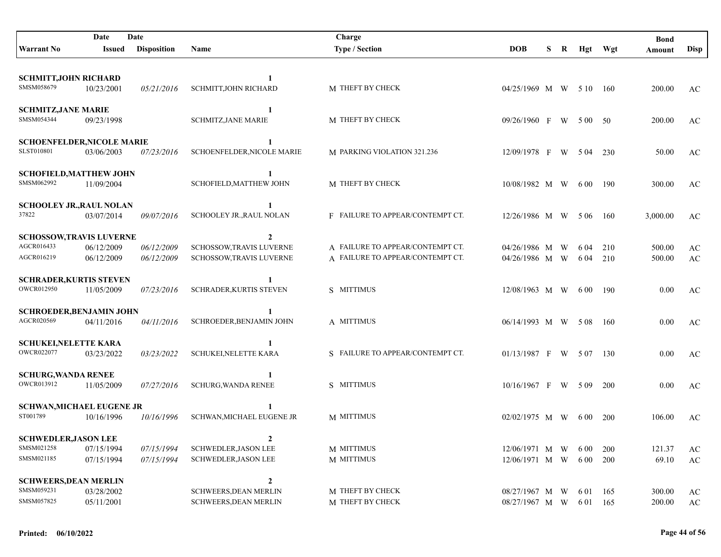|                                                 | Date       | Date               |                                            | Charge                           |                         |    |           |            | <b>Bond</b> |             |
|-------------------------------------------------|------------|--------------------|--------------------------------------------|----------------------------------|-------------------------|----|-----------|------------|-------------|-------------|
| <b>Warrant No</b>                               | Issued     | <b>Disposition</b> | <b>Name</b>                                | <b>Type / Section</b>            | <b>DOB</b>              | S. | R Hgt Wgt |            | Amount      | <b>Disp</b> |
|                                                 |            |                    |                                            |                                  |                         |    |           |            |             |             |
| <b>SCHMITT, JOHN RICHARD</b>                    |            |                    | 1                                          |                                  |                         |    |           |            |             |             |
| SMSM058679                                      | 10/23/2001 | 05/21/2016         | <b>SCHMITT, JOHN RICHARD</b>               | M THEFT BY CHECK                 | 04/25/1969 M W 5 10 160 |    |           |            | 200.00      | AC          |
| <b>SCHMITZ, JANE MARIE</b>                      |            |                    | 1                                          |                                  |                         |    |           |            |             |             |
| SMSM054344                                      | 09/23/1998 |                    | <b>SCHMITZ, JANE MARIE</b>                 | M THEFT BY CHECK                 | $09/26/1960$ F          |    | W 500 50  |            | 200.00      | AC          |
|                                                 |            |                    |                                            |                                  |                         |    |           |            |             |             |
| <b>SCHOENFELDER, NICOLE MARIE</b><br>SLST010801 | 03/06/2003 | 07/23/2016         | $\mathbf{1}$<br>SCHOENFELDER, NICOLE MARIE | M PARKING VIOLATION 321.236      | 12/09/1978 F            |    | W 504 230 |            | 50.00       | AC          |
|                                                 |            |                    |                                            |                                  |                         |    |           |            |             |             |
| <b>SCHOFIELD, MATTHEW JOHN</b><br>SMSM062992    |            |                    | 1                                          |                                  |                         |    |           |            |             |             |
|                                                 | 11/09/2004 |                    | SCHOFIELD, MATTHEW JOHN                    | M THEFT BY CHECK                 | 10/08/1982 M W          |    | 6 0 0     | 190        | 300.00      | AC          |
| <b>SCHOOLEY JR., RAUL NOLAN</b>                 |            |                    | 1                                          |                                  |                         |    |           |            |             |             |
| 37822                                           | 03/07/2014 | 09/07/2016         | SCHOOLEY JR., RAUL NOLAN                   | F FAILURE TO APPEAR/CONTEMPT CT. | 12/26/1986 M W 506      |    |           | 160        | 3,000.00    | AC          |
| <b>SCHOSSOW,TRAVIS LUVERNE</b>                  |            |                    | $\mathbf{2}$                               |                                  |                         |    |           |            |             |             |
| AGCR016433                                      | 06/12/2009 | 06/12/2009         | <b>SCHOSSOW,TRAVIS LUVERNE</b>             | A FAILURE TO APPEAR/CONTEMPT CT. | 04/26/1986 M W          |    | 6 04      | 210        | 500.00      | AC          |
| AGCR016219                                      | 06/12/2009 | 06/12/2009         | SCHOSSOW, TRAVIS LUVERNE                   | A FAILURE TO APPEAR/CONTEMPT CT. | 04/26/1986 M W          |    | 6 04 210  |            | 500.00      | AC          |
| <b>SCHRADER, KURTIS STEVEN</b>                  |            |                    |                                            |                                  |                         |    |           |            |             |             |
| <b>OWCR012950</b>                               | 11/05/2009 | 07/23/2016         | SCHRADER, KURTIS STEVEN                    | S MITTIMUS                       | 12/08/1963 M W          |    | 6 0 0     | - 190      | 0.00        | AC          |
| <b>SCHROEDER, BENJAMIN JOHN</b>                 |            |                    | 1                                          |                                  |                         |    |           |            |             |             |
| AGCR020569                                      | 04/11/2016 | 04/11/2016         | SCHROEDER, BENJAMIN JOHN                   | A MITTIMUS                       | 06/14/1993 M W 508 160  |    |           |            | 0.00        | AC          |
|                                                 |            |                    |                                            |                                  |                         |    |           |            |             |             |
| <b>SCHUKEI, NELETTE KARA</b><br>OWCR022077      | 03/23/2022 | 03/23/2022         | <b>SCHUKEI, NELETTE KARA</b>               | S FAILURE TO APPEAR/CONTEMPT CT. | $01/13/1987$ F W 507    |    |           | 130        | 0.00        | AC          |
|                                                 |            |                    |                                            |                                  |                         |    |           |            |             |             |
| <b>SCHURG, WANDA RENEE</b>                      |            |                    |                                            |                                  |                         |    |           |            |             |             |
| OWCR013912                                      | 11/05/2009 | 07/27/2016         | <b>SCHURG, WANDA RENEE</b>                 | S MITTIMUS                       | $10/16/1967$ F W 509    |    |           | 200        | 0.00        | AC          |
| <b>SCHWAN, MICHAEL EUGENE JR</b>                |            |                    | 1                                          |                                  |                         |    |           |            |             |             |
| ST001789                                        | 10/16/1996 | 10/16/1996         | <b>SCHWAN, MICHAEL EUGENE JR</b>           | M MITTIMUS                       | $02/02/1975$ M W        |    | 6 0 0     | <b>200</b> | 106.00      | AC          |
| <b>SCHWEDLER, JASON LEE</b>                     |            |                    |                                            |                                  |                         |    |           |            |             |             |
| SMSM021258                                      | 07/15/1994 | 07/15/1994         | <b>SCHWEDLER, JASON LEE</b>                | M MITTIMUS                       | 12/06/1971 M W          |    | 6 0 0     | 200        | 121.37      | AC          |
| SMSM021185                                      | 07/15/1994 | 07/15/1994         | <b>SCHWEDLER, JASON LEE</b>                | M MITTIMUS                       | 12/06/1971 M W          |    | 6 0 0     | 200        | 69.10       | AC          |
| <b>SCHWEERS, DEAN MERLIN</b>                    |            |                    | $\boldsymbol{2}$                           |                                  |                         |    |           |            |             |             |
| SMSM059231                                      | 03/28/2002 |                    | <b>SCHWEERS, DEAN MERLIN</b>               | M THEFT BY CHECK                 | 08/27/1967 M W          |    | 6 0 1     | -165       | 300.00      | AC          |
| SMSM057825                                      | 05/11/2001 |                    | <b>SCHWEERS, DEAN MERLIN</b>               | M THEFT BY CHECK                 | 08/27/1967 M W          |    | 6 01 165  |            | 200.00      | AC          |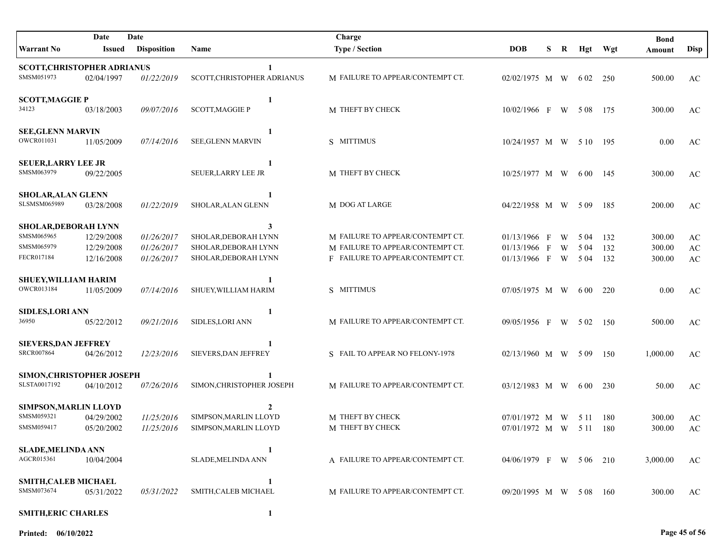| Date<br>Date                       |            |                    | Charge                      |                                  |                        |   |             |       | <b>Bond</b> |          |                        |
|------------------------------------|------------|--------------------|-----------------------------|----------------------------------|------------------------|---|-------------|-------|-------------|----------|------------------------|
| Warrant No                         | Issued     | <b>Disposition</b> | Name                        | <b>Type / Section</b>            | <b>DOB</b>             | S | $\mathbf R$ | Hgt   | Wgt         | Amount   | <b>Disp</b>            |
| <b>SCOTT, CHRISTOPHER ADRIANUS</b> |            |                    | 1                           |                                  |                        |   |             |       |             |          |                        |
| SMSM051973                         | 02/04/1997 | 01/22/2019         | SCOTT, CHRISTOPHER ADRIANUS | M FAILURE TO APPEAR/CONTEMPT CT. | $02/02/1975$ M W 602   |   |             |       | 250         | 500.00   | AC                     |
| <b>SCOTT, MAGGIE P</b>             |            |                    | 1                           |                                  |                        |   |             |       |             |          |                        |
| 34123                              | 03/18/2003 | 09/07/2016         | <b>SCOTT, MAGGIE P</b>      | M THEFT BY CHECK                 | $10/02/1966$ F W 508   |   |             |       | - 175       | 300.00   | AC                     |
| <b>SEE, GLENN MARVIN</b>           |            |                    | 1                           |                                  |                        |   |             |       |             |          |                        |
| OWCR011031                         | 11/05/2009 | 07/14/2016         | <b>SEE, GLENN MARVIN</b>    | S MITTIMUS                       | $10/24/1957$ M W       |   |             | 5 10  | -195        | 0.00     | AC                     |
| <b>SEUER, LARRY LEE JR</b>         |            |                    | 1                           |                                  |                        |   |             |       |             |          |                        |
| SMSM063979                         | 09/22/2005 |                    | SEUER, LARRY LEE JR         | M THEFT BY CHECK                 | 10/25/1977 M W         |   |             | 6 0 0 | -145        | 300.00   | AC                     |
| <b>SHOLAR, ALAN GLENN</b>          |            |                    | -1                          |                                  |                        |   |             |       |             |          |                        |
| SLSMSM065989                       | 03/28/2008 | 01/22/2019         | SHOLAR, ALAN GLENN          | M DOG AT LARGE                   | 04/22/1958 M W         |   |             | 5 0 9 | 185         | 200.00   | AC                     |
| SHOLAR, DEBORAH LYNN               |            |                    | 3                           |                                  |                        |   |             |       |             |          |                        |
| SMSM065965                         | 12/29/2008 | 01/26/2017         | SHOLAR, DEBORAH LYNN        | M FAILURE TO APPEAR/CONTEMPT CT. | $01/13/1966$ F         |   | W           | 5 0 4 | 132         | 300.00   | AC                     |
| SMSM065979                         | 12/29/2008 | 01/26/2017         | SHOLAR, DEBORAH LYNN        | M FAILURE TO APPEAR/CONTEMPT CT. | $01/13/1966$ F         |   | W           | 5 0 4 | 132         | 300.00   | AC                     |
| FECR017184                         | 12/16/2008 | 01/26/2017         | SHOLAR, DEBORAH LYNN        | F FAILURE TO APPEAR/CONTEMPT CT. | 01/13/1966 F W         |   |             | 5 0 4 | 132         | 300.00   | $\mathbf{A}\mathbf{C}$ |
| <b>SHUEY, WILLIAM HARIM</b>        |            |                    | 1                           |                                  |                        |   |             |       |             |          |                        |
| OWCR013184                         | 11/05/2009 | 07/14/2016         | SHUEY, WILLIAM HARIM        | S MITTIMUS                       | 07/05/1975 M W         |   |             | 6 0 0 | 220         | 0.00     | $\mathbf{A}\mathbf{C}$ |
| <b>SIDLES, LORI ANN</b>            |            |                    | 1                           |                                  |                        |   |             |       |             |          |                        |
| 36950                              | 05/22/2012 | 09/21/2016         | SIDLES, LORI ANN            | M FAILURE TO APPEAR/CONTEMPT CT. | 09/05/1956 F W 502     |   |             |       | 150         | 500.00   | AC                     |
| <b>SIEVERS, DAN JEFFREY</b>        |            |                    | $\mathbf{1}$                |                                  |                        |   |             |       |             |          |                        |
| <b>SRCR007864</b>                  | 04/26/2012 | 12/23/2016         | SIEVERS, DAN JEFFREY        | S FAIL TO APPEAR NO FELONY-1978  | 02/13/1960 M W 509     |   |             |       | 150         | 1,000.00 | AC                     |
| SIMON, CHRISTOPHER JOSEPH          |            |                    |                             |                                  |                        |   |             |       |             |          |                        |
| SLSTA0017192                       | 04/10/2012 | 07/26/2016         | SIMON, CHRISTOPHER JOSEPH   | M FAILURE TO APPEAR/CONTEMPT CT. | 03/12/1983 M W         |   |             | 6 0 0 | 230         | 50.00    | AC                     |
| SIMPSON, MARLIN LLOYD              |            |                    | 2                           |                                  |                        |   |             |       |             |          |                        |
| SMSM059321                         | 04/29/2002 | 11/25/2016         | SIMPSON, MARLIN LLOYD       | M THEFT BY CHECK                 | 07/01/1972 M           |   | W           | 5 1 1 | 180         | 300.00   | AC                     |
| SMSM059417                         | 05/20/2002 | 11/25/2016         | SIMPSON, MARLIN LLOYD       | M THEFT BY CHECK                 | 07/01/1972 M W         |   |             | 5 1 1 | 180         | 300.00   | $\mathbf{A}\mathbf{C}$ |
| <b>SLADE, MELINDA ANN</b>          |            |                    |                             |                                  |                        |   |             |       |             |          |                        |
| AGCR015361                         | 10/04/2004 |                    | <b>SLADE, MELINDA ANN</b>   | A FAILURE TO APPEAR/CONTEMPT CT. | 04/06/1979 F W 506 210 |   |             |       |             | 3,000.00 | AC                     |
| <b>SMITH, CALEB MICHAEL</b>        |            |                    | 1                           |                                  |                        |   |             |       |             |          |                        |
| SMSM073674                         | 05/31/2022 | 05/31/2022         | SMITH, CALEB MICHAEL        | M FAILURE TO APPEAR/CONTEMPT CT. | 09/20/1995 M W 508     |   |             |       | 160         | 300.00   | AC                     |
| <b>SMITH, ERIC CHARLES</b>         |            |                    |                             |                                  |                        |   |             |       |             |          |                        |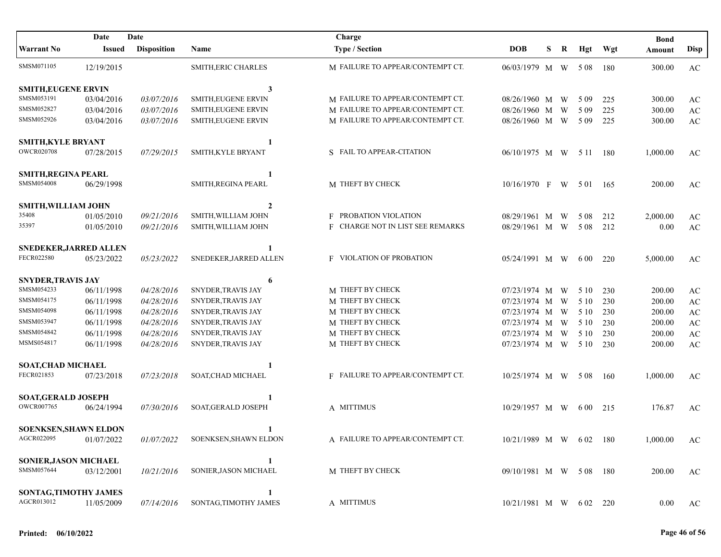|                               | Date          | Date               |                        | Charge                           |                         |   |   |          |       | <b>Bond</b> |                        |
|-------------------------------|---------------|--------------------|------------------------|----------------------------------|-------------------------|---|---|----------|-------|-------------|------------------------|
| <b>Warrant No</b>             | <b>Issued</b> | <b>Disposition</b> | Name                   | <b>Type / Section</b>            | <b>DOB</b>              | S | R | Hgt      | Wgt   | Amount      | <b>Disp</b>            |
| SMSM071105                    | 12/19/2015    |                    | SMITH, ERIC CHARLES    | M FAILURE TO APPEAR/CONTEMPT CT. | 06/03/1979 M W 508      |   |   |          | -180  | 300.00      | AC                     |
| <b>SMITH, EUGENE ERVIN</b>    |               |                    | 3                      |                                  |                         |   |   |          |       |             |                        |
| SMSM053191                    | 03/04/2016    | 03/07/2016         | SMITH, EUGENE ERVIN    | M FAILURE TO APPEAR/CONTEMPT CT. | 08/26/1960 M W          |   |   | 5 0 9    | 225   | 300.00      | AC                     |
| SMSM052827                    | 03/04/2016    | 03/07/2016         | SMITH, EUGENE ERVIN    | M FAILURE TO APPEAR/CONTEMPT CT. | 08/26/1960 M            |   | W | 5 0 9    | 225   | 300.00      | $\mathbf{A}\mathbf{C}$ |
| SMSM052926                    | 03/04/2016    | 03/07/2016         | SMITH, EUGENE ERVIN    | M FAILURE TO APPEAR/CONTEMPT CT. | 08/26/1960 M W          |   |   | 5 0 9    | 225   | 300.00      | $\mathbf{A}\mathbf{C}$ |
| <b>SMITH, KYLE BRYANT</b>     |               |                    | 1                      |                                  |                         |   |   |          |       |             |                        |
| <b>OWCR020708</b>             | 07/28/2015    | 07/29/2015         | SMITH, KYLE BRYANT     | S FAIL TO APPEAR-CITATION        | 06/10/1975 M W 5 11 180 |   |   |          |       | 1,000.00    | AC                     |
| <b>SMITH, REGINA PEARL</b>    |               |                    | 1                      |                                  |                         |   |   |          |       |             |                        |
| SMSM054008                    | 06/29/1998    |                    | SMITH, REGINA PEARL    | M THEFT BY CHECK                 | 10/16/1970 F            |   | W | 5 0 1    | - 165 | 200.00      | AC                     |
| <b>SMITH, WILLIAM JOHN</b>    |               |                    | $\overline{2}$         |                                  |                         |   |   |          |       |             |                        |
| 35408                         | 01/05/2010    | 09/21/2016         | SMITH, WILLIAM JOHN    | <b>F PROBATION VIOLATION</b>     | 08/29/1961 M W          |   |   | 5 0 8    | 212   | 2,000.00    | AC                     |
| 35397                         | 01/05/2010    | 09/21/2016         | SMITH, WILLIAM JOHN    | F CHARGE NOT IN LIST SEE REMARKS | 08/29/1961 M W          |   |   | 5 0 8    | 212   | 0.00        | $\mathbf{A}\mathbf{C}$ |
| <b>SNEDEKER, JARRED ALLEN</b> |               |                    | 1                      |                                  |                         |   |   |          |       |             |                        |
| FECR022580                    | 05/23/2022    | 05/23/2022         | SNEDEKER, JARRED ALLEN | <b>F</b> VIOLATION OF PROBATION  | $05/24/1991$ M W 600    |   |   |          | 220   | 5,000.00    | AC                     |
| <b>SNYDER, TRAVIS JAY</b>     |               |                    | 6                      |                                  |                         |   |   |          |       |             |                        |
| SMSM054233                    | 06/11/1998    | 04/28/2016         | SNYDER, TRAVIS JAY     | M THEFT BY CHECK                 | 07/23/1974 M W          |   |   | 5 10     | 230   | 200.00      | AC                     |
| SMSM054175                    | 06/11/1998    | 04/28/2016         | SNYDER, TRAVIS JAY     | M THEFT BY CHECK                 | 07/23/1974 M W          |   |   | 5 10     | 230   | 200.00      | $\mathbf{A}\mathbf{C}$ |
| SMSM054098                    | 06/11/1998    | 04/28/2016         | SNYDER, TRAVIS JAY     | M THEFT BY CHECK                 | 07/23/1974 M W          |   |   | 5 10     | 230   | 200.00      | $\mathbf{A}\mathbf{C}$ |
| SMSM053947                    | 06/11/1998    | 04/28/2016         | SNYDER, TRAVIS JAY     | M THEFT BY CHECK                 | 07/23/1974 M W          |   |   | 5 10     | 230   | 200.00      | $\mathbf{A}\mathbf{C}$ |
| SMSM054842                    | 06/11/1998    | 04/28/2016         | SNYDER, TRAVIS JAY     | M THEFT BY CHECK                 | 07/23/1974 M W          |   |   | 5 10     | 230   | 200.00      | $\mathbf{A}\mathbf{C}$ |
| MSMS054817                    | 06/11/1998    | 04/28/2016         | SNYDER, TRAVIS JAY     | M THEFT BY CHECK                 | 07/23/1974 M W          |   |   | 5 10     | 230   | 200.00      | $\mathbf{A}\mathbf{C}$ |
| <b>SOAT, CHAD MICHAEL</b>     |               |                    | 1                      |                                  |                         |   |   |          |       |             |                        |
| FECR021853                    | 07/23/2018    | 07/23/2018         | SOAT, CHAD MICHAEL     | F FAILURE TO APPEAR/CONTEMPT CT. | $10/25/1974$ M W 5 08   |   |   |          | -160  | 1,000.00    | AC                     |
| <b>SOAT, GERALD JOSEPH</b>    |               |                    | 1                      |                                  |                         |   |   |          |       |             |                        |
| <b>OWCR007765</b>             | 06/24/1994    | 07/30/2016         | SOAT, GERALD JOSEPH    | A MITTIMUS                       | 10/29/1957 M W          |   |   | 6 00 215 |       | 176.87      | AC                     |
| <b>SOENKSEN, SHAWN ELDON</b>  |               |                    | 1                      |                                  |                         |   |   |          |       |             |                        |
| AGCR022095                    | 01/07/2022    | 01/07/2022         | SOENKSEN, SHAWN ELDON  | A FAILURE TO APPEAR/CONTEMPT CT. | 10/21/1989 M W 602 180  |   |   |          |       | 1,000.00    | AC                     |
| SONIER, JASON MICHAEL         |               |                    | 1                      |                                  |                         |   |   |          |       |             |                        |
| SMSM057644                    | 03/12/2001    | 10/21/2016         | SONIER, JASON MICHAEL  | M THEFT BY CHECK                 | 09/10/1981 M W 508 180  |   |   |          |       | 200.00      | AC                     |
| SONTAG, TIMOTHY JAMES         |               |                    | 1                      |                                  |                         |   |   |          |       |             |                        |
| AGCR013012                    | 11/05/2009    | 07/14/2016         | SONTAG, TIMOTHY JAMES  | A MITTIMUS                       | $10/21/1981$ M W 602    |   |   |          | 220   | 0.00        | AC                     |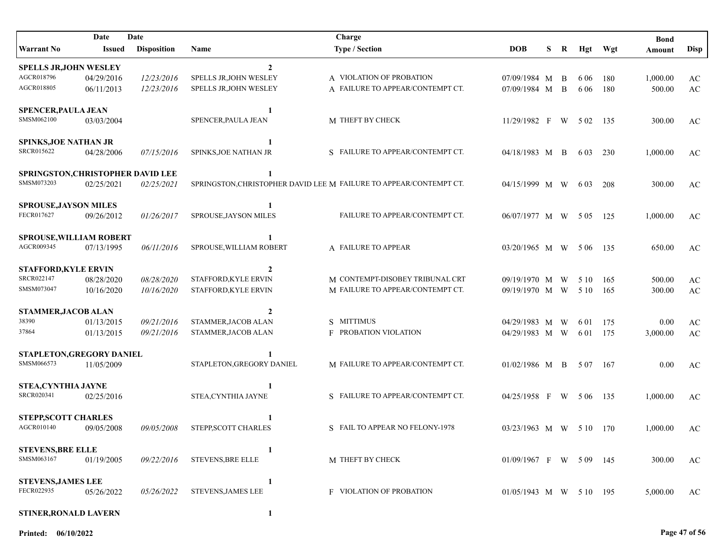| Date<br>Date                      |               |                    |                           | Charge                                                             |                          |    |    |       |     | <b>Bond</b> |                        |
|-----------------------------------|---------------|--------------------|---------------------------|--------------------------------------------------------------------|--------------------------|----|----|-------|-----|-------------|------------------------|
| Warrant No                        | <b>Issued</b> | <b>Disposition</b> | Name                      | <b>Type / Section</b>                                              | <b>DOB</b>               | S. | R  | Hgt   | Wgt | Amount      | Disp                   |
| <b>SPELLS JR, JOHN WESLEY</b>     |               |                    | $\overline{2}$            |                                                                    |                          |    |    |       |     |             |                        |
| AGCR018796                        | 04/29/2016    | 12/23/2016         | SPELLS JR, JOHN WESLEY    | A VIOLATION OF PROBATION                                           | 07/09/1984 M             |    | B  | 6 0 6 | 180 | 1,000.00    | $\mathbf{A}\mathbf{C}$ |
| AGCR018805                        | 06/11/2013    | 12/23/2016         | SPELLS JR, JOHN WESLEY    | A FAILURE TO APPEAR/CONTEMPT CT.                                   | 07/09/1984 M             |    | B  | 6 0 6 | 180 | 500.00      | AC                     |
| <b>SPENCER, PAULA JEAN</b>        |               |                    | 1                         |                                                                    |                          |    |    |       |     |             |                        |
| SMSM062100                        | 03/03/2004    |                    | SPENCER, PAULA JEAN       | M THEFT BY CHECK                                                   | 11/29/1982 F             |    | W. | 5 0 2 | 135 | 300.00      | AC                     |
| <b>SPINKS, JOE NATHAN JR</b>      |               |                    | 1                         |                                                                    |                          |    |    |       |     |             |                        |
| <b>SRCR015622</b>                 | 04/28/2006    | 07/15/2016         | SPINKS, JOE NATHAN JR     | S FAILURE TO APPEAR/CONTEMPT CT.                                   | 04/18/1983 M             |    | B  | 6 0 3 | 230 | 1,000.00    | AC                     |
| SPRINGSTON, CHRISTOPHER DAVID LEE |               |                    | 1                         |                                                                    |                          |    |    |       |     |             |                        |
| SMSM073203                        | 02/25/2021    | 02/25/2021         |                           | SPRINGSTON, CHRISTOPHER DAVID LEE M FAILURE TO APPEAR/CONTEMPT CT. | 04/15/1999 M W           |    |    | 6 0 3 | 208 | 300.00      | AC                     |
| <b>SPROUSE, JAYSON MILES</b>      |               |                    | -1                        |                                                                    |                          |    |    |       |     |             |                        |
| FECR017627                        | 09/26/2012    | 01/26/2017         | SPROUSE, JAYSON MILES     | FAILURE TO APPEAR/CONTEMPT CT.                                     | 06/07/1977 M W           |    |    | 5 0 5 | 125 | 1,000.00    | AC                     |
| <b>SPROUSE, WILLIAM ROBERT</b>    |               |                    | 1                         |                                                                    |                          |    |    |       |     |             |                        |
| AGCR009345                        | 07/13/1995    | 06/11/2016         | SPROUSE, WILLIAM ROBERT   | A FAILURE TO APPEAR                                                | 03/20/1965 M W           |    |    | 5 0 6 | 135 | 650.00      | AC                     |
| <b>STAFFORD, KYLE ERVIN</b>       |               |                    | $\overline{2}$            |                                                                    |                          |    |    |       |     |             |                        |
| SRCR022147                        | 08/28/2020    | 08/28/2020         | STAFFORD, KYLE ERVIN      | M CONTEMPT-DISOBEY TRIBUNAL CRT                                    | 09/19/1970 M W           |    |    | 5 10  | 165 | 500.00      | AC                     |
| SMSM073047                        | 10/16/2020    | 10/16/2020         | STAFFORD, KYLE ERVIN      | M FAILURE TO APPEAR/CONTEMPT CT.                                   | 09/19/1970 M W           |    |    | 5 1 0 | 165 | 300.00      | $\mathbf{A}\mathbf{C}$ |
| STAMMER, JACOB ALAN               |               |                    | $\overline{2}$            |                                                                    |                          |    |    |       |     |             |                        |
| 38390                             | 01/13/2015    | 09/21/2016         | STAMMER, JACOB ALAN       | S MITTIMUS                                                         | 04/29/1983 M             |    | W  | 6.01  | 175 | 0.00        | AC                     |
| 37864                             | 01/13/2015    | 09/21/2016         | STAMMER, JACOB ALAN       | F PROBATION VIOLATION                                              | 04/29/1983 M W           |    |    | 6 0 1 | 175 | 3,000.00    | $\mathbf{A}\mathbf{C}$ |
| STAPLETON, GREGORY DANIEL         |               |                    | -1                        |                                                                    |                          |    |    |       |     |             |                        |
| SMSM066573                        | 11/05/2009    |                    | STAPLETON, GREGORY DANIEL | M FAILURE TO APPEAR/CONTEMPT CT.                                   | 01/02/1986 M B           |    |    | 507   | 167 | 0.00        | AC                     |
| <b>STEA, CYNTHIA JAYNE</b>        |               |                    | 1                         |                                                                    |                          |    |    |       |     |             |                        |
| SRCR020341                        | 02/25/2016    |                    | STEA, CYNTHIA JAYNE       | S FAILURE TO APPEAR/CONTEMPT CT.                                   | 04/25/1958 F W 506       |    |    |       | 135 | 1,000.00    | AC                     |
| <b>STEPP,SCOTT CHARLES</b>        |               |                    |                           |                                                                    |                          |    |    |       |     |             |                        |
| AGCR010140                        | 09/05/2008    | 09/05/2008         | STEPP, SCOTT CHARLES      | S FAIL TO APPEAR NO FELONY-1978                                    | 03/23/1963 M W 510 170   |    |    |       |     | 1,000.00    | AC                     |
| <b>STEVENS, BRE ELLE</b>          |               |                    | -1                        |                                                                    |                          |    |    |       |     |             |                        |
| SMSM063167                        | 01/19/2005    | 09/22/2016         | <b>STEVENS, BRE ELLE</b>  | M THEFT BY CHECK                                                   | $01/09/1967$ F W 509 145 |    |    |       |     | 300.00      | AC                     |
| <b>STEVENS, JAMES LEE</b>         |               |                    | 1                         |                                                                    |                          |    |    |       |     |             |                        |
| FECR022935                        | 05/26/2022    | 05/26/2022         | STEVENS, JAMES LEE        | <b>F</b> VIOLATION OF PROBATION                                    | 01/05/1943 M W 5 10 195  |    |    |       |     | 5,000.00    | AC                     |
| STINER, RONALD LAVERN             |               |                    | 1                         |                                                                    |                          |    |    |       |     |             |                        |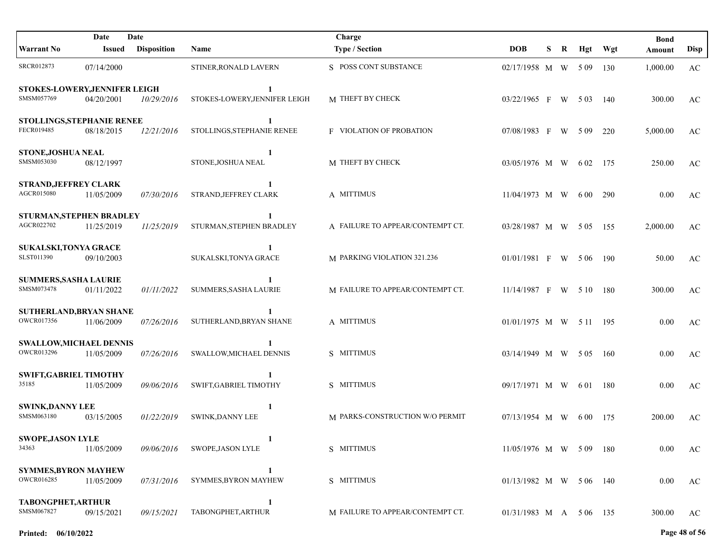| Date<br>Date                                 |               |                    |                                    | Charge                           |                          |    |   |       |       | <b>Bond</b> |             |
|----------------------------------------------|---------------|--------------------|------------------------------------|----------------------------------|--------------------------|----|---|-------|-------|-------------|-------------|
| <b>Warrant No</b>                            | <b>Issued</b> | <b>Disposition</b> | Name                               | <b>Type / Section</b>            | <b>DOB</b>               | S. | R | Hgt   | Wgt   | Amount      | <b>Disp</b> |
| <b>SRCR012873</b>                            | 07/14/2000    |                    | STINER, RONALD LAVERN              | S POSS CONT SUBSTANCE            | 02/17/1958 M W 509       |    |   |       | 130   | 1,000.00    | AC          |
| STOKES-LOWERY, JENNIFER LEIGH<br>SMSM057769  | 04/20/2001    | 10/29/2016         | 1<br>STOKES-LOWERY, JENNIFER LEIGH | M THEFT BY CHECK                 | 03/22/1965 F W 503       |    |   |       | 140   | 300.00      | AC          |
| STOLLINGS, STEPHANIE RENEE<br>FECR019485     | 08/18/2015    | 12/21/2016         | 1<br>STOLLINGS, STEPHANIE RENEE    | <b>F</b> VIOLATION OF PROBATION  | 07/08/1983 F W 509       |    |   |       | 220   | 5,000.00    | AC          |
| STONE, JOSHUA NEAL<br>SMSM053030             | 08/12/1997    |                    | 1<br>STONE, JOSHUA NEAL            | M THEFT BY CHECK                 | 03/05/1976 M W           |    |   | 6 02  | - 175 | 250.00      | AC          |
| <b>STRAND, JEFFREY CLARK</b><br>AGCR015080   | 11/05/2009    | 07/30/2016         | 1<br>STRAND, JEFFREY CLARK         | A MITTIMUS                       | 11/04/1973 M W           |    |   | 6 0 0 | 290   | 0.00        | AC          |
| STURMAN, STEPHEN BRADLEY<br>AGCR022702       | 11/25/2019    | 11/25/2019         | 1<br>STURMAN, STEPHEN BRADLEY      | A FAILURE TO APPEAR/CONTEMPT CT. | 03/28/1987 M W 505 155   |    |   |       |       | 2,000.00    | AC          |
| <b>SUKALSKI, TONYA GRACE</b><br>SLST011390   | 09/10/2003    |                    | 1<br>SUKALSKI, TONYA GRACE         | M PARKING VIOLATION 321.236      | $01/01/1981$ F W 506     |    |   |       | - 190 | 50.00       | AC          |
| <b>SUMMERS, SASHA LAURIE</b><br>SMSM073478   | 01/11/2022    | 01/11/2022         | 1<br><b>SUMMERS, SASHA LAURIE</b>  | M FAILURE TO APPEAR/CONTEMPT CT. | $11/14/1987$ F W 510     |    |   |       | - 180 | 300.00      | AC          |
| SUTHERLAND, BRYAN SHANE<br>OWCR017356        | 11/06/2009    | 07/26/2016         | SUTHERLAND, BRYAN SHANE            | A MITTIMUS                       | 01/01/1975 M W 511 195   |    |   |       |       | 0.00        | AC          |
| <b>SWALLOW, MICHAEL DENNIS</b><br>OWCR013296 | 11/05/2009    | 07/26/2016         | SWALLOW, MICHAEL DENNIS            | S MITTIMUS                       | 03/14/1949 M W 505 160   |    |   |       |       | 0.00        | AC          |
| <b>SWIFT, GABRIEL TIMOTHY</b><br>35185       | 11/05/2009    | 09/06/2016         | SWIFT, GABRIEL TIMOTHY             | S MITTIMUS                       | 09/17/1971 M W 601 180   |    |   |       |       | 0.00        | AC          |
| <b>SWINK,DANNY LEE</b><br>SMSM063180         | 03/15/2005    | 01/22/2019         | 1<br><b>SWINK, DANNY LEE</b>       | M PARKS-CONSTRUCTION W/O PERMIT  | $07/13/1954$ M W 600     |    |   |       | 175   | 200.00      | AC          |
| <b>SWOPE, JASON LYLE</b><br>34363            | 11/05/2009    | 09/06/2016         | 1<br>SWOPE, JASON LYLE             | S MITTIMUS                       | 11/05/1976 M W 509 180   |    |   |       |       | 0.00        | AC          |
| <b>SYMMES, BYRON MAYHEW</b><br>OWCR016285    | 11/05/2009    | 07/31/2016         | 1<br>SYMMES, BYRON MAYHEW          | S MITTIMUS                       | $01/13/1982$ M W 506 140 |    |   |       |       | 0.00        | AC          |
| TABONGPHET, ARTHUR<br>SMSM067827             | 09/15/2021    | <i>09/15/2021</i>  | 1<br>TABONGPHET, ARTHUR            | M FAILURE TO APPEAR/CONTEMPT CT. | 01/31/1983 M A 5 06 135  |    |   |       |       | 300.00      | AC          |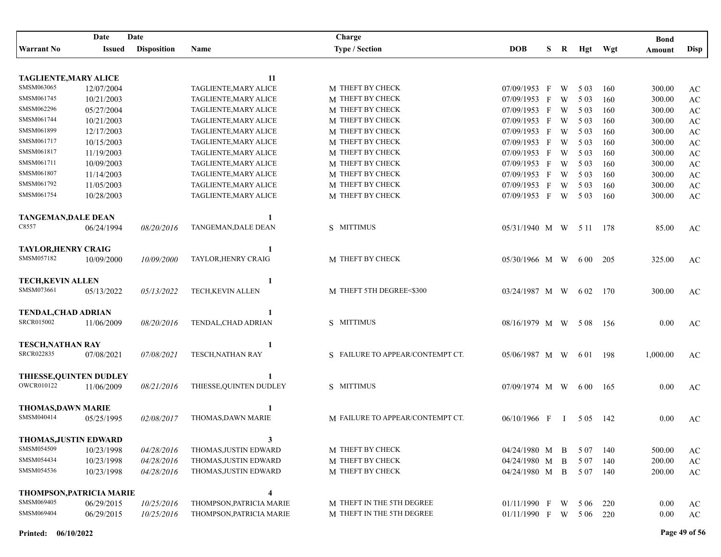|                                               | Date       | Date               |                          | Charge                           |                      |    |              |          |         | <b>Bond</b> |                        |
|-----------------------------------------------|------------|--------------------|--------------------------|----------------------------------|----------------------|----|--------------|----------|---------|-------------|------------------------|
| <b>Warrant No</b>                             | Issued     | <b>Disposition</b> | Name                     | <b>Type / Section</b>            | <b>DOB</b>           | S. | R            |          | Hgt Wgt | Amount      | <b>Disp</b>            |
|                                               |            |                    |                          |                                  |                      |    |              |          |         |             |                        |
| <b>TAGLIENTE, MARY ALICE</b>                  |            |                    | 11                       |                                  |                      |    |              |          |         |             |                        |
| SMSM063065                                    | 12/07/2004 |                    | TAGLIENTE, MARY ALICE    | M THEFT BY CHECK                 | 07/09/1953           | F  | W            | 5 0 3    | 160     | 300.00      | AC                     |
| SMSM061745                                    | 10/21/2003 |                    | TAGLIENTE, MARY ALICE    | M THEFT BY CHECK                 | $07/09/1953$ F       |    | W            | 5 0 3    | 160     | 300.00      | $\mathbf{A}\mathbf{C}$ |
| SMSM062296                                    | 05/27/2004 |                    | TAGLIENTE, MARY ALICE    | M THEFT BY CHECK                 | 07/09/1953 F         |    | W            | 5 0 3    | 160     | 300.00      | $\mathbf{A}\mathbf{C}$ |
| SMSM061744                                    | 10/21/2003 |                    | TAGLIENTE, MARY ALICE    | M THEFT BY CHECK                 | 07/09/1953 F         |    | W            | 5 0 3    | 160     | 300.00      | $\mathbf{A}\mathbf{C}$ |
| SMSM061899                                    | 12/17/2003 |                    | TAGLIENTE, MARY ALICE    | M THEFT BY CHECK                 | 07/09/1953 F         |    | W            | 5 0 3    | 160     | 300.00      | $\mathbf{A}\mathbf{C}$ |
| SMSM061717                                    | 10/15/2003 |                    | TAGLIENTE, MARY ALICE    | M THEFT BY CHECK                 | 07/09/1953 F         |    | W            | 5 0 3    | 160     | 300.00      | $\mathbf{A}\mathbf{C}$ |
| SMSM061817                                    | 11/19/2003 |                    | TAGLIENTE, MARY ALICE    | M THEFT BY CHECK                 | 07/09/1953 F         |    | W            | 5 0 3    | 160     | 300.00      | $\mathbf{A}\mathbf{C}$ |
| SMSM061711                                    | 10/09/2003 |                    | TAGLIENTE, MARY ALICE    | M THEFT BY CHECK                 | 07/09/1953 F         |    | W            | 5 0 3    | 160     | 300.00      | $\mathbf{A}\mathbf{C}$ |
| SMSM061807                                    | 11/14/2003 |                    | TAGLIENTE, MARY ALICE    | M THEFT BY CHECK                 | 07/09/1953 F         |    | W            | 5 0 3    | 160     | 300.00      | $\rm AC$               |
| SMSM061792                                    | 11/05/2003 |                    | TAGLIENTE, MARY ALICE    | M THEFT BY CHECK                 | 07/09/1953 F         |    | W            | 5 0 3    | 160     | 300.00      | $\rm AC$               |
| SMSM061754                                    | 10/28/2003 |                    | TAGLIENTE, MARY ALICE    | M THEFT BY CHECK                 | 07/09/1953 F         |    | W            | 5 0 3    | 160     | 300.00      | AC                     |
|                                               |            |                    |                          |                                  |                      |    |              |          |         |             |                        |
| <b>TANGEMAN, DALE DEAN</b>                    |            |                    | 1                        |                                  |                      |    |              |          |         |             |                        |
| C8557                                         | 06/24/1994 | 08/20/2016         | TANGEMAN, DALE DEAN      | S MITTIMUS                       | 05/31/1940 M W 511   |    |              |          | 178     | 85.00       | AC                     |
|                                               |            |                    |                          |                                  |                      |    |              |          |         |             |                        |
| <b>TAYLOR, HENRY CRAIG</b>                    |            |                    | -1                       |                                  |                      |    |              |          |         |             |                        |
| SMSM057182                                    | 10/09/2000 | 10/09/2000         | TAYLOR, HENRY CRAIG      | M THEFT BY CHECK                 | $05/30/1966$ M W 600 |    |              |          | 205     | 325.00      | AC                     |
|                                               |            |                    |                          |                                  |                      |    |              |          |         |             |                        |
| <b>TECH.KEVIN ALLEN</b>                       |            |                    | 1                        |                                  |                      |    |              |          |         |             |                        |
| SMSM073661                                    | 05/13/2022 | 05/13/2022         | TECH, KEVIN ALLEN        | M THEFT 5TH DEGREE<\$300         | 03/24/1987 M W       |    |              | 6 02     | 170     | 300.00      | AC                     |
|                                               |            |                    |                          |                                  |                      |    |              |          |         |             |                        |
| <b>TENDAL, CHAD ADRIAN</b>                    |            |                    | 1                        |                                  |                      |    |              |          |         |             |                        |
| <b>SRCR015002</b>                             | 11/06/2009 | 08/20/2016         | TENDAL, CHAD ADRIAN      | S MITTIMUS                       | 08/16/1979 M W       |    |              | 5 0 8    | -156    | 0.00        | AC                     |
|                                               |            |                    |                          |                                  |                      |    |              |          |         |             |                        |
| <b>TESCH, NATHAN RAY</b><br><b>SRCR022835</b> |            |                    | 1                        | S FAILURE TO APPEAR/CONTEMPT CT. |                      |    |              |          |         |             |                        |
|                                               | 07/08/2021 | 07/08/2021         | <b>TESCH, NATHAN RAY</b> |                                  | 05/06/1987 M W       |    |              | 6 0 1    | - 198   | 1,000.00    | AC                     |
|                                               |            |                    |                          |                                  |                      |    |              |          |         |             |                        |
| THIESSE, QUINTEN DUDLEY<br><b>OWCR010122</b>  | 11/06/2009 | 08/21/2016         | THIESSE, QUINTEN DUDLEY  | S MITTIMUS                       | 07/09/1974 M W       |    |              | 6 0 0    |         | 0.00        |                        |
|                                               |            |                    |                          |                                  |                      |    |              |          | -165    |             | AC                     |
| <b>THOMAS, DAWN MARIE</b>                     |            |                    | 1                        |                                  |                      |    |              |          |         |             |                        |
| SMSM040414                                    | 05/25/1995 | 02/08/2017         | THOMAS, DAWN MARIE       | M FAILURE TO APPEAR/CONTEMPT CT. | 06/10/1966 F         |    | $\mathbf{I}$ | 5 0 5    | 142     | 0.00        | AC                     |
|                                               |            |                    |                          |                                  |                      |    |              |          |         |             |                        |
| THOMAS, JUSTIN EDWARD                         |            |                    | 3                        |                                  |                      |    |              |          |         |             |                        |
| SMSM054509                                    | 10/23/1998 | 04/28/2016         | THOMAS, JUSTIN EDWARD    | M THEFT BY CHECK                 | 04/24/1980 M B       |    |              | 5 0 7    | 140     | 500.00      | AC                     |
| SMSM054434                                    | 10/23/1998 | 04/28/2016         | THOMAS, JUSTIN EDWARD    | M THEFT BY CHECK                 | 04/24/1980 M B       |    |              | 5 0 7    | 140     | 200.00      | $\rm AC$               |
| SMSM054536                                    | 10/23/1998 | 04/28/2016         | THOMAS, JUSTIN EDWARD    | M THEFT BY CHECK                 | 04/24/1980 M B       |    |              | 5 07 140 |         | 200.00      | AC                     |
|                                               |            |                    |                          |                                  |                      |    |              |          |         |             |                        |
| <b>THOMPSON, PATRICIA MARIE</b>               |            |                    | 4                        |                                  |                      |    |              |          |         |             |                        |
| SMSM069405                                    | 06/29/2015 | 10/25/2016         | THOMPSON, PATRICIA MARIE | M THEFT IN THE 5TH DEGREE        | 01/11/1990 F         |    | W            | 5 0 6    | 220     | 0.00        | AC                     |
| SMSM069404                                    | 06/29/2015 | 10/25/2016         | THOMPSON, PATRICIA MARIE | M THEFT IN THE 5TH DEGREE        | 01/11/1990 F W       |    |              | 5 06 220 |         | $0.00\,$    | AC                     |
|                                               |            |                    |                          |                                  |                      |    |              |          |         |             |                        |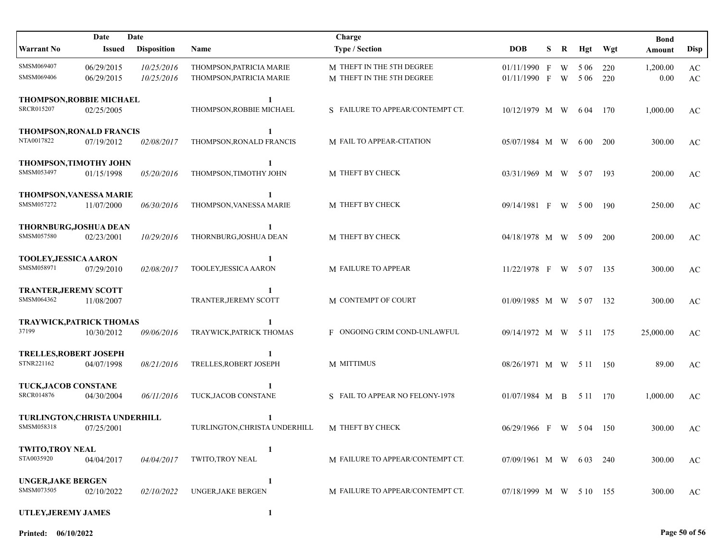|                                                    | Date                     | Date                     |                                                      | Charge                                                 |                                |   |        |                |            | <b>Bond</b>      |                                                  |
|----------------------------------------------------|--------------------------|--------------------------|------------------------------------------------------|--------------------------------------------------------|--------------------------------|---|--------|----------------|------------|------------------|--------------------------------------------------|
| <b>Warrant No</b>                                  | <b>Issued</b>            | <b>Disposition</b>       | Name                                                 | <b>Type / Section</b>                                  | <b>DOB</b>                     | S | R      |                | Hgt Wgt    | Amount           | <b>Disp</b>                                      |
| SMSM069407<br>SMSM069406                           | 06/29/2015<br>06/29/2015 | 10/25/2016<br>10/25/2016 | THOMPSON, PATRICIA MARIE<br>THOMPSON, PATRICIA MARIE | M THEFT IN THE 5TH DEGREE<br>M THEFT IN THE 5TH DEGREE | $01/11/1990$ F<br>01/11/1990 F |   | W<br>W | 5 0 6<br>5 0 6 | 220<br>220 | 1,200.00<br>0.00 | $\mathbf{A}\mathbf{C}$<br>$\mathbf{A}\mathbf{C}$ |
| THOMPSON, ROBBIE MICHAEL<br>SRCR015207             | 02/25/2005               |                          | 1<br>THOMPSON, ROBBIE MICHAEL                        | S FAILURE TO APPEAR/CONTEMPT CT.                       | 10/12/1979 M W                 |   |        | 6 04           | 170        | 1,000.00         | AC                                               |
| <b>THOMPSON, RONALD FRANCIS</b><br>NTA0017822      | 07/19/2012               | <i>02/08/2017</i>        | 1<br>THOMPSON, RONALD FRANCIS                        | M FAIL TO APPEAR-CITATION                              | 05/07/1984 M W                 |   |        | 6 0 0          | <b>200</b> | 300.00           | AC                                               |
| <b>THOMPSON, TIMOTHY JOHN</b><br>SMSM053497        | 01/15/1998               | 05/20/2016               | 1<br>THOMPSON, TIMOTHY JOHN                          | M THEFT BY CHECK                                       | 03/31/1969 M W 507             |   |        |                | - 193      | 200.00           | AC                                               |
| THOMPSON, VANESSA MARIE<br>SMSM057272              | 11/07/2000               | 06/30/2016               | 1<br>THOMPSON, VANESSA MARIE                         | M THEFT BY CHECK                                       | 09/14/1981 F                   |   | W      | 5 0 0          | 190        | 250.00           | AC                                               |
| THORNBURG, JOSHUA DEAN<br>SMSM057580               | 02/23/2001               | 10/29/2016               | 1<br>THORNBURG, JOSHUA DEAN                          | M THEFT BY CHECK                                       | 04/18/1978 M W 509             |   |        |                | 200        | 200.00           | AC                                               |
| TOOLEY, JESSICA AARON<br>SMSM058971                | 07/29/2010               | 02/08/2017               | 1<br>TOOLEY, JESSICA AARON                           | <b>M FAILURE TO APPEAR</b>                             | 11/22/1978 F W 507 135         |   |        |                |            | 300.00           | AC                                               |
| <b>TRANTER, JEREMY SCOTT</b><br>SMSM064362         | 11/08/2007               |                          | 1<br>TRANTER, JEREMY SCOTT                           | M CONTEMPT OF COURT                                    | $01/09/1985$ M W 507           |   |        |                | 132        | 300.00           | AC                                               |
| TRAYWICK, PATRICK THOMAS<br>37199                  | 10/30/2012               | 09/06/2016               | $\mathbf{1}$<br>TRAYWICK, PATRICK THOMAS             | F ONGOING CRIM COND-UNLAWFUL                           | 09/14/1972 M W 5 11 175        |   |        |                |            | 25,000.00        | AC                                               |
| <b>TRELLES, ROBERT JOSEPH</b><br>STNR221162        | 04/07/1998               | 08/21/2016               | $\mathbf{1}$<br>TRELLES, ROBERT JOSEPH               | M MITTIMUS                                             | 08/26/1971 M W 5 11 150        |   |        |                |            | 89.00            | AC                                               |
| TUCK, JACOB CONSTANE<br><b>SRCR014876</b>          | 04/30/2004               | 06/11/2016               | 1<br>TUCK, JACOB CONSTANE                            | S FAIL TO APPEAR NO FELONY-1978                        | 01/07/1984 M B 5 11 170        |   |        |                |            | 1,000.00         | AC                                               |
| <b>TURLINGTON, CHRISTA UNDERHILL</b><br>SMSM058318 | 07/25/2001               |                          | TURLINGTON,CHRISTA UNDERHILL                         | M THEFT BY CHECK                                       | 06/29/1966 F W 504             |   |        |                | - 150      | 300.00           | AC                                               |
| <b>TWITO,TROY NEAL</b><br>STA0035920               | 04/04/2017               | <i>04/04/2017</i>        | 1<br><b>TWITO,TROY NEAL</b>                          | M FAILURE TO APPEAR/CONTEMPT CT.                       | 07/09/1961 M W 603             |   |        |                | 240        | 300.00           | AC                                               |
| <b>UNGER, JAKE BERGEN</b><br>SMSM073505            | 02/10/2022               | <i>02/10/2022</i>        | 1<br><b>UNGER, JAKE BERGEN</b>                       | M FAILURE TO APPEAR/CONTEMPT CT.                       | 07/18/1999 M W 5 10 155        |   |        |                |            | 300.00           | AC                                               |
| UTLEY, JEREMY JAMES                                |                          |                          | 1                                                    |                                                        |                                |   |        |                |            |                  |                                                  |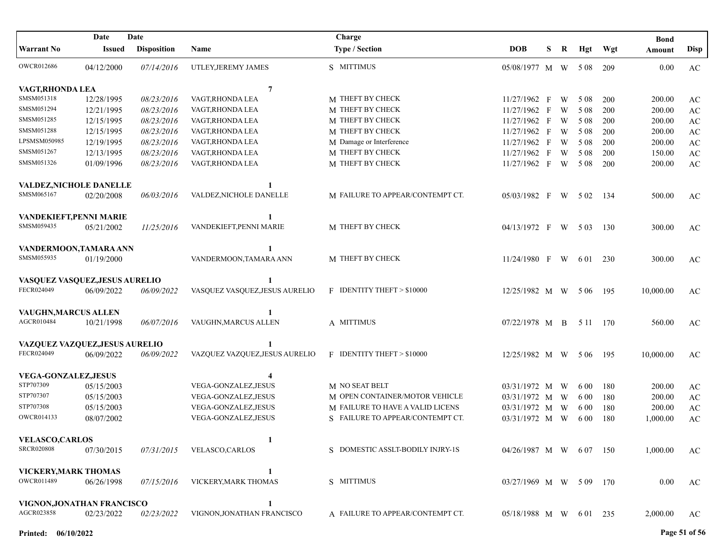|                                | Date          | Date               |                                | Charge                           |                         |   |   |          |       | <b>Bond</b> |                        |
|--------------------------------|---------------|--------------------|--------------------------------|----------------------------------|-------------------------|---|---|----------|-------|-------------|------------------------|
| <b>Warrant No</b>              | <b>Issued</b> | <b>Disposition</b> | Name                           | <b>Type / Section</b>            | <b>DOB</b>              | S | R | Hgt      | Wgt   | Amount      | Disp                   |
| <b>OWCR012686</b>              | 04/12/2000    | 07/14/2016         | UTLEY, JEREMY JAMES            | S MITTIMUS                       | 05/08/1977 M W 508      |   |   |          | 209   | 0.00        | AC                     |
| VAGT, RHONDA LEA               |               |                    | $\overline{7}$                 |                                  |                         |   |   |          |       |             |                        |
| SMSM051318                     | 12/28/1995    | 08/23/2016         | VAGT, RHONDA LEA               | M THEFT BY CHECK                 | 11/27/1962 F            |   | W | 5 0 8    | 200   | 200.00      | AC                     |
| SMSM051294                     | 12/21/1995    | 08/23/2016         | VAGT, RHONDA LEA               | M THEFT BY CHECK                 | $11/27/1962$ F          |   | W | 5 0 8    | 200   | 200.00      | $\mathbf{A}\mathbf{C}$ |
| SMSM051285                     | 12/15/1995    | 08/23/2016         | VAGT, RHONDA LEA               | M THEFT BY CHECK                 | 11/27/1962 F            |   | W | 5 0 8    | 200   | 200.00      | $\mathbf{A}\mathbf{C}$ |
| SMSM051288                     | 12/15/1995    | 08/23/2016         | VAGT, RHONDA LEA               | M THEFT BY CHECK                 | 11/27/1962 F            |   | W | 5 0 8    | 200   | 200.00      | $\mathbf{A}\mathbf{C}$ |
| LPSMSM050985                   | 12/19/1995    | 08/23/2016         | VAGT, RHONDA LEA               | M Damage or Interference         | 11/27/1962 F            |   | W | 5 0 8    | 200   | 200.00      | $\mathbf{A}\mathbf{C}$ |
| SMSM051267                     | 12/13/1995    | 08/23/2016         | VAGT, RHONDA LEA               | M THEFT BY CHECK                 | 11/27/1962 F            |   | W | 5 0 8    | 200   | 150.00      | $\mathbf{A}\mathbf{C}$ |
| SMSM051326                     | 01/09/1996    | 08/23/2016         | VAGT, RHONDA LEA               | M THEFT BY CHECK                 | 11/27/1962 F            |   | W | 5 0 8    | 200   | 200.00      | $\mathbf{A}\mathbf{C}$ |
| VALDEZ, NICHOLE DANELLE        |               |                    |                                |                                  |                         |   |   |          |       |             |                        |
| SMSM065167                     | 02/20/2008    | 06/03/2016         | VALDEZ, NICHOLE DANELLE        | M FAILURE TO APPEAR/CONTEMPT CT. | $05/03/1982$ F          |   | W | 5 0 2    | - 134 | 500.00      | AC                     |
| VANDEKIEFT, PENNI MARIE        |               |                    | 1                              |                                  |                         |   |   |          |       |             |                        |
| SMSM059435                     | 05/21/2002    | 11/25/2016         | VANDEKIEFT.PENNI MARIE         | M THEFT BY CHECK                 | 04/13/1972 F            |   | W | 5 0 3    | 130   | 300.00      | AC                     |
| VANDERMOON, TAMARA ANN         |               |                    |                                |                                  |                         |   |   |          |       |             |                        |
| SMSM055935                     | 01/19/2000    |                    | VANDERMOON, TAMARA ANN         | M THEFT BY CHECK                 | $11/24/1980$ F W        |   |   | 6 0 1    | 230   | 300.00      | AC                     |
| VASQUEZ VASQUEZ, JESUS AURELIO |               |                    | 1                              |                                  |                         |   |   |          |       |             |                        |
| FECR024049                     | 06/09/2022    | 06/09/2022         | VASQUEZ VASQUEZ, JESUS AURELIO | F IDENTITY THEFT > \$10000       | 12/25/1982 M W          |   |   | 5 0 6    | 195   | 10,000.00   | AC                     |
| VAUGHN, MARCUS ALLEN           |               |                    |                                |                                  |                         |   |   |          |       |             |                        |
| AGCR010484                     | 10/21/1998    | 06/07/2016         | VAUGHN, MARCUS ALLEN           | A MITTIMUS                       | 07/22/1978 M B          |   |   | 5 11 170 |       | 560.00      | AC                     |
| VAZQUEZ VAZQUEZ, JESUS AURELIO |               |                    |                                |                                  |                         |   |   |          |       |             |                        |
| FECR024049                     | 06/09/2022    | 06/09/2022         | VAZQUEZ VAZQUEZ, JESUS AURELIO | F IDENTITY THEFT > \$10000       | 12/25/1982 M W 506      |   |   |          | - 195 | 10,000.00   | AC                     |
| <b>VEGA-GONZALEZ, JESUS</b>    |               |                    | 4                              |                                  |                         |   |   |          |       |             |                        |
| STP707309                      | 05/15/2003    |                    | VEGA-GONZALEZ, JESUS           | M NO SEAT BELT                   | 03/31/1972 M            |   | W | 6 0 0    | 180   | 200.00      | AC                     |
| STP707307                      | 05/15/2003    |                    | VEGA-GONZALEZ, JESUS           | M OPEN CONTAINER/MOTOR VEHICLE   | 03/31/1972 M            |   | W | 6 0 0    | 180   | 200.00      | $\mathbf{A}\mathbf{C}$ |
| STP707308                      | 05/15/2003    |                    | VEGA-GONZALEZ, JESUS           | M FAILURE TO HAVE A VALID LICENS | 03/31/1972 M            |   | W | 6 0 0    | 180   | 200.00      | $\mathbf{A}\mathbf{C}$ |
| OWCR014133                     | 08/07/2002    |                    | VEGA-GONZALEZ, JESUS           | S FAILURE TO APPEAR/CONTEMPT CT. | 03/31/1972 M            |   | W | 6 0 0    | 180   | 1,000.00    | AC                     |
| <b>VELASCO, CARLOS</b>         |               |                    | 1                              |                                  |                         |   |   |          |       |             |                        |
| <b>SRCR020808</b>              | 07/30/2015    | 07/31/2015         | <b>VELASCO,CARLOS</b>          | S DOMESTIC ASSLT-BODILY INJRY-1S | 04/26/1987 M W 607 150  |   |   |          |       | 1,000.00    | AC                     |
| VICKERY, MARK THOMAS           |               |                    | 1                              |                                  |                         |   |   |          |       |             |                        |
| <b>OWCR011489</b>              | 06/26/1998    | 07/15/2016         | VICKERY, MARK THOMAS           | S MITTIMUS                       | 03/27/1969 M W 5 09 170 |   |   |          |       | 0.00        | AC                     |
| VIGNON, JONATHAN FRANCISCO     |               |                    | 1                              |                                  |                         |   |   |          |       |             |                        |
| AGCR023858                     | 02/23/2022    | <i>02/23/2022</i>  | VIGNON, JONATHAN FRANCISCO     | A FAILURE TO APPEAR/CONTEMPT CT. | 05/18/1988 M W 601      |   |   |          | 235   | 2,000.00    | AC                     |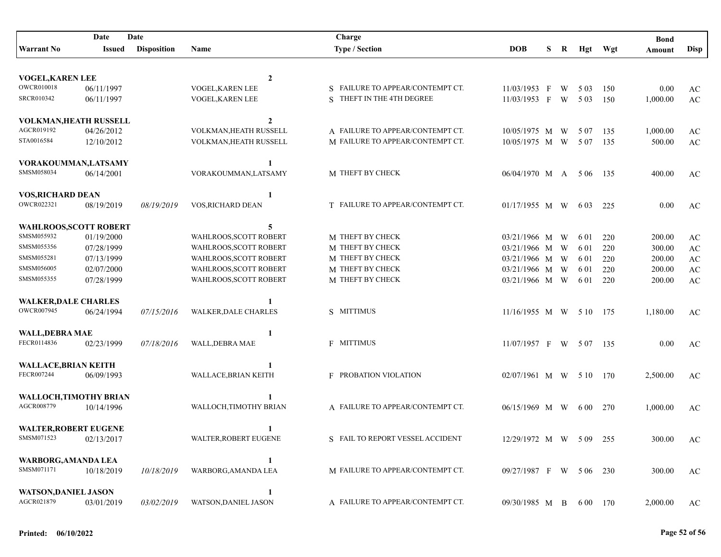|                                   | Date          | Date               |                             | Charge                           |                           |   |   |          |         | <b>Bond</b> |                        |
|-----------------------------------|---------------|--------------------|-----------------------------|----------------------------------|---------------------------|---|---|----------|---------|-------------|------------------------|
| <b>Warrant No</b>                 | <b>Issued</b> | <b>Disposition</b> | Name                        | <b>Type / Section</b>            | <b>DOB</b>                | S | R |          | Hgt Wgt | Amount      | <b>Disp</b>            |
|                                   |               |                    |                             |                                  |                           |   |   |          |         |             |                        |
| VOGEL, KAREN LEE                  |               |                    | $\boldsymbol{2}$            |                                  |                           |   |   |          |         |             |                        |
| <b>OWCR010018</b>                 | 06/11/1997    |                    | VOGEL, KAREN LEE            | S FAILURE TO APPEAR/CONTEMPT CT. | $11/03/1953$ F            |   | W | 5 0 3    | 150     | 0.00        | AC                     |
| <b>SRCR010342</b>                 | 06/11/1997    |                    | VOGEL, KAREN LEE            | S THEFT IN THE 4TH DEGREE        | 11/03/1953 F W            |   |   | 5 0 3    | 150     | 1,000.00    | $\mathbf{A}\mathbf{C}$ |
|                                   |               |                    |                             |                                  |                           |   |   |          |         |             |                        |
| VOLKMAN, HEATH RUSSELL            |               |                    | $\mathbf{2}$                |                                  |                           |   |   |          |         |             |                        |
| AGCR019192                        | 04/26/2012    |                    | VOLKMAN, HEATH RUSSELL      | A FAILURE TO APPEAR/CONTEMPT CT. | 10/05/1975 M W            |   |   | 5 0 7    | 135     | 1,000.00    | AC                     |
| STA0016584                        | 12/10/2012    |                    | VOLKMAN, HEATH RUSSELL      | M FAILURE TO APPEAR/CONTEMPT CT. | 10/05/1975 M W            |   |   | 5 0 7    | 135     | 500.00      | $\mathbf{A}\mathbf{C}$ |
| VORAKOUMMAN, LATSAMY              |               |                    |                             |                                  |                           |   |   |          |         |             |                        |
| SMSM058034                        | 06/14/2001    |                    | VORAKOUMMAN, LATSAMY        | M THEFT BY CHECK                 | 06/04/1970 M A 5 06       |   |   |          | - 135   | 400.00      | AC                     |
|                                   |               |                    |                             |                                  |                           |   |   |          |         |             |                        |
| <b>VOS, RICHARD DEAN</b>          |               |                    |                             |                                  |                           |   |   |          |         |             |                        |
| OWCR022321                        | 08/19/2019    | 08/19/2019         | VOS, RICHARD DEAN           | T FAILURE TO APPEAR/CONTEMPT CT. | $01/17/1955$ M W 603      |   |   |          | 225     | 0.00        | AC                     |
| WAHLROOS, SCOTT ROBERT            |               |                    | 5                           |                                  |                           |   |   |          |         |             |                        |
| SMSM055932                        | 01/19/2000    |                    | WAHLROOS, SCOTT ROBERT      | M THEFT BY CHECK                 | 03/21/1966 M W            |   |   | 6 01     | 220     | 200.00      | AC                     |
| SMSM055356                        | 07/28/1999    |                    | WAHLROOS, SCOTT ROBERT      | M THEFT BY CHECK                 | 03/21/1966 M W            |   |   | 6 01     | 220     | 300.00      | $\mathbf{A}\mathbf{C}$ |
| SMSM055281                        | 07/13/1999    |                    | WAHLROOS, SCOTT ROBERT      | M THEFT BY CHECK                 | 03/21/1966 M W            |   |   | 6 01     | 220     | 200.00      | $\mathbf{A}\mathbf{C}$ |
| SMSM056005                        | 02/07/2000    |                    | WAHLROOS, SCOTT ROBERT      | M THEFT BY CHECK                 | 03/21/1966 M W            |   |   | 6 0 1    | 220     | 200.00      | $\mathbf{A}\mathbf{C}$ |
| SMSM055355                        | 07/28/1999    |                    | WAHLROOS, SCOTT ROBERT      | M THEFT BY CHECK                 | 03/21/1966 M W            |   |   | 6 0 1    | 220     | 200.00      | $\mathbf{A}\mathbf{C}$ |
|                                   |               |                    |                             |                                  |                           |   |   |          |         |             |                        |
| <b>WALKER, DALE CHARLES</b>       |               |                    |                             |                                  |                           |   |   |          |         |             |                        |
| OWCR007945                        | 06/24/1994    | 07/15/2016         | WALKER, DALE CHARLES        | S MITTIMUS                       | 11/16/1955 M W 5 10 175   |   |   |          |         | 1,180.00    | AC                     |
|                                   |               |                    |                             |                                  |                           |   |   |          |         |             |                        |
| WALL, DEBRA MAE                   |               |                    | 1                           |                                  |                           |   |   |          |         |             |                        |
| FECR0114836                       | 02/23/1999    | 07/18/2016         | WALL, DEBRA MAE             | <b>F MITTIMUS</b>                | 11/07/1957 F W 507 135    |   |   |          |         | 0.00        | AC                     |
| <b>WALLACE, BRIAN KEITH</b>       |               |                    |                             |                                  |                           |   |   |          |         |             |                        |
| FECR007244                        | 06/09/1993    |                    | WALLACE, BRIAN KEITH        | F PROBATION VIOLATION            | $02/07/1961$ M W 5 10 170 |   |   |          |         | 2,500.00    | AC                     |
|                                   |               |                    |                             |                                  |                           |   |   |          |         |             |                        |
| <b>WALLOCH,TIMOTHY BRIAN</b>      |               |                    |                             |                                  |                           |   |   |          |         |             |                        |
| AGCR008779                        | 10/14/1996    |                    | WALLOCH,TIMOTHY BRIAN       | A FAILURE TO APPEAR/CONTEMPT CT. | $06/15/1969$ M W 600      |   |   |          | 270     | 1,000.00    | AC                     |
|                                   |               |                    |                             |                                  |                           |   |   |          |         |             |                        |
| <b>WALTER, ROBERT EUGENE</b>      |               |                    | 1                           |                                  |                           |   |   |          |         |             |                        |
| SMSM071523                        | 02/13/2017    |                    | WALTER, ROBERT EUGENE       | S FAIL TO REPORT VESSEL ACCIDENT | 12/29/1972 M W 5 09 255   |   |   |          |         | 300.00      | AC                     |
|                                   |               |                    |                             |                                  |                           |   |   |          |         |             |                        |
| WARBORG, AMANDA LEA<br>SMSM071171 |               |                    | 1<br>WARBORG, AMANDA LEA    | M FAILURE TO APPEAR/CONTEMPT CT. |                           |   |   |          |         |             |                        |
|                                   | 10/18/2019    | 10/18/2019         |                             |                                  | 09/27/1987 F W 506 230    |   |   |          |         | 300.00      | AC                     |
| <b>WATSON, DANIEL JASON</b>       |               |                    | 1                           |                                  |                           |   |   |          |         |             |                        |
| AGCR021879                        | 03/01/2019    | 03/02/2019         | <b>WATSON, DANIEL JASON</b> | A FAILURE TO APPEAR/CONTEMPT CT. | $09/30/1985$ M B          |   |   | 6 00 170 |         | 2,000.00    | AC                     |
|                                   |               |                    |                             |                                  |                           |   |   |          |         |             |                        |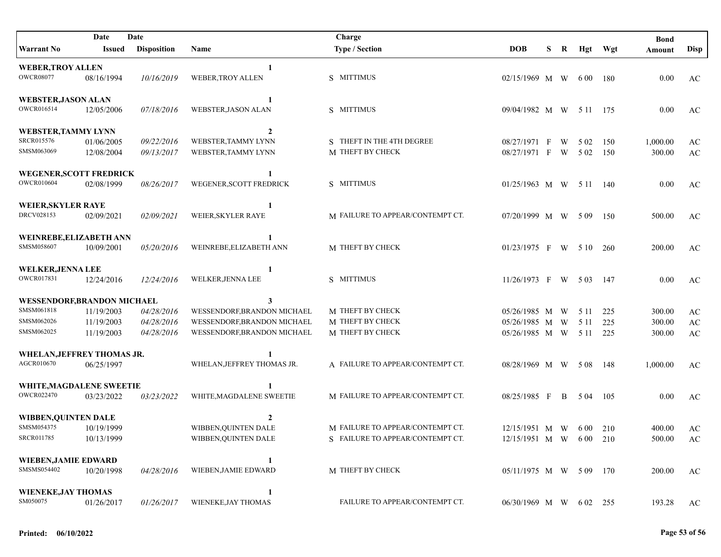|                             | Date          | Date               |                             | Charge                           |                         |   |   |       |         | <b>Bond</b> |                        |
|-----------------------------|---------------|--------------------|-----------------------------|----------------------------------|-------------------------|---|---|-------|---------|-------------|------------------------|
| <b>Warrant No</b>           | <b>Issued</b> | <b>Disposition</b> | Name                        | <b>Type / Section</b>            | <b>DOB</b>              | S | R |       | Hgt Wgt | Amount      | Disp                   |
| <b>WEBER, TROY ALLEN</b>    |               |                    |                             |                                  |                         |   |   |       |         |             |                        |
| <b>OWCR08077</b>            | 08/16/1994    | 10/16/2019         | WEBER, TROY ALLEN           | S MITTIMUS                       | 02/15/1969 M W 600 180  |   |   |       |         | 0.00        | AC                     |
| <b>WEBSTER, JASON ALAN</b>  |               |                    | 1                           |                                  |                         |   |   |       |         |             |                        |
| OWCR016514                  | 12/05/2006    | 07/18/2016         | WEBSTER, JASON ALAN         | S MITTIMUS                       | 09/04/1982 M W 5 11 175 |   |   |       |         | 0.00        | AC                     |
| WEBSTER, TAMMY LYNN         |               |                    | $\overline{2}$              |                                  |                         |   |   |       |         |             |                        |
| <b>SRCR015576</b>           | 01/06/2005    | 09/22/2016         | WEBSTER, TAMMY LYNN         | S THEFT IN THE 4TH DEGREE        | 08/27/1971 F            |   | W | 5 0 2 | 150     | 1,000.00    | AC                     |
| SMSM063069                  | 12/08/2004    | 09/13/2017         | WEBSTER, TAMMY LYNN         | M THEFT BY CHECK                 | 08/27/1971 F            |   | W | 5 0 2 | 150     | 300.00      | AC                     |
| WEGENER, SCOTT FREDRICK     |               |                    | 1                           |                                  |                         |   |   |       |         |             |                        |
| <b>OWCR010604</b>           | 02/08/1999    | 08/26/2017         | WEGENER, SCOTT FREDRICK     | S MITTIMUS                       | 01/25/1963 M W 5 11 140 |   |   |       |         | 0.00        | AC                     |
| <b>WEIER, SKYLER RAYE</b>   |               |                    | 1                           |                                  |                         |   |   |       |         |             |                        |
| DRCV028153                  | 02/09/2021    | 02/09/2021         | WEIER, SKYLER RAYE          | M FAILURE TO APPEAR/CONTEMPT CT. | 07/20/1999 M W 509      |   |   |       | 150     | 500.00      | AC                     |
| WEINREBE, ELIZABETH ANN     |               |                    |                             |                                  |                         |   |   |       |         |             |                        |
| SMSM058607                  | 10/09/2001    | 05/20/2016         | WEINREBE, ELIZABETH ANN     | M THEFT BY CHECK                 | $01/23/1975$ F W 510    |   |   |       | 260     | 200.00      | AC                     |
| <b>WELKER, JENNA LEE</b>    |               |                    | 1                           |                                  |                         |   |   |       |         |             |                        |
| OWCR017831                  | 12/24/2016    | 12/24/2016         | WELKER, JENNA LEE           | S MITTIMUS                       | 11/26/1973 F W 503      |   |   |       | 147     | 0.00        | AC                     |
| WESSENDORF, BRANDON MICHAEL |               |                    | 3                           |                                  |                         |   |   |       |         |             |                        |
| SMSM061818                  | 11/19/2003    | 04/28/2016         | WESSENDORF, BRANDON MICHAEL | M THEFT BY CHECK                 | 05/26/1985 M W          |   |   | 5 1 1 | 225     | 300.00      | $\mathbf{A}\mathbf{C}$ |
| SMSM062026                  | 11/19/2003    | 04/28/2016         | WESSENDORF, BRANDON MICHAEL | M THEFT BY CHECK                 | 05/26/1985 M W          |   |   | 5 1 1 | 225     | 300.00      | $\mathbf{A}\mathbf{C}$ |
| SMSM062025                  | 11/19/2003    | 04/28/2016         | WESSENDORF, BRANDON MICHAEL | M THEFT BY CHECK                 | 05/26/1985 M W          |   |   | 5 1 1 | 225     | 300.00      | $\mathbf{A}\mathbf{C}$ |
| WHELAN, JEFFREY THOMAS JR.  |               |                    |                             |                                  |                         |   |   |       |         |             |                        |
| AGCR010670                  | 06/25/1997    |                    | WHELAN, JEFFREY THOMAS JR.  | A FAILURE TO APPEAR/CONTEMPT CT. | 08/28/1969 M W 508      |   |   |       | -148    | 1,000.00    | AC                     |
| WHITE, MAGDALENE SWEETIE    |               |                    |                             |                                  |                         |   |   |       |         |             |                        |
| <b>OWCR022470</b>           | 03/23/2022    | 03/23/2022         | WHITE, MAGDALENE SWEETIE    | M FAILURE TO APPEAR/CONTEMPT CT. | 08/25/1985 F            |   | B | 5 04  | 105     | 0.00        | AC                     |
| <b>WIBBEN, QUINTEN DALE</b> |               |                    | 2                           |                                  |                         |   |   |       |         |             |                        |
| SMSM054375                  | 10/19/1999    |                    | WIBBEN, QUINTEN DALE        | M FAILURE TO APPEAR/CONTEMPT CT. | 12/15/1951 M W 600 210  |   |   |       |         | 400.00      | AC                     |
| <b>SRCR011785</b>           | 10/13/1999    |                    | WIBBEN,QUINTEN DALE         | S FAILURE TO APPEAR/CONTEMPT CT. | 12/15/1951 M W 600 210  |   |   |       |         | 500.00      | AC                     |
| <b>WIEBEN, JAMIE EDWARD</b> |               |                    | 1                           |                                  |                         |   |   |       |         |             |                        |
| SMSMS054402                 | 10/20/1998    | 04/28/2016         | WIEBEN, JAMIE EDWARD        | M THEFT BY CHECK                 | 05/11/1975 M W 5 09 170 |   |   |       |         | 200.00      | AC                     |
| <b>WIENEKE, JAY THOMAS</b>  |               |                    | 1                           |                                  |                         |   |   |       |         |             |                        |
| SM050075                    | 01/26/2017    | 01/26/2017         | WIENEKE, JAY THOMAS         | FAILURE TO APPEAR/CONTEMPT CT.   | 06/30/1969 M W 602 255  |   |   |       |         | 193.28      | AC                     |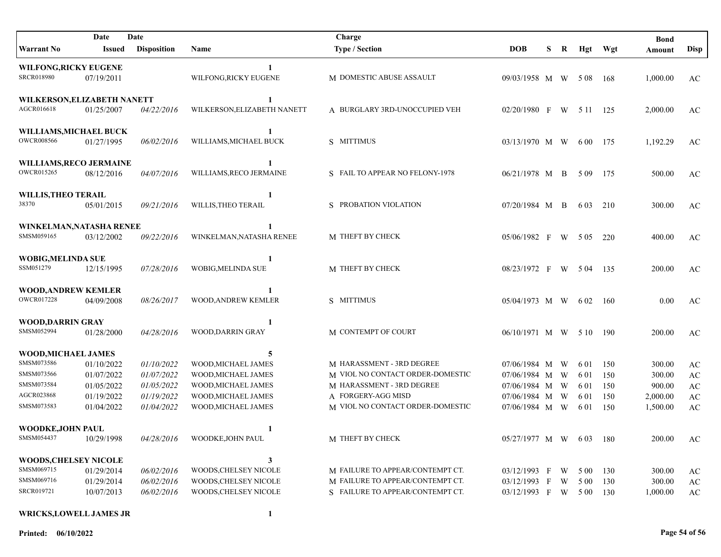| Date<br>Date                                        |                          |                          |                                            | Charge                                                        |                              |   |        |               |            | <b>Bond</b>      |                              |
|-----------------------------------------------------|--------------------------|--------------------------|--------------------------------------------|---------------------------------------------------------------|------------------------------|---|--------|---------------|------------|------------------|------------------------------|
| <b>Warrant No</b>                                   | <b>Issued</b>            | <b>Disposition</b>       | Name                                       | <b>Type / Section</b>                                         | <b>DOB</b>                   | S | R      | Hgt Wgt       |            | Amount           | <b>Disp</b>                  |
| <b>WILFONG, RICKY EUGENE</b><br><b>SRCR018980</b>   | 07/19/2011               |                          | 1<br>WILFONG, RICKY EUGENE                 | M DOMESTIC ABUSE ASSAULT                                      | 09/03/1958 M W 508           |   |        |               | -168       | 1,000.00         | AC                           |
| WILKERSON, ELIZABETH NANETT                         |                          |                          | 1                                          |                                                               |                              |   |        |               |            |                  |                              |
| AGCR016618                                          | 01/25/2007               | 04/22/2016               | WILKERSON, ELIZABETH NANETT                | A BURGLARY 3RD-UNOCCUPIED VEH                                 | 02/20/1980 F W 5 11 125      |   |        |               |            | 2,000.00         | AC                           |
| WILLIAMS, MICHAEL BUCK<br><b>OWCR008566</b>         | 01/27/1995               | 06/02/2016               | 1<br>WILLIAMS, MICHAEL BUCK                | S MITTIMUS                                                    | 03/13/1970 M W               |   |        | 6 00 175      |            | 1,192.29         | AC                           |
| <b>WILLIAMS, RECO JERMAINE</b><br><b>OWCR015265</b> | 08/12/2016               | 04/07/2016               | 1<br>WILLIAMS, RECO JERMAINE               | S FAIL TO APPEAR NO FELONY-1978                               | $06/21/1978$ M B             |   |        | 509           | 175        | 500.00           | AC                           |
| WILLIS, THEO TERAIL<br>38370                        | 05/01/2015               | 09/21/2016               | 1<br>WILLIS, THEO TERAIL                   | S PROBATION VIOLATION                                         | 07/20/1984 M B               |   |        | 6 0 3         | 210        | 300.00           | AC                           |
| WINKELMAN, NATASHA RENEE<br>SMSM059165              | 03/12/2002               | 09/22/2016               | WINKELMAN, NATASHA RENEE                   | M THEFT BY CHECK                                              | $05/06/1982$ F W 505         |   |        |               | 220        | 400.00           | AC                           |
| <b>WOBIG, MELINDA SUE</b><br>SSM051279              | 12/15/1995               | 07/28/2016               | 1<br>WOBIG, MELINDA SUE                    | M THEFT BY CHECK                                              | 08/23/1972 F W 504           |   |        |               | -135       | 200.00           | AC                           |
| <b>WOOD, ANDREW KEMLER</b><br><b>OWCR017228</b>     | 04/09/2008               | 08/26/2017               | WOOD, ANDREW KEMLER                        | S MITTIMUS                                                    | 05/04/1973 M W               |   |        | 6 0 2         | - 160      | 0.00             | AC                           |
| <b>WOOD,DARRIN GRAY</b><br>SMSM052994               | 01/28/2000               | 04/28/2016               | 1<br>WOOD, DARRIN GRAY                     | M CONTEMPT OF COURT                                           | 06/10/1971 M W 5 10 190      |   |        |               |            | 200.00           | AC                           |
|                                                     |                          |                          |                                            |                                                               |                              |   |        |               |            |                  |                              |
| WOOD, MICHAEL JAMES<br>SMSM073586                   |                          |                          | 5                                          |                                                               |                              |   |        |               |            |                  |                              |
| SMSM073566                                          | 01/10/2022<br>01/07/2022 | 01/10/2022<br>01/07/2022 | WOOD, MICHAEL JAMES<br>WOOD, MICHAEL JAMES | M HARASSMENT - 3RD DEGREE<br>M VIOL NO CONTACT ORDER-DOMESTIC | 07/06/1984 M<br>07/06/1984 M |   | W<br>W | 6 01<br>6 0 1 | 150<br>150 | 300.00<br>300.00 | AC<br>$\mathbf{A}\mathbf{C}$ |
| SMSM073584                                          | 01/05/2022               | 01/05/2022               | WOOD, MICHAEL JAMES                        | M HARASSMENT - 3RD DEGREE                                     | 07/06/1984 M                 |   | W      | 6 0 1         | 150        | 900.00           | $\mathbf{A}\mathbf{C}$       |
| AGCR023868                                          | 01/19/2022               | 01/19/2022               | WOOD, MICHAEL JAMES                        | A FORGERY-AGG MISD                                            | 07/06/1984 M W               |   |        | 6 0 1         | 150        | 2,000.00         | $\mathbf{A}\mathbf{C}$       |
| SMSM073583                                          | 01/04/2022               | 01/04/2022               | WOOD, MICHAEL JAMES                        | M VIOL NO CONTACT ORDER-DOMESTIC                              | 07/06/1984 M W               |   |        | 6 0 1         | 150        | 1,500.00         | $\mathbf{A}\mathbf{C}$       |
| <b>WOODKE, JOHN PAUL</b>                            |                          |                          | 1                                          |                                                               |                              |   |        |               |            |                  |                              |
| SMSM054437                                          | 10/29/1998               | 04/28/2016               | WOODKE,JOHN PAUL                           | M THEFT BY CHECK                                              | 05/27/1977 M W 603 180       |   |        |               |            | 200.00           | $\mathbf{A}\mathbf{C}$       |
| WOODS, CHELSEY NICOLE                               |                          |                          | 3                                          |                                                               |                              |   |        |               |            |                  |                              |
| SMSM069715                                          | 01/29/2014               | 06/02/2016               | WOODS, CHELSEY NICOLE                      | M FAILURE TO APPEAR/CONTEMPT CT.                              | 03/12/1993 F W               |   |        | 5 0 0         | 130        | 300.00           | AC                           |
| SMSM069716                                          | 01/29/2014               | 06/02/2016               | WOODS, CHELSEY NICOLE                      | M FAILURE TO APPEAR/CONTEMPT CT.                              | 03/12/1993 F W               |   |        | 5 0 0         | 130        | 300.00           | $\rm AC$                     |
| SRCR019721                                          | 10/07/2013               | 06/02/2016               | WOODS, CHELSEY NICOLE                      | S FAILURE TO APPEAR/CONTEMPT CT.                              | 03/12/1993 F W 500 130       |   |        |               |            | 1,000.00         | $\rm AC$                     |

## WRICKS, LOWELL JAMES JR 1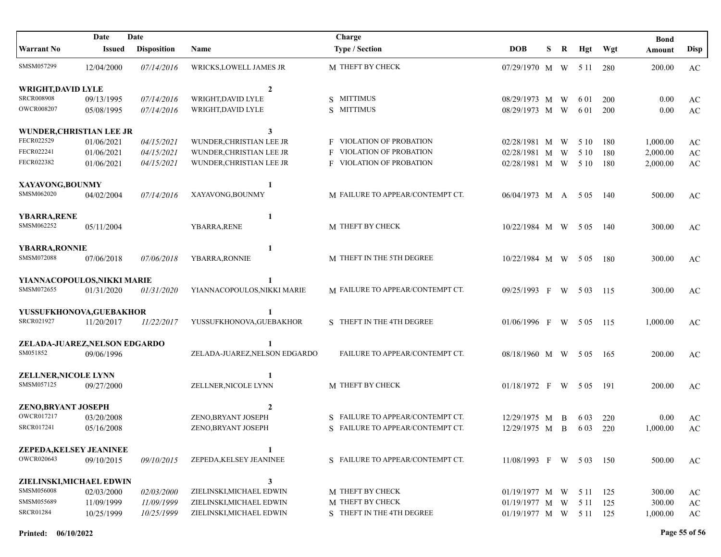|                               | Date          | Date               |                               | Charge                           |                         |   |     |          |       | <b>Bond</b> |                        |
|-------------------------------|---------------|--------------------|-------------------------------|----------------------------------|-------------------------|---|-----|----------|-------|-------------|------------------------|
| <b>Warrant No</b>             | <b>Issued</b> | <b>Disposition</b> | Name                          | <b>Type / Section</b>            | <b>DOB</b>              | S | R   | Hgt      | Wgt   | Amount      | <b>Disp</b>            |
| SMSM057299                    | 12/04/2000    | 07/14/2016         | WRICKS, LOWELL JAMES JR       | M THEFT BY CHECK                 | 07/29/1970 M W          |   |     | 5 1 1    | 280   | 200.00      | AC                     |
| <b>WRIGHT, DAVID LYLE</b>     |               |                    | $\overline{2}$                |                                  |                         |   |     |          |       |             |                        |
| <b>SRCR008908</b>             | 09/13/1995    | 07/14/2016         | WRIGHT, DAVID LYLE            | S MITTIMUS                       | 08/29/1973 M W          |   |     | 6 01     | 200   | 0.00        | $\mathbf{A}\mathbf{C}$ |
| <b>OWCR008207</b>             | 05/08/1995    | 07/14/2016         | WRIGHT, DAVID LYLE            | S MITTIMUS                       | 08/29/1973 M W          |   |     | 6 0 1    | 200   | 0.00        | $\mathbf{A}\mathbf{C}$ |
| WUNDER, CHRISTIAN LEE JR      |               |                    | 3                             |                                  |                         |   |     |          |       |             |                        |
| FECR022529                    | 01/06/2021    | 04/15/2021         | WUNDER, CHRISTIAN LEE JR      | <b>F</b> VIOLATION OF PROBATION  | 02/28/1981 M            |   | W   | 5 10     | 180   | 1,000.00    | AC                     |
| FECR022241                    | 01/06/2021    | 04/15/2021         | WUNDER, CHRISTIAN LEE JR      | <b>F</b> VIOLATION OF PROBATION  | 02/28/1981 M            |   | W   | 5 10     | 180   | 2,000.00    | $\mathbf{A}\mathbf{C}$ |
| FECR022382                    | 01/06/2021    | 04/15/2021         | WUNDER, CHRISTIAN LEE JR      | <b>F VIOLATION OF PROBATION</b>  | 02/28/1981 M W          |   |     | 5 10     | 180   | 2,000.00    | $\mathbf{A}\mathbf{C}$ |
| XAYAVONG, BOUNMY              |               |                    | 1                             |                                  |                         |   |     |          |       |             |                        |
| SMSM062020                    | 04/02/2004    | 07/14/2016         | XAYAVONG, BOUNMY              | M FAILURE TO APPEAR/CONTEMPT CT. | 06/04/1973 M A          |   |     | 5 0 5    | 140   | 500.00      | AC                     |
| <b>YBARRA, RENE</b>           |               |                    | 1                             |                                  |                         |   |     |          |       |             |                        |
| SMSM062252                    | 05/11/2004    |                    | YBARRA, RENE                  | M THEFT BY CHECK                 | 10/22/1984 M W 505      |   |     |          | 140   | 300.00      | AC                     |
| <b>YBARRA, RONNIE</b>         |               |                    | 1                             |                                  |                         |   |     |          |       |             |                        |
| SMSM072088                    | 07/06/2018    | 07/06/2018         | YBARRA, RONNIE                | M THEFT IN THE 5TH DEGREE        | 10/22/1984 M W          |   |     | 5 0 5    | -180  | 300.00      | AC                     |
| YIANNACOPOULOS, NIKKI MARIE   |               |                    |                               |                                  |                         |   |     |          |       |             |                        |
| SMSM072655                    | 01/31/2020    | 01/31/2020         | YIANNACOPOULOS, NIKKI MARIE   | M FAILURE TO APPEAR/CONTEMPT CT. | 09/25/1993 F W          |   |     | 5 0 3    | - 115 | 300.00      | AC                     |
| YUSSUFKHONOVA, GUEBAKHOR      |               |                    |                               |                                  |                         |   |     |          |       |             |                        |
| <b>SRCR021927</b>             | 11/20/2017    | 11/22/2017         | YUSSUFKHONOVA, GUEBAKHOR      | S THEFT IN THE 4TH DEGREE        | $01/06/1996$ F W        |   |     | 5 0 5    | - 115 | 1,000.00    | AC                     |
| ZELADA-JUAREZ, NELSON EDGARDO |               |                    | 1                             |                                  |                         |   |     |          |       |             |                        |
| SM051852                      | 09/06/1996    |                    | ZELADA-JUAREZ, NELSON EDGARDO | FAILURE TO APPEAR/CONTEMPT CT.   | 08/18/1960 M W          |   |     | 5 0 5    | -165  | 200.00      | AC                     |
| ZELLNER, NICOLE LYNN          |               |                    |                               |                                  |                         |   |     |          |       |             |                        |
| SMSM057125                    | 09/27/2000    |                    | ZELLNER, NICOLE LYNN          | M THEFT BY CHECK                 | 01/18/1972 F W 505 191  |   |     |          |       | 200.00      | AC                     |
| <b>ZENO, BRYANT JOSEPH</b>    |               |                    | $\overline{2}$                |                                  |                         |   |     |          |       |             |                        |
| OWCR017217                    | 03/20/2008    |                    | ZENO, BRYANT JOSEPH           | S FAILURE TO APPEAR/CONTEMPT CT. | 12/29/1975 M            |   | - B | 6.03     | 220   | 0.00        | AC                     |
| SRCR017241                    | 05/16/2008    |                    | ZENO, BRYANT JOSEPH           | S FAILURE TO APPEAR/CONTEMPT CT. | 12/29/1975 M B          |   |     | 6 0 3    | 220   | 1,000.00    | AC                     |
| ZEPEDA, KELSEY JEANINEE       |               |                    |                               |                                  |                         |   |     |          |       |             |                        |
| OWCR020643                    | 09/10/2015    | 09/10/2015         | ZEPEDA, KELSEY JEANINEE       | S FAILURE TO APPEAR/CONTEMPT CT. | 11/08/1993 F W 503 150  |   |     |          |       | 500.00      | AC                     |
| ZIELINSKI, MICHAEL EDWIN      |               |                    | 3                             |                                  |                         |   |     |          |       |             |                        |
| SMSM056008                    | 02/03/2000    | 02/03/2000         | ZIELINSKI, MICHAEL EDWIN      | M THEFT BY CHECK                 | $01/19/1977$ M W        |   |     | 5 11 125 |       | 300.00      | AC                     |
| SMSM055689                    | 11/09/1999    | 11/09/1999         | ZIELINSKI, MICHAEL EDWIN      | M THEFT BY CHECK                 | $01/19/1977$ M W        |   |     | 5 1 1    | - 125 | 300.00      | $\mathbf{A}\mathbf{C}$ |
| <b>SRCR01284</b>              | 10/25/1999    | 10/25/1999         | ZIELINSKI, MICHAEL EDWIN      | S THEFT IN THE 4TH DEGREE        | 01/19/1977 M W 5 11 125 |   |     |          |       | 1,000.00    | $\mathbf{A}\mathbf{C}$ |